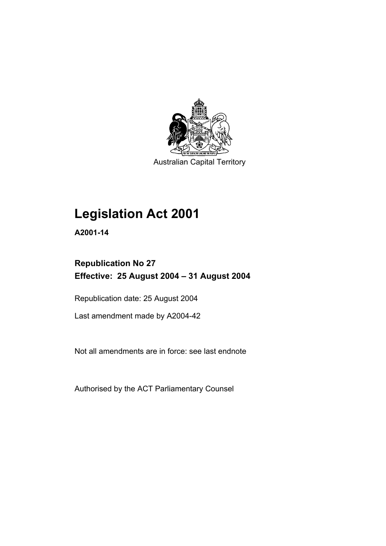

Australian Capital Territory

# **Legislation Act 2001**

**A2001-14** 

# **Republication No 27 Effective: 25 August 2004 – 31 August 2004**

Republication date: 25 August 2004

Last amendment made by A2004-42

Not all amendments are in force: see last endnote

Authorised by the ACT Parliamentary Counsel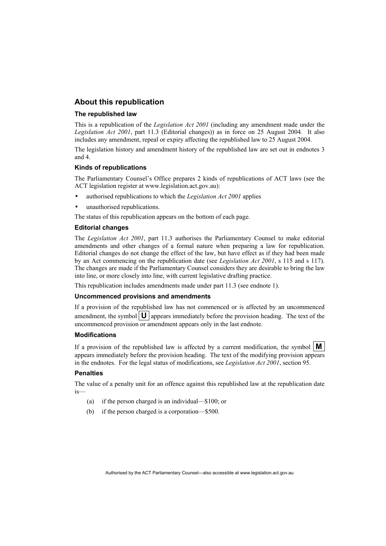## **About this republication**

#### **The republished law**

This is a republication of the *Legislation Act 2001* (including any amendment made under the *Legislation Act 2001*, part 11.3 (Editorial changes)) as in force on 25 August 2004*.* It also includes any amendment, repeal or expiry affecting the republished law to 25 August 2004.

The legislation history and amendment history of the republished law are set out in endnotes 3 and 4.

#### **Kinds of republications**

The Parliamentary Counsel's Office prepares 2 kinds of republications of ACT laws (see the ACT legislation register at www.legislation.act.gov.au):

- authorised republications to which the *Legislation Act 2001* applies
- unauthorised republications.

The status of this republication appears on the bottom of each page.

#### **Editorial changes**

The *Legislation Act 2001*, part 11.3 authorises the Parliamentary Counsel to make editorial amendments and other changes of a formal nature when preparing a law for republication. Editorial changes do not change the effect of the law, but have effect as if they had been made by an Act commencing on the republication date (see *Legislation Act 2001*, s 115 and s 117). The changes are made if the Parliamentary Counsel considers they are desirable to bring the law into line, or more closely into line, with current legislative drafting practice.

This republication includes amendments made under part 11.3 (see endnote 1).

#### **Uncommenced provisions and amendments**

If a provision of the republished law has not commenced or is affected by an uncommenced amendment, the symbol  $\mathbf{U}$  appears immediately before the provision heading. The text of the uncommenced provision or amendment appears only in the last endnote.

#### **Modifications**

If a provision of the republished law is affected by a current modification, the symbol  $\mathbf{M}$ appears immediately before the provision heading. The text of the modifying provision appears in the endnotes. For the legal status of modifications, see *Legislation Act 2001*, section 95.

#### **Penalties**

The value of a penalty unit for an offence against this republished law at the republication date is—

- (a) if the person charged is an individual—\$100; or
- (b) if the person charged is a corporation—\$500.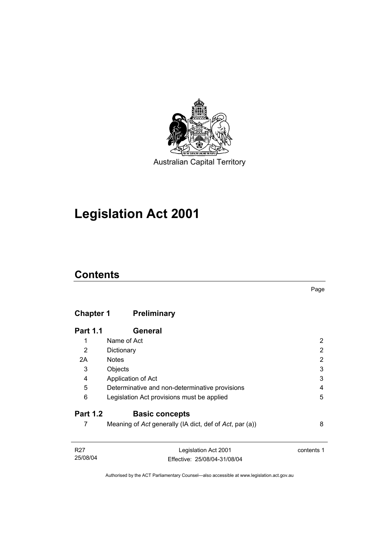

Australian Capital Territory

# **Legislation Act 2001**

# **Contents**

# **Chapter 1 Preliminary**

| <b>Part 1.1</b> | <b>General</b>                                          |   |
|-----------------|---------------------------------------------------------|---|
| 1               | Name of Act                                             | 2 |
| 2               | Dictionary                                              | 2 |
| 2A              | <b>Notes</b>                                            | 2 |
| 3               | Objects                                                 | 3 |
| 4               | Application of Act                                      | 3 |
| 5               | Determinative and non-determinative provisions          | 4 |
| 6               | Legislation Act provisions must be applied              | 5 |
| <b>Part 1.2</b> | <b>Basic concepts</b>                                   |   |
|                 | Meaning of Act generally (IA dict, def of Act, par (a)) | 8 |

| R27      | Legislation Act 2001         | contents 1 |
|----------|------------------------------|------------|
| 25/08/04 | Effective: 25/08/04-31/08/04 |            |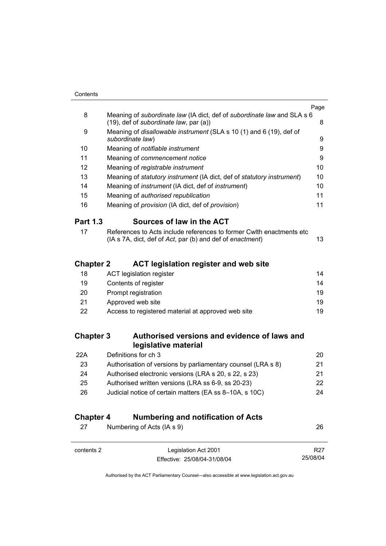| Contents |  |
|----------|--|

|                  |                                                                                                                                    | Page            |
|------------------|------------------------------------------------------------------------------------------------------------------------------------|-----------------|
| 8                | Meaning of subordinate law (IA dict, def of subordinate law and SLA s 6<br>(19), def of subordinate law, par (a))                  | 8               |
| 9                | Meaning of <i>disallowable instrument</i> (SLA s 10 (1) and 6 (19), def of<br>subordinate law)                                     | 9               |
| 10               | Meaning of notifiable instrument                                                                                                   | 9               |
| 11               | Meaning of commencement notice                                                                                                     | 9               |
| 12               | Meaning of registrable instrument                                                                                                  | 10              |
| 13               | Meaning of statutory instrument (IA dict, def of statutory instrument)                                                             | 10 <sup>°</sup> |
| 14               | Meaning of <i>instrument</i> (IA dict, def of <i>instrument</i> )                                                                  | 10              |
| 15               | Meaning of authorised republication                                                                                                | 11              |
| 16               | Meaning of provision (IA dict, def of provision)                                                                                   | 11              |
| <b>Part 1.3</b>  | Sources of law in the ACT                                                                                                          |                 |
| 17               | References to Acts include references to former Cwith enactments etc.<br>(IA s 7A, dict, def of Act, par (b) and def of enactment) | 13              |
| Chapter 2        | <b>ACT legislation register and web site</b>                                                                                       |                 |
| 18               | <b>ACT legislation register</b>                                                                                                    | 14              |
| 19               | Contents of register                                                                                                               | 14              |
| 20               | Prompt registration                                                                                                                | 19              |
| 21               | Approved web site                                                                                                                  | 19              |
| 22               | Access to registered material at approved web site                                                                                 | 19              |
| <b>Chapter 3</b> | Authorised versions and evidence of laws and<br>legislative material                                                               |                 |
| 22A              | Definitions for ch 3                                                                                                               | 20              |
| 23               | Authorisation of versions by parliamentary counsel (LRA s 8)                                                                       | 21              |

| 23 | Authorisation of versions by parliamentary counsel (LRA s 8) | 21. |
|----|--------------------------------------------------------------|-----|
| 24 | Authorised electronic versions (LRA s 20, s 22, s 23)        | 21  |
| 25 | Authorised written versions (LRA ss 6-9, ss 20-23)           | 22  |
| 26 | Judicial notice of certain matters (EA ss 8-10A, s 10C)      | 24  |
|    |                                                              |     |

# **Chapter 4 Numbering and notification of Acts**

| 27         | Numbering of Acts (IA s 9)                           | 26                          |
|------------|------------------------------------------------------|-----------------------------|
| contents 2 | Legislation Act 2001<br>Effective: 25/08/04-31/08/04 | R <sub>27</sub><br>25/08/04 |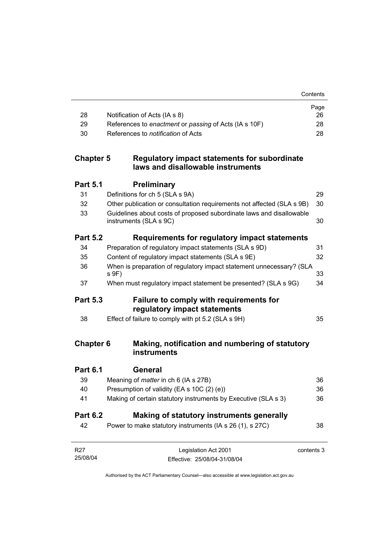|                  |                                                                                                | Page       |
|------------------|------------------------------------------------------------------------------------------------|------------|
| 28<br>29         | Notification of Acts (IA s 8)<br>References to enactment or passing of Acts (IA s 10F)         | 26<br>28   |
| 30               | References to notification of Acts                                                             | 28         |
| <b>Chapter 5</b> | <b>Regulatory impact statements for subordinate</b><br>laws and disallowable instruments       |            |
| <b>Part 5.1</b>  | <b>Preliminary</b>                                                                             |            |
| 31               | Definitions for ch 5 (SLA s 9A)                                                                | 29         |
| 32               | Other publication or consultation requirements not affected (SLA s 9B)                         | 30         |
| 33               | Guidelines about costs of proposed subordinate laws and disallowable<br>instruments (SLA s 9C) | 30         |
| <b>Part 5.2</b>  | Requirements for regulatory impact statements                                                  |            |
| 34               | Preparation of regulatory impact statements (SLA s 9D)                                         | 31         |
| 35               | Content of regulatory impact statements (SLA s 9E)                                             | 32         |
| 36               | When is preparation of regulatory impact statement unnecessary? (SLA<br>s 9F)                  | 33         |
| 37               | When must regulatory impact statement be presented? (SLA s 9G)                                 | 34         |
| <b>Part 5.3</b>  | Failure to comply with requirements for<br>regulatory impact statements                        |            |
| 38               | Effect of failure to comply with pt 5.2 (SLA s 9H)                                             | 35         |
| <b>Chapter 6</b> | Making, notification and numbering of statutory<br>instruments                                 |            |
| <b>Part 6.1</b>  | <b>General</b>                                                                                 |            |
| 39               | Meaning of <i>matter</i> in ch 6 (IA s 27B)                                                    | 36         |
| 40               | Presumption of validity (EA s 10C (2) (e))                                                     | 36         |
| 41               | Making of certain statutory instruments by Executive (SLA s 3)                                 | 36         |
| <b>Part 6.2</b>  | Making of statutory instruments generally                                                      |            |
| 42               | Power to make statutory instruments (IA s 26 (1), s 27C)                                       | 38         |
| R <sub>27</sub>  | Legislation Act 2001                                                                           | contents 3 |
| 25/08/04         | Effective: 25/08/04-31/08/04                                                                   |            |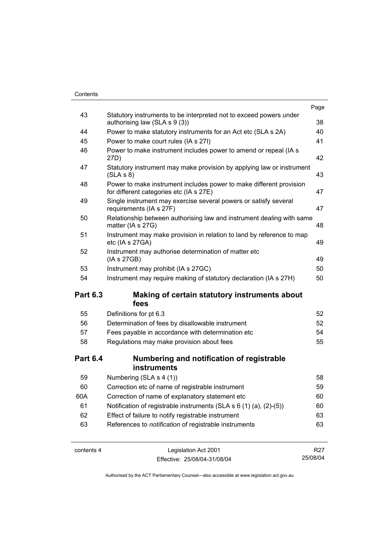| 43<br>Statutory instruments to be interpreted not to exceed powers under<br>authorising law (SLA s 9 (3))<br>44<br>Power to make statutory instruments for an Act etc (SLA s 2A)<br>Power to make court rules (IA s 27I)<br>45<br>46<br>Power to make instrument includes power to amend or repeal (IA s<br>27D)<br>47<br>Statutory instrument may make provision by applying law or instrument<br>(SLA S 8)<br>Power to make instrument includes power to make different provision<br>48<br>for different categories etc (IA s 27E)<br>49<br>Single instrument may exercise several powers or satisfy several<br>requirements (IA s 27F)<br>Relationship between authorising law and instrument dealing with same<br>50<br>matter (IA s 27G)<br>Instrument may make provision in relation to land by reference to map<br>51<br>etc (IA s 27GA)<br>52<br>Instrument may authorise determination of matter etc<br>(IA s 27GB) |    |
|------------------------------------------------------------------------------------------------------------------------------------------------------------------------------------------------------------------------------------------------------------------------------------------------------------------------------------------------------------------------------------------------------------------------------------------------------------------------------------------------------------------------------------------------------------------------------------------------------------------------------------------------------------------------------------------------------------------------------------------------------------------------------------------------------------------------------------------------------------------------------------------------------------------------------|----|
|                                                                                                                                                                                                                                                                                                                                                                                                                                                                                                                                                                                                                                                                                                                                                                                                                                                                                                                              | 38 |
|                                                                                                                                                                                                                                                                                                                                                                                                                                                                                                                                                                                                                                                                                                                                                                                                                                                                                                                              | 40 |
|                                                                                                                                                                                                                                                                                                                                                                                                                                                                                                                                                                                                                                                                                                                                                                                                                                                                                                                              | 41 |
|                                                                                                                                                                                                                                                                                                                                                                                                                                                                                                                                                                                                                                                                                                                                                                                                                                                                                                                              | 42 |
|                                                                                                                                                                                                                                                                                                                                                                                                                                                                                                                                                                                                                                                                                                                                                                                                                                                                                                                              | 43 |
|                                                                                                                                                                                                                                                                                                                                                                                                                                                                                                                                                                                                                                                                                                                                                                                                                                                                                                                              | 47 |
|                                                                                                                                                                                                                                                                                                                                                                                                                                                                                                                                                                                                                                                                                                                                                                                                                                                                                                                              | 47 |
|                                                                                                                                                                                                                                                                                                                                                                                                                                                                                                                                                                                                                                                                                                                                                                                                                                                                                                                              | 48 |
|                                                                                                                                                                                                                                                                                                                                                                                                                                                                                                                                                                                                                                                                                                                                                                                                                                                                                                                              | 49 |
|                                                                                                                                                                                                                                                                                                                                                                                                                                                                                                                                                                                                                                                                                                                                                                                                                                                                                                                              | 49 |
| 53<br>Instrument may prohibit (IA s 27GC)                                                                                                                                                                                                                                                                                                                                                                                                                                                                                                                                                                                                                                                                                                                                                                                                                                                                                    | 50 |
| Instrument may require making of statutory declaration (IA s 27H)<br>54                                                                                                                                                                                                                                                                                                                                                                                                                                                                                                                                                                                                                                                                                                                                                                                                                                                      | 50 |
| Making of certain statutory instruments about<br><b>Part 6.3</b><br>fees                                                                                                                                                                                                                                                                                                                                                                                                                                                                                                                                                                                                                                                                                                                                                                                                                                                     |    |
| Definitions for pt 6.3<br>55                                                                                                                                                                                                                                                                                                                                                                                                                                                                                                                                                                                                                                                                                                                                                                                                                                                                                                 | 52 |
| Determination of fees by disallowable instrument<br>56                                                                                                                                                                                                                                                                                                                                                                                                                                                                                                                                                                                                                                                                                                                                                                                                                                                                       | 52 |
| 57<br>Fees payable in accordance with determination etc                                                                                                                                                                                                                                                                                                                                                                                                                                                                                                                                                                                                                                                                                                                                                                                                                                                                      | 54 |
| 58<br>Regulations may make provision about fees                                                                                                                                                                                                                                                                                                                                                                                                                                                                                                                                                                                                                                                                                                                                                                                                                                                                              | 55 |
| <b>Part 6.4</b><br>Numbering and notification of registrable                                                                                                                                                                                                                                                                                                                                                                                                                                                                                                                                                                                                                                                                                                                                                                                                                                                                 |    |
| <b>instruments</b>                                                                                                                                                                                                                                                                                                                                                                                                                                                                                                                                                                                                                                                                                                                                                                                                                                                                                                           |    |
| 59<br>Numbering (SLA s 4 (1))                                                                                                                                                                                                                                                                                                                                                                                                                                                                                                                                                                                                                                                                                                                                                                                                                                                                                                | 58 |
| Correction etc of name of registrable instrument<br>60                                                                                                                                                                                                                                                                                                                                                                                                                                                                                                                                                                                                                                                                                                                                                                                                                                                                       | 59 |
| Correction of name of explanatory statement etc<br>60A                                                                                                                                                                                                                                                                                                                                                                                                                                                                                                                                                                                                                                                                                                                                                                                                                                                                       | 60 |
| 61<br>Notification of registrable instruments (SLA s 6 (1) (a), (2)-(5))                                                                                                                                                                                                                                                                                                                                                                                                                                                                                                                                                                                                                                                                                                                                                                                                                                                     | 60 |
| 62<br>Effect of failure to notify registrable instrument                                                                                                                                                                                                                                                                                                                                                                                                                                                                                                                                                                                                                                                                                                                                                                                                                                                                     | 63 |
| References to notification of registrable instruments<br>63                                                                                                                                                                                                                                                                                                                                                                                                                                                                                                                                                                                                                                                                                                                                                                                                                                                                  | 63 |

contents 4 Legislation Act 2001 Effective: 25/08/04-31/08/04

R27 25/08/04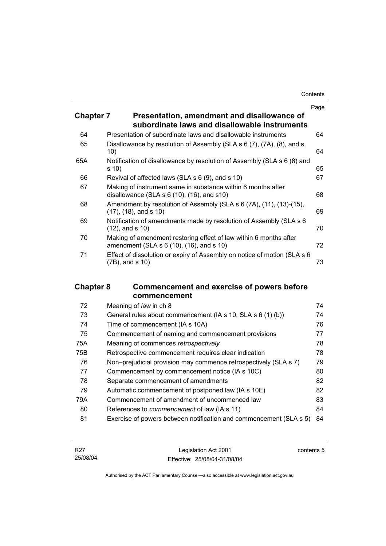|                  |                                                                                                                 | Page |
|------------------|-----------------------------------------------------------------------------------------------------------------|------|
| <b>Chapter 7</b> | Presentation, amendment and disallowance of<br>subordinate laws and disallowable instruments                    |      |
| 64               | Presentation of subordinate laws and disallowable instruments                                                   | 64   |
| 65               | Disallowance by resolution of Assembly (SLA s 6 (7), (7A), (8), and s<br>10)                                    | 64   |
| 65A              | Notification of disallowance by resolution of Assembly (SLA s 6 (8) and<br>s 10)                                | 65   |
| 66               | Revival of affected laws (SLA s 6 (9), and s 10)                                                                | 67   |
| 67               | Making of instrument same in substance within 6 months after<br>disallowance (SLA $s$ 6 (10), (16), and $s$ 10) | 68   |
| 68               | Amendment by resolution of Assembly (SLA s 6 (7A), (11), (13)-(15),<br>$(17)$ , $(18)$ , and s 10)              | 69   |
| 69               | Notification of amendments made by resolution of Assembly (SLA s 6)<br>$(12)$ , and s $(10)$                    | 70   |
| 70               | Making of amendment restoring effect of law within 6 months after<br>amendment (SLA s 6 (10), (16), and s 10)   | 72   |
| 71               | Effect of dissolution or expiry of Assembly on notice of motion (SLA s 6<br>$(7B)$ , and s 10)                  | 73   |

## **Chapter 8 Commencement and exercise of powers before commencement**

| 72  | Meaning of law in ch 8                                             | 74 |
|-----|--------------------------------------------------------------------|----|
| 73  | General rules about commencement (IA s 10, SLA s 6 (1) (b))        | 74 |
| 74  | Time of commencement (IA s 10A)                                    | 76 |
| 75  | Commencement of naming and commencement provisions                 | 77 |
| 75A | Meaning of commences retrospectively                               | 78 |
| 75B | Retrospective commencement requires clear indication               | 78 |
| 76  | Non-prejudicial provision may commence retrospectively (SLA s 7)   | 79 |
| 77  | Commencement by commencement notice (IA s 10C)                     | 80 |
| 78  | Separate commencement of amendments                                | 82 |
| 79  | Automatic commencement of postponed law (IA s 10E)                 | 82 |
| 79A | Commencement of amendment of uncommenced law                       | 83 |
| 80  | References to <i>commencement</i> of law (IA s 11)                 | 84 |
| 81  | Exercise of powers between notification and commencement (SLA s 5) | 84 |
|     |                                                                    |    |

| R <sub>27</sub> | Legislation Act 2001         | contents 5 |
|-----------------|------------------------------|------------|
| 25/08/04        | Effective: 25/08/04-31/08/04 |            |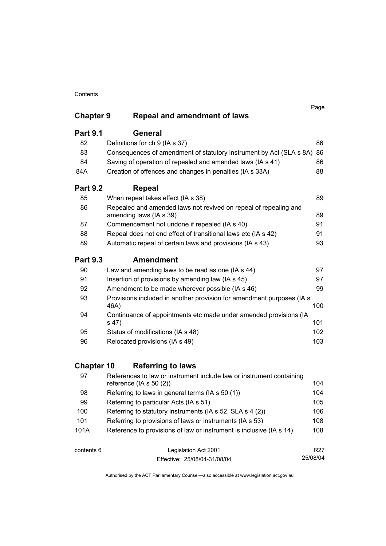| <b>Chapter 9</b> | <b>Repeal and amendment of laws</b>                                                         | Page |
|------------------|---------------------------------------------------------------------------------------------|------|
| <b>Part 9.1</b>  | General                                                                                     |      |
| 82               | Definitions for ch 9 (IA s 37)                                                              | 86   |
| 83               | Consequences of amendment of statutory instrument by Act (SLA s 8A)                         | 86   |
| 84               | Saving of operation of repealed and amended laws (IA s 41)                                  | 86   |
| 84A              | Creation of offences and changes in penalties (IA s 33A)                                    | 88   |
| <b>Part 9.2</b>  | Repeal                                                                                      |      |
| 85               | When repeal takes effect (IA s 38)                                                          | 89   |
| 86               | Repealed and amended laws not revived on repeal of repealing and<br>amending laws (IA s 39) | 89   |
| 87               | Commencement not undone if repealed (IA s 40)                                               | 91   |
| 88               | Repeal does not end effect of transitional laws etc (IA s 42)                               | 91   |
| 89               | Automatic repeal of certain laws and provisions (IA s 43)                                   | 93   |
| <b>Part 9.3</b>  | <b>Amendment</b>                                                                            |      |
| 90               | Law and amending laws to be read as one (IA s 44)                                           | 97   |
| 91               | Insertion of provisions by amending law (IA s 45)                                           | 97   |
| 92               | Amendment to be made wherever possible (IA s 46)                                            | 99   |
| 93               | Provisions included in another provision for amendment purposes (IA s<br>46A)               | 100  |
| 94               | Continuance of appointments etc made under amended provisions (IA<br>s 47)                  | 101  |
| 95               | Status of modifications (IA s 48)                                                           | 102  |
| 96               | Relocated provisions (IA s 49)                                                              | 103  |

# **Chapter 10 Referring to laws**

| 97   | References to law or instrument include law or instrument containing<br>reference ( $ A \simeq 50(2)$ ) | 104 |
|------|---------------------------------------------------------------------------------------------------------|-----|
| 98   | Referring to laws in general terms (IA s 50 (1))                                                        | 104 |
| 99   | Referring to particular Acts (IA s 51)                                                                  | 105 |
| 100  | Referring to statutory instruments (IA s 52, SLA s 4 (2))                                               | 106 |
| 101  | Referring to provisions of laws or instruments (IA s 53)                                                | 108 |
| 101A | Reference to provisions of law or instrument is inclusive (IA s 14)                                     | 108 |
|      |                                                                                                         |     |

contents 6 Legislation Act 2001 Effective: 25/08/04-31/08/04

R27 25/08/04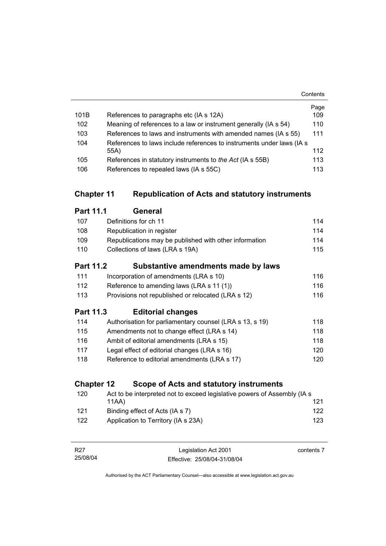|      |                                                                        | Page |
|------|------------------------------------------------------------------------|------|
| 101B | References to paragraphs etc (IA s 12A)                                | 109  |
| 102  | Meaning of references to a law or instrument generally (IA s 54)       | 110  |
| 103  | References to laws and instruments with amended names (IA s 55)        | 111  |
| 104  | References to laws include references to instruments under laws (IA s) |      |
|      | 55A)                                                                   | 112  |
| 105  | References in statutory instruments to the Act (IA s 55B)              | 113  |
| 106  | References to repealed laws (IA s 55C)                                 | 113  |

## **Chapter 11 Republication of Acts and statutory instruments**

|      | Part 11.1<br>General                                                    |     |
|------|-------------------------------------------------------------------------|-----|
| 107  | Definitions for ch 11                                                   | 114 |
| 108  | Republication in register                                               | 114 |
| 109  | Republications may be published with other information                  | 114 |
| 110  | Collections of laws (LRA s 19A)                                         | 115 |
|      | <b>Part 11.2</b><br>Substantive amendments made by laws                 |     |
| 111  | Incorporation of amendments (LRA s 10)                                  | 116 |
| 112  | Reference to amending laws (LRA s 11 (1))                               | 116 |
| 113  | Provisions not republished or relocated (LRA s 12)                      | 116 |
|      | <b>Part 11.3</b><br><b>Editorial changes</b>                            |     |
| 114  | Authorisation for parliamentary counsel (LRA s 13, s 19)                | 118 |
| 11 E | $\Lambda$ mondmonto not to obongo offect ( $\overline{\text{DA}}$ o 14) | 110 |

- 115 Amendments not to change effect (LRA s 14) 118 116 Ambit of editorial amendments (LRA s 15) 118
- 117 Legal effect of editorial changes (LRA s 16) 120 118 Reference to editorial amendments (LRA s 17) 120

## **Chapter 12 Scope of Acts and statutory instruments**

| 120 | Act to be interpreted not to exceed legislative powers of Assembly (IA s) |     |
|-----|---------------------------------------------------------------------------|-----|
|     | 11AA)                                                                     | 121 |
| 121 | Binding effect of Acts (IA s 7)                                           | 122 |
| 122 | Application to Territory (IA s 23A)                                       | 123 |

| R27      | Legislation Act 2001         | contents 7 |
|----------|------------------------------|------------|
| 25/08/04 | Effective: 25/08/04-31/08/04 |            |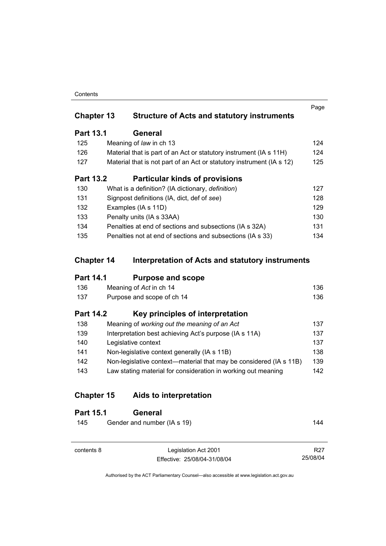|                  | <b>Chapter 13</b> | <b>Structure of Acts and statutory instruments</b>                    |     |
|------------------|-------------------|-----------------------------------------------------------------------|-----|
| <b>Part 13.1</b> |                   | <b>General</b>                                                        |     |
| 125              |                   | Meaning of law in ch 13                                               | 124 |
| 126              |                   | Material that is part of an Act or statutory instrument (IA s 11H)    | 124 |
| 127              |                   | Material that is not part of an Act or statutory instrument (IA s 12) | 125 |
| <b>Part 13.2</b> |                   | <b>Particular kinds of provisions</b>                                 |     |
| 130              |                   | What is a definition? (IA dictionary, definition)                     | 127 |
| 131              |                   | Signpost definitions (IA, dict, def of see)                           | 128 |
| 132              |                   | Examples (IA s 11D)                                                   | 129 |
| 133              |                   | Penalty units (IA s 33AA)                                             | 130 |
| 134              |                   | Penalties at end of sections and subsections (IA s 32A)               | 131 |
| 135              |                   | Penalties not at end of sections and subsections (IA s 33)            | 134 |

# **Chapter 14 Interpretation of Acts and statutory instruments**

## **Part 14.1 Purpose and scope**

| 136  | Meaning of Act in ch 14    | 136 |
|------|----------------------------|-----|
| -137 | Purpose and scope of ch 14 | 136 |

## **Part 14.2 Key principles of interpretation**

| 137 |
|-----|
|     |
| 137 |
| 138 |
| 139 |
| 142 |
|     |

## **Chapter 15 Aids to interpretation**

| <b>Part 15.1</b> | General                     |     |
|------------------|-----------------------------|-----|
| 145              | Gender and number (IA s 19) | 144 |
|                  |                             |     |
| contents 8       | Legislation Act 2001        | R27 |

Effective: 25/08/04-31/08/04

R27 25/08/04

Page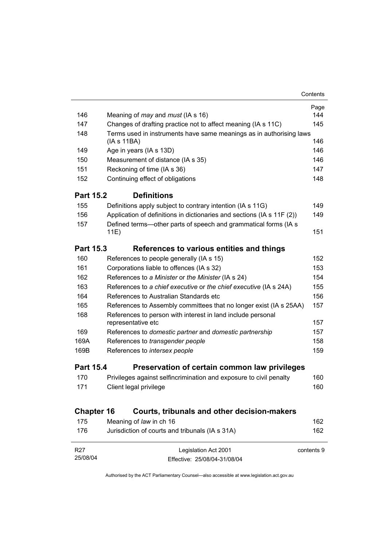| 146               | Meaning of <i>may</i> and <i>must</i> (IA s 16)                                   | Page<br>144 |  |  |
|-------------------|-----------------------------------------------------------------------------------|-------------|--|--|
| 147               | Changes of drafting practice not to affect meaning (IA s 11C)                     |             |  |  |
| 148               | Terms used in instruments have same meanings as in authorising laws               | 145         |  |  |
|                   | (IAs 11BA)                                                                        | 146         |  |  |
| 149               | Age in years (IA s 13D)                                                           |             |  |  |
| 150               | Measurement of distance (IA s 35)                                                 | 146         |  |  |
| 151               | Reckoning of time (IA s 36)                                                       | 147         |  |  |
| 152               | Continuing effect of obligations                                                  | 148         |  |  |
| <b>Part 15.2</b>  | <b>Definitions</b>                                                                |             |  |  |
| 155               | Definitions apply subject to contrary intention (IA s 11G)                        | 149         |  |  |
| 156               | Application of definitions in dictionaries and sections (IA s 11F (2))            | 149         |  |  |
| 157               | Defined terms—other parts of speech and grammatical forms (IA s                   |             |  |  |
|                   | 11E)                                                                              | 151         |  |  |
| <b>Part 15.3</b>  | References to various entities and things                                         |             |  |  |
| 160               | References to people generally (IA s 15)                                          | 152         |  |  |
| 161               | Corporations liable to offences (IA s 32)                                         | 153         |  |  |
| 162               | References to a Minister or the Minister (IA s 24)                                | 154         |  |  |
| 163               | References to a chief executive or the chief executive (IA s 24A)                 | 155         |  |  |
| 164               | References to Australian Standards etc                                            | 156         |  |  |
| 165               | References to Assembly committees that no longer exist (IA s 25AA)                | 157         |  |  |
| 168               | References to person with interest in land include personal<br>representative etc | 157         |  |  |
| 169               | References to domestic partner and domestic partnership                           | 157         |  |  |
| 169A              | References to transgender people                                                  | 158         |  |  |
| 169B              | References to intersex people                                                     | 159         |  |  |
| <b>Part 15.4</b>  | Preservation of certain common law privileges                                     |             |  |  |
| 170               | Privileges against selfincrimination and exposure to civil penalty                | 160         |  |  |
| 171               | Client legal privilege                                                            | 160         |  |  |
|                   |                                                                                   |             |  |  |
| <b>Chapter 16</b> | Courts, tribunals and other decision-makers                                       |             |  |  |
| 175               | Meaning of law in ch 16                                                           | 162         |  |  |
| 176               | Jurisdiction of courts and tribunals (IA s 31A)                                   | 162         |  |  |
| <b>R27</b>        | Legislation Act 2001                                                              | contents 9  |  |  |
| 25/08/04          | Effective: 25/08/04-31/08/04                                                      |             |  |  |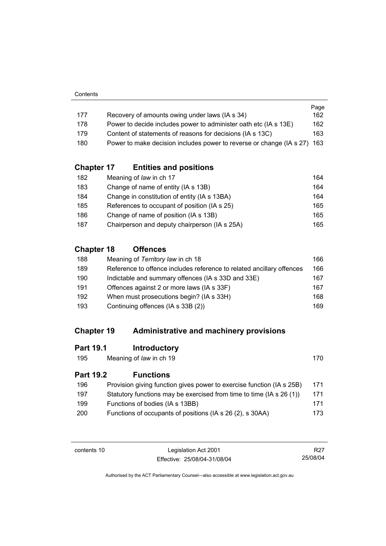|     |                                                                          | Page |
|-----|--------------------------------------------------------------------------|------|
| 177 | Recovery of amounts owing under laws (IA s 34)                           | 162  |
| 178 | Power to decide includes power to administer oath etc (IA s 13E)         | 162  |
| 179 | Content of statements of reasons for decisions (IA s 13C)                | 163  |
| 180 | Power to make decision includes power to reverse or change (IA s 27) 163 |      |

## **Chapter 17 Entities and positions**

| 182 | Meaning of law in ch 17                       | 164 |
|-----|-----------------------------------------------|-----|
| 183 | Change of name of entity (IA s 13B)           | 164 |
| 184 | Change in constitution of entity (IA s 13BA)  | 164 |
| 185 | References to occupant of position (IA s 25)  | 165 |
| 186 | Change of name of position (IA s 13B)         | 165 |
| 187 | Chairperson and deputy chairperson (IA s 25A) | 165 |

# **Chapter 18 Offences**

| Meaning of Territory law in ch 18                                     | 166 |
|-----------------------------------------------------------------------|-----|
| Reference to offence includes reference to related ancillary offences | 166 |
| Indictable and summary offences (IA s 33D and 33E)                    | 167 |
| Offences against 2 or more laws (IA s 33F)                            | 167 |
| When must prosecutions begin? (IA s 33H)                              | 168 |
| Continuing offences (IA s 33B (2))                                    | 169 |
|                                                                       |     |

# **Chapter 19 Administrative and machinery provisions**

## **Part 19.1 Introductory**

| 195 | Meaning of law in ch 19 | 170 |
|-----|-------------------------|-----|
|-----|-------------------------|-----|

# **Part 19.2 Functions**

| 196 | Provision giving function gives power to exercise function (IA s 25B) | 171  |
|-----|-----------------------------------------------------------------------|------|
| 197 | Statutory functions may be exercised from time to time (IA s 26 (1))  | 171  |
| 199 | Functions of bodies (IA s 13BB)                                       | 171  |
| 200 | Functions of occupants of positions (IA s 26 (2), s 30AA)             | 173. |

contents 10 Legislation Act 2001 Effective: 25/08/04-31/08/04

R27 25/08/04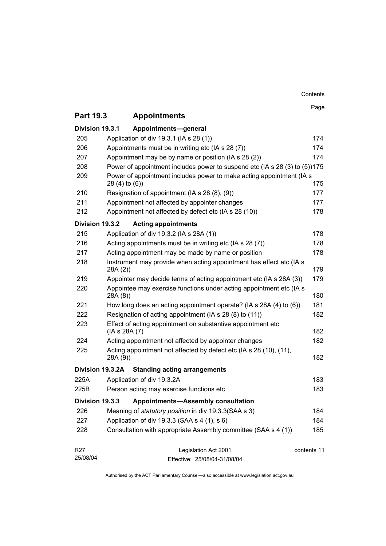|                        |                                                                                            | Contents    |
|------------------------|--------------------------------------------------------------------------------------------|-------------|
|                        |                                                                                            | Page        |
| Part 19.3              | <b>Appointments</b>                                                                        |             |
| Division 19.3.1        | Appointments-general                                                                       |             |
| 205                    | Application of div 19.3.1 (IA s 28 (1))                                                    | 174         |
| 206                    | Appointments must be in writing etc (IA s 28 (7))                                          | 174         |
| 207                    | Appointment may be by name or position (IA s 28 (2))                                       | 174         |
| 208                    | Power of appointment includes power to suspend etc (IA s 28 (3) to (5))175                 |             |
| 209                    | Power of appointment includes power to make acting appointment (IA s<br>$28(4)$ to $(6)$ ) | 175         |
| 210                    | Resignation of appointment (IA s 28 (8), (9))                                              | 177         |
| 211                    | Appointment not affected by appointer changes                                              | 177         |
| 212                    | Appointment not affected by defect etc (IA s 28 (10))                                      | 178         |
| Division 19.3.2        | <b>Acting appointments</b>                                                                 |             |
| 215                    | Application of div 19.3.2 (IA s 28A (1))                                                   | 178         |
| 216                    | Acting appointments must be in writing etc (IA s 28 (7))                                   | 178         |
| 217                    | Acting appointment may be made by name or position                                         | 178         |
| 218                    | Instrument may provide when acting appointment has effect etc (IA s<br>28A(2)              | 179         |
| 219                    | Appointer may decide terms of acting appointment etc (IA s 28A (3))                        | 179         |
| 220                    | Appointee may exercise functions under acting appointment etc (IA s<br>28A (8))            | 180         |
| 221                    | How long does an acting appointment operate? (IA s 28A (4) to (6))                         | 181         |
| 222                    | Resignation of acting appointment (IA s 28 (8) to (11))                                    | 182         |
| 223                    | Effect of acting appointment on substantive appointment etc<br>(IA s 28A (7)               | 182         |
| 224                    | Acting appointment not affected by appointer changes                                       | 182         |
| 225                    | Acting appointment not affected by defect etc (IA s 28 (10), (11),<br>28A(9)               | 182         |
|                        | Division 19.3.2A Standing acting arrangements                                              |             |
| 225A                   | Application of div 19.3.2A                                                                 | 183         |
| 225B                   | Person acting may exercise functions etc                                                   | 183         |
| Division 19.3.3        | <b>Appointments-Assembly consultation</b>                                                  |             |
| 226                    | Meaning of statutory position in div 19.3.3(SAA s 3)                                       | 184         |
| 227                    | Application of div 19.3.3 (SAA s 4 (1), s 6)                                               | 184         |
| 228                    | Consultation with appropriate Assembly committee (SAA s 4 (1))                             | 185         |
| <b>R27</b><br>25/08/04 | Legislation Act 2001<br>Effective: 25/08/04-31/08/04                                       | contents 11 |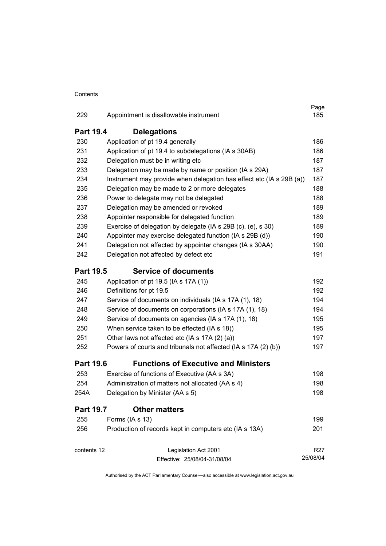| 229              | Appointment is disallowable instrument                               | Page<br>185     |
|------------------|----------------------------------------------------------------------|-----------------|
| <b>Part 19.4</b> | <b>Delegations</b>                                                   |                 |
| 230              | Application of pt 19.4 generally                                     | 186             |
| 231              | Application of pt 19.4 to subdelegations (IA s 30AB)                 | 186             |
| 232              | Delegation must be in writing etc                                    | 187             |
| 233              | Delegation may be made by name or position (IA s 29A)                | 187             |
| 234              | Instrument may provide when delegation has effect etc (IA s 29B (a)) | 187             |
| 235              | Delegation may be made to 2 or more delegates                        | 188             |
| 236              | Power to delegate may not be delegated                               | 188             |
| 237              | Delegation may be amended or revoked                                 | 189             |
| 238              | Appointer responsible for delegated function                         | 189             |
| 239              | Exercise of delegation by delegate (IA s 29B (c), (e), s 30)         | 189             |
| 240              | Appointer may exercise delegated function (IA s 29B (d))             | 190             |
| 241              | Delegation not affected by appointer changes (IA s 30AA)             | 190             |
| 242              | Delegation not affected by defect etc                                | 191             |
| <b>Part 19.5</b> | <b>Service of documents</b>                                          |                 |
| 245              | Application of pt 19.5 (IA s 17A (1))                                | 192             |
| 246              | Definitions for pt 19.5                                              | 192             |
| 247              | Service of documents on individuals (IA s 17A (1), 18)               | 194             |
| 248              | Service of documents on corporations (IA s 17A (1), 18)              | 194             |
| 249              | Service of documents on agencies (IA s 17A (1), 18)                  | 195             |
| 250              | When service taken to be effected (IA s 18))                         | 195             |
| 251              | Other laws not affected etc (IA s 17A (2) (a))                       | 197             |
| 252              | Powers of courts and tribunals not affected (IA s 17A (2) (b))       | 197             |
| <b>Part 19.6</b> | <b>Functions of Executive and Ministers</b>                          |                 |
| 253              | Exercise of functions of Executive (AA s 3A)                         | 198             |
| 254              | Administration of matters not allocated (AA s 4)                     | 198             |
| 254A             | Delegation by Minister (AA s 5)                                      | 198             |
| <b>Part 19.7</b> | <b>Other matters</b>                                                 |                 |
| 255              | Forms (IA s 13)                                                      | 199             |
| 256              | Production of records kept in computers etc (IA s 13A)               | 201             |
| contents 12      | Legislation Act 2001                                                 | R <sub>27</sub> |
|                  | Effective: 25/08/04-31/08/04                                         | 25/08/04        |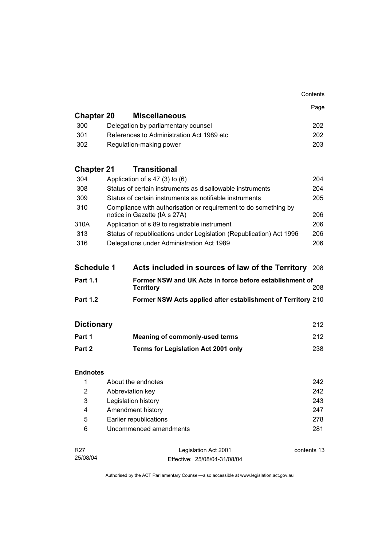|                     |                                                                                                 | Contents          |
|---------------------|-------------------------------------------------------------------------------------------------|-------------------|
|                     |                                                                                                 | Page              |
| <b>Chapter 20</b>   | <b>Miscellaneous</b>                                                                            |                   |
| 300                 | Delegation by parliamentary counsel                                                             | 202               |
| 301                 | References to Administration Act 1989 etc                                                       | 202               |
| 302                 | Regulation-making power                                                                         | 203               |
| <b>Chapter 21</b>   | <b>Transitional</b>                                                                             |                   |
| 304                 | Application of $s$ 47 (3) to (6)                                                                | 204               |
| 308                 | Status of certain instruments as disallowable instruments                                       | 204               |
| 309                 | Status of certain instruments as notifiable instruments                                         | 205               |
| 310                 | Compliance with authorisation or requirement to do something by<br>notice in Gazette (IA s 27A) | 206               |
| 310A                | Application of s 89 to registrable instrument                                                   | 206               |
| 313                 | Status of republications under Legislation (Republication) Act 1996                             | 206               |
| 316                 | Delegations under Administration Act 1989                                                       | 206               |
| <b>Schedule 1</b>   | Acts included in sources of law of the Territory                                                | 208               |
| <b>Part 1.1</b>     | Former NSW and UK Acts in force before establishment of<br><b>Territory</b>                     | 208               |
| <b>Part 1.2</b>     | Former NSW Acts applied after establishment of Territory 210                                    |                   |
| <b>Dictionary</b>   |                                                                                                 | 212               |
|                     |                                                                                                 |                   |
|                     |                                                                                                 |                   |
| Part 1<br>Part 2    | <b>Meaning of commonly-used terms</b><br>Terms for Legislation Act 2001 only                    |                   |
| <b>Endnotes</b>     |                                                                                                 |                   |
|                     | 1 About the endnotes                                                                            | 212<br>238<br>242 |
|                     |                                                                                                 |                   |
| $\overline{c}$<br>3 | Abbreviation key                                                                                | 242<br>243        |
| 4                   | Legislation history                                                                             | 247               |
| 5                   | Amendment history                                                                               | 278               |
| 6                   | Earlier republications<br>Uncommenced amendments                                                | 281               |
| R <sub>27</sub>     | Legislation Act 2001                                                                            | contents 13       |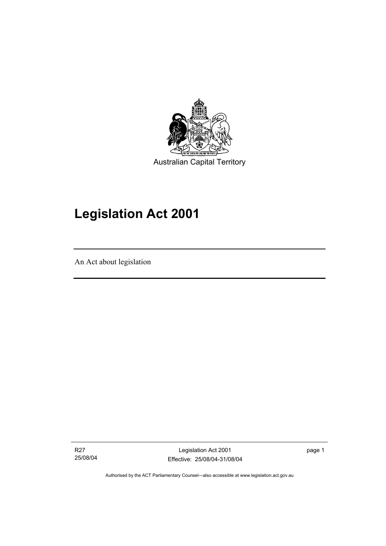

# **Legislation Act 2001**

An Act about legislation

I

R27 25/08/04

Legislation Act 2001 Effective: 25/08/04-31/08/04 page 1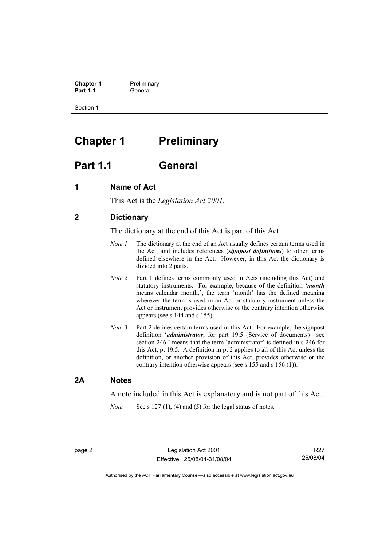**Chapter 1** Preliminary<br>**Part 1.1** General **Part 1.1** General

Section 1

# **Chapter 1** Preliminary

# **Part 1.1 General**

## **1 Name of Act**

This Act is the *Legislation Act 2001.* 

## **2 Dictionary**

The dictionary at the end of this Act is part of this Act.

- *Note 1* The dictionary at the end of an Act usually defines certain terms used in the Act, and includes references (*signpost definitions*) to other terms defined elsewhere in the Act. However, in this Act the dictionary is divided into 2 parts.
- *Note 2* Part 1 defines terms commonly used in Acts (including this Act) and statutory instruments. For example, because of the definition '*month* means calendar month.', the term 'month' has the defined meaning wherever the term is used in an Act or statutory instrument unless the Act or instrument provides otherwise or the contrary intention otherwise appears (see s 144 and s 155).
- *Note 3* Part 2 defines certain terms used in this Act. For example, the signpost definition '*administrator*, for part 19.5 (Service of documents)—see section 246.' means that the term 'administrator' is defined in s 246 for this Act, pt 19.5. A definition in pt 2 applies to all of this Act unless the definition, or another provision of this Act, provides otherwise or the contrary intention otherwise appears (see s 155 and s 156 (1)).

### **2A Notes**

A note included in this Act is explanatory and is not part of this Act.

*Note* See s 127 (1), (4) and (5) for the legal status of notes.

R27 25/08/04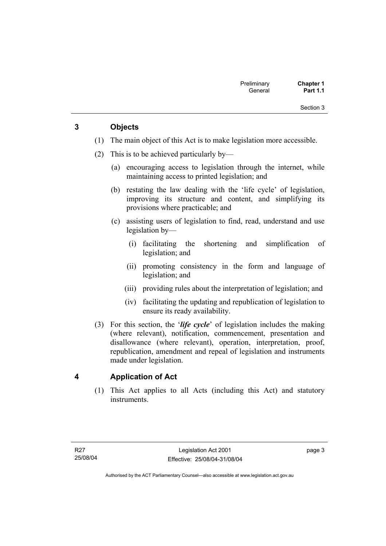Section 3

## **3 Objects**

- (1) The main object of this Act is to make legislation more accessible.
- (2) This is to be achieved particularly by—
	- (a) encouraging access to legislation through the internet, while maintaining access to printed legislation; and
	- (b) restating the law dealing with the 'life cycle' of legislation, improving its structure and content, and simplifying its provisions where practicable; and
	- (c) assisting users of legislation to find, read, understand and use legislation by—
		- (i) facilitating the shortening and simplification of legislation; and
		- (ii) promoting consistency in the form and language of legislation; and
		- (iii) providing rules about the interpretation of legislation; and
		- (iv) facilitating the updating and republication of legislation to ensure its ready availability.
- (3) For this section, the '*life cycle*' of legislation includes the making (where relevant), notification, commencement, presentation and disallowance (where relevant), operation, interpretation, proof, republication, amendment and repeal of legislation and instruments made under legislation.

## **4 Application of Act**

 (1) This Act applies to all Acts (including this Act) and statutory instruments.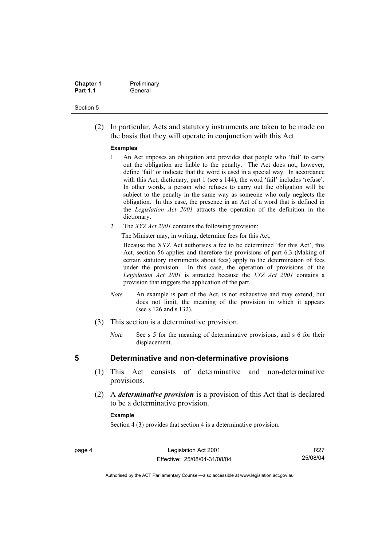| <b>Chapter 1</b> | Preliminary |
|------------------|-------------|
| <b>Part 1.1</b>  | General     |

#### Section 5

 (2) In particular, Acts and statutory instruments are taken to be made on the basis that they will operate in conjunction with this Act.

#### **Examples**

- 1 An Act imposes an obligation and provides that people who 'fail' to carry out the obligation are liable to the penalty. The Act does not, however, define 'fail' or indicate that the word is used in a special way. In accordance with this Act, dictionary, part 1 (see s 144), the word 'fail' includes 'refuse'. In other words, a person who refuses to carry out the obligation will be subject to the penalty in the same way as someone who only neglects the obligation. In this case, the presence in an Act of a word that is defined in the *Legislation Act 2001* attracts the operation of the definition in the dictionary.
- 2 The *XYZ Act 2001* contains the following provision:

The Minister may, in writing, determine fees for this Act.

Because the XYZ Act authorises a fee to be determined 'for this Act', this Act, section 56 applies and therefore the provisions of part 6.3 (Making of certain statutory instruments about fees) apply to the determination of fees under the provision. In this case, the operation of provisions of the *Legislation Act 2001* is attracted because the *XYZ Act 2001* contains a provision that triggers the application of the part.

- *Note* An example is part of the Act, is not exhaustive and may extend, but does not limit, the meaning of the provision in which it appears (see s 126 and s 132).
- (3) This section is a determinative provision.
	- *Note* See s 5 for the meaning of determinative provisions, and s 6 for their displacement.

- **5 Determinative and non-determinative provisions** 
	- (1) This Act consists of determinative and non-determinative provisions.
	- (2) A *determinative provision* is a provision of this Act that is declared to be a determinative provision.

#### **Example**

Section 4 (3) provides that section 4 is a determinative provision.

page 4 Legislation Act 2001 Effective: 25/08/04-31/08/04

R27 25/08/04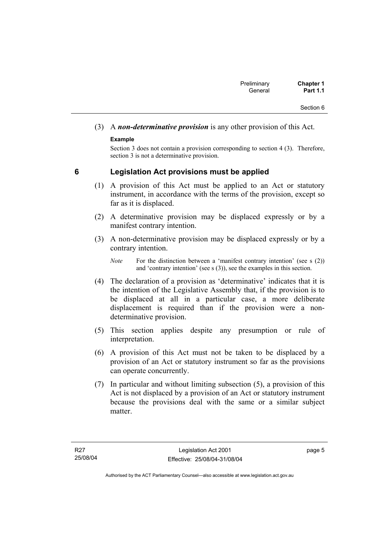# (3) A *non-determinative provision* is any other provision of this Act.

## **Example**

Section 3 does not contain a provision corresponding to section 4 (3). Therefore, section 3 is not a determinative provision.

## **6 Legislation Act provisions must be applied**

- (1) A provision of this Act must be applied to an Act or statutory instrument, in accordance with the terms of the provision, except so far as it is displaced.
- (2) A determinative provision may be displaced expressly or by a manifest contrary intention.
- (3) A non-determinative provision may be displaced expressly or by a contrary intention.

- (4) The declaration of a provision as 'determinative' indicates that it is the intention of the Legislative Assembly that, if the provision is to be displaced at all in a particular case, a more deliberate displacement is required than if the provision were a nondeterminative provision.
- (5) This section applies despite any presumption or rule of interpretation.
- (6) A provision of this Act must not be taken to be displaced by a provision of an Act or statutory instrument so far as the provisions can operate concurrently.
- (7) In particular and without limiting subsection (5), a provision of this Act is not displaced by a provision of an Act or statutory instrument because the provisions deal with the same or a similar subject matter

*Note* For the distinction between a 'manifest contrary intention' (see s (2)) and 'contrary intention' (see s (3)), see the examples in this section.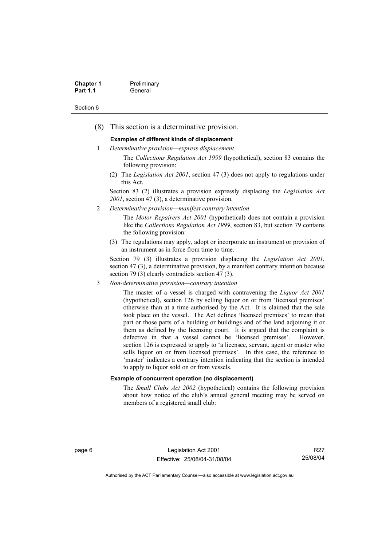| <b>Chapter 1</b> | Preliminary |
|------------------|-------------|
| <b>Part 1.1</b>  | General     |

#### Section 6

(8) This section is a determinative provision.

#### **Examples of different kinds of displacement**

- 1 *Determinative provision—express displacement*
	- The *Collections Regulation Act 1999* (hypothetical), section 83 contains the following provision:
	- (2) The *Legislation Act 2001*, section 47 (3) does not apply to regulations under this Act.

Section 83 (2) illustrates a provision expressly displacing the *Legislation Act 2001*, section 47 (3), a determinative provision.

2 *Determinative provision—manifest contrary intention*

The *Motor Repairers Act 2001* (hypothetical) does not contain a provision like the *Collections Regulation Act 1999*, section 83, but section 79 contains the following provision:

(3) The regulations may apply, adopt or incorporate an instrument or provision of an instrument as in force from time to time.

Section 79 (3) illustrates a provision displacing the *Legislation Act 2001*, section 47 (3), a determinative provision, by a manifest contrary intention because section 79 (3) clearly contradicts section 47 (3).

3 *Non-determinative provision—contrary intention*

The master of a vessel is charged with contravening the *Liquor Act 2001* (hypothetical), section 126 by selling liquor on or from 'licensed premises' otherwise than at a time authorised by the Act. It is claimed that the sale took place on the vessel. The Act defines 'licensed premises' to mean that part or those parts of a building or buildings and of the land adjoining it or them as defined by the licensing court. It is argued that the complaint is defective in that a vessel cannot be 'licensed premises'. However, section 126 is expressed to apply to 'a licensee, servant, agent or master who sells liquor on or from licensed premises'. In this case, the reference to 'master' indicates a contrary intention indicating that the section is intended to apply to liquor sold on or from vessels.

#### **Example of concurrent operation (no displacement)**

The *Small Clubs Act 2002* (hypothetical) contains the following provision about how notice of the club's annual general meeting may be served on members of a registered small club:

page 6 Legislation Act 2001 Effective: 25/08/04-31/08/04

R27 25/08/04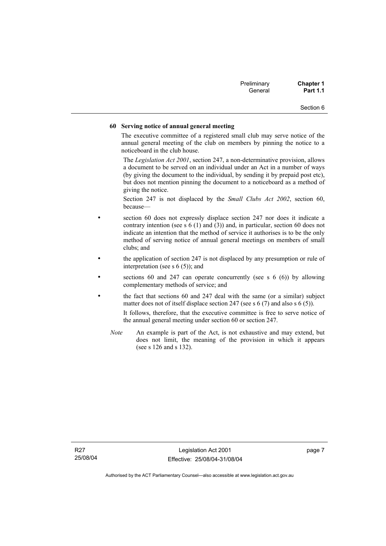| Preliminary | <b>Chapter 1</b> |
|-------------|------------------|
| General     | <b>Part 1.1</b>  |

Section 6

#### **60 Serving notice of annual general meeting**

The executive committee of a registered small club may serve notice of the annual general meeting of the club on members by pinning the notice to a noticeboard in the club house.

The *Legislation Act 2001*, section 247, a non-determinative provision, allows a document to be served on an individual under an Act in a number of ways (by giving the document to the individual, by sending it by prepaid post etc), but does not mention pinning the document to a noticeboard as a method of giving the notice.

Section 247 is not displaced by the *Small Clubs Act 2002*, section 60, because—

- section 60 does not expressly displace section 247 nor does it indicate a contrary intention (see s 6 (1) and (3)) and, in particular, section 60 does not indicate an intention that the method of service it authorises is to be the only method of serving notice of annual general meetings on members of small clubs; and
- the application of section 247 is not displaced by any presumption or rule of interpretation (see s  $6(5)$ ); and
- sections 60 and 247 can operate concurrently (see s  $6(6)$ ) by allowing complementary methods of service; and
- the fact that sections 60 and 247 deal with the same (or a similar) subject matter does not of itself displace section 247 (see s 6 (7) and also s 6 (5)).

It follows, therefore, that the executive committee is free to serve notice of the annual general meeting under section 60 or section 247.

*Note* An example is part of the Act, is not exhaustive and may extend, but does not limit, the meaning of the provision in which it appears (see s 126 and s 132).

page 7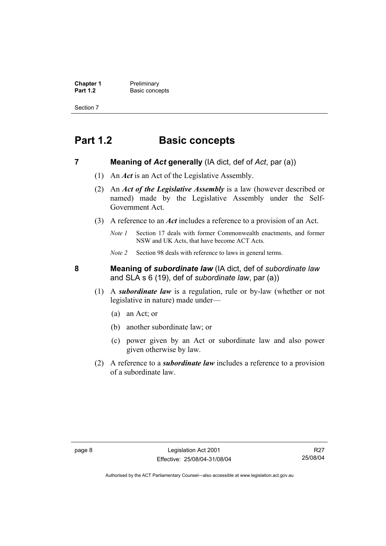**Chapter 1** Preliminary<br>**Part 1.2** Basic conce **Basic concepts** 

Section 7

# **Part 1.2 Basic concepts**

### **7 Meaning of** *Act* **generally** (IA dict, def of *Act*, par (a))

- (1) An *Act* is an Act of the Legislative Assembly.
- (2) An *Act of the Legislative Assembly* is a law (however described or named) made by the Legislative Assembly under the Self-Government Act.
- (3) A reference to an *Act* includes a reference to a provision of an Act.
	- *Note 1* Section 17 deals with former Commonwealth enactments, and former NSW and UK Acts, that have become ACT Acts.
	- *Note 2* Section 98 deals with reference to laws in general terms.

**8 Meaning of** *subordinate law* (IA dict, def of *subordinate law* and SLA s 6 (19), def of *subordinate law*, par (a))

- (1) A *subordinate law* is a regulation, rule or by-law (whether or not legislative in nature) made under—
	- (a) an Act; or
	- (b) another subordinate law; or
	- (c) power given by an Act or subordinate law and also power given otherwise by law.
- (2) A reference to a *subordinate law* includes a reference to a provision of a subordinate law.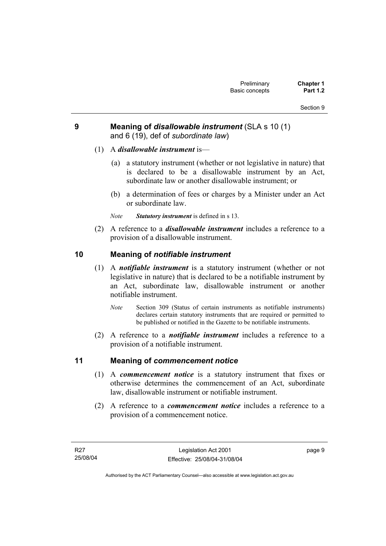## **9 Meaning of** *disallowable instrument* (SLA s 10 (1) and 6 (19), def of *subordinate law*)

- (1) A *disallowable instrument* is—
	- (a) a statutory instrument (whether or not legislative in nature) that is declared to be a disallowable instrument by an Act, subordinate law or another disallowable instrument; or
	- (b) a determination of fees or charges by a Minister under an Act or subordinate law.
	- *Note Statutory instrument* is defined in s 13.
- (2) A reference to a *disallowable instrument* includes a reference to a provision of a disallowable instrument.

## **10 Meaning of** *notifiable instrument*

- (1) A *notifiable instrument* is a statutory instrument (whether or not legislative in nature) that is declared to be a notifiable instrument by an Act, subordinate law, disallowable instrument or another notifiable instrument.
	- *Note* Section 309 (Status of certain instruments as notifiable instruments) declares certain statutory instruments that are required or permitted to be published or notified in the Gazette to be notifiable instruments.
- (2) A reference to a *notifiable instrument* includes a reference to a provision of a notifiable instrument.

## **11 Meaning of** *commencement notice*

- (1) A *commencement notice* is a statutory instrument that fixes or otherwise determines the commencement of an Act, subordinate law, disallowable instrument or notifiable instrument.
- (2) A reference to a *commencement notice* includes a reference to a provision of a commencement notice.

page 9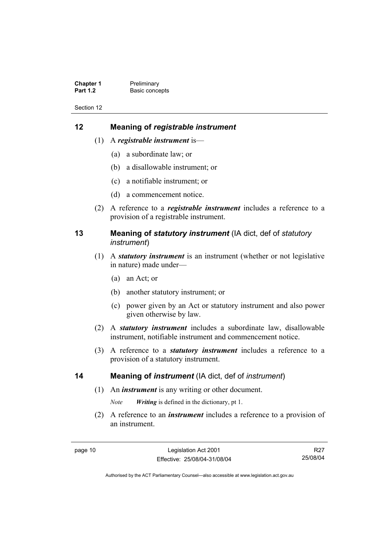**Chapter 1** Preliminary<br>**Part 1.2** Basic conce **Basic concepts** 

Section 12

## **12 Meaning of** *registrable instrument*

- (1) A *registrable instrument* is—
	- (a) a subordinate law; or
	- (b) a disallowable instrument; or
	- (c) a notifiable instrument; or
	- (d) a commencement notice.
- (2) A reference to a *registrable instrument* includes a reference to a provision of a registrable instrument.

## **13 Meaning of** *statutory instrument* (IA dict, def of *statutory instrument*)

- (1) A *statutory instrument* is an instrument (whether or not legislative in nature) made under—
	- (a) an Act; or
	- (b) another statutory instrument; or
	- (c) power given by an Act or statutory instrument and also power given otherwise by law.
- (2) A *statutory instrument* includes a subordinate law, disallowable instrument, notifiable instrument and commencement notice.
- (3) A reference to a *statutory instrument* includes a reference to a provision of a statutory instrument.

### **14 Meaning of** *instrument* (IA dict, def of *instrument*)

(1) An *instrument* is any writing or other document.

*Note Writing* is defined in the dictionary, pt 1.

 (2) A reference to an *instrument* includes a reference to a provision of an instrument.

R27 25/08/04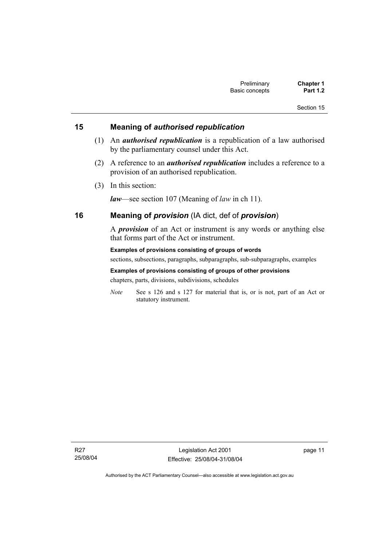Section 15

## **15 Meaning of** *authorised republication*

- (1) An *authorised republication* is a republication of a law authorised by the parliamentary counsel under this Act.
- (2) A reference to an *authorised republication* includes a reference to a provision of an authorised republication.
- (3) In this section:

*law*—see section 107 (Meaning of *law* in ch 11).

### **16 Meaning of** *provision* (IA dict, def of *provision*)

A *provision* of an Act or instrument is any words or anything else that forms part of the Act or instrument.

**Examples of provisions consisting of groups of words**  sections, subsections, paragraphs, subparagraphs, sub-subparagraphs, examples **Examples of provisions consisting of groups of other provisions** 

chapters, parts, divisions, subdivisions, schedules

*Note* See s 126 and s 127 for material that is, or is not, part of an Act or statutory instrument.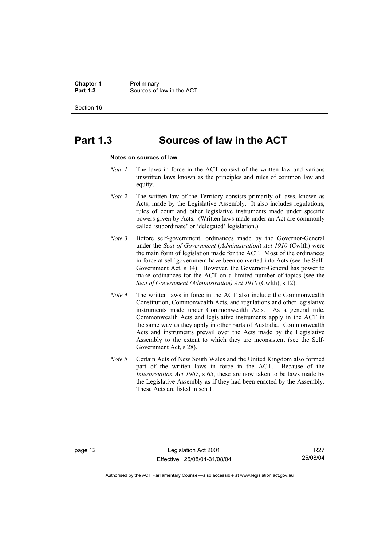**Chapter 1** Preliminary<br>**Part 1.3** Sources of **Part 1.3** Sources of law in the ACT

Section 16

# **Part 1.3 Sources of law in the ACT**

#### **Notes on sources of law**

- *Note 1* The laws in force in the ACT consist of the written law and various unwritten laws known as the principles and rules of common law and equity.
- *Note 2* The written law of the Territory consists primarily of laws, known as Acts, made by the Legislative Assembly. It also includes regulations, rules of court and other legislative instruments made under specific powers given by Acts. (Written laws made under an Act are commonly called 'subordinate' or 'delegated' legislation.)
- *Note 3* Before self-government, ordinances made by the Governor-General under the *Seat of Government* (*Administration*) *Act 1910* (Cwlth) were the main form of legislation made for the ACT. Most of the ordinances in force at self-government have been converted into Acts (see the Self-Government Act, s 34). However, the Governor-General has power to make ordinances for the ACT on a limited number of topics (see the *Seat of Government (Administration) Act 1910* (Cwlth), s 12).
- *Note 4* The written laws in force in the ACT also include the Commonwealth Constitution, Commonwealth Acts, and regulations and other legislative instruments made under Commonwealth Acts. As a general rule, Commonwealth Acts and legislative instruments apply in the ACT in the same way as they apply in other parts of Australia. Commonwealth Acts and instruments prevail over the Acts made by the Legislative Assembly to the extent to which they are inconsistent (see the Self-Government Act, s 28).
- *Note 5* Certain Acts of New South Wales and the United Kingdom also formed part of the written laws in force in the ACT. Because of the *Interpretation Act 1967*, s 65, these are now taken to be laws made by the Legislative Assembly as if they had been enacted by the Assembly. These Acts are listed in sch 1.

page 12 Legislation Act 2001 Effective: 25/08/04-31/08/04

R27 25/08/04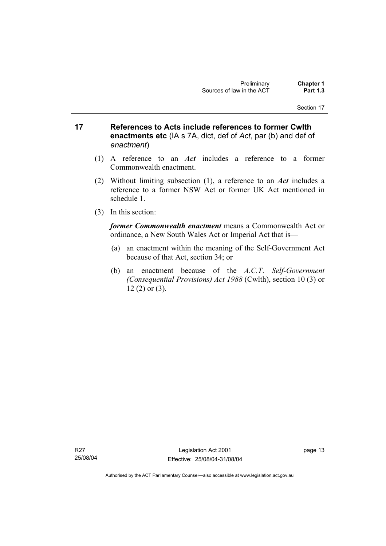- **17 References to Acts include references to former Cwlth enactments etc** (IA s 7A, dict, def of *Act*, par (b) and def of *enactment*)
	- (1) A reference to an *Act* includes a reference to a former Commonwealth enactment.
	- (2) Without limiting subsection (1), a reference to an *Act* includes a reference to a former NSW Act or former UK Act mentioned in schedule 1.
	- (3) In this section:

*former Commonwealth enactment* means a Commonwealth Act or ordinance, a New South Wales Act or Imperial Act that is—

- (a) an enactment within the meaning of the Self-Government Act because of that Act, section 34; or
- (b) an enactment because of the *A.C.T*. *Self-Government (Consequential Provisions) Act 1988* (Cwlth), section 10 (3) or 12 (2) or (3).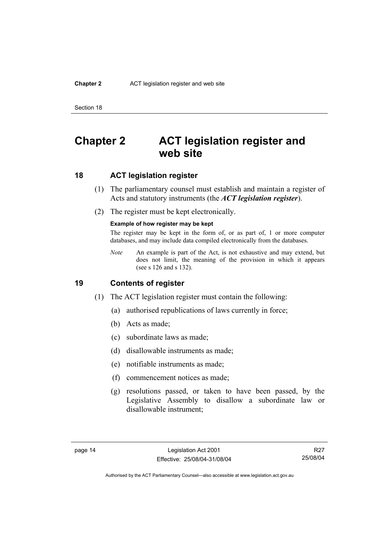#### **Chapter 2** ACT legislation register and web site

Section 18

# **Chapter 2 ACT legislation register and web site**

## **18 ACT legislation register**

- (1) The parliamentary counsel must establish and maintain a register of Acts and statutory instruments (the *ACT legislation register*).
- (2) The register must be kept electronically.

#### **Example of how register may be kept**

The register may be kept in the form of, or as part of, 1 or more computer databases, and may include data compiled electronically from the databases.

*Note* An example is part of the Act, is not exhaustive and may extend, but does not limit, the meaning of the provision in which it appears (see s 126 and s 132).

### **19 Contents of register**

- (1) The ACT legislation register must contain the following:
	- (a) authorised republications of laws currently in force;
	- (b) Acts as made;
	- (c) subordinate laws as made;
	- (d) disallowable instruments as made;
	- (e) notifiable instruments as made;
	- (f) commencement notices as made;
	- (g) resolutions passed, or taken to have been passed, by the Legislative Assembly to disallow a subordinate law or disallowable instrument;

R27 25/08/04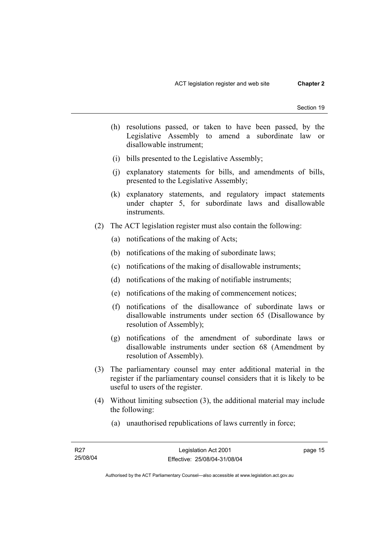- (h) resolutions passed, or taken to have been passed, by the Legislative Assembly to amend a subordinate law or disallowable instrument;
- (i) bills presented to the Legislative Assembly;
- (j) explanatory statements for bills, and amendments of bills, presented to the Legislative Assembly;
- (k) explanatory statements, and regulatory impact statements under chapter 5, for subordinate laws and disallowable instruments.
- (2) The ACT legislation register must also contain the following:
	- (a) notifications of the making of Acts;
	- (b) notifications of the making of subordinate laws;
	- (c) notifications of the making of disallowable instruments;
	- (d) notifications of the making of notifiable instruments;
	- (e) notifications of the making of commencement notices;
	- (f) notifications of the disallowance of subordinate laws or disallowable instruments under section 65 (Disallowance by resolution of Assembly);
	- (g) notifications of the amendment of subordinate laws or disallowable instruments under section 68 (Amendment by resolution of Assembly).
- (3) The parliamentary counsel may enter additional material in the register if the parliamentary counsel considers that it is likely to be useful to users of the register.
- (4) Without limiting subsection (3), the additional material may include the following:
	- (a) unauthorised republications of laws currently in force;

page 15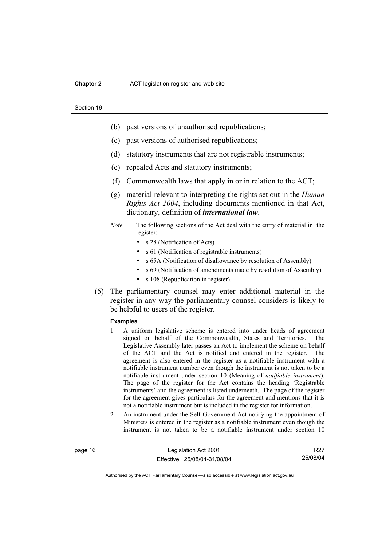#### **Chapter 2** ACT legislation register and web site

#### Section 19

- (b) past versions of unauthorised republications;
- (c) past versions of authorised republications;
- (d) statutory instruments that are not registrable instruments;
- (e) repealed Acts and statutory instruments;
- (f) Commonwealth laws that apply in or in relation to the ACT;
- (g) material relevant to interpreting the rights set out in the *Human Rights Act 2004*, including documents mentioned in that Act, dictionary, definition of *international law*.
- *Note* The following sections of the Act deal with the entry of material in the register:
	- s 28 (Notification of Acts)
	- s 61 (Notification of registrable instruments)
	- s 65A (Notification of disallowance by resolution of Assembly)
	- s 69 (Notification of amendments made by resolution of Assembly)
	- s 108 (Republication in register).
- (5) The parliamentary counsel may enter additional material in the register in any way the parliamentary counsel considers is likely to be helpful to users of the register.

#### **Examples**

- 1 A uniform legislative scheme is entered into under heads of agreement signed on behalf of the Commonwealth, States and Territories. The Legislative Assembly later passes an Act to implement the scheme on behalf of the ACT and the Act is notified and entered in the register. The agreement is also entered in the register as a notifiable instrument with a notifiable instrument number even though the instrument is not taken to be a notifiable instrument under section 10 (Meaning of *notifiable instrument*). The page of the register for the Act contains the heading 'Registrable instruments' and the agreement is listed underneath. The page of the register for the agreement gives particulars for the agreement and mentions that it is not a notifiable instrument but is included in the register for information.
- 2 An instrument under the Self-Government Act notifying the appointment of Ministers is entered in the register as a notifiable instrument even though the instrument is not taken to be a notifiable instrument under section 10

page 16 Legislation Act 2001 Effective: 25/08/04-31/08/04

R27 25/08/04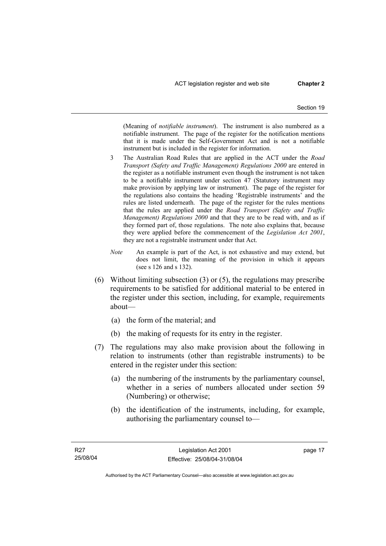(Meaning of *notifiable instrument*). The instrument is also numbered as a notifiable instrument. The page of the register for the notification mentions that it is made under the Self-Government Act and is not a notifiable instrument but is included in the register for information.

- 3 The Australian Road Rules that are applied in the ACT under the *Road Transport (Safety and Traffic Management) Regulations 2000* are entered in the register as a notifiable instrument even though the instrument is not taken to be a notifiable instrument under section 47 (Statutory instrument may make provision by applying law or instrument). The page of the register for the regulations also contains the heading 'Registrable instruments' and the rules are listed underneath. The page of the register for the rules mentions that the rules are applied under the *Road Transport (Safety and Traffic Management) Regulations 2000* and that they are to be read with, and as if they formed part of, those regulations. The note also explains that, because they were applied before the commencement of the *Legislation Act 2001*, they are not a registrable instrument under that Act.
- *Note* An example is part of the Act, is not exhaustive and may extend, but does not limit, the meaning of the provision in which it appears (see s 126 and s 132).
- (6) Without limiting subsection (3) or (5), the regulations may prescribe requirements to be satisfied for additional material to be entered in the register under this section, including, for example, requirements about—
	- (a) the form of the material; and
	- (b) the making of requests for its entry in the register.
- (7) The regulations may also make provision about the following in relation to instruments (other than registrable instruments) to be entered in the register under this section:
	- (a) the numbering of the instruments by the parliamentary counsel, whether in a series of numbers allocated under section 59 (Numbering) or otherwise;
	- (b) the identification of the instruments, including, for example, authorising the parliamentary counsel to—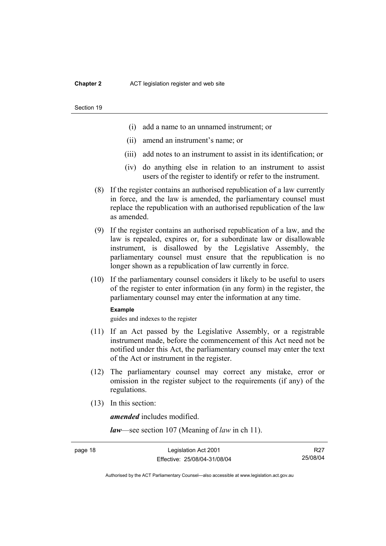#### **Chapter 2** ACT legislation register and web site

#### Section 19

- (i) add a name to an unnamed instrument; or
- (ii) amend an instrument's name; or
- (iii) add notes to an instrument to assist in its identification; or
- (iv) do anything else in relation to an instrument to assist users of the register to identify or refer to the instrument.
- (8) If the register contains an authorised republication of a law currently in force, and the law is amended, the parliamentary counsel must replace the republication with an authorised republication of the law as amended.
- (9) If the register contains an authorised republication of a law, and the law is repealed, expires or, for a subordinate law or disallowable instrument, is disallowed by the Legislative Assembly, the parliamentary counsel must ensure that the republication is no longer shown as a republication of law currently in force.
- (10) If the parliamentary counsel considers it likely to be useful to users of the register to enter information (in any form) in the register, the parliamentary counsel may enter the information at any time.

#### **Example**

guides and indexes to the register

- (11) If an Act passed by the Legislative Assembly, or a registrable instrument made, before the commencement of this Act need not be notified under this Act, the parliamentary counsel may enter the text of the Act or instrument in the register.
- (12) The parliamentary counsel may correct any mistake, error or omission in the register subject to the requirements (if any) of the regulations.
- (13) In this section:

*amended* includes modified.

*law*—see section 107 (Meaning of *law* in ch 11).

R27 25/08/04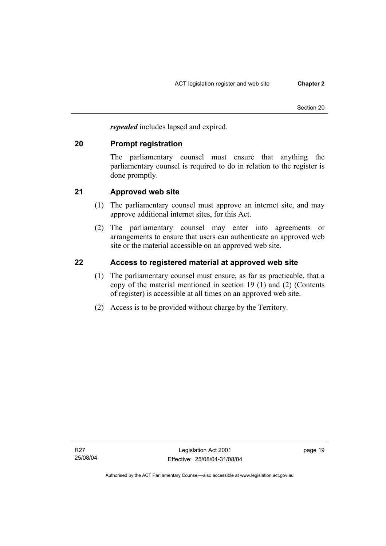*repealed* includes lapsed and expired.

## **20 Prompt registration**

The parliamentary counsel must ensure that anything the parliamentary counsel is required to do in relation to the register is done promptly.

## **21 Approved web site**

- (1) The parliamentary counsel must approve an internet site, and may approve additional internet sites, for this Act.
- (2) The parliamentary counsel may enter into agreements or arrangements to ensure that users can authenticate an approved web site or the material accessible on an approved web site.

## **22 Access to registered material at approved web site**

- (1) The parliamentary counsel must ensure, as far as practicable, that a copy of the material mentioned in section 19 (1) and (2) (Contents of register) is accessible at all times on an approved web site.
- (2) Access is to be provided without charge by the Territory.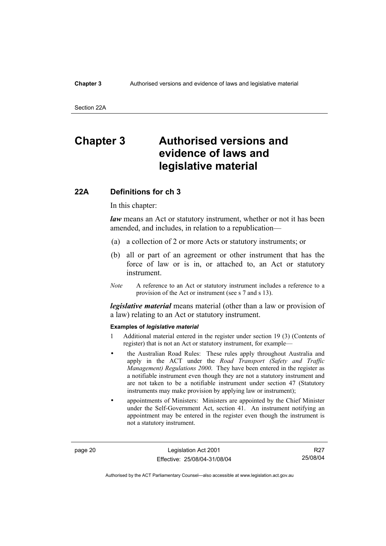#### **Chapter 3** Authorised versions and evidence of laws and legislative material

Section 22A

# **Chapter 3 Authorised versions and evidence of laws and legislative material**

### **22A Definitions for ch 3**

In this chapter:

*law* means an Act or statutory instrument, whether or not it has been amended, and includes, in relation to a republication—

- (a) a collection of 2 or more Acts or statutory instruments; or
- (b) all or part of an agreement or other instrument that has the force of law or is in, or attached to, an Act or statutory instrument.
- *Note* A reference to an Act or statutory instrument includes a reference to a provision of the Act or instrument (see s 7 and s 13).

*legislative material* means material (other than a law or provision of a law) relating to an Act or statutory instrument.

#### **Examples of** *legislative material*

- 1 Additional material entered in the register under section 19 (3) (Contents of register) that is not an Act or statutory instrument, for example—
- the Australian Road Rules: These rules apply throughout Australia and apply in the ACT under the *Road Transport (Safety and Traffic Management) Regulations 2000*. They have been entered in the register as a notifiable instrument even though they are not a statutory instrument and are not taken to be a notifiable instrument under section 47 (Statutory instruments may make provision by applying law or instrument);
- appointments of Ministers: Ministers are appointed by the Chief Minister under the Self-Government Act, section 41. An instrument notifying an appointment may be entered in the register even though the instrument is not a statutory instrument.

page 20 Legislation Act 2001 Effective: 25/08/04-31/08/04

R27 25/08/04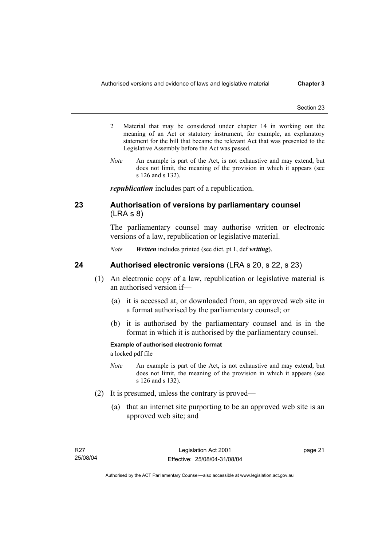- 2 Material that may be considered under chapter 14 in working out the meaning of an Act or statutory instrument, for example, an explanatory statement for the bill that became the relevant Act that was presented to the Legislative Assembly before the Act was passed.
- *Note* An example is part of the Act, is not exhaustive and may extend, but does not limit, the meaning of the provision in which it appears (see s 126 and s 132).

*republication* includes part of a republication.

### **23 Authorisation of versions by parliamentary counsel**  (LRA s 8)

The parliamentary counsel may authorise written or electronic versions of a law, republication or legislative material.

*Note Written* includes printed (see dict, pt 1, def *writing*).

### **24 Authorised electronic versions** (LRA s 20, s 22, s 23)

- (1) An electronic copy of a law, republication or legislative material is an authorised version if—
	- (a) it is accessed at, or downloaded from, an approved web site in a format authorised by the parliamentary counsel; or
	- (b) it is authorised by the parliamentary counsel and is in the format in which it is authorised by the parliamentary counsel.

#### **Example of authorised electronic format**

a locked pdf file

- *Note* An example is part of the Act, is not exhaustive and may extend, but does not limit, the meaning of the provision in which it appears (see s 126 and s 132).
- (2) It is presumed, unless the contrary is proved—
	- (a) that an internet site purporting to be an approved web site is an approved web site; and

page 21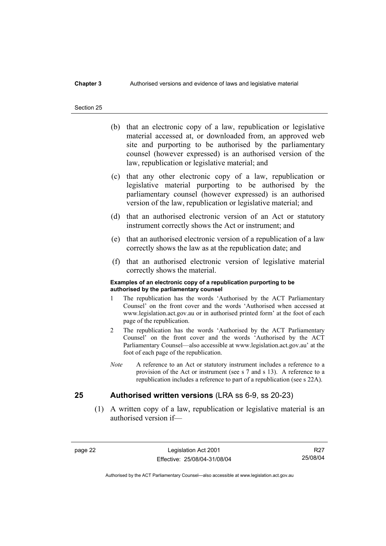### **Chapter 3** Authorised versions and evidence of laws and legislative material

#### Section 25

- (b) that an electronic copy of a law, republication or legislative material accessed at, or downloaded from, an approved web site and purporting to be authorised by the parliamentary counsel (however expressed) is an authorised version of the law, republication or legislative material; and
- (c) that any other electronic copy of a law, republication or legislative material purporting to be authorised by the parliamentary counsel (however expressed) is an authorised version of the law, republication or legislative material; and
- (d) that an authorised electronic version of an Act or statutory instrument correctly shows the Act or instrument; and
- (e) that an authorised electronic version of a republication of a law correctly shows the law as at the republication date; and
- (f) that an authorised electronic version of legislative material correctly shows the material.

#### **Examples of an electronic copy of a republication purporting to be authorised by the parliamentary counsel**

- 1 The republication has the words 'Authorised by the ACT Parliamentary Counsel' on the front cover and the words 'Authorised when accessed at www.legislation.act.gov.au or in authorised printed form' at the foot of each page of the republication.
- 2 The republication has the words 'Authorised by the ACT Parliamentary Counsel' on the front cover and the words 'Authorised by the ACT Parliamentary Counsel—also accessible at www.legislation.act.gov.au' at the foot of each page of the republication.
- *Note* A reference to an Act or statutory instrument includes a reference to a provision of the Act or instrument (see s 7 and s 13). A reference to a republication includes a reference to part of a republication (see s 22A).

### **25 Authorised written versions** (LRA ss 6-9, ss 20-23)

 (1) A written copy of a law, republication or legislative material is an authorised version if—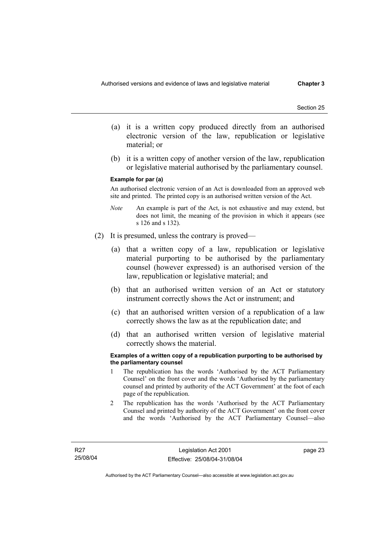- (a) it is a written copy produced directly from an authorised electronic version of the law, republication or legislative material; or
- (b) it is a written copy of another version of the law, republication or legislative material authorised by the parliamentary counsel.

#### **Example for par (a)**

An authorised electronic version of an Act is downloaded from an approved web site and printed. The printed copy is an authorised written version of the Act.

- *Note* An example is part of the Act, is not exhaustive and may extend, but does not limit, the meaning of the provision in which it appears (see s 126 and s 132).
- (2) It is presumed, unless the contrary is proved—
	- (a) that a written copy of a law, republication or legislative material purporting to be authorised by the parliamentary counsel (however expressed) is an authorised version of the law, republication or legislative material; and
	- (b) that an authorised written version of an Act or statutory instrument correctly shows the Act or instrument; and
	- (c) that an authorised written version of a republication of a law correctly shows the law as at the republication date; and
	- (d) that an authorised written version of legislative material correctly shows the material.

#### **Examples of a written copy of a republication purporting to be authorised by the parliamentary counsel**

- 1 The republication has the words 'Authorised by the ACT Parliamentary Counsel' on the front cover and the words 'Authorised by the parliamentary counsel and printed by authority of the ACT Government' at the foot of each page of the republication.
- 2 The republication has the words 'Authorised by the ACT Parliamentary Counsel and printed by authority of the ACT Government' on the front cover and the words 'Authorised by the ACT Parliamentary Counsel—also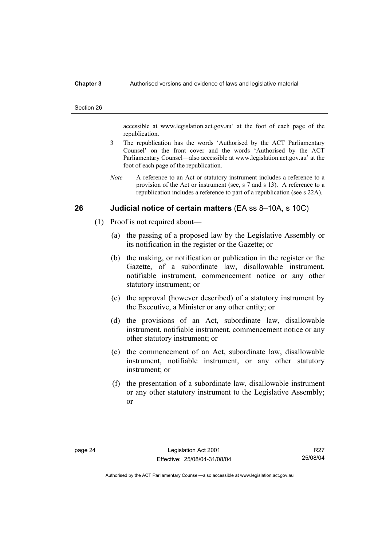#### **Chapter 3** Authorised versions and evidence of laws and legislative material

#### Section 26

accessible at www.legislation.act.gov.au' at the foot of each page of the republication.

- 3 The republication has the words 'Authorised by the ACT Parliamentary Counsel' on the front cover and the words 'Authorised by the ACT Parliamentary Counsel—also accessible at www.legislation.act.gov.au' at the foot of each page of the republication.
- *Note* A reference to an Act or statutory instrument includes a reference to a provision of the Act or instrument (see, s 7 and s 13). A reference to a republication includes a reference to part of a republication (see s 22A).

### **26 Judicial notice of certain matters** (EA ss 8–10A, s 10C)

- (1) Proof is not required about—
	- (a) the passing of a proposed law by the Legislative Assembly or its notification in the register or the Gazette; or
	- (b) the making, or notification or publication in the register or the Gazette, of a subordinate law, disallowable instrument, notifiable instrument, commencement notice or any other statutory instrument; or
	- (c) the approval (however described) of a statutory instrument by the Executive, a Minister or any other entity; or
	- (d) the provisions of an Act, subordinate law, disallowable instrument, notifiable instrument, commencement notice or any other statutory instrument; or
	- (e) the commencement of an Act, subordinate law, disallowable instrument, notifiable instrument, or any other statutory instrument; or
	- (f) the presentation of a subordinate law, disallowable instrument or any other statutory instrument to the Legislative Assembly; or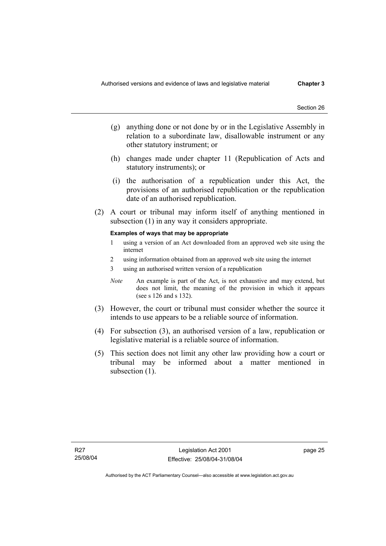- (g) anything done or not done by or in the Legislative Assembly in relation to a subordinate law, disallowable instrument or any other statutory instrument; or
- (h) changes made under chapter 11 (Republication of Acts and statutory instruments); or
- (i) the authorisation of a republication under this Act, the provisions of an authorised republication or the republication date of an authorised republication.
- (2) A court or tribunal may inform itself of anything mentioned in subsection (1) in any way it considers appropriate.

#### **Examples of ways that may be appropriate**

- 1 using a version of an Act downloaded from an approved web site using the internet
- 2 using information obtained from an approved web site using the internet
- 3 using an authorised written version of a republication
- *Note* An example is part of the Act, is not exhaustive and may extend, but does not limit, the meaning of the provision in which it appears (see s 126 and s 132).
- (3) However, the court or tribunal must consider whether the source it intends to use appears to be a reliable source of information.
- (4) For subsection (3), an authorised version of a law, republication or legislative material is a reliable source of information.
- (5) This section does not limit any other law providing how a court or tribunal may be informed about a matter mentioned in subsection (1).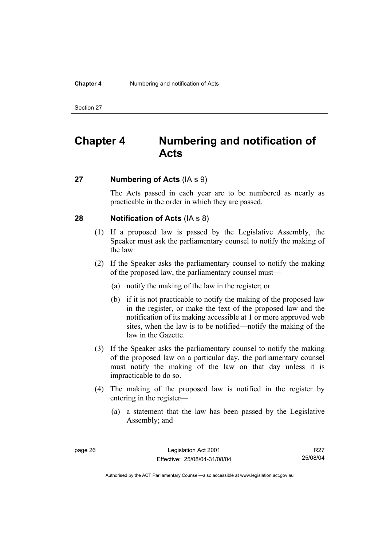# **Chapter 4 Numbering and notification of Acts**

### **27 Numbering of Acts** (IA s 9)

The Acts passed in each year are to be numbered as nearly as practicable in the order in which they are passed.

### **28 Notification of Acts** (IA s 8)

- (1) If a proposed law is passed by the Legislative Assembly, the Speaker must ask the parliamentary counsel to notify the making of the law.
- (2) If the Speaker asks the parliamentary counsel to notify the making of the proposed law, the parliamentary counsel must—
	- (a) notify the making of the law in the register; or
	- (b) if it is not practicable to notify the making of the proposed law in the register, or make the text of the proposed law and the notification of its making accessible at 1 or more approved web sites, when the law is to be notified—notify the making of the law in the Gazette.
- (3) If the Speaker asks the parliamentary counsel to notify the making of the proposed law on a particular day, the parliamentary counsel must notify the making of the law on that day unless it is impracticable to do so.
- (4) The making of the proposed law is notified in the register by entering in the register—
	- (a) a statement that the law has been passed by the Legislative Assembly; and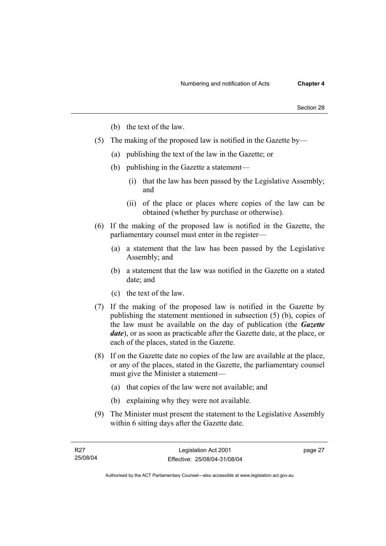- (b) the text of the law.
- (5) The making of the proposed law is notified in the Gazette by—
	- (a) publishing the text of the law in the Gazette; or
	- (b) publishing in the Gazette a statement—
		- (i) that the law has been passed by the Legislative Assembly; and
		- (ii) of the place or places where copies of the law can be obtained (whether by purchase or otherwise).
- (6) If the making of the proposed law is notified in the Gazette, the parliamentary counsel must enter in the register—
	- (a) a statement that the law has been passed by the Legislative Assembly; and
	- (b) a statement that the law was notified in the Gazette on a stated date; and
	- (c) the text of the law.
- (7) If the making of the proposed law is notified in the Gazette by publishing the statement mentioned in subsection (5) (b), copies of the law must be available on the day of publication (the *Gazette date*), or as soon as practicable after the Gazette date, at the place, or each of the places, stated in the Gazette.
- (8) If on the Gazette date no copies of the law are available at the place, or any of the places, stated in the Gazette, the parliamentary counsel must give the Minister a statement—
	- (a) that copies of the law were not available; and
	- (b) explaining why they were not available.
- (9) The Minister must present the statement to the Legislative Assembly within 6 sitting days after the Gazette date.

page 27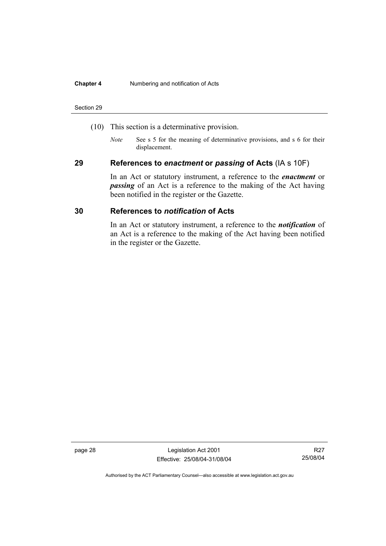#### **Chapter 4** Numbering and notification of Acts

#### Section 29

- (10) This section is a determinative provision.
	- *Note* See s 5 for the meaning of determinative provisions, and s 6 for their displacement.

### **29 References to** *enactment* **or** *passing* **of Acts** (IA s 10F)

In an Act or statutory instrument, a reference to the *enactment* or *passing* of an Act is a reference to the making of the Act having been notified in the register or the Gazette.

### **30 References to** *notification* **of Acts**

In an Act or statutory instrument, a reference to the *notification* of an Act is a reference to the making of the Act having been notified in the register or the Gazette.

page 28 Legislation Act 2001 Effective: 25/08/04-31/08/04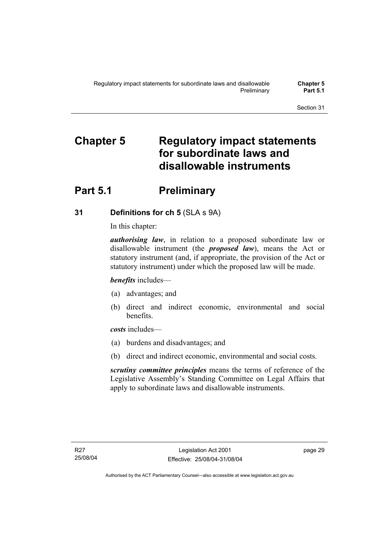# **Chapter 5 Regulatory impact statements for subordinate laws and disallowable instruments**

# **Part 5.1** Preliminary

## **31 Definitions for ch 5** (SLA s 9A)

In this chapter:

*authorising law*, in relation to a proposed subordinate law or disallowable instrument (the *proposed law*), means the Act or statutory instrument (and, if appropriate, the provision of the Act or statutory instrument) under which the proposed law will be made.

*benefits* includes—

- (a) advantages; and
- (b) direct and indirect economic, environmental and social benefits.

*costs* includes—

- (a) burdens and disadvantages; and
- (b) direct and indirect economic, environmental and social costs.

*scrutiny committee principles* means the terms of reference of the Legislative Assembly's Standing Committee on Legal Affairs that apply to subordinate laws and disallowable instruments.

page 29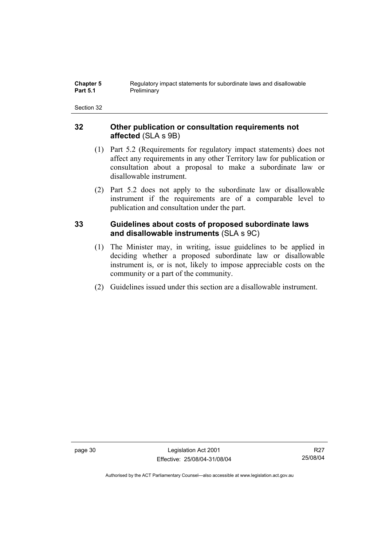### **32 Other publication or consultation requirements not affected** (SLA s 9B)

- (1) Part 5.2 (Requirements for regulatory impact statements) does not affect any requirements in any other Territory law for publication or consultation about a proposal to make a subordinate law or disallowable instrument.
- (2) Part 5.2 does not apply to the subordinate law or disallowable instrument if the requirements are of a comparable level to publication and consultation under the part.

## **33 Guidelines about costs of proposed subordinate laws and disallowable instruments** (SLA s 9C)

- (1) The Minister may, in writing, issue guidelines to be applied in deciding whether a proposed subordinate law or disallowable instrument is, or is not, likely to impose appreciable costs on the community or a part of the community.
- (2) Guidelines issued under this section are a disallowable instrument.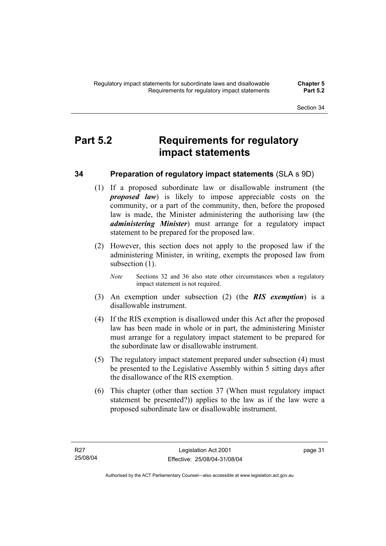# **Part 5.2 Requirements for regulatory impact statements**

### **34 Preparation of regulatory impact statements** (SLA s 9D)

- (1) If a proposed subordinate law or disallowable instrument (the *proposed law*) is likely to impose appreciable costs on the community, or a part of the community, then, before the proposed law is made, the Minister administering the authorising law (the *administering Minister*) must arrange for a regulatory impact statement to be prepared for the proposed law.
- (2) However, this section does not apply to the proposed law if the administering Minister, in writing, exempts the proposed law from subsection  $(1)$ .
	- *Note* Sections 32 and 36 also state other circumstances when a regulatory impact statement is not required.
- (3) An exemption under subsection (2) (the *RIS exemption*) is a disallowable instrument.
- (4) If the RIS exemption is disallowed under this Act after the proposed law has been made in whole or in part, the administering Minister must arrange for a regulatory impact statement to be prepared for the subordinate law or disallowable instrument.
- (5) The regulatory impact statement prepared under subsection (4) must be presented to the Legislative Assembly within 5 sitting days after the disallowance of the RIS exemption.
- (6) This chapter (other than section 37 (When must regulatory impact statement be presented?)) applies to the law as if the law were a proposed subordinate law or disallowable instrument.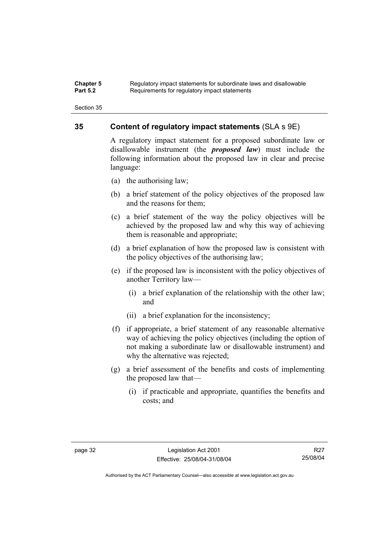#### **Chapter 5** Regulatory impact statements for subordinate laws and disallowable<br>**Part 5.2** Requirements for requistory impact statements Requirements for regulatory impact statements

Section 35

### **35 Content of regulatory impact statements** (SLA s 9E)

A regulatory impact statement for a proposed subordinate law or disallowable instrument (the *proposed law*) must include the following information about the proposed law in clear and precise language:

- (a) the authorising law;
- (b) a brief statement of the policy objectives of the proposed law and the reasons for them;
- (c) a brief statement of the way the policy objectives will be achieved by the proposed law and why this way of achieving them is reasonable and appropriate;
- (d) a brief explanation of how the proposed law is consistent with the policy objectives of the authorising law;
- (e) if the proposed law is inconsistent with the policy objectives of another Territory law—
	- (i) a brief explanation of the relationship with the other law; and
	- (ii) a brief explanation for the inconsistency;
- (f) if appropriate, a brief statement of any reasonable alternative way of achieving the policy objectives (including the option of not making a subordinate law or disallowable instrument) and why the alternative was rejected;
- (g) a brief assessment of the benefits and costs of implementing the proposed law that—
	- (i) if practicable and appropriate, quantifies the benefits and costs; and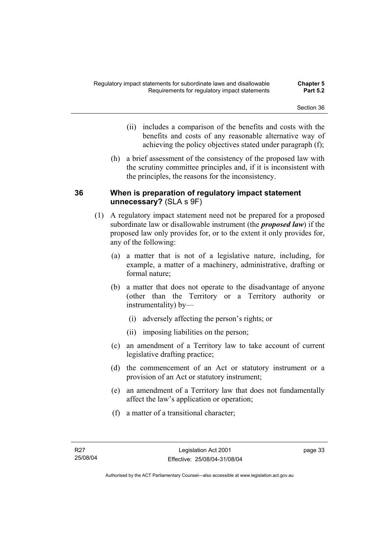- (ii) includes a comparison of the benefits and costs with the benefits and costs of any reasonable alternative way of achieving the policy objectives stated under paragraph (f);
- (h) a brief assessment of the consistency of the proposed law with the scrutiny committee principles and, if it is inconsistent with the principles, the reasons for the inconsistency.

### **36 When is preparation of regulatory impact statement unnecessary?** (SLA s 9F)

- (1) A regulatory impact statement need not be prepared for a proposed subordinate law or disallowable instrument (the *proposed law*) if the proposed law only provides for, or to the extent it only provides for, any of the following:
	- (a) a matter that is not of a legislative nature, including, for example, a matter of a machinery, administrative, drafting or formal nature;
	- (b) a matter that does not operate to the disadvantage of anyone (other than the Territory or a Territory authority or instrumentality) by—
		- (i) adversely affecting the person's rights; or
		- (ii) imposing liabilities on the person;
	- (c) an amendment of a Territory law to take account of current legislative drafting practice;
	- (d) the commencement of an Act or statutory instrument or a provision of an Act or statutory instrument;
	- (e) an amendment of a Territory law that does not fundamentally affect the law's application or operation;
	- (f) a matter of a transitional character;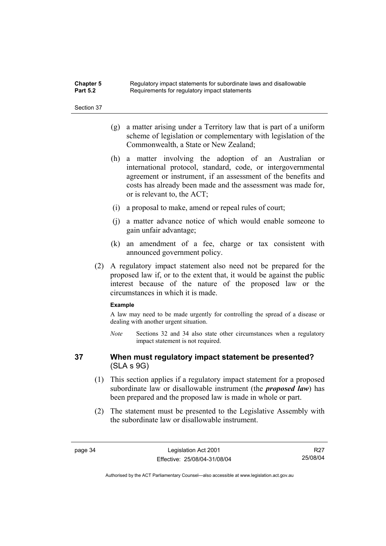| <b>Chapter 5</b> | Regulatory impact statements for subordinate laws and disallowable |
|------------------|--------------------------------------------------------------------|
| <b>Part 5.2</b>  | Requirements for regulatory impact statements                      |

- (g) a matter arising under a Territory law that is part of a uniform scheme of legislation or complementary with legislation of the Commonwealth, a State or New Zealand;
- (h) a matter involving the adoption of an Australian or international protocol, standard, code, or intergovernmental agreement or instrument, if an assessment of the benefits and costs has already been made and the assessment was made for, or is relevant to, the ACT;
- (i) a proposal to make, amend or repeal rules of court;
- (j) a matter advance notice of which would enable someone to gain unfair advantage;
- (k) an amendment of a fee, charge or tax consistent with announced government policy.
- (2) A regulatory impact statement also need not be prepared for the proposed law if, or to the extent that, it would be against the public interest because of the nature of the proposed law or the circumstances in which it is made.

#### **Example**

A law may need to be made urgently for controlling the spread of a disease or dealing with another urgent situation.

*Note* Sections 32 and 34 also state other circumstances when a regulatory impact statement is not required.

### **37 When must regulatory impact statement be presented?**  (SLA s 9G)

- (1) This section applies if a regulatory impact statement for a proposed subordinate law or disallowable instrument (the *proposed law*) has been prepared and the proposed law is made in whole or part.
- (2) The statement must be presented to the Legislative Assembly with the subordinate law or disallowable instrument.

R27 25/08/04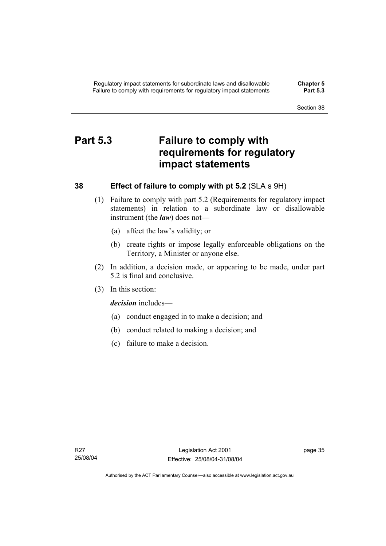# **Part 5.3 Failure to comply with requirements for regulatory impact statements**

### **38 Effect of failure to comply with pt 5.2** (SLA s 9H)

- (1) Failure to comply with part 5.2 (Requirements for regulatory impact statements) in relation to a subordinate law or disallowable instrument (the *law*) does not—
	- (a) affect the law's validity; or
	- (b) create rights or impose legally enforceable obligations on the Territory, a Minister or anyone else.
- (2) In addition, a decision made, or appearing to be made, under part 5.2 is final and conclusive.
- (3) In this section:

*decision* includes—

- (a) conduct engaged in to make a decision; and
- (b) conduct related to making a decision; and
- (c) failure to make a decision.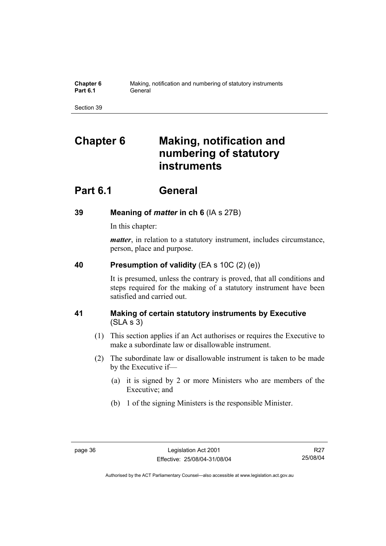| Chapter 6       | Making, notification and numbering of statutory instruments |
|-----------------|-------------------------------------------------------------|
| <b>Part 6.1</b> | General                                                     |

# **Chapter 6 Making, notification and numbering of statutory instruments**

# **Part 6.1 General**

### **39 Meaning of** *matter* **in ch 6** (IA s 27B)

In this chapter:

*matter*, in relation to a statutory instrument, includes circumstance, person, place and purpose.

### **40 Presumption of validity** (EA s 10C (2) (e))

It is presumed, unless the contrary is proved, that all conditions and steps required for the making of a statutory instrument have been satisfied and carried out.

### **41 Making of certain statutory instruments by Executive**  (SLA s 3)

- (1) This section applies if an Act authorises or requires the Executive to make a subordinate law or disallowable instrument.
- (2) The subordinate law or disallowable instrument is taken to be made by the Executive if—
	- (a) it is signed by 2 or more Ministers who are members of the Executive; and
	- (b) 1 of the signing Ministers is the responsible Minister.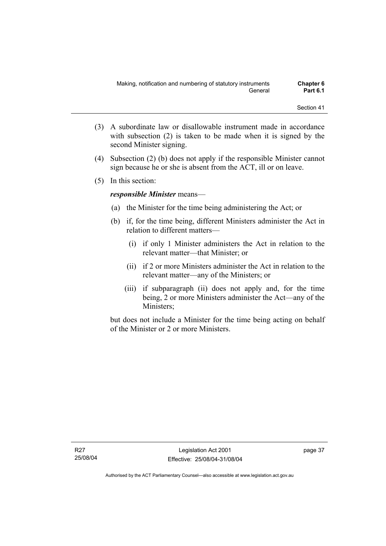- (3) A subordinate law or disallowable instrument made in accordance with subsection (2) is taken to be made when it is signed by the second Minister signing.
- (4) Subsection (2) (b) does not apply if the responsible Minister cannot sign because he or she is absent from the ACT, ill or on leave.
- (5) In this section:

### *responsible Minister* means—

- (a) the Minister for the time being administering the Act; or
- (b) if, for the time being, different Ministers administer the Act in relation to different matters—
	- (i) if only 1 Minister administers the Act in relation to the relevant matter—that Minister; or
	- (ii) if 2 or more Ministers administer the Act in relation to the relevant matter—any of the Ministers; or
	- (iii) if subparagraph (ii) does not apply and, for the time being, 2 or more Ministers administer the Act—any of the Ministers;

but does not include a Minister for the time being acting on behalf of the Minister or 2 or more Ministers.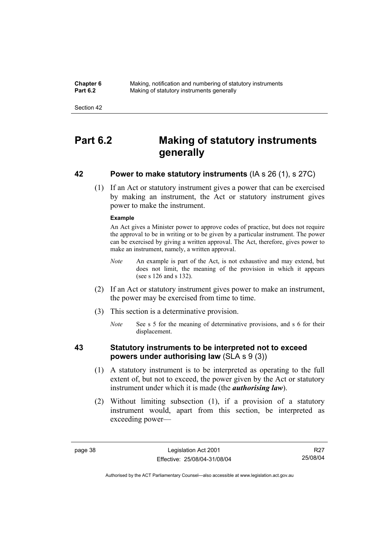**Chapter 6** Making, notification and numbering of statutory instruments<br>**Part 6.2** Making of statutory instruments generally **Making of statutory instruments generally** 

Section 42

# **Part 6.2 Making of statutory instruments generally**

### **42 Power to make statutory instruments** (IA s 26 (1), s 27C)

 (1) If an Act or statutory instrument gives a power that can be exercised by making an instrument, the Act or statutory instrument gives power to make the instrument.

#### **Example**

An Act gives a Minister power to approve codes of practice, but does not require the approval to be in writing or to be given by a particular instrument. The power can be exercised by giving a written approval. The Act, therefore, gives power to make an instrument, namely, a written approval.

- *Note* An example is part of the Act, is not exhaustive and may extend, but does not limit, the meaning of the provision in which it appears (see s 126 and s 132).
- (2) If an Act or statutory instrument gives power to make an instrument, the power may be exercised from time to time.
- (3) This section is a determinative provision.
	- *Note* See s 5 for the meaning of determinative provisions, and s 6 for their displacement.

### **43 Statutory instruments to be interpreted not to exceed powers under authorising law** (SLA s 9 (3))

- (1) A statutory instrument is to be interpreted as operating to the full extent of, but not to exceed, the power given by the Act or statutory instrument under which it is made (the *authorising law*).
- (2) Without limiting subsection (1), if a provision of a statutory instrument would, apart from this section, be interpreted as exceeding power—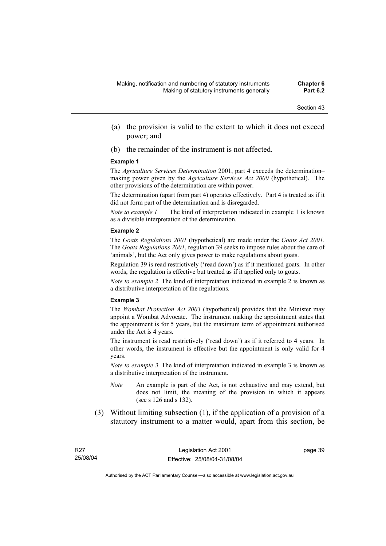- (a) the provision is valid to the extent to which it does not exceed power; and
- (b) the remainder of the instrument is not affected.

#### **Example 1**

The *Agriculture Services Determination* 2001, part 4 exceeds the determination– making power given by the *Agriculture Services Act 2000* (hypothetical). The other provisions of the determination are within power.

The determination (apart from part 4) operates effectively. Part 4 is treated as if it did not form part of the determination and is disregarded.

*Note to example 1* The kind of interpretation indicated in example 1 is known as a divisible interpretation of the determination.

#### **Example 2**

The *Goats Regulations 2001* (hypothetical) are made under the *Goats Act 2001*. The *Goats Regulations 2001*, regulation 39 seeks to impose rules about the care of 'animals', but the Act only gives power to make regulations about goats.

Regulation 39 is read restrictively ('read down') as if it mentioned goats. In other words, the regulation is effective but treated as if it applied only to goats.

*Note to example 2* The kind of interpretation indicated in example 2 is known as a distributive interpretation of the regulations.

#### **Example 3**

The *Wombat Protection Act 2003* (hypothetical) provides that the Minister may appoint a Wombat Advocate. The instrument making the appointment states that the appointment is for 5 years, but the maximum term of appointment authorised under the Act is 4 years.

The instrument is read restrictively ('read down') as if it referred to 4 years. In other words, the instrument is effective but the appointment is only valid for 4 years.

*Note to example 3* The kind of interpretation indicated in example 3 is known as a distributive interpretation of the instrument.

- *Note* An example is part of the Act, is not exhaustive and may extend, but does not limit, the meaning of the provision in which it appears (see s 126 and s 132).
- (3) Without limiting subsection (1), if the application of a provision of a statutory instrument to a matter would, apart from this section, be

page 39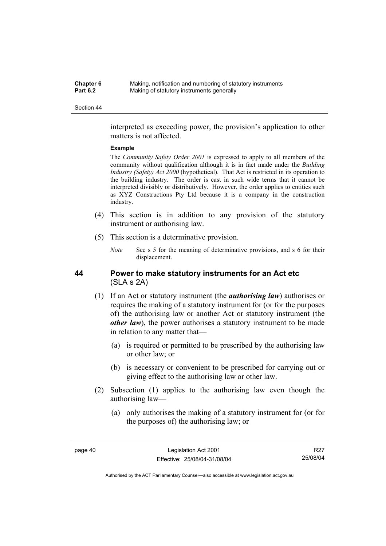| <b>Chapter 6</b> | Making, notification and numbering of statutory instruments |
|------------------|-------------------------------------------------------------|
| <b>Part 6.2</b>  | Making of statutory instruments generally                   |

interpreted as exceeding power, the provision's application to other matters is not affected.

#### **Example**

The *Community Safety Order 2001* is expressed to apply to all members of the community without qualification although it is in fact made under the *Building Industry (Safety) Act 2000* (hypothetical). That Act is restricted in its operation to the building industry. The order is cast in such wide terms that it cannot be interpreted divisibly or distributively. However, the order applies to entities such as XYZ Constructions Pty Ltd because it is a company in the construction industry.

- (4) This section is in addition to any provision of the statutory instrument or authorising law.
- (5) This section is a determinative provision.
	- *Note* See s 5 for the meaning of determinative provisions, and s 6 for their displacement.

### **44 Power to make statutory instruments for an Act etc**  (SLA s 2A)

- (1) If an Act or statutory instrument (the *authorising law*) authorises or requires the making of a statutory instrument for (or for the purposes of) the authorising law or another Act or statutory instrument (the *other law*), the power authorises a statutory instrument to be made in relation to any matter that—
	- (a) is required or permitted to be prescribed by the authorising law or other law; or
	- (b) is necessary or convenient to be prescribed for carrying out or giving effect to the authorising law or other law.
- (2) Subsection (1) applies to the authorising law even though the authorising law—
	- (a) only authorises the making of a statutory instrument for (or for the purposes of) the authorising law; or

R27 25/08/04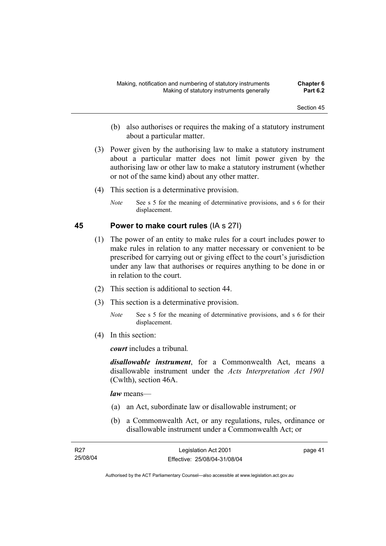- (b) also authorises or requires the making of a statutory instrument about a particular matter.
- (3) Power given by the authorising law to make a statutory instrument about a particular matter does not limit power given by the authorising law or other law to make a statutory instrument (whether or not of the same kind) about any other matter.
- (4) This section is a determinative provision.
	- *Note* See s 5 for the meaning of determinative provisions, and s 6 for their displacement.

### **45 Power to make court rules** (IA s 27I)

- (1) The power of an entity to make rules for a court includes power to make rules in relation to any matter necessary or convenient to be prescribed for carrying out or giving effect to the court's jurisdiction under any law that authorises or requires anything to be done in or in relation to the court.
- (2) This section is additional to section 44.
- (3) This section is a determinative provision.
	- *Note* See s 5 for the meaning of determinative provisions, and s 6 for their displacement.
- (4) In this section:

*court* includes a tribunal*.*

*disallowable instrument*, for a Commonwealth Act, means a disallowable instrument under the *Acts Interpretation Act 1901* (Cwlth), section 46A.

*law* means—

- (a) an Act, subordinate law or disallowable instrument; or
- (b) a Commonwealth Act, or any regulations, rules, ordinance or disallowable instrument under a Commonwealth Act; or

| R27      | Legislation Act 2001         | page 41 |
|----------|------------------------------|---------|
| 25/08/04 | Effective: 25/08/04-31/08/04 |         |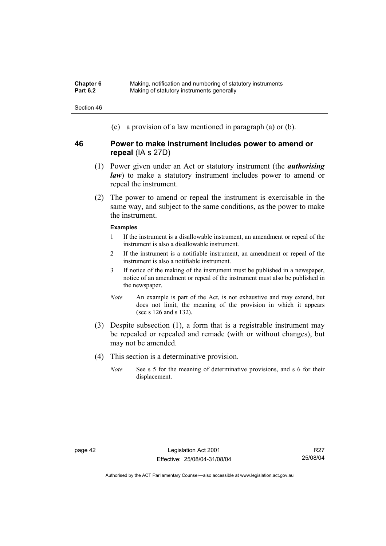| <b>Chapter 6</b> | Making, notification and numbering of statutory instruments |
|------------------|-------------------------------------------------------------|
| <b>Part 6.2</b>  | Making of statutory instruments generally                   |

(c) a provision of a law mentioned in paragraph (a) or (b).

### **46 Power to make instrument includes power to amend or repeal** (IA s 27D)

- (1) Power given under an Act or statutory instrument (the *authorising law*) to make a statutory instrument includes power to amend or repeal the instrument.
- (2) The power to amend or repeal the instrument is exercisable in the same way, and subject to the same conditions, as the power to make the instrument.

#### **Examples**

- 1 If the instrument is a disallowable instrument, an amendment or repeal of the instrument is also a disallowable instrument.
- 2 If the instrument is a notifiable instrument, an amendment or repeal of the instrument is also a notifiable instrument.
- 3 If notice of the making of the instrument must be published in a newspaper, notice of an amendment or repeal of the instrument must also be published in the newspaper.
- *Note* An example is part of the Act, is not exhaustive and may extend, but does not limit, the meaning of the provision in which it appears (see s 126 and s 132).
- (3) Despite subsection (1), a form that is a registrable instrument may be repealed or repealed and remade (with or without changes), but may not be amended.
- (4) This section is a determinative provision.
	- *Note* See s 5 for the meaning of determinative provisions, and s 6 for their displacement.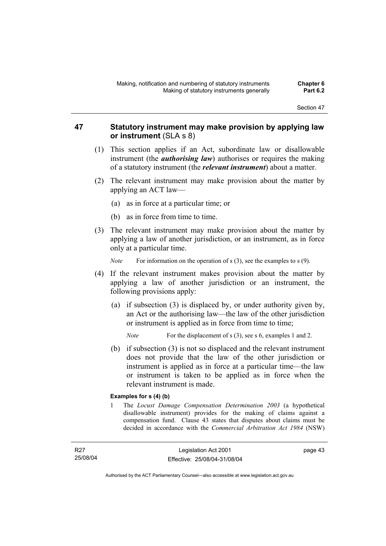### **47 Statutory instrument may make provision by applying law or instrument** (SLA s 8)

- (1) This section applies if an Act, subordinate law or disallowable instrument (the *authorising law*) authorises or requires the making of a statutory instrument (the *relevant instrument*) about a matter.
- (2) The relevant instrument may make provision about the matter by applying an ACT law—
	- (a) as in force at a particular time; or
	- (b) as in force from time to time.
- (3) The relevant instrument may make provision about the matter by applying a law of another jurisdiction, or an instrument, as in force only at a particular time.

*Note* For information on the operation of s (3), see the examples to s (9).

- (4) If the relevant instrument makes provision about the matter by applying a law of another jurisdiction or an instrument, the following provisions apply:
	- (a) if subsection (3) is displaced by, or under authority given by, an Act or the authorising law—the law of the other jurisdiction or instrument is applied as in force from time to time;

*Note* For the displacement of s (3), see s 6, examples 1 and 2.

 (b) if subsection (3) is not so displaced and the relevant instrument does not provide that the law of the other jurisdiction or instrument is applied as in force at a particular time—the law or instrument is taken to be applied as in force when the relevant instrument is made.

### **Examples for s (4) (b)**

1 The *Locust Damage Compensation Determination 2003* (a hypothetical disallowable instrument) provides for the making of claims against a compensation fund. Clause 43 states that disputes about claims must be decided in accordance with the *Commercial Arbitration Act 1984* (NSW)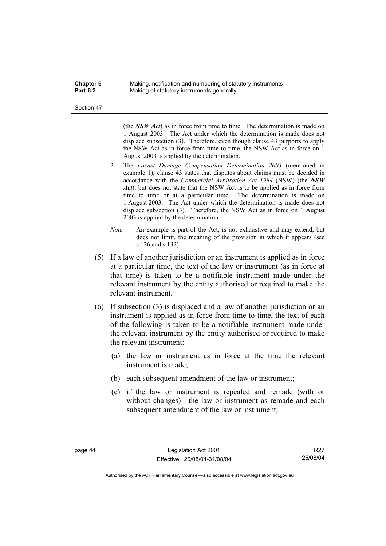| Chapter 6 | Making, notification and numbering of statutory instruments |
|-----------|-------------------------------------------------------------|
| Part 6.2  | Making of statutory instruments generally                   |

(the *NSW Act*) as in force from time to time. The determination is made on 1 August 2003. The Act under which the determination is made does not displace subsection (3). Therefore, even though clause 43 purports to apply the NSW Act as in force from time to time, the NSW Act as in force on 1 August 2003 is applied by the determination.

- 2 The *Locust Damage Compensation Determination 2003* (mentioned in example 1), clause 43 states that disputes about claims must be decided in accordance with the *Commercial Arbitration Act 1984* (NSW) (the *NSW Act*), but does not state that the NSW Act is to be applied as in force from time to time or at a particular time. The determination is made on 1 August 2003. The Act under which the determination is made does not displace subsection (3). Therefore, the NSW Act as in force on 1 August 2003 is applied by the determination.
- *Note* An example is part of the Act, is not exhaustive and may extend, but does not limit, the meaning of the provision in which it appears (see s 126 and s 132).
- (5) If a law of another jurisdiction or an instrument is applied as in force at a particular time, the text of the law or instrument (as in force at that time) is taken to be a notifiable instrument made under the relevant instrument by the entity authorised or required to make the relevant instrument.
- (6) If subsection (3) is displaced and a law of another jurisdiction or an instrument is applied as in force from time to time, the text of each of the following is taken to be a notifiable instrument made under the relevant instrument by the entity authorised or required to make the relevant instrument:
	- (a) the law or instrument as in force at the time the relevant instrument is made;
	- (b) each subsequent amendment of the law or instrument;
	- (c) if the law or instrument is repealed and remade (with or without changes)—the law or instrument as remade and each subsequent amendment of the law or instrument;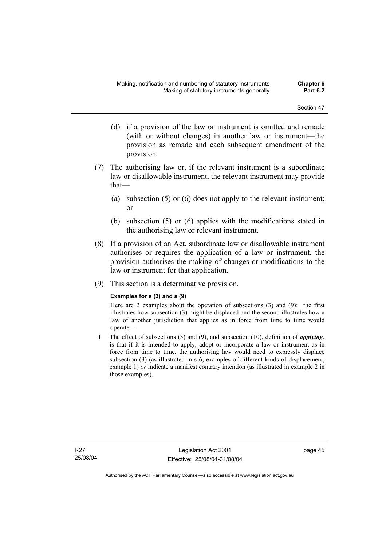- (d) if a provision of the law or instrument is omitted and remade (with or without changes) in another law or instrument—the provision as remade and each subsequent amendment of the provision.
- (7) The authorising law or, if the relevant instrument is a subordinate law or disallowable instrument, the relevant instrument may provide that—
	- (a) subsection (5) or (6) does not apply to the relevant instrument; or
	- (b) subsection (5) or (6) applies with the modifications stated in the authorising law or relevant instrument.
- (8) If a provision of an Act, subordinate law or disallowable instrument authorises or requires the application of a law or instrument, the provision authorises the making of changes or modifications to the law or instrument for that application.
- (9) This section is a determinative provision.

### **Examples for s (3) and s (9)**

Here are 2 examples about the operation of subsections (3) and (9): the first illustrates how subsection (3) might be displaced and the second illustrates how a law of another jurisdiction that applies as in force from time to time would operate—

1 The effect of subsections (3) and (9), and subsection (10), definition of *applying*, is that if it is intended to apply, adopt or incorporate a law or instrument as in force from time to time, the authorising law would need to expressly displace subsection (3) (as illustrated in s 6, examples of different kinds of displacement, example 1) *or* indicate a manifest contrary intention (as illustrated in example 2 in those examples).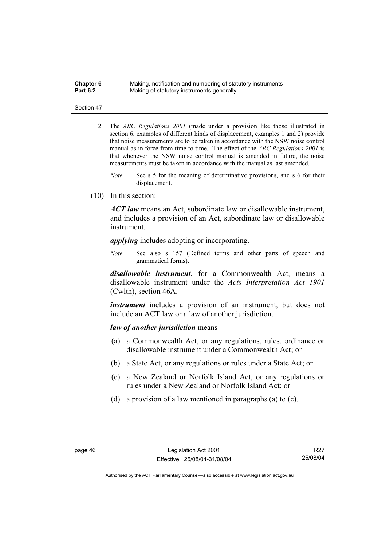| <b>Chapter 6</b> | Making, notification and numbering of statutory instruments |
|------------------|-------------------------------------------------------------|
| <b>Part 6.2</b>  | Making of statutory instruments generally                   |

- 2 The *ABC Regulations 2001* (made under a provision like those illustrated in section 6, examples of different kinds of displacement, examples 1 and 2) provide that noise measurements are to be taken in accordance with the NSW noise control manual as in force from time to time. The effect of the *ABC Regulations 2001* is that whenever the NSW noise control manual is amended in future, the noise measurements must be taken in accordance with the manual as last amended.
	- *Note* See s 5 for the meaning of determinative provisions, and s 6 for their displacement.
- (10) In this section:

*ACT law* means an Act, subordinate law or disallowable instrument, and includes a provision of an Act, subordinate law or disallowable instrument.

*applying* includes adopting or incorporating.

*Note* See also s 157 (Defined terms and other parts of speech and grammatical forms).

*disallowable instrument*, for a Commonwealth Act, means a disallowable instrument under the *Acts Interpretation Act 1901* (Cwlth), section 46A.

*instrument* includes a provision of an instrument, but does not include an ACT law or a law of another jurisdiction.

#### *law of another jurisdiction* means—

- (a) a Commonwealth Act, or any regulations, rules, ordinance or disallowable instrument under a Commonwealth Act; or
- (b) a State Act, or any regulations or rules under a State Act; or
- (c) a New Zealand or Norfolk Island Act, or any regulations or rules under a New Zealand or Norfolk Island Act; or
- (d) a provision of a law mentioned in paragraphs (a) to (c).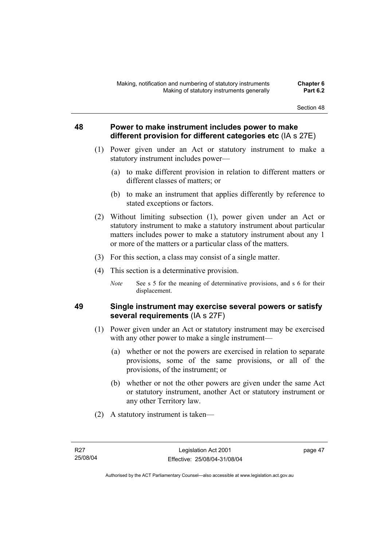### **48 Power to make instrument includes power to make different provision for different categories etc** (IA s 27E)

- (1) Power given under an Act or statutory instrument to make a statutory instrument includes power—
	- (a) to make different provision in relation to different matters or different classes of matters; or
	- (b) to make an instrument that applies differently by reference to stated exceptions or factors.
- (2) Without limiting subsection (1), power given under an Act or statutory instrument to make a statutory instrument about particular matters includes power to make a statutory instrument about any 1 or more of the matters or a particular class of the matters.
- (3) For this section, a class may consist of a single matter.
- (4) This section is a determinative provision.
	- *Note* See s 5 for the meaning of determinative provisions, and s 6 for their displacement.

### **49 Single instrument may exercise several powers or satisfy several requirements** (IA s 27F)

- (1) Power given under an Act or statutory instrument may be exercised with any other power to make a single instrument—
	- (a) whether or not the powers are exercised in relation to separate provisions, some of the same provisions, or all of the provisions, of the instrument; or
	- (b) whether or not the other powers are given under the same Act or statutory instrument, another Act or statutory instrument or any other Territory law.
- (2) A statutory instrument is taken—

page 47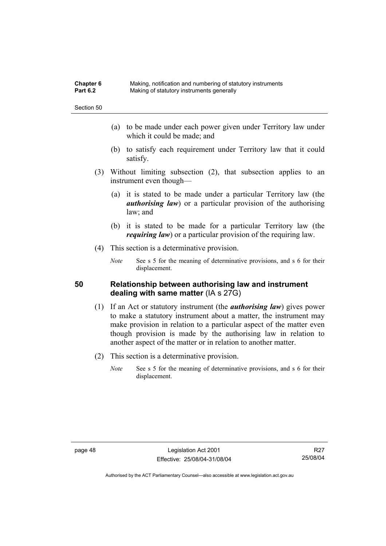| <b>Chapter 6</b> | Making, notification and numbering of statutory instruments |
|------------------|-------------------------------------------------------------|
| <b>Part 6.2</b>  | Making of statutory instruments generally                   |

- (a) to be made under each power given under Territory law under which it could be made; and
- (b) to satisfy each requirement under Territory law that it could satisfy.
- (3) Without limiting subsection (2), that subsection applies to an instrument even though—
	- (a) it is stated to be made under a particular Territory law (the *authorising law*) or a particular provision of the authorising law; and
	- (b) it is stated to be made for a particular Territory law (the *requiring law*) or a particular provision of the requiring law.
- (4) This section is a determinative provision.
	- *Note* See s 5 for the meaning of determinative provisions, and s 6 for their displacement.

### **50 Relationship between authorising law and instrument dealing with same matter** (IA s 27G)

- (1) If an Act or statutory instrument (the *authorising law*) gives power to make a statutory instrument about a matter, the instrument may make provision in relation to a particular aspect of the matter even though provision is made by the authorising law in relation to another aspect of the matter or in relation to another matter.
- (2) This section is a determinative provision.
	- *Note* See s 5 for the meaning of determinative provisions, and s 6 for their displacement.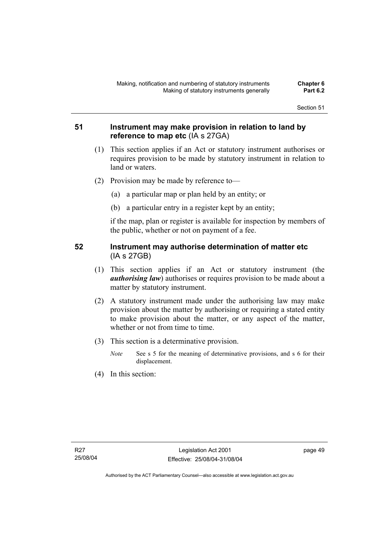### **51 Instrument may make provision in relation to land by reference to map etc** (IA s 27GA)

- (1) This section applies if an Act or statutory instrument authorises or requires provision to be made by statutory instrument in relation to land or waters.
- (2) Provision may be made by reference to—
	- (a) a particular map or plan held by an entity; or
	- (b) a particular entry in a register kept by an entity;

if the map, plan or register is available for inspection by members of the public, whether or not on payment of a fee.

### **52 Instrument may authorise determination of matter etc**  (IA s 27GB)

- (1) This section applies if an Act or statutory instrument (the *authorising law*) authorises or requires provision to be made about a matter by statutory instrument.
- (2) A statutory instrument made under the authorising law may make provision about the matter by authorising or requiring a stated entity to make provision about the matter, or any aspect of the matter, whether or not from time to time.
- (3) This section is a determinative provision.
	- *Note* See s 5 for the meaning of determinative provisions, and s 6 for their displacement.
- (4) In this section: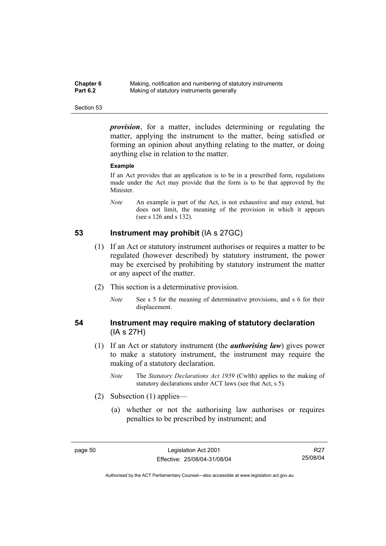| <b>Chapter 6</b> | Making, notification and numbering of statutory instruments |
|------------------|-------------------------------------------------------------|
| <b>Part 6.2</b>  | Making of statutory instruments generally                   |

*provision*, for a matter, includes determining or regulating the matter, applying the instrument to the matter, being satisfied or forming an opinion about anything relating to the matter, or doing anything else in relation to the matter.

#### **Example**

If an Act provides that an application is to be in a prescribed form, regulations made under the Act may provide that the form is to be that approved by the Minister.

*Note* An example is part of the Act, is not exhaustive and may extend, but does not limit, the meaning of the provision in which it appears (see s 126 and s 132).

### **53 Instrument may prohibit** (IA s 27GC)

- (1) If an Act or statutory instrument authorises or requires a matter to be regulated (however described) by statutory instrument, the power may be exercised by prohibiting by statutory instrument the matter or any aspect of the matter.
- (2) This section is a determinative provision.
	- *Note* See s 5 for the meaning of determinative provisions, and s 6 for their displacement.

### **54 Instrument may require making of statutory declaration**  (IA s 27H)

- (1) If an Act or statutory instrument (the *authorising law*) gives power to make a statutory instrument, the instrument may require the making of a statutory declaration.
	- *Note* The *Statutory Declarations Act 1959* (Cwlth) applies to the making of statutory declarations under ACT laws (see that Act, s 5).
- (2) Subsection (1) applies—
	- (a) whether or not the authorising law authorises or requires penalties to be prescribed by instrument; and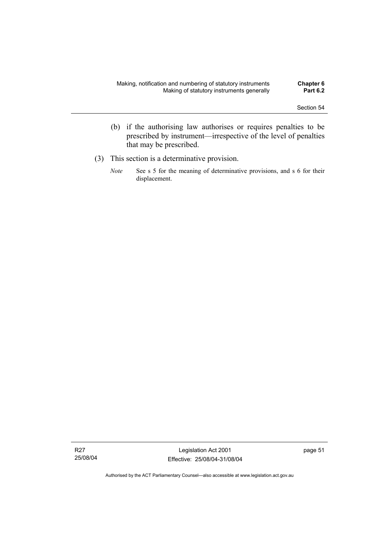- (b) if the authorising law authorises or requires penalties to be prescribed by instrument—irrespective of the level of penalties that may be prescribed.
- (3) This section is a determinative provision.
	- *Note* See s 5 for the meaning of determinative provisions, and s 6 for their displacement.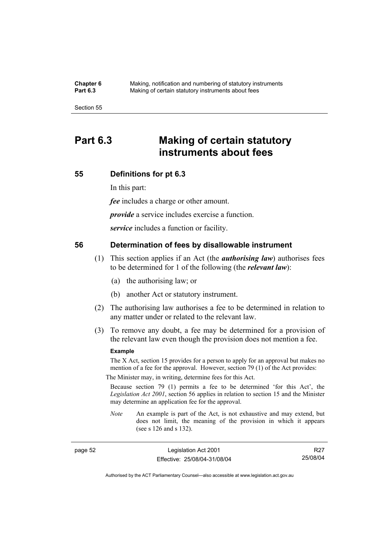**Chapter 6** Making, notification and numbering of statutory instruments<br>**Part 6.3** Making of certain statutory instruments about fees Making of certain statutory instruments about fees

Section 55

# **Part 6.3 Making of certain statutory instruments about fees**

### **55 Definitions for pt 6.3**

In this part:

*fee* includes a charge or other amount.

*provide* a service includes exercise a function.

*service* includes a function or facility.

### **56 Determination of fees by disallowable instrument**

- (1) This section applies if an Act (the *authorising law*) authorises fees to be determined for 1 of the following (the *relevant law*):
	- (a) the authorising law; or
	- (b) another Act or statutory instrument.
- (2) The authorising law authorises a fee to be determined in relation to any matter under or related to the relevant law.
- (3) To remove any doubt, a fee may be determined for a provision of the relevant law even though the provision does not mention a fee.

#### **Example**

The X Act, section 15 provides for a person to apply for an approval but makes no mention of a fee for the approval. However, section 79 (1) of the Act provides:

The Minister may, in writing, determine fees for this Act.

Because section 79 (1) permits a fee to be determined 'for this Act', the *Legislation Act 2001*, section 56 applies in relation to section 15 and the Minister may determine an application fee for the approval.

*Note* An example is part of the Act, is not exhaustive and may extend, but does not limit, the meaning of the provision in which it appears (see s 126 and s 132).

page 52 Legislation Act 2001 Effective: 25/08/04-31/08/04

R27 25/08/04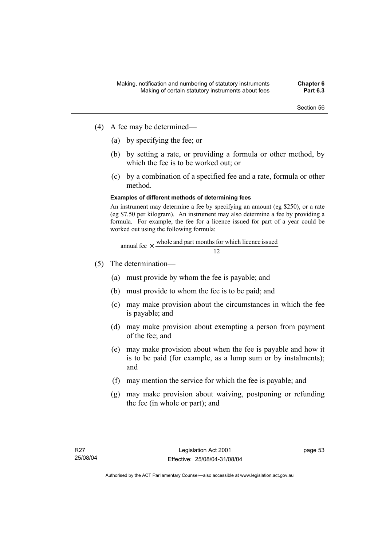- (4) A fee may be determined—
	- (a) by specifying the fee; or
	- (b) by setting a rate, or providing a formula or other method, by which the fee is to be worked out; or
	- (c) by a combination of a specified fee and a rate, formula or other method.

### **Examples of different methods of determining fees**

An instrument may determine a fee by specifying an amount (eg \$250), or a rate (eg \$7.50 per kilogram). An instrument may also determine a fee by providing a formula. For example, the fee for a licence issued for part of a year could be worked out using the following formula:

annual fee 
$$
\times
$$
 whole and part months for which licence issued 12

- (5) The determination—
	- (a) must provide by whom the fee is payable; and
	- (b) must provide to whom the fee is to be paid; and
	- (c) may make provision about the circumstances in which the fee is payable; and
	- (d) may make provision about exempting a person from payment of the fee; and
	- (e) may make provision about when the fee is payable and how it is to be paid (for example, as a lump sum or by instalments); and
	- (f) may mention the service for which the fee is payable; and
	- (g) may make provision about waiving, postponing or refunding the fee (in whole or part); and

page 53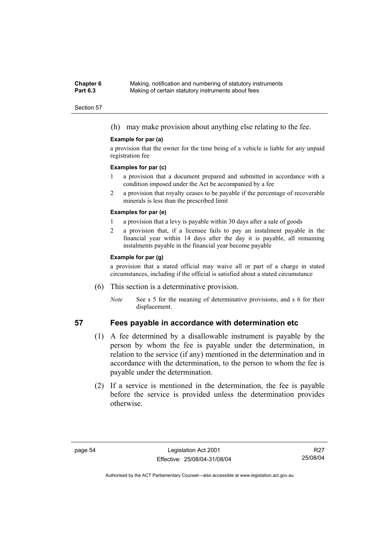#### **Chapter 6** Making, notification and numbering of statutory instruments<br>**Part 6.3** Making of certain statutory instruments about fees Making of certain statutory instruments about fees

#### Section 57

(h) may make provision about anything else relating to the fee.

#### **Example for par (a)**

a provision that the owner for the time being of a vehicle is liable for any unpaid registration fee

#### **Examples for par (c)**

- 1 a provision that a document prepared and submitted in accordance with a condition imposed under the Act be accompanied by a fee
- 2 a provision that royalty ceases to be payable if the percentage of recoverable minerals is less than the prescribed limit

#### **Examples for par (e)**

- 1 a provision that a levy is payable within 30 days after a sale of goods
- 2 a provision that, if a licensee fails to pay an instalment payable in the financial year within 14 days after the day it is payable, all remaining instalments payable in the financial year become payable

#### **Example for par (g)**

a provision that a stated official may waive all or part of a charge in stated circumstances, including if the official is satisfied about a stated circumstance

- (6) This section is a determinative provision.
	- *Note* See s 5 for the meaning of determinative provisions, and s 6 for their displacement.

# **57 Fees payable in accordance with determination etc**

- (1) A fee determined by a disallowable instrument is payable by the person by whom the fee is payable under the determination, in relation to the service (if any) mentioned in the determination and in accordance with the determination, to the person to whom the fee is payable under the determination.
- (2) If a service is mentioned in the determination, the fee is payable before the service is provided unless the determination provides otherwise.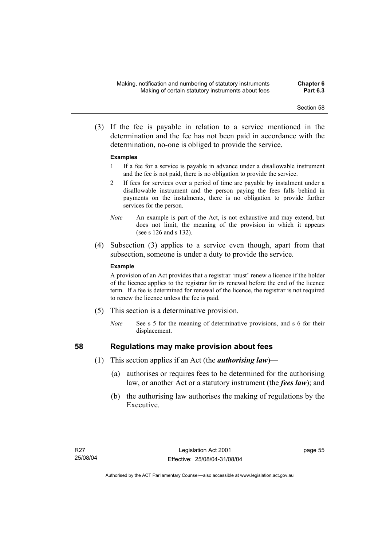(3) If the fee is payable in relation to a service mentioned in the determination and the fee has not been paid in accordance with the determination, no-one is obliged to provide the service.

#### **Examples**

- 1 If a fee for a service is payable in advance under a disallowable instrument and the fee is not paid, there is no obligation to provide the service.
- 2 If fees for services over a period of time are payable by instalment under a disallowable instrument and the person paying the fees falls behind in payments on the instalments, there is no obligation to provide further services for the person.
- *Note* An example is part of the Act, is not exhaustive and may extend, but does not limit, the meaning of the provision in which it appears (see s 126 and s 132).
- (4) Subsection (3) applies to a service even though, apart from that subsection, someone is under a duty to provide the service.

#### **Example**

A provision of an Act provides that a registrar 'must' renew a licence if the holder of the licence applies to the registrar for its renewal before the end of the licence term. If a fee is determined for renewal of the licence, the registrar is not required to renew the licence unless the fee is paid.

- (5) This section is a determinative provision.
	- *Note* See s 5 for the meaning of determinative provisions, and s 6 for their displacement.

- **58 Regulations may make provision about fees** 
	- (1) This section applies if an Act (the *authorising law*)—
		- (a) authorises or requires fees to be determined for the authorising law, or another Act or a statutory instrument (the *fees law*); and
		- (b) the authorising law authorises the making of regulations by the Executive.

page 55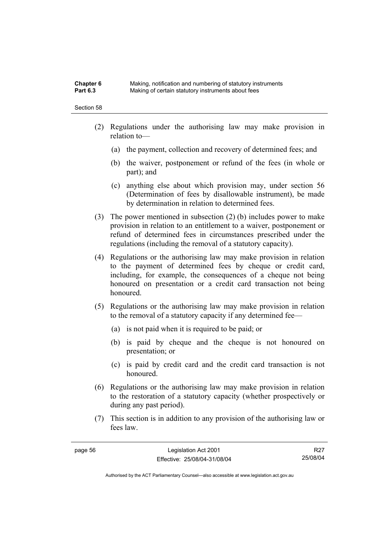### **Chapter 6** Making, notification and numbering of statutory instruments<br>**Part 6.3** Making of certain statutory instruments about fees Making of certain statutory instruments about fees

#### Section 58

- (2) Regulations under the authorising law may make provision in relation to—
	- (a) the payment, collection and recovery of determined fees; and
	- (b) the waiver, postponement or refund of the fees (in whole or part); and
	- (c) anything else about which provision may, under section 56 (Determination of fees by disallowable instrument), be made by determination in relation to determined fees.
- (3) The power mentioned in subsection (2) (b) includes power to make provision in relation to an entitlement to a waiver, postponement or refund of determined fees in circumstances prescribed under the regulations (including the removal of a statutory capacity).
- (4) Regulations or the authorising law may make provision in relation to the payment of determined fees by cheque or credit card, including, for example, the consequences of a cheque not being honoured on presentation or a credit card transaction not being honoured.
- (5) Regulations or the authorising law may make provision in relation to the removal of a statutory capacity if any determined fee—
	- (a) is not paid when it is required to be paid; or
	- (b) is paid by cheque and the cheque is not honoured on presentation; or
	- (c) is paid by credit card and the credit card transaction is not honoured.
- (6) Regulations or the authorising law may make provision in relation to the restoration of a statutory capacity (whether prospectively or during any past period).
- (7) This section is in addition to any provision of the authorising law or fees law.

R27 25/08/04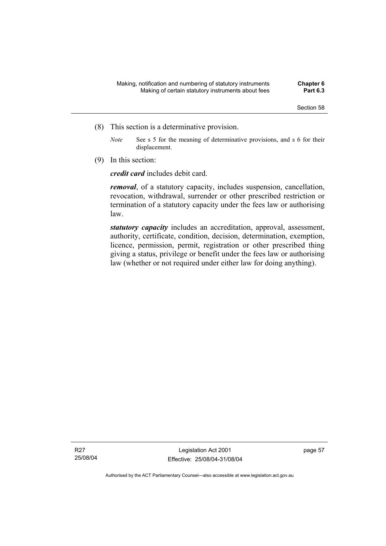- (8) This section is a determinative provision.
	- *Note* See s 5 for the meaning of determinative provisions, and s 6 for their displacement.
- (9) In this section:

*credit card* includes debit card.

*removal*, of a statutory capacity, includes suspension, cancellation, revocation, withdrawal, surrender or other prescribed restriction or termination of a statutory capacity under the fees law or authorising law.

*statutory capacity* includes an accreditation, approval, assessment, authority, certificate, condition, decision, determination, exemption, licence, permission, permit, registration or other prescribed thing giving a status, privilege or benefit under the fees law or authorising law (whether or not required under either law for doing anything).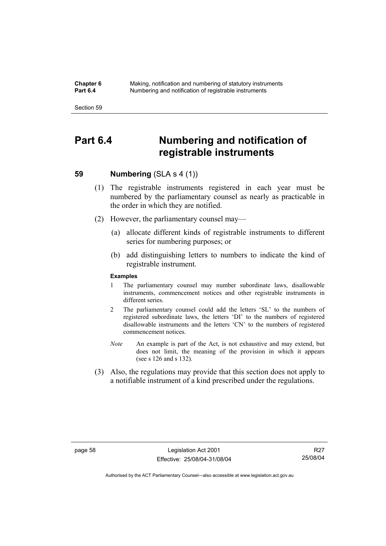**Chapter 6** Making, notification and numbering of statutory instruments<br>**Part 6.4** Mumbering and notification of registrable instruments **Part 6.4** Numbering and notification of registrable instruments

Section 59

# **Part 6.4 Numbering and notification of registrable instruments**

# **59 Numbering (SLA s 4 (1))**

- (1) The registrable instruments registered in each year must be numbered by the parliamentary counsel as nearly as practicable in the order in which they are notified.
- (2) However, the parliamentary counsel may—
	- (a) allocate different kinds of registrable instruments to different series for numbering purposes; or
	- (b) add distinguishing letters to numbers to indicate the kind of registrable instrument.

#### **Examples**

- 1 The parliamentary counsel may number subordinate laws, disallowable instruments, commencement notices and other registrable instruments in different series.
- 2 The parliamentary counsel could add the letters 'SL' to the numbers of registered subordinate laws, the letters 'DI' to the numbers of registered disallowable instruments and the letters 'CN' to the numbers of registered commencement notices.
- *Note* An example is part of the Act, is not exhaustive and may extend, but does not limit, the meaning of the provision in which it appears (see s 126 and s 132).
- (3) Also, the regulations may provide that this section does not apply to a notifiable instrument of a kind prescribed under the regulations.

R27 25/08/04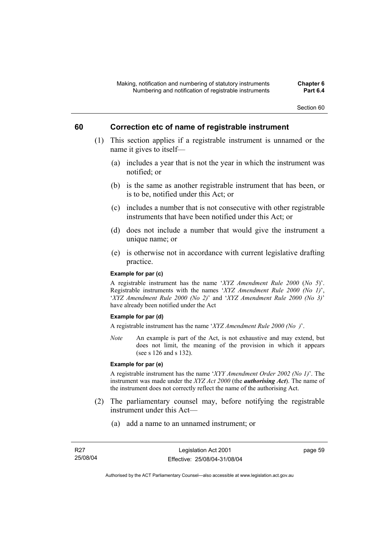# **60 Correction etc of name of registrable instrument**

- (1) This section applies if a registrable instrument is unnamed or the name it gives to itself—
	- (a) includes a year that is not the year in which the instrument was notified; or
	- (b) is the same as another registrable instrument that has been, or is to be, notified under this Act; or
	- (c) includes a number that is not consecutive with other registrable instruments that have been notified under this Act; or
	- (d) does not include a number that would give the instrument a unique name; or
	- (e) is otherwise not in accordance with current legislative drafting practice.

#### **Example for par (c)**

A registrable instrument has the name '*XYZ Amendment Rule 2000* (*No 5*)'. Registrable instruments with the names '*XYZ Amendment Rule 2000 (No 1)*', '*XYZ Amendment Rule 2000 (No 2)*' and '*XYZ Amendment Rule 2000 (No 3)*' have already been notified under the Act

## **Example for par (d)**

A registrable instrument has the name '*XYZ Amendment Rule 2000 (No )*'.

*Note* An example is part of the Act, is not exhaustive and may extend, but does not limit, the meaning of the provision in which it appears (see s 126 and s 132).

#### **Example for par (e)**

A registrable instrument has the name '*XYY Amendment Order 2002 (No 1)*'. The instrument was made under the *XYZ Act 2000* (the *authorising Act*). The name of the instrument does not correctly reflect the name of the authorising Act.

- (2) The parliamentary counsel may, before notifying the registrable instrument under this Act—
	- (a) add a name to an unnamed instrument; or

page 59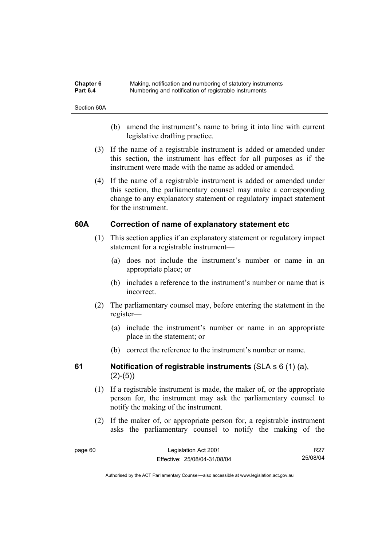| Chapter 6       | Making, notification and numbering of statutory instruments |
|-----------------|-------------------------------------------------------------|
| <b>Part 6.4</b> | Numbering and notification of registrable instruments       |

Section 60A

- (b) amend the instrument's name to bring it into line with current legislative drafting practice.
- (3) If the name of a registrable instrument is added or amended under this section, the instrument has effect for all purposes as if the instrument were made with the name as added or amended.
- (4) If the name of a registrable instrument is added or amended under this section, the parliamentary counsel may make a corresponding change to any explanatory statement or regulatory impact statement for the instrument.

# **60A Correction of name of explanatory statement etc**

- (1) This section applies if an explanatory statement or regulatory impact statement for a registrable instrument—
	- (a) does not include the instrument's number or name in an appropriate place; or
	- (b) includes a reference to the instrument's number or name that is incorrect.
- (2) The parliamentary counsel may, before entering the statement in the register—
	- (a) include the instrument's number or name in an appropriate place in the statement; or
	- (b) correct the reference to the instrument's number or name.

# **61 Notification of registrable instruments** (SLA s 6 (1) (a),  $(2)-(5)$

- (1) If a registrable instrument is made, the maker of, or the appropriate person for, the instrument may ask the parliamentary counsel to notify the making of the instrument.
- (2) If the maker of, or appropriate person for, a registrable instrument asks the parliamentary counsel to notify the making of the

| page 60 | Legislation Act 2001         | R <sub>27</sub> |
|---------|------------------------------|-----------------|
|         | Effective: 25/08/04-31/08/04 | 25/08/04        |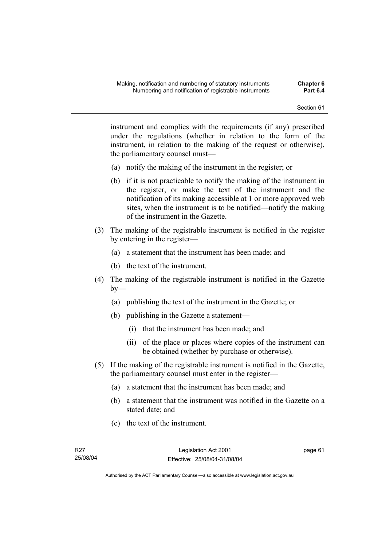instrument and complies with the requirements (if any) prescribed under the regulations (whether in relation to the form of the instrument, in relation to the making of the request or otherwise), the parliamentary counsel must—

- (a) notify the making of the instrument in the register; or
- (b) if it is not practicable to notify the making of the instrument in the register, or make the text of the instrument and the notification of its making accessible at 1 or more approved web sites, when the instrument is to be notified—notify the making of the instrument in the Gazette.
- (3) The making of the registrable instrument is notified in the register by entering in the register—
	- (a) a statement that the instrument has been made; and
	- (b) the text of the instrument.
- (4) The making of the registrable instrument is notified in the Gazette  $b$ v—
	- (a) publishing the text of the instrument in the Gazette; or
	- (b) publishing in the Gazette a statement—
		- (i) that the instrument has been made; and
		- (ii) of the place or places where copies of the instrument can be obtained (whether by purchase or otherwise).
- (5) If the making of the registrable instrument is notified in the Gazette, the parliamentary counsel must enter in the register—
	- (a) a statement that the instrument has been made; and
	- (b) a statement that the instrument was notified in the Gazette on a stated date; and
	- (c) the text of the instrument.

page 61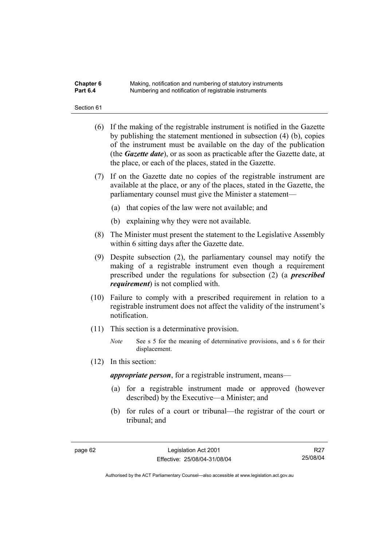### **Chapter 6** Making, notification and numbering of statutory instruments<br>**Part 6.4** Mumbering and notification of registrable instruments **Part 6.4** Numbering and notification of registrable instruments

#### Section 61

- (6) If the making of the registrable instrument is notified in the Gazette by publishing the statement mentioned in subsection (4) (b), copies of the instrument must be available on the day of the publication (the *Gazette date*), or as soon as practicable after the Gazette date, at the place, or each of the places, stated in the Gazette.
- (7) If on the Gazette date no copies of the registrable instrument are available at the place, or any of the places, stated in the Gazette, the parliamentary counsel must give the Minister a statement—
	- (a) that copies of the law were not available; and
	- (b) explaining why they were not available.
- (8) The Minister must present the statement to the Legislative Assembly within 6 sitting days after the Gazette date.
- (9) Despite subsection (2), the parliamentary counsel may notify the making of a registrable instrument even though a requirement prescribed under the regulations for subsection (2) (a *prescribed requirement*) is not complied with.
- (10) Failure to comply with a prescribed requirement in relation to a registrable instrument does not affect the validity of the instrument's notification.
- (11) This section is a determinative provision.
	- *Note* See s 5 for the meaning of determinative provisions, and s 6 for their displacement.
- (12) In this section:

*appropriate person*, for a registrable instrument, means—

- (a) for a registrable instrument made or approved (however described) by the Executive—a Minister; and
- (b) for rules of a court or tribunal—the registrar of the court or tribunal; and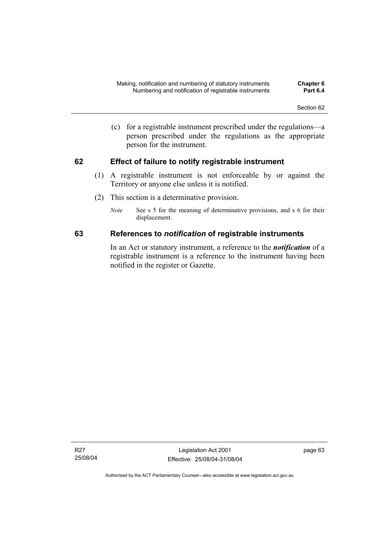(c) for a registrable instrument prescribed under the regulations—a person prescribed under the regulations as the appropriate person for the instrument.

# **62 Effect of failure to notify registrable instrument**

- (1) A registrable instrument is not enforceable by or against the Territory or anyone else unless it is notified.
- (2) This section is a determinative provision.
	- *Note* See s 5 for the meaning of determinative provisions, and s 6 for their displacement.

# **63 References to** *notification* **of registrable instruments**

In an Act or statutory instrument, a reference to the *notification* of a registrable instrument is a reference to the instrument having been notified in the register or Gazette.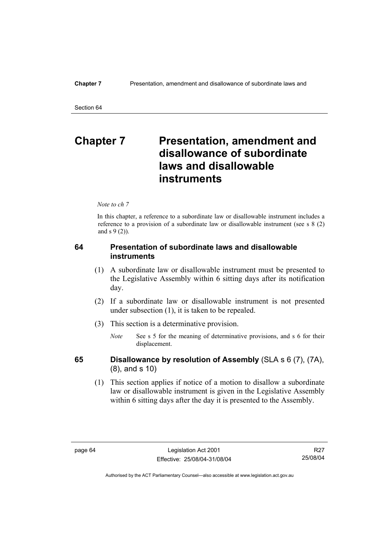# **Chapter 7** Presentation, amendment and **disallowance of subordinate laws and disallowable instruments**

*Note to ch 7* 

In this chapter, a reference to a subordinate law or disallowable instrument includes a reference to a provision of a subordinate law or disallowable instrument (see s 8 (2) and s 9 (2)).

# **64 Presentation of subordinate laws and disallowable instruments**

- (1) A subordinate law or disallowable instrument must be presented to the Legislative Assembly within 6 sitting days after its notification day.
- (2) If a subordinate law or disallowable instrument is not presented under subsection (1), it is taken to be repealed.
- (3) This section is a determinative provision.
	- *Note* See s 5 for the meaning of determinative provisions, and s 6 for their displacement.

- **65 Disallowance by resolution of Assembly** (SLA s 6 (7), (7A), (8), and s 10)
	- (1) This section applies if notice of a motion to disallow a subordinate law or disallowable instrument is given in the Legislative Assembly within 6 sitting days after the day it is presented to the Assembly.

R27 25/08/04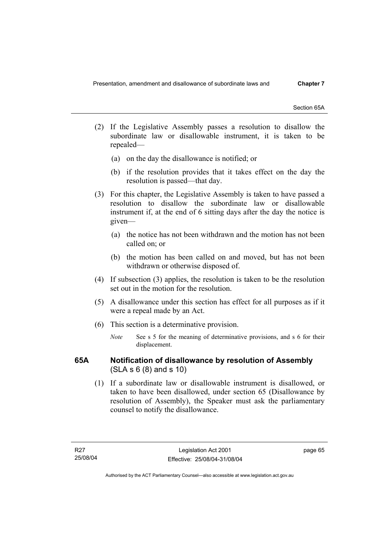Section 65A

- (2) If the Legislative Assembly passes a resolution to disallow the subordinate law or disallowable instrument, it is taken to be repealed—
	- (a) on the day the disallowance is notified; or
	- (b) if the resolution provides that it takes effect on the day the resolution is passed—that day.
- (3) For this chapter, the Legislative Assembly is taken to have passed a resolution to disallow the subordinate law or disallowable instrument if, at the end of 6 sitting days after the day the notice is given—
	- (a) the notice has not been withdrawn and the motion has not been called on; or
	- (b) the motion has been called on and moved, but has not been withdrawn or otherwise disposed of.
- (4) If subsection (3) applies, the resolution is taken to be the resolution set out in the motion for the resolution.
- (5) A disallowance under this section has effect for all purposes as if it were a repeal made by an Act.
- (6) This section is a determinative provision.
	- *Note* See s 5 for the meaning of determinative provisions, and s 6 for their displacement.

# **65A Notification of disallowance by resolution of Assembly**  (SLA s 6 (8) and s 10)

 (1) If a subordinate law or disallowable instrument is disallowed, or taken to have been disallowed, under section 65 (Disallowance by resolution of Assembly), the Speaker must ask the parliamentary counsel to notify the disallowance.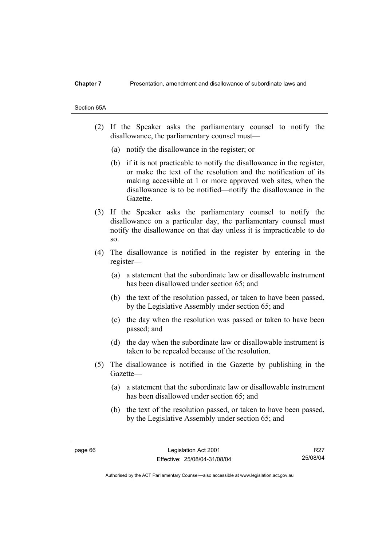#### **Chapter 7** Presentation, amendment and disallowance of subordinate laws and

#### Section 65A

- (2) If the Speaker asks the parliamentary counsel to notify the disallowance, the parliamentary counsel must—
	- (a) notify the disallowance in the register; or
	- (b) if it is not practicable to notify the disallowance in the register, or make the text of the resolution and the notification of its making accessible at 1 or more approved web sites, when the disallowance is to be notified—notify the disallowance in the Gazette.
- (3) If the Speaker asks the parliamentary counsel to notify the disallowance on a particular day, the parliamentary counsel must notify the disallowance on that day unless it is impracticable to do so.
- (4) The disallowance is notified in the register by entering in the register—
	- (a) a statement that the subordinate law or disallowable instrument has been disallowed under section 65; and
	- (b) the text of the resolution passed, or taken to have been passed, by the Legislative Assembly under section 65; and
	- (c) the day when the resolution was passed or taken to have been passed; and
	- (d) the day when the subordinate law or disallowable instrument is taken to be repealed because of the resolution.
- (5) The disallowance is notified in the Gazette by publishing in the Gazette—
	- (a) a statement that the subordinate law or disallowable instrument has been disallowed under section 65; and
	- (b) the text of the resolution passed, or taken to have been passed, by the Legislative Assembly under section 65; and

R27 25/08/04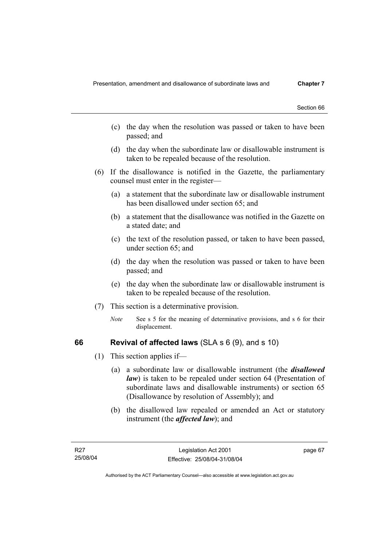- (c) the day when the resolution was passed or taken to have been passed; and
- (d) the day when the subordinate law or disallowable instrument is taken to be repealed because of the resolution.
- (6) If the disallowance is notified in the Gazette, the parliamentary counsel must enter in the register—
	- (a) a statement that the subordinate law or disallowable instrument has been disallowed under section 65; and
	- (b) a statement that the disallowance was notified in the Gazette on a stated date; and
	- (c) the text of the resolution passed, or taken to have been passed, under section 65; and
	- (d) the day when the resolution was passed or taken to have been passed; and
	- (e) the day when the subordinate law or disallowable instrument is taken to be repealed because of the resolution.
- (7) This section is a determinative provision.
	- *Note* See s 5 for the meaning of determinative provisions, and s 6 for their displacement.

# **66 Revival of affected laws** (SLA s 6 (9), and s 10)

- (1) This section applies if—
	- (a) a subordinate law or disallowable instrument (the *disallowed law*) is taken to be repealed under section 64 (Presentation of subordinate laws and disallowable instruments) or section 65 (Disallowance by resolution of Assembly); and
	- (b) the disallowed law repealed or amended an Act or statutory instrument (the *affected law*); and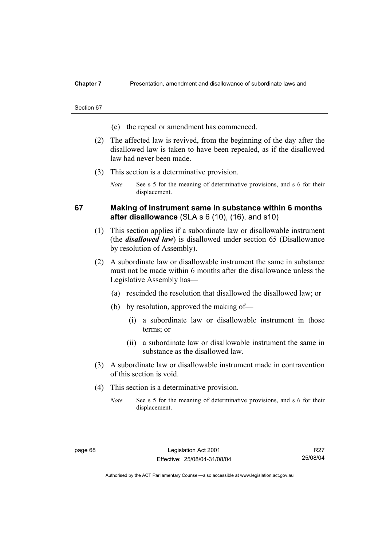### **Chapter 7** Presentation, amendment and disallowance of subordinate laws and

#### Section 67

- (c) the repeal or amendment has commenced.
- (2) The affected law is revived, from the beginning of the day after the disallowed law is taken to have been repealed, as if the disallowed law had never been made.
- (3) This section is a determinative provision.
	- *Note* See s 5 for the meaning of determinative provisions, and s 6 for their displacement.

# **67 Making of instrument same in substance within 6 months after disallowance** (SLA s 6 (10), (16), and s10)

- (1) This section applies if a subordinate law or disallowable instrument (the *disallowed law*) is disallowed under section 65 (Disallowance by resolution of Assembly).
- (2) A subordinate law or disallowable instrument the same in substance must not be made within 6 months after the disallowance unless the Legislative Assembly has—
	- (a) rescinded the resolution that disallowed the disallowed law; or
	- (b) by resolution, approved the making of—
		- (i) a subordinate law or disallowable instrument in those terms; or
		- (ii) a subordinate law or disallowable instrument the same in substance as the disallowed law.
- (3) A subordinate law or disallowable instrument made in contravention of this section is void.
- (4) This section is a determinative provision.
	- *Note* See s 5 for the meaning of determinative provisions, and s 6 for their displacement.

R27 25/08/04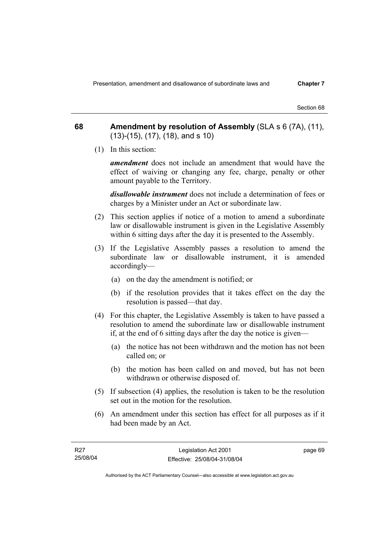Presentation, amendment and disallowance of subordinate laws and **Chapter 7** 

Section 68

**68 Amendment by resolution of Assembly** (SLA s 6 (7A), (11), (13)-(15), (17), (18), and s 10)

(1) In this section:

*amendment* does not include an amendment that would have the effect of waiving or changing any fee, charge, penalty or other amount payable to the Territory.

*disallowable instrument* does not include a determination of fees or charges by a Minister under an Act or subordinate law.

- (2) This section applies if notice of a motion to amend a subordinate law or disallowable instrument is given in the Legislative Assembly within 6 sitting days after the day it is presented to the Assembly.
- (3) If the Legislative Assembly passes a resolution to amend the subordinate law or disallowable instrument, it is amended accordingly—
	- (a) on the day the amendment is notified; or
	- (b) if the resolution provides that it takes effect on the day the resolution is passed—that day.
- (4) For this chapter, the Legislative Assembly is taken to have passed a resolution to amend the subordinate law or disallowable instrument if, at the end of 6 sitting days after the day the notice is given—
	- (a) the notice has not been withdrawn and the motion has not been called on; or
	- (b) the motion has been called on and moved, but has not been withdrawn or otherwise disposed of.
- (5) If subsection (4) applies, the resolution is taken to be the resolution set out in the motion for the resolution.
- (6) An amendment under this section has effect for all purposes as if it had been made by an Act.

page 69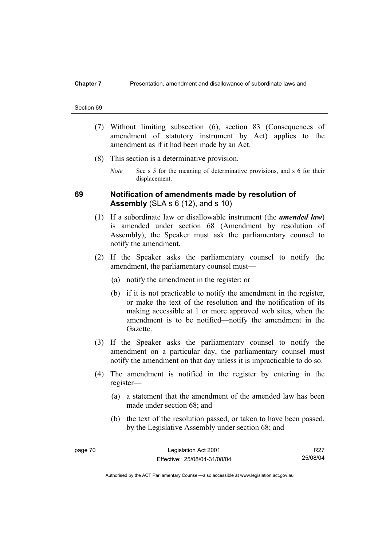### **Chapter 7** Presentation, amendment and disallowance of subordinate laws and

#### Section 69

- (7) Without limiting subsection (6), section 83 (Consequences of amendment of statutory instrument by Act) applies to the amendment as if it had been made by an Act.
- (8) This section is a determinative provision.
	- *Note* See s 5 for the meaning of determinative provisions, and s 6 for their displacement.

# **69 Notification of amendments made by resolution of Assembly** (SLA s 6 (12), and s 10)

- (1) If a subordinate law or disallowable instrument (the *amended law*) is amended under section 68 (Amendment by resolution of Assembly), the Speaker must ask the parliamentary counsel to notify the amendment.
- (2) If the Speaker asks the parliamentary counsel to notify the amendment, the parliamentary counsel must—
	- (a) notify the amendment in the register; or
	- (b) if it is not practicable to notify the amendment in the register, or make the text of the resolution and the notification of its making accessible at 1 or more approved web sites, when the amendment is to be notified—notify the amendment in the Gazette.
- (3) If the Speaker asks the parliamentary counsel to notify the amendment on a particular day, the parliamentary counsel must notify the amendment on that day unless it is impracticable to do so.
- (4) The amendment is notified in the register by entering in the register—
	- (a) a statement that the amendment of the amended law has been made under section 68; and
	- (b) the text of the resolution passed, or taken to have been passed, by the Legislative Assembly under section 68; and

R27 25/08/04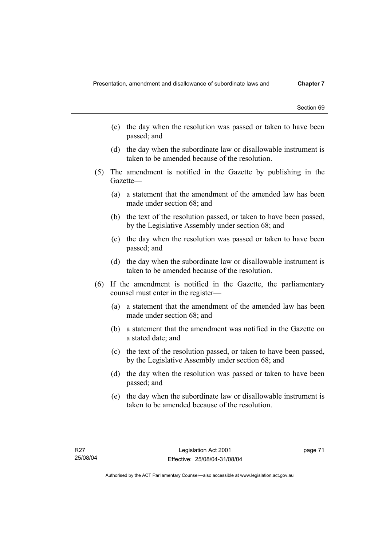- (c) the day when the resolution was passed or taken to have been passed; and
- (d) the day when the subordinate law or disallowable instrument is taken to be amended because of the resolution.
- (5) The amendment is notified in the Gazette by publishing in the Gazette—
	- (a) a statement that the amendment of the amended law has been made under section 68; and
	- (b) the text of the resolution passed, or taken to have been passed, by the Legislative Assembly under section 68; and
	- (c) the day when the resolution was passed or taken to have been passed; and
	- (d) the day when the subordinate law or disallowable instrument is taken to be amended because of the resolution.
- (6) If the amendment is notified in the Gazette, the parliamentary counsel must enter in the register—
	- (a) a statement that the amendment of the amended law has been made under section 68; and
	- (b) a statement that the amendment was notified in the Gazette on a stated date; and
	- (c) the text of the resolution passed, or taken to have been passed, by the Legislative Assembly under section 68; and
	- (d) the day when the resolution was passed or taken to have been passed; and
	- (e) the day when the subordinate law or disallowable instrument is taken to be amended because of the resolution.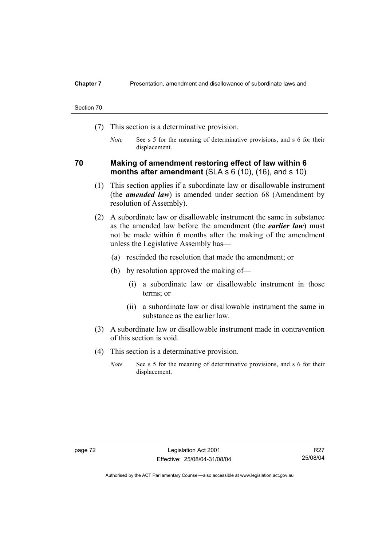### **Chapter 7** Presentation, amendment and disallowance of subordinate laws and

#### Section 70

- (7) This section is a determinative provision.
	- *Note* See s 5 for the meaning of determinative provisions, and s 6 for their displacement.

# **70 Making of amendment restoring effect of law within 6 months after amendment** (SLA s 6 (10), (16), and s 10)

- (1) This section applies if a subordinate law or disallowable instrument (the *amended law*) is amended under section 68 (Amendment by resolution of Assembly).
- (2) A subordinate law or disallowable instrument the same in substance as the amended law before the amendment (the *earlier law*) must not be made within 6 months after the making of the amendment unless the Legislative Assembly has—
	- (a) rescinded the resolution that made the amendment; or
	- (b) by resolution approved the making of—
		- (i) a subordinate law or disallowable instrument in those terms; or
		- (ii) a subordinate law or disallowable instrument the same in substance as the earlier law.
- (3) A subordinate law or disallowable instrument made in contravention of this section is void.
- (4) This section is a determinative provision.
	- *Note* See s 5 for the meaning of determinative provisions, and s 6 for their displacement.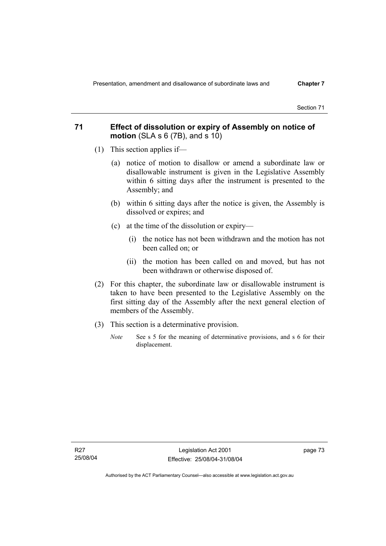# **71 Effect of dissolution or expiry of Assembly on notice of motion** (SLA s 6 (7B), and s 10)

- (1) This section applies if—
	- (a) notice of motion to disallow or amend a subordinate law or disallowable instrument is given in the Legislative Assembly within 6 sitting days after the instrument is presented to the Assembly; and
	- (b) within 6 sitting days after the notice is given, the Assembly is dissolved or expires; and
	- (c) at the time of the dissolution or expiry—
		- (i) the notice has not been withdrawn and the motion has not been called on; or
		- (ii) the motion has been called on and moved, but has not been withdrawn or otherwise disposed of.
- (2) For this chapter, the subordinate law or disallowable instrument is taken to have been presented to the Legislative Assembly on the first sitting day of the Assembly after the next general election of members of the Assembly.
- (3) This section is a determinative provision.
	- *Note* See s 5 for the meaning of determinative provisions, and s 6 for their displacement.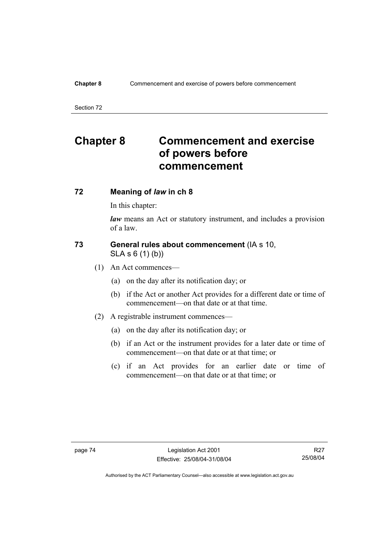## **Chapter 8** Commencement and exercise of powers before commencement

Section 72

# **Chapter 8 Commencement and exercise of powers before commencement**

# **72 Meaning of** *law* **in ch 8**

In this chapter:

*law* means an Act or statutory instrument, and includes a provision of a law.

# **73 General rules about commencement** (IA s 10, SLA s 6 (1) (b))

- (1) An Act commences—
	- (a) on the day after its notification day; or
	- (b) if the Act or another Act provides for a different date or time of commencement—on that date or at that time.
- (2) A registrable instrument commences—
	- (a) on the day after its notification day; or
	- (b) if an Act or the instrument provides for a later date or time of commencement—on that date or at that time; or
	- (c) if an Act provides for an earlier date or time of commencement—on that date or at that time; or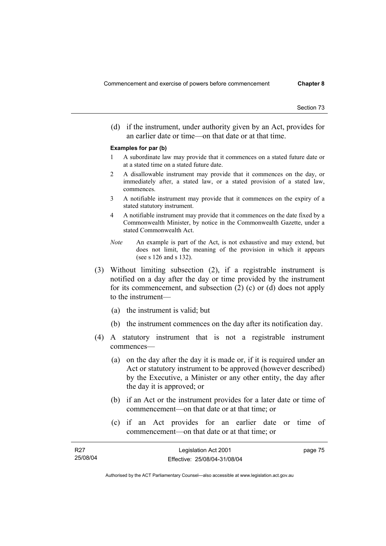(d) if the instrument, under authority given by an Act, provides for an earlier date or time—on that date or at that time.

#### **Examples for par (b)**

- 1 A subordinate law may provide that it commences on a stated future date or at a stated time on a stated future date.
- 2 A disallowable instrument may provide that it commences on the day, or immediately after, a stated law, or a stated provision of a stated law, commences.
- 3 A notifiable instrument may provide that it commences on the expiry of a stated statutory instrument.
- 4 A notifiable instrument may provide that it commences on the date fixed by a Commonwealth Minister, by notice in the Commonwealth Gazette, under a stated Commonwealth Act.
- *Note* An example is part of the Act, is not exhaustive and may extend, but does not limit, the meaning of the provision in which it appears (see s 126 and s 132).
- (3) Without limiting subsection (2), if a registrable instrument is notified on a day after the day or time provided by the instrument for its commencement, and subsection (2) (c) or (d) does not apply to the instrument—
	- (a) the instrument is valid; but
	- (b) the instrument commences on the day after its notification day.
- (4) A statutory instrument that is not a registrable instrument commences—
	- (a) on the day after the day it is made or, if it is required under an Act or statutory instrument to be approved (however described) by the Executive, a Minister or any other entity, the day after the day it is approved; or
	- (b) if an Act or the instrument provides for a later date or time of commencement—on that date or at that time; or
	- (c) if an Act provides for an earlier date or time of commencement—on that date or at that time; or

| R27      | Legislation Act 2001         | page 75 |
|----------|------------------------------|---------|
| 25/08/04 | Effective: 25/08/04-31/08/04 |         |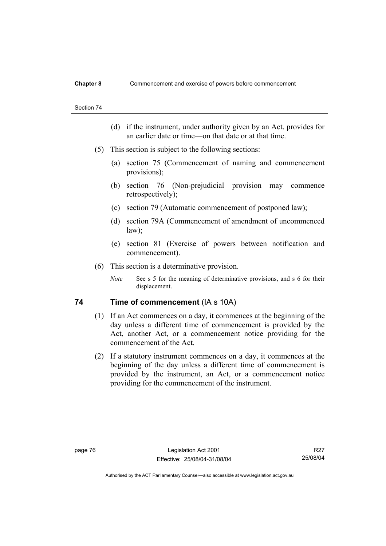- (d) if the instrument, under authority given by an Act, provides for an earlier date or time—on that date or at that time.
- (5) This section is subject to the following sections:
	- (a) section 75 (Commencement of naming and commencement provisions);
	- (b) section 76 (Non-prejudicial provision may commence retrospectively);
	- (c) section 79 (Automatic commencement of postponed law);
	- (d) section 79A (Commencement of amendment of uncommenced law);
	- (e) section 81 (Exercise of powers between notification and commencement).
- (6) This section is a determinative provision.
	- *Note* See s 5 for the meaning of determinative provisions, and s 6 for their displacement.

# **74** Time of commencement (IA s 10A)

- (1) If an Act commences on a day, it commences at the beginning of the day unless a different time of commencement is provided by the Act, another Act, or a commencement notice providing for the commencement of the Act.
- (2) If a statutory instrument commences on a day, it commences at the beginning of the day unless a different time of commencement is provided by the instrument, an Act, or a commencement notice providing for the commencement of the instrument.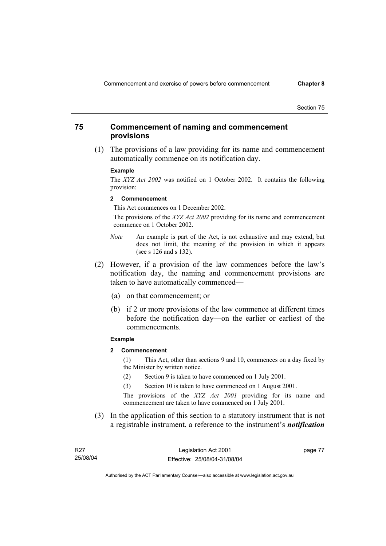# **75 Commencement of naming and commencement provisions**

 (1) The provisions of a law providing for its name and commencement automatically commence on its notification day.

#### **Example**

The *XYZ Act 2002* was notified on 1 October 2002. It contains the following provision:

#### **2 Commencement**

This Act commences on 1 December 2002.

 The provisions of the *XYZ Act 2002* providing for its name and commencement commence on 1 October 2002.

- *Note* An example is part of the Act, is not exhaustive and may extend, but does not limit, the meaning of the provision in which it appears (see s 126 and s 132).
- (2) However, if a provision of the law commences before the law's notification day, the naming and commencement provisions are taken to have automatically commenced—
	- (a) on that commencement; or
	- (b) if 2 or more provisions of the law commence at different times before the notification day—on the earlier or earliest of the commencements.

#### **Example**

**2 Commencement** 

(1) This Act, other than sections 9 and 10, commences on a day fixed by the Minister by written notice.

- (2) Section 9 is taken to have commenced on 1 July 2001.
- (3) Section 10 is taken to have commenced on 1 August 2001.

The provisions of the *XYZ Act 2001* providing for its name and commencement are taken to have commenced on 1 July 2001.

 (3) In the application of this section to a statutory instrument that is not a registrable instrument, a reference to the instrument's *notification* 

page 77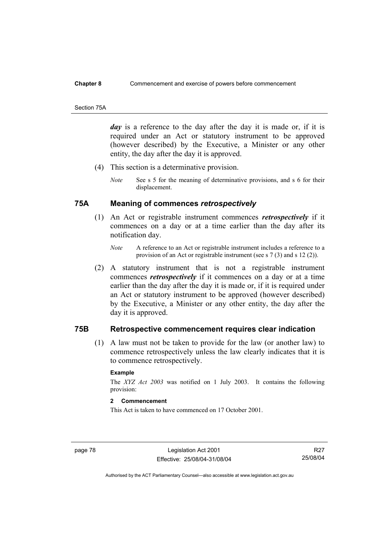#### **Chapter 8** Commencement and exercise of powers before commencement

#### Section 75A

*day* is a reference to the day after the day it is made or, if it is required under an Act or statutory instrument to be approved (however described) by the Executive, a Minister or any other entity, the day after the day it is approved.

- (4) This section is a determinative provision.
	- *Note* See s 5 for the meaning of determinative provisions, and s 6 for their displacement.

# **75A Meaning of commences** *retrospectively*

- (1) An Act or registrable instrument commences *retrospectively* if it commences on a day or at a time earlier than the day after its notification day.
	- *Note* A reference to an Act or registrable instrument includes a reference to a provision of an Act or registrable instrument (see s 7 (3) and s 12 (2)).
- (2) A statutory instrument that is not a registrable instrument commences *retrospectively* if it commences on a day or at a time earlier than the day after the day it is made or, if it is required under an Act or statutory instrument to be approved (however described) by the Executive, a Minister or any other entity, the day after the day it is approved.

# **75B Retrospective commencement requires clear indication**

 (1) A law must not be taken to provide for the law (or another law) to commence retrospectively unless the law clearly indicates that it is to commence retrospectively.

### **Example**

The *XYZ Act 2003* was notified on 1 July 2003. It contains the following provision:

## **2 Commencement**

This Act is taken to have commenced on 17 October 2001.

page 78 Legislation Act 2001 Effective: 25/08/04-31/08/04

R27 25/08/04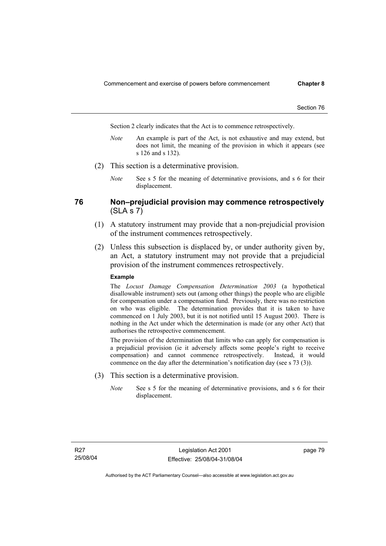Section 2 clearly indicates that the Act is to commence retrospectively.

- *Note* An example is part of the Act, is not exhaustive and may extend, but does not limit, the meaning of the provision in which it appears (see s 126 and s 132).
- (2) This section is a determinative provision.
	- *Note* See s 5 for the meaning of determinative provisions, and s 6 for their displacement.

# **76 Non–prejudicial provision may commence retrospectively**   $(SLA S 7)$

- (1) A statutory instrument may provide that a non-prejudicial provision of the instrument commences retrospectively.
- (2) Unless this subsection is displaced by, or under authority given by, an Act, a statutory instrument may not provide that a prejudicial provision of the instrument commences retrospectively.

### **Example**

The *Locust Damage Compensation Determination 2003* (a hypothetical disallowable instrument) sets out (among other things) the people who are eligible for compensation under a compensation fund. Previously, there was no restriction on who was eligible. The determination provides that it is taken to have commenced on 1 July 2003, but it is not notified until 15 August 2003. There is nothing in the Act under which the determination is made (or any other Act) that authorises the retrospective commencement.

The provision of the determination that limits who can apply for compensation is a prejudicial provision (ie it adversely affects some people's right to receive compensation) and cannot commence retrospectively. Instead, it would commence on the day after the determination's notification day (see s 73 (3)).

- (3) This section is a determinative provision.
	- *Note* See s 5 for the meaning of determinative provisions, and s 6 for their displacement.

page 79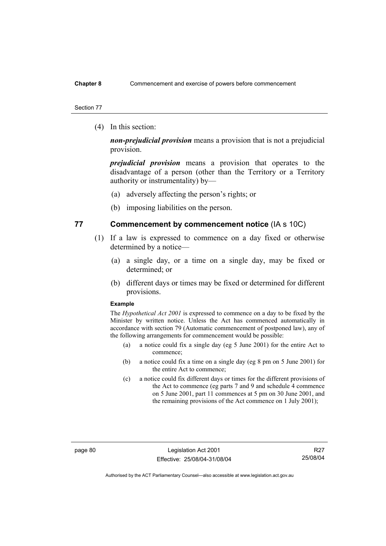#### **Chapter 8** Commencement and exercise of powers before commencement

#### Section 77

(4) In this section:

*non-prejudicial provision* means a provision that is not a prejudicial provision.

*prejudicial provision* means a provision that operates to the disadvantage of a person (other than the Territory or a Territory authority or instrumentality) by—

- (a) adversely affecting the person's rights; or
- (b) imposing liabilities on the person.

# **77 Commencement by commencement notice** (IA s 10C)

- (1) If a law is expressed to commence on a day fixed or otherwise determined by a notice—
	- (a) a single day, or a time on a single day, may be fixed or determined; or
	- (b) different days or times may be fixed or determined for different provisions.

#### **Example**

The *Hypothetical Act 2001* is expressed to commence on a day to be fixed by the Minister by written notice. Unless the Act has commenced automatically in accordance with section 79 (Automatic commencement of postponed law), any of the following arrangements for commencement would be possible:

- (a) a notice could fix a single day (eg 5 June 2001) for the entire Act to commence;
- (b) a notice could fix a time on a single day (eg 8 pm on 5 June 2001) for the entire Act to commence;
- (c) a notice could fix different days or times for the different provisions of the Act to commence (eg parts 7 and 9 and schedule 4 commence on 5 June 2001, part 11 commences at 5 pm on 30 June 2001, and the remaining provisions of the Act commence on 1 July 2001);

R27 25/08/04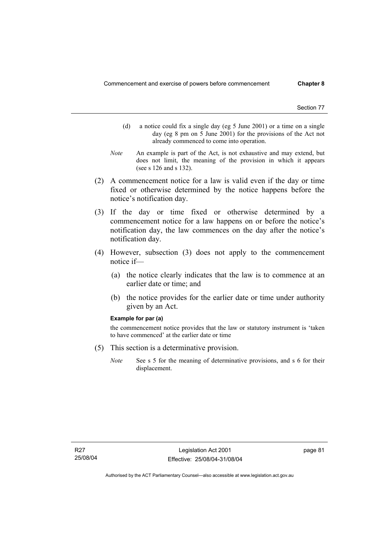- (d) a notice could fix a single day (eg 5 June 2001) or a time on a single day (eg 8 pm on 5 June 2001) for the provisions of the Act not already commenced to come into operation.
- *Note* An example is part of the Act, is not exhaustive and may extend, but does not limit, the meaning of the provision in which it appears (see s 126 and s 132).
- (2) A commencement notice for a law is valid even if the day or time fixed or otherwise determined by the notice happens before the notice's notification day.
- (3) If the day or time fixed or otherwise determined by a commencement notice for a law happens on or before the notice's notification day, the law commences on the day after the notice's notification day.
- (4) However, subsection (3) does not apply to the commencement notice if—
	- (a) the notice clearly indicates that the law is to commence at an earlier date or time; and
	- (b) the notice provides for the earlier date or time under authority given by an Act.

#### **Example for par (a)**

the commencement notice provides that the law or statutory instrument is 'taken to have commenced' at the earlier date or time

- (5) This section is a determinative provision.
	- *Note* See s 5 for the meaning of determinative provisions, and s 6 for their displacement.

page 81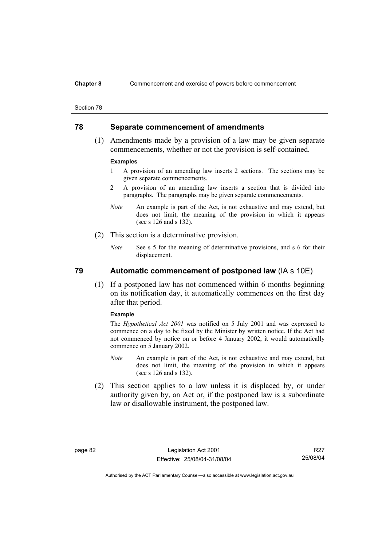#### **Chapter 8** Commencement and exercise of powers before commencement

#### Section 78

# **78 Separate commencement of amendments**

 (1) Amendments made by a provision of a law may be given separate commencements, whether or not the provision is self-contained.

#### **Examples**

- 1 A provision of an amending law inserts 2 sections. The sections may be given separate commencements.
- 2 A provision of an amending law inserts a section that is divided into paragraphs. The paragraphs may be given separate commencements.
- *Note* An example is part of the Act, is not exhaustive and may extend, but does not limit, the meaning of the provision in which it appears (see s 126 and s 132).
- (2) This section is a determinative provision.
	- *Note* See s 5 for the meaning of determinative provisions, and s 6 for their displacement.

# **79 Automatic commencement of postponed law** (IA s 10E)

 (1) If a postponed law has not commenced within 6 months beginning on its notification day, it automatically commences on the first day after that period.

#### **Example**

The *Hypothetical Act 2001* was notified on 5 July 2001 and was expressed to commence on a day to be fixed by the Minister by written notice. If the Act had not commenced by notice on or before 4 January 2002, it would automatically commence on 5 January 2002.

- *Note* An example is part of the Act, is not exhaustive and may extend, but does not limit, the meaning of the provision in which it appears (see s 126 and s 132).
- (2) This section applies to a law unless it is displaced by, or under authority given by, an Act or, if the postponed law is a subordinate law or disallowable instrument, the postponed law.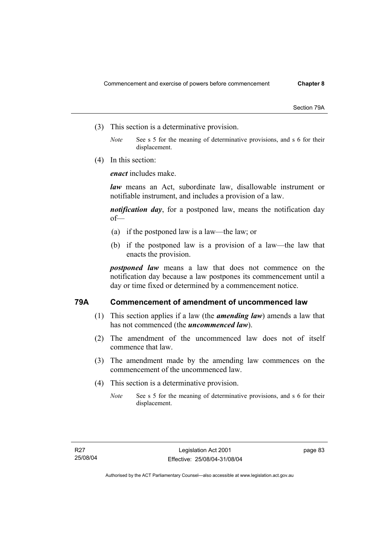Section 79A

- (3) This section is a determinative provision.
	- *Note* See s 5 for the meaning of determinative provisions, and s 6 for their displacement.
- (4) In this section:

*enact* includes make.

*law* means an Act, subordinate law, disallowable instrument or notifiable instrument, and includes a provision of a law.

*notification day*, for a postponed law, means the notification day of—

- (a) if the postponed law is a law—the law; or
- (b) if the postponed law is a provision of a law—the law that enacts the provision.

*postponed law* means a law that does not commence on the notification day because a law postpones its commencement until a day or time fixed or determined by a commencement notice.

# **79A Commencement of amendment of uncommenced law**

- (1) This section applies if a law (the *amending law*) amends a law that has not commenced (the *uncommenced law*).
- (2) The amendment of the uncommenced law does not of itself commence that law.
- (3) The amendment made by the amending law commences on the commencement of the uncommenced law.
- (4) This section is a determinative provision.
	- *Note* See s 5 for the meaning of determinative provisions, and s 6 for their displacement.

page 83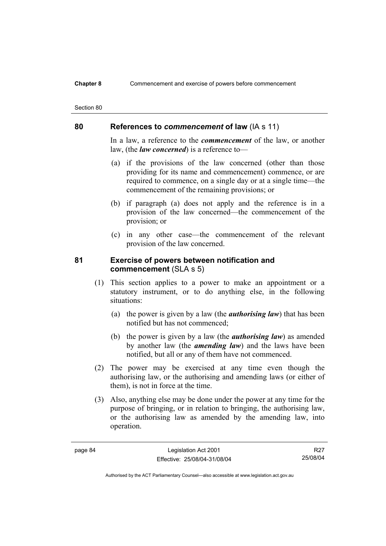#### **Chapter 8** Commencement and exercise of powers before commencement

# **80 References to** *commencement* **of law** (IA s 11)

In a law, a reference to the *commencement* of the law, or another law, (the *law concerned*) is a reference to—

- (a) if the provisions of the law concerned (other than those providing for its name and commencement) commence, or are required to commence, on a single day or at a single time—the commencement of the remaining provisions; or
- (b) if paragraph (a) does not apply and the reference is in a provision of the law concerned—the commencement of the provision; or
- (c) in any other case—the commencement of the relevant provision of the law concerned.

# **81 Exercise of powers between notification and commencement** (SLA s 5)

- (1) This section applies to a power to make an appointment or a statutory instrument, or to do anything else, in the following situations:
	- (a) the power is given by a law (the *authorising law*) that has been notified but has not commenced;
	- (b) the power is given by a law (the *authorising law*) as amended by another law (the *amending law*) and the laws have been notified, but all or any of them have not commenced.
- (2) The power may be exercised at any time even though the authorising law, or the authorising and amending laws (or either of them), is not in force at the time.
- (3) Also, anything else may be done under the power at any time for the purpose of bringing, or in relation to bringing, the authorising law, or the authorising law as amended by the amending law, into operation.

R27 25/08/04

Section 80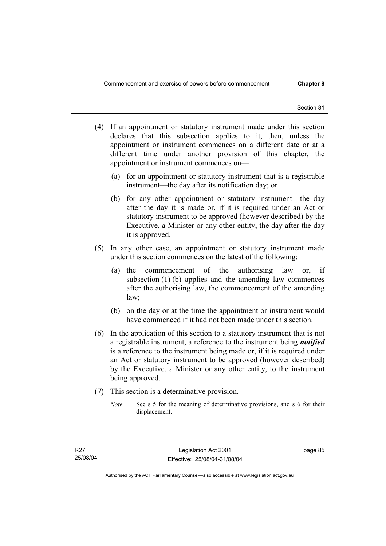- (4) If an appointment or statutory instrument made under this section declares that this subsection applies to it, then, unless the appointment or instrument commences on a different date or at a different time under another provision of this chapter, the appointment or instrument commences on—
	- (a) for an appointment or statutory instrument that is a registrable instrument—the day after its notification day; or
	- (b) for any other appointment or statutory instrument—the day after the day it is made or, if it is required under an Act or statutory instrument to be approved (however described) by the Executive, a Minister or any other entity, the day after the day it is approved.
- (5) In any other case, an appointment or statutory instrument made under this section commences on the latest of the following:
	- (a) the commencement of the authorising law or, if subsection (1) (b) applies and the amending law commences after the authorising law, the commencement of the amending law;
	- (b) on the day or at the time the appointment or instrument would have commenced if it had not been made under this section.
- (6) In the application of this section to a statutory instrument that is not a registrable instrument, a reference to the instrument being *notified*  is a reference to the instrument being made or, if it is required under an Act or statutory instrument to be approved (however described) by the Executive, a Minister or any other entity, to the instrument being approved.
- (7) This section is a determinative provision.
	- *Note* See s 5 for the meaning of determinative provisions, and s 6 for their displacement.

page 85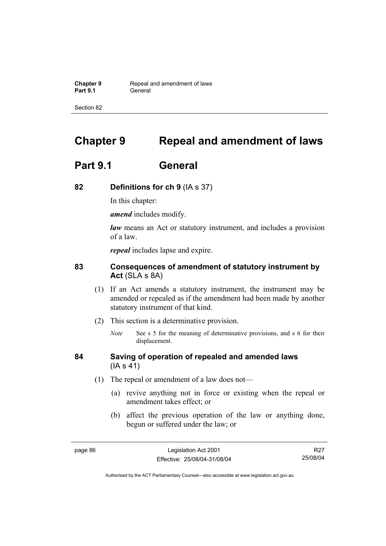**Chapter 9 Repeal and amendment of laws**<br>**Part 9.1 General** General

Section 82

# **Chapter 9 Repeal and amendment of laws**

# **Part 9.1 General**

# **82 Definitions for ch 9** (IA s 37)

In this chapter:

*amend* includes modify.

*law* means an Act or statutory instrument, and includes a provision of a law.

*repeal* includes lapse and expire.

# **83 Consequences of amendment of statutory instrument by Act** (SLA s 8A)

- (1) If an Act amends a statutory instrument, the instrument may be amended or repealed as if the amendment had been made by another statutory instrument of that kind.
- (2) This section is a determinative provision.
	- *Note* See s 5 for the meaning of determinative provisions, and s 6 for their displacement.

# **84 Saving of operation of repealed and amended laws** (IA s 41)

- (1) The repeal or amendment of a law does not—
	- (a) revive anything not in force or existing when the repeal or amendment takes effect; or
	- (b) affect the previous operation of the law or anything done, begun or suffered under the law; or

R27 25/08/04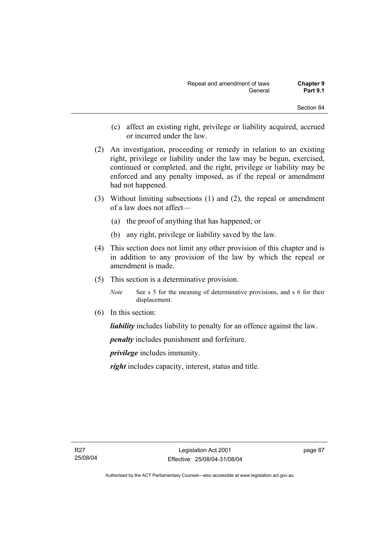- (c) affect an existing right, privilege or liability acquired, accrued or incurred under the law.
- (2) An investigation, proceeding or remedy in relation to an existing right, privilege or liability under the law may be begun, exercised, continued or completed, and the right, privilege or liability may be enforced and any penalty imposed, as if the repeal or amendment had not happened.
- (3) Without limiting subsections (1) and (2), the repeal or amendment of a law does not affect—
	- (a) the proof of anything that has happened; or
	- (b) any right, privilege or liability saved by the law.
- (4) This section does not limit any other provision of this chapter and is in addition to any provision of the law by which the repeal or amendment is made.
- (5) This section is a determinative provision.
	- *Note* See s 5 for the meaning of determinative provisions, and s 6 for their displacement.
- (6) In this section:

*liability* includes liability to penalty for an offence against the law.

*penalty* includes punishment and forfeiture.

*privilege* includes immunity.

*right* includes capacity, interest, status and title.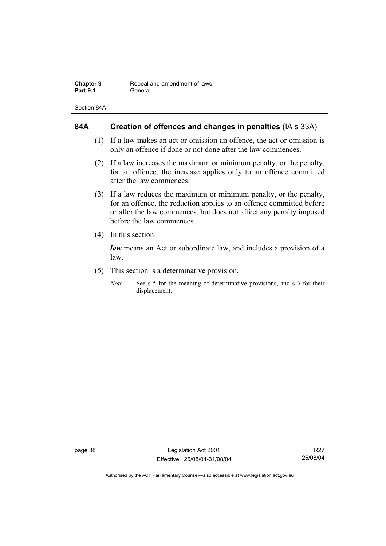| Chapter 9       | Repeal and amendment of laws |
|-----------------|------------------------------|
| <b>Part 9.1</b> | General                      |

Section 84A

# **84A Creation of offences and changes in penalties** (IA s 33A)

- (1) If a law makes an act or omission an offence, the act or omission is only an offence if done or not done after the law commences.
- (2) If a law increases the maximum or minimum penalty, or the penalty, for an offence, the increase applies only to an offence committed after the law commences.
- (3) If a law reduces the maximum or minimum penalty, or the penalty, for an offence, the reduction applies to an offence committed before or after the law commences, but does not affect any penalty imposed before the law commences.
- (4) In this section:

*law* means an Act or subordinate law, and includes a provision of a law.

- (5) This section is a determinative provision.
	- *Note* See s 5 for the meaning of determinative provisions, and s 6 for their displacement.

page 88 Legislation Act 2001 Effective: 25/08/04-31/08/04

R27 25/08/04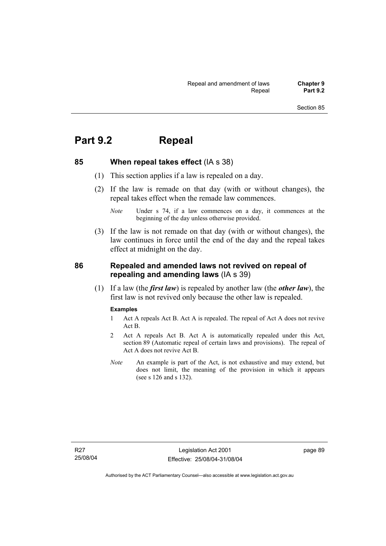# **Part 9.2 Repeal**

**85 When repeal takes effect** (IA s 38)

- (1) This section applies if a law is repealed on a day.
- (2) If the law is remade on that day (with or without changes), the repeal takes effect when the remade law commences.

 (3) If the law is not remade on that day (with or without changes), the law continues in force until the end of the day and the repeal takes effect at midnight on the day.

# **86 Repealed and amended laws not revived on repeal of repealing and amending laws** (IA s 39)

 (1) If a law (the *first law*) is repealed by another law (the *other law*), the first law is not revived only because the other law is repealed.

## **Examples**

- 1 Act A repeals Act B. Act A is repealed. The repeal of Act A does not revive Act B.
- 2 Act A repeals Act B. Act A is automatically repealed under this Act, section 89 (Automatic repeal of certain laws and provisions). The repeal of Act A does not revive Act B.
- *Note* An example is part of the Act, is not exhaustive and may extend, but does not limit, the meaning of the provision in which it appears (see s 126 and s 132).

page 89

*Note* Under s 74, if a law commences on a day, it commences at the beginning of the day unless otherwise provided.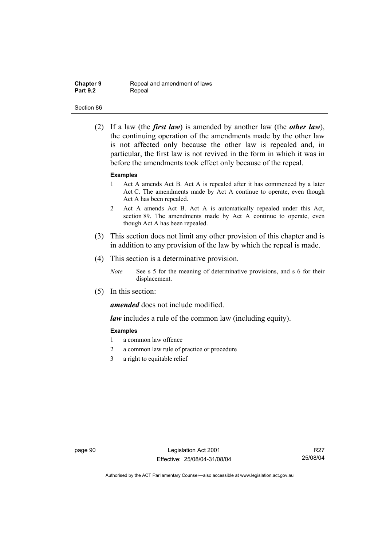| <b>Chapter 9</b> |  |
|------------------|--|
| <b>Part 9.2</b>  |  |

**Repeal and amendment of laws** Repeal

#### Section 86

 (2) If a law (the *first law*) is amended by another law (the *other law*), the continuing operation of the amendments made by the other law is not affected only because the other law is repealed and, in particular, the first law is not revived in the form in which it was in before the amendments took effect only because of the repeal.

#### **Examples**

- 1 Act A amends Act B. Act A is repealed after it has commenced by a later Act C. The amendments made by Act A continue to operate, even though Act A has been repealed.
- 2 Act A amends Act B. Act A is automatically repealed under this Act, section 89. The amendments made by Act A continue to operate, even though Act A has been repealed.
- (3) This section does not limit any other provision of this chapter and is in addition to any provision of the law by which the repeal is made.
- (4) This section is a determinative provision.
	- *Note* See s 5 for the meaning of determinative provisions, and s 6 for their displacement.
- (5) In this section:

*amended* does not include modified.

*law* includes a rule of the common law (including equity).

#### **Examples**

- 1 a common law offence
- 2 a common law rule of practice or procedure
- 3 a right to equitable relief

page 90 Legislation Act 2001 Effective: 25/08/04-31/08/04

R27 25/08/04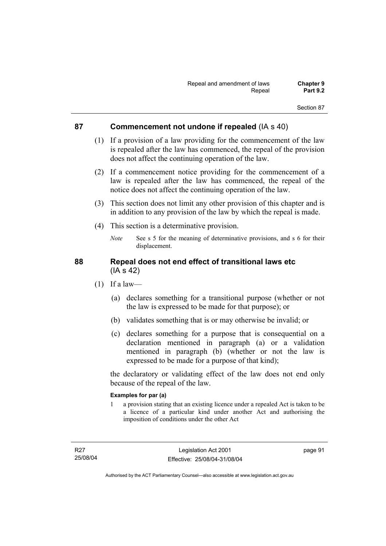# **87 Commencement not undone if repealed** (IA s 40)

- (1) If a provision of a law providing for the commencement of the law is repealed after the law has commenced, the repeal of the provision does not affect the continuing operation of the law.
- (2) If a commencement notice providing for the commencement of a law is repealed after the law has commenced, the repeal of the notice does not affect the continuing operation of the law.
- (3) This section does not limit any other provision of this chapter and is in addition to any provision of the law by which the repeal is made.
- (4) This section is a determinative provision.
	- *Note* See s 5 for the meaning of determinative provisions, and s 6 for their displacement.

# **88 Repeal does not end effect of transitional laws etc**  (IA s 42)

- $(1)$  If a law—
	- (a) declares something for a transitional purpose (whether or not the law is expressed to be made for that purpose); or
	- (b) validates something that is or may otherwise be invalid; or
	- (c) declares something for a purpose that is consequential on a declaration mentioned in paragraph (a) or a validation mentioned in paragraph (b) (whether or not the law is expressed to be made for a purpose of that kind);

the declaratory or validating effect of the law does not end only because of the repeal of the law.

## **Examples for par (a)**

1 a provision stating that an existing licence under a repealed Act is taken to be a licence of a particular kind under another Act and authorising the imposition of conditions under the other Act

page 91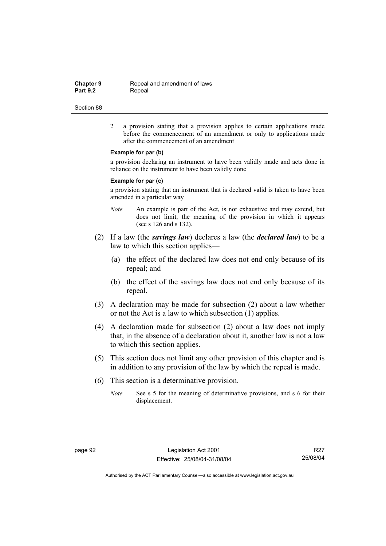**Chapter 9 Repeal and amendment of laws**<br>**Part 9.2 Repeal** Repeal

#### Section 88

2 a provision stating that a provision applies to certain applications made before the commencement of an amendment or only to applications made after the commencement of an amendment

#### **Example for par (b)**

a provision declaring an instrument to have been validly made and acts done in reliance on the instrument to have been validly done

#### **Example for par (c)**

a provision stating that an instrument that is declared valid is taken to have been amended in a particular way

- *Note* An example is part of the Act, is not exhaustive and may extend, but does not limit, the meaning of the provision in which it appears (see s 126 and s 132).
- (2) If a law (the *savings law*) declares a law (the *declared law*) to be a law to which this section applies—
	- (a) the effect of the declared law does not end only because of its repeal; and
	- (b) the effect of the savings law does not end only because of its repeal.
- (3) A declaration may be made for subsection (2) about a law whether or not the Act is a law to which subsection (1) applies.
- (4) A declaration made for subsection (2) about a law does not imply that, in the absence of a declaration about it, another law is not a law to which this section applies.
- (5) This section does not limit any other provision of this chapter and is in addition to any provision of the law by which the repeal is made.
- (6) This section is a determinative provision.
	- *Note* See s 5 for the meaning of determinative provisions, and s 6 for their displacement.

R27 25/08/04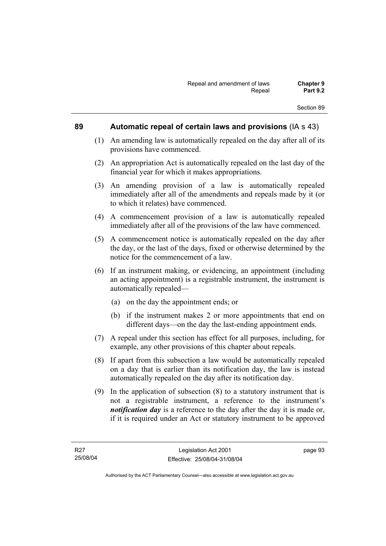## **89 Automatic repeal of certain laws and provisions** (IA s 43)

- (1) An amending law is automatically repealed on the day after all of its provisions have commenced.
- (2) An appropriation Act is automatically repealed on the last day of the financial year for which it makes appropriations.
- (3) An amending provision of a law is automatically repealed immediately after all of the amendments and repeals made by it (or to which it relates) have commenced.
- (4) A commencement provision of a law is automatically repealed immediately after all of the provisions of the law have commenced.
- (5) A commencement notice is automatically repealed on the day after the day, or the last of the days, fixed or otherwise determined by the notice for the commencement of a law.
- (6) If an instrument making, or evidencing, an appointment (including an acting appointment) is a registrable instrument, the instrument is automatically repealed—
	- (a) on the day the appointment ends; or
	- (b) if the instrument makes 2 or more appointments that end on different days—on the day the last-ending appointment ends.
- (7) A repeal under this section has effect for all purposes, including, for example, any other provisions of this chapter about repeals.
- (8) If apart from this subsection a law would be automatically repealed on a day that is earlier than its notification day, the law is instead automatically repealed on the day after its notification day.
- (9) In the application of subsection (8) to a statutory instrument that is not a registrable instrument, a reference to the instrument's *notification day* is a reference to the day after the day it is made or, if it is required under an Act or statutory instrument to be approved

page 93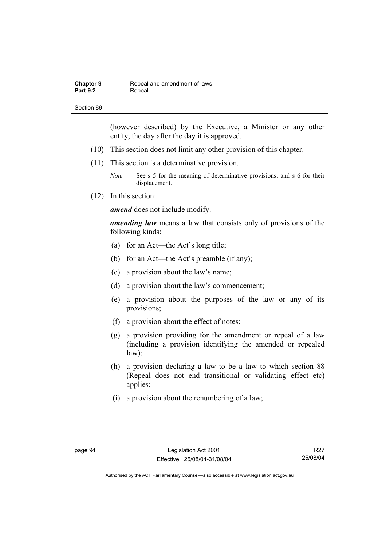| <b>Chapter 9</b> | Repeal and amendment of laws |
|------------------|------------------------------|
| <b>Part 9.2</b>  | Repeal                       |

(however described) by the Executive, a Minister or any other entity, the day after the day it is approved.

- (10) This section does not limit any other provision of this chapter.
- (11) This section is a determinative provision.

*Note* See s 5 for the meaning of determinative provisions, and s 6 for their displacement.

(12) In this section:

*amend* does not include modify.

*amending law* means a law that consists only of provisions of the following kinds:

- (a) for an Act—the Act's long title;
- (b) for an Act—the Act's preamble (if any);
- (c) a provision about the law's name;
- (d) a provision about the law's commencement;
- (e) a provision about the purposes of the law or any of its provisions;
- (f) a provision about the effect of notes;
- (g) a provision providing for the amendment or repeal of a law (including a provision identifying the amended or repealed law);
- (h) a provision declaring a law to be a law to which section 88 (Repeal does not end transitional or validating effect etc) applies;
- (i) a provision about the renumbering of a law;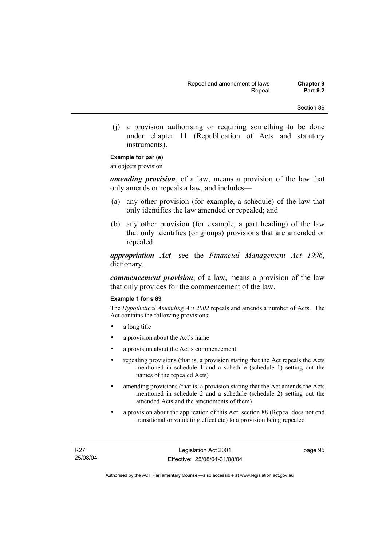(j) a provision authorising or requiring something to be done under chapter 11 (Republication of Acts and statutory instruments).

## **Example for par (e)**

an objects provision

*amending provision*, of a law, means a provision of the law that only amends or repeals a law, and includes—

- (a) any other provision (for example, a schedule) of the law that only identifies the law amended or repealed; and
- (b) any other provision (for example, a part heading) of the law that only identifies (or groups) provisions that are amended or repealed.

*appropriation Act*—see the *Financial Management Act 1996*, dictionary.

*commencement provision*, of a law, means a provision of the law that only provides for the commencement of the law.

#### **Example 1 for s 89**

The *Hypothetical Amending Act 2002* repeals and amends a number of Acts. The Act contains the following provisions:

- a long title
- a provision about the Act's name
- a provision about the Act's commencement
- repealing provisions (that is, a provision stating that the Act repeals the Acts mentioned in schedule 1 and a schedule (schedule 1) setting out the names of the repealed Acts)
- amending provisions (that is, a provision stating that the Act amends the Acts mentioned in schedule 2 and a schedule (schedule 2) setting out the amended Acts and the amendments of them)
- a provision about the application of this Act, section 88 (Repeal does not end transitional or validating effect etc) to a provision being repealed

page 95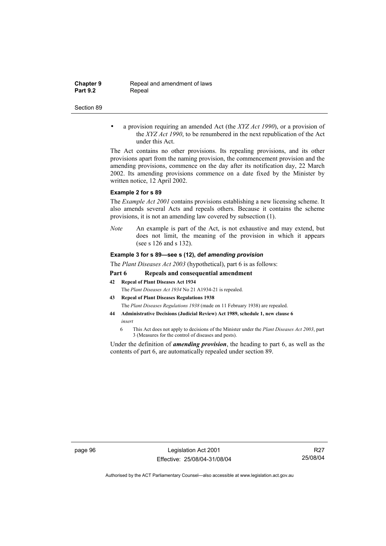**Chapter 9 Repeal and amendment of laws**<br>**Part 9.2 Repeal Repeal** 

#### Section 89

• a provision requiring an amended Act (the *XYZ Act 1990*), or a provision of the *XYZ Act 1990*, to be renumbered in the next republication of the Act under this Act.

The Act contains no other provisions. Its repealing provisions, and its other provisions apart from the naming provision, the commencement provision and the amending provisions, commence on the day after its notification day, 22 March 2002. Its amending provisions commence on a date fixed by the Minister by written notice, 12 April 2002.

#### **Example 2 for s 89**

The *Example Act 2001* contains provisions establishing a new licensing scheme. It also amends several Acts and repeals others. Because it contains the scheme provisions, it is not an amending law covered by subsection (1).

*Note* An example is part of the Act, is not exhaustive and may extend, but does not limit, the meaning of the provision in which it appears (see s 126 and s 132).

#### **Example 3 for s 89—see s (12), def** *amending provision*

The *Plant Diseases Act 2003* (hypothetical), part 6 is as follows:

### **Part 6 Repeals and consequential amendment**

- **42 Repeal of Plant Diseases Act 1934** The *Plant Diseases Act 1934* No 21 A1934-21 is repealed.
- **43 Repeal of Plant Diseases Regulations 1938**
- The *Plant Diseases Regulations 1938* (made on 11 February 1938) are repealed.
- **44 Administrative Decisions (Judicial Review) Act 1989, schedule 1, new clause 6**  *insert* 
	- 6 This Act does not apply to decisions of the Minister under the *Plant Diseases Act 2003*, part 3 (Measures for the control of diseases and pests).

Under the definition of *amending provision*, the heading to part 6, as well as the contents of part 6, are automatically repealed under section 89.

page 96 Legislation Act 2001 Effective: 25/08/04-31/08/04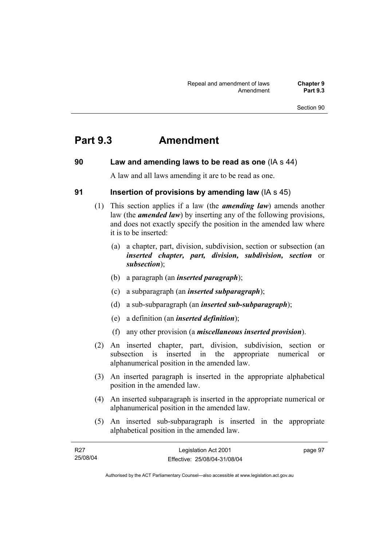# **Part 9.3 Amendment**

# **90 Law and amending laws to be read as one** (IA s 44)

A law and all laws amending it are to be read as one.

## **91 Insertion of provisions by amending law** (IA s 45)

- (1) This section applies if a law (the *amending law*) amends another law (the *amended law*) by inserting any of the following provisions, and does not exactly specify the position in the amended law where it is to be inserted:
	- (a) a chapter, part, division, subdivision, section or subsection (an *inserted chapter, part, division, subdivision, section* or *subsection*);
	- (b) a paragraph (an *inserted paragraph*);
	- (c) a subparagraph (an *inserted subparagraph*);
	- (d) a sub-subparagraph (an *inserted sub-subparagraph*);
	- (e) a definition (an *inserted definition*);
	- (f) any other provision (a *miscellaneous inserted provision*).
- (2) An inserted chapter, part, division, subdivision, section or subsection is inserted in the appropriate numerical or alphanumerical position in the amended law.
- (3) An inserted paragraph is inserted in the appropriate alphabetical position in the amended law.
- (4) An inserted subparagraph is inserted in the appropriate numerical or alphanumerical position in the amended law.
- (5) An inserted sub-subparagraph is inserted in the appropriate alphabetical position in the amended law.

| R27      | Legislation Act 2001         | page 97 |
|----------|------------------------------|---------|
| 25/08/04 | Effective: 25/08/04-31/08/04 |         |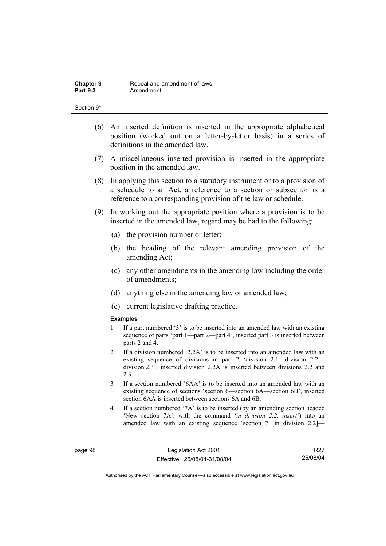- (6) An inserted definition is inserted in the appropriate alphabetical position (worked out on a letter-by-letter basis) in a series of definitions in the amended law.
- (7) A miscellaneous inserted provision is inserted in the appropriate position in the amended law.
- (8) In applying this section to a statutory instrument or to a provision of a schedule to an Act, a reference to a section or subsection is a reference to a corresponding provision of the law or schedule.
- (9) In working out the appropriate position where a provision is to be inserted in the amended law, regard may be had to the following:
	- (a) the provision number or letter;
	- (b) the heading of the relevant amending provision of the amending Act;
	- (c) any other amendments in the amending law including the order of amendments;
	- (d) anything else in the amending law or amended law;
	- (e) current legislative drafting practice.

#### **Examples**

- 1 If a part numbered '3' is to be inserted into an amended law with an existing sequence of parts 'part 1—part 2—part 4', inserted part 3 is inserted between parts 2 and 4.
- 2 If a division numbered '2.2A' is to be inserted into an amended law with an existing sequence of divisions in part 2 'division 2.1—division 2.2 division 2.3', inserted division 2.2A is inserted between divisions 2.2 and 2.3.
- 3 If a section numbered '6AA' is to be inserted into an amended law with an existing sequence of sections 'section 6—section 6A—section 6B', inserted section 6AA is inserted between sections 6A and 6B.
- 4 If a section numbered '7A' is to be inserted (by an amending section headed 'New section 7A', with the command '*in division 2.2, insert*') into an amended law with an existing sequence 'section 7 [in division 2.2]—

R27 25/08/04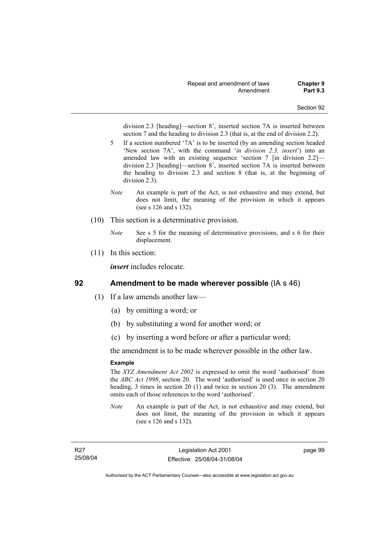division 2.3 [heading]—section 8', inserted section 7A is inserted between section 7 and the heading to division 2.3 (that is, at the end of division 2.2).

- 5 If a section numbered '7A' is to be inserted (by an amending section headed 'New section 7A', with the command '*in division 2.3, insert*') into an amended law with an existing sequence 'section 7 [in division 2.2] division 2.3 [heading]—section 8', inserted section 7A is inserted between the heading to division 2.3 and section 8 (that is, at the beginning of division 2.3).
- *Note* An example is part of the Act, is not exhaustive and may extend, but does not limit, the meaning of the provision in which it appears (see s 126 and s 132).
- (10) This section is a determinative provision.
	- *Note* See s 5 for the meaning of determinative provisions, and s 6 for their displacement.
- (11) In this section:

*insert* includes relocate.

## **92 Amendment to be made wherever possible** (IA s 46)

- (1) If a law amends another law—
	- (a) by omitting a word; or
	- (b) by substituting a word for another word; or
	- (c) by inserting a word before or after a particular word;

the amendment is to be made wherever possible in the other law.

### **Example**

The *XYZ Amendment Act 2002* is expressed to omit the word 'authorised' from the *ABC Act 1998*, section 20. The word 'authorised' is used once in section 20 heading, 3 times in section 20 (1) and twice in section 20 (3). The amendment omits each of those references to the word 'authorised'.

*Note* An example is part of the Act, is not exhaustive and may extend, but does not limit, the meaning of the provision in which it appears (see s 126 and s 132).

R27 25/08/04 page 99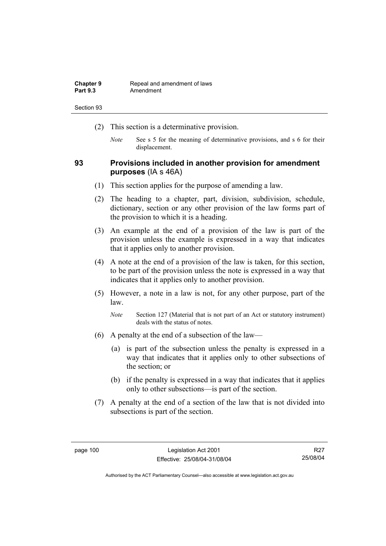| <b>Chapter 9</b> | Repeal and amendment of laws |
|------------------|------------------------------|
| <b>Part 9.3</b>  | Amendment                    |

- (2) This section is a determinative provision.
	- *Note* See s 5 for the meaning of determinative provisions, and s 6 for their displacement.

## **93 Provisions included in another provision for amendment purposes** (IA s 46A)

- (1) This section applies for the purpose of amending a law.
- (2) The heading to a chapter, part, division, subdivision, schedule, dictionary, section or any other provision of the law forms part of the provision to which it is a heading.
- (3) An example at the end of a provision of the law is part of the provision unless the example is expressed in a way that indicates that it applies only to another provision.
- (4) A note at the end of a provision of the law is taken, for this section, to be part of the provision unless the note is expressed in a way that indicates that it applies only to another provision.
- (5) However, a note in a law is not, for any other purpose, part of the law.

- (6) A penalty at the end of a subsection of the law—
	- (a) is part of the subsection unless the penalty is expressed in a way that indicates that it applies only to other subsections of the section; or
	- (b) if the penalty is expressed in a way that indicates that it applies only to other subsections—is part of the section.
- (7) A penalty at the end of a section of the law that is not divided into subsections is part of the section.

*Note* Section 127 (Material that is not part of an Act or statutory instrument) deals with the status of notes.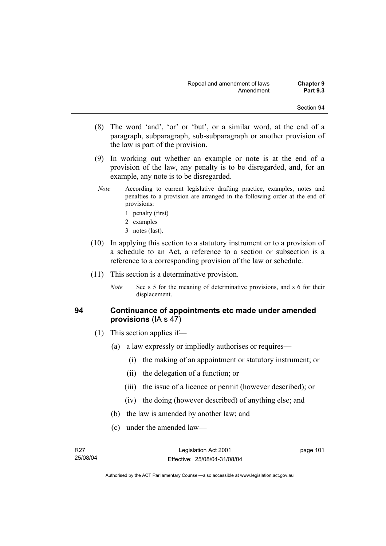- (8) The word 'and', 'or' or 'but', or a similar word, at the end of a paragraph, subparagraph, sub-subparagraph or another provision of the law is part of the provision.
- (9) In working out whether an example or note is at the end of a provision of the law, any penalty is to be disregarded, and, for an example, any note is to be disregarded.
- *Note* According to current legislative drafting practice, examples, notes and penalties to a provision are arranged in the following order at the end of provisions:
	- 1 penalty (first)
	- 2 examples
	- 3 notes (last).
- (10) In applying this section to a statutory instrument or to a provision of a schedule to an Act, a reference to a section or subsection is a reference to a corresponding provision of the law or schedule.
- (11) This section is a determinative provision.
	- *Note* See s 5 for the meaning of determinative provisions, and s 6 for their displacement.

## **94 Continuance of appointments etc made under amended provisions** (IA s 47)

- (1) This section applies if—
	- (a) a law expressly or impliedly authorises or requires—
		- (i) the making of an appointment or statutory instrument; or
		- (ii) the delegation of a function; or
		- (iii) the issue of a licence or permit (however described); or
		- (iv) the doing (however described) of anything else; and
	- (b) the law is amended by another law; and
	- (c) under the amended law—

page 101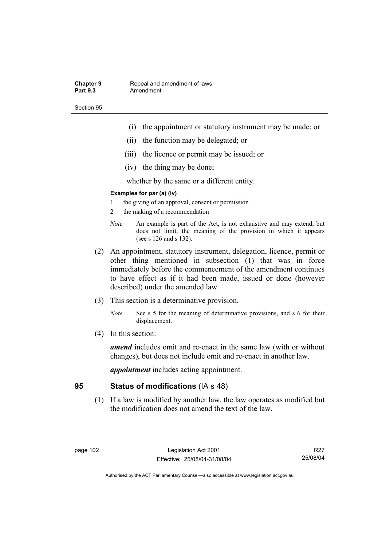### **Chapter 9 Repeal and amendment of laws**<br>**Part 9.3 Amendment** Amendment

Section 95

- (i) the appointment or statutory instrument may be made; or
- (ii) the function may be delegated; or
- (iii) the licence or permit may be issued; or
- (iv) the thing may be done;

whether by the same or a different entity.

### **Examples for par (a) (iv)**

- 1 the giving of an approval, consent or permission
- 2 the making of a recommendation
- *Note* An example is part of the Act, is not exhaustive and may extend, but does not limit, the meaning of the provision in which it appears (see s 126 and s 132).
- (2) An appointment, statutory instrument, delegation, licence, permit or other thing mentioned in subsection (1) that was in force immediately before the commencement of the amendment continues to have effect as if it had been made, issued or done (however described) under the amended law.
- (3) This section is a determinative provision.
	- *Note* See s 5 for the meaning of determinative provisions, and s 6 for their displacement.
- (4) In this section:

*amend* includes omit and re-enact in the same law (with or without changes), but does not include omit and re-enact in another law.

*appointment* includes acting appointment.

## **95 Status of modifications** (IA s 48)

 (1) If a law is modified by another law, the law operates as modified but the modification does not amend the text of the law.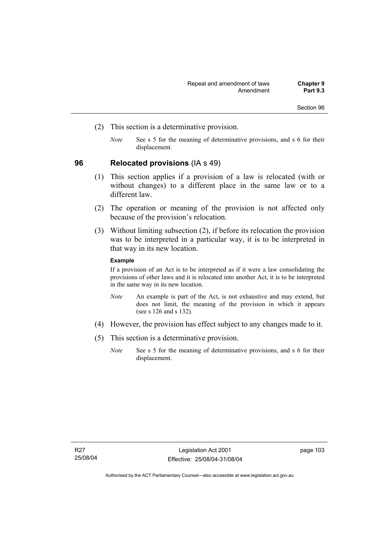- (2) This section is a determinative provision.
	- *Note* See s 5 for the meaning of determinative provisions, and s 6 for their displacement.

## **96 Relocated provisions** (IA s 49)

- (1) This section applies if a provision of a law is relocated (with or without changes) to a different place in the same law or to a different law.
- (2) The operation or meaning of the provision is not affected only because of the provision's relocation.
- (3) Without limiting subsection (2), if before its relocation the provision was to be interpreted in a particular way, it is to be interpreted in that way in its new location.

### **Example**

If a provision of an Act is to be interpreted as if it were a law consolidating the provisions of other laws and it is relocated into another Act, it is to be interpreted in the same way in its new location.

- *Note* An example is part of the Act, is not exhaustive and may extend, but does not limit, the meaning of the provision in which it appears (see s 126 and s 132).
- (4) However, the provision has effect subject to any changes made to it.
- (5) This section is a determinative provision.
	- *Note* See s 5 for the meaning of determinative provisions, and s 6 for their displacement.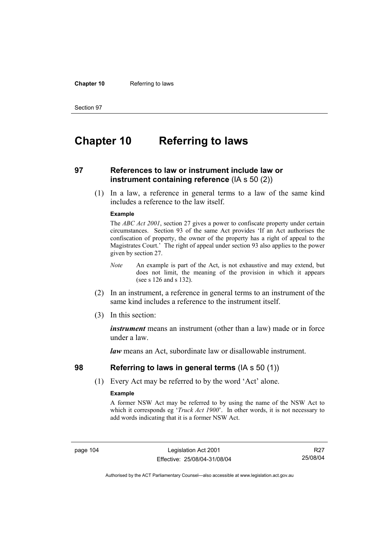#### **Chapter 10** Referring to laws

Section 97

# **Chapter 10 Referring to laws**

## **97 References to law or instrument include law or instrument containing reference** (IA s 50 (2))

 (1) In a law, a reference in general terms to a law of the same kind includes a reference to the law itself.

#### **Example**

The *ABC Act 2001*, section 27 gives a power to confiscate property under certain circumstances. Section 93 of the same Act provides 'If an Act authorises the confiscation of property, the owner of the property has a right of appeal to the Magistrates Court.' The right of appeal under section 93 also applies to the power given by section 27.

- *Note* An example is part of the Act, is not exhaustive and may extend, but does not limit, the meaning of the provision in which it appears (see s 126 and s 132).
- (2) In an instrument, a reference in general terms to an instrument of the same kind includes a reference to the instrument itself.
- (3) In this section:

*instrument* means an instrument (other than a law) made or in force under a law.

*law* means an Act, subordinate law or disallowable instrument.

## **98 Referring to laws in general terms** (IA s 50 (1))

(1) Every Act may be referred to by the word 'Act' alone.

## **Example**

A former NSW Act may be referred to by using the name of the NSW Act to which it corresponds eg '*Truck Act 1900*'. In other words, it is not necessary to add words indicating that it is a former NSW Act.

page 104 Legislation Act 2001 Effective: 25/08/04-31/08/04

R27 25/08/04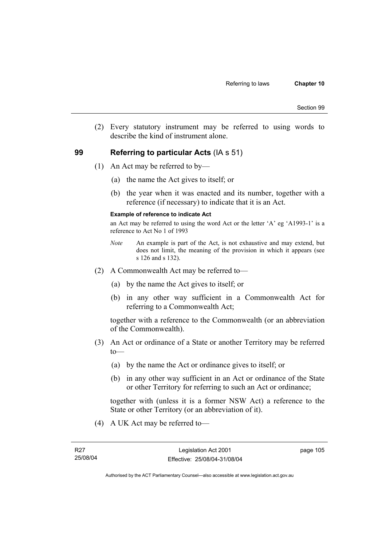(2) Every statutory instrument may be referred to using words to describe the kind of instrument alone.

## **99 Referring to particular Acts** (IA s 51)

- (1) An Act may be referred to by—
	- (a) the name the Act gives to itself; or
	- (b) the year when it was enacted and its number, together with a reference (if necessary) to indicate that it is an Act.

### **Example of reference to indicate Act**

an Act may be referred to using the word Act or the letter 'A' eg 'A1993-1' is a reference to Act No 1 of 1993

- *Note* An example is part of the Act, is not exhaustive and may extend, but does not limit, the meaning of the provision in which it appears (see s 126 and s 132).
- (2) A Commonwealth Act may be referred to—
	- (a) by the name the Act gives to itself; or
	- (b) in any other way sufficient in a Commonwealth Act for referring to a Commonwealth Act;

together with a reference to the Commonwealth (or an abbreviation of the Commonwealth).

- (3) An Act or ordinance of a State or another Territory may be referred to—
	- (a) by the name the Act or ordinance gives to itself; or
	- (b) in any other way sufficient in an Act or ordinance of the State or other Territory for referring to such an Act or ordinance;

together with (unless it is a former NSW Act) a reference to the State or other Territory (or an abbreviation of it).

(4) A UK Act may be referred to—

page 105

Authorised by the ACT Parliamentary Counsel—also accessible at www.legislation.act.gov.au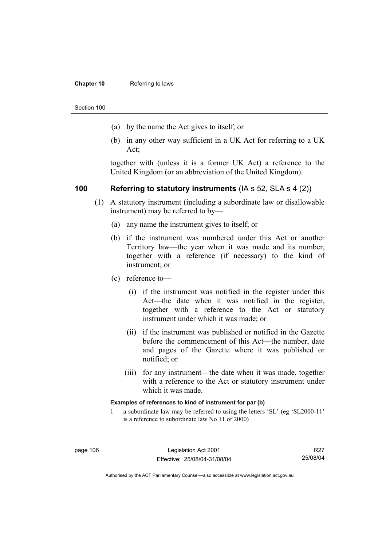#### **Chapter 10** Referring to laws

Section 100

- (a) by the name the Act gives to itself; or
- (b) in any other way sufficient in a UK Act for referring to a UK Act;

together with (unless it is a former UK Act) a reference to the United Kingdom (or an abbreviation of the United Kingdom).

## **100 Referring to statutory instruments** (IA s 52, SLA s 4 (2))

- (1) A statutory instrument (including a subordinate law or disallowable instrument) may be referred to by—
	- (a) any name the instrument gives to itself; or
	- (b) if the instrument was numbered under this Act or another Territory law—the year when it was made and its number, together with a reference (if necessary) to the kind of instrument; or
	- (c) reference to—
		- (i) if the instrument was notified in the register under this Act—the date when it was notified in the register, together with a reference to the Act or statutory instrument under which it was made; or
		- (ii) if the instrument was published or notified in the Gazette before the commencement of this Act—the number, date and pages of the Gazette where it was published or notified; or
		- (iii) for any instrument—the date when it was made, together with a reference to the Act or statutory instrument under which it was made.

### **Examples of references to kind of instrument for par (b)**

1 a subordinate law may be referred to using the letters 'SL' (eg 'SL2000-11' is a reference to subordinate law No 11 of 2000)

R27 25/08/04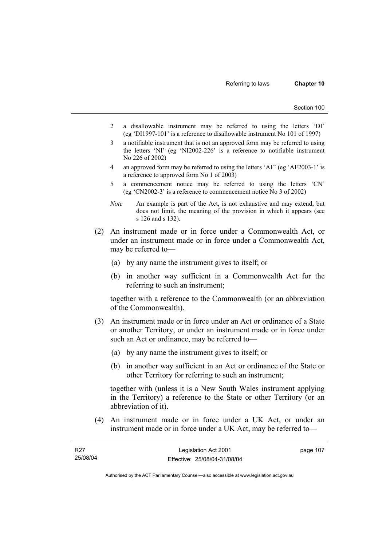- 2 a disallowable instrument may be referred to using the letters 'DI' (eg 'DI1997-101' is a reference to disallowable instrument No 101 of 1997)
- 3 a notifiable instrument that is not an approved form may be referred to using the letters 'NI' (eg 'NI2002-226' is a reference to notifiable instrument No 226 of 2002)
- 4 an approved form may be referred to using the letters 'AF' (eg 'AF2003-1' is a reference to approved form No 1 of 2003)
- 5 a commencement notice may be referred to using the letters 'CN' (eg 'CN2002-3' is a reference to commencement notice No 3 of 2002)
- *Note* An example is part of the Act, is not exhaustive and may extend, but does not limit, the meaning of the provision in which it appears (see s 126 and s 132).
- (2) An instrument made or in force under a Commonwealth Act, or under an instrument made or in force under a Commonwealth Act, may be referred to—
	- (a) by any name the instrument gives to itself; or
	- (b) in another way sufficient in a Commonwealth Act for the referring to such an instrument;

together with a reference to the Commonwealth (or an abbreviation of the Commonwealth).

- (3) An instrument made or in force under an Act or ordinance of a State or another Territory, or under an instrument made or in force under such an Act or ordinance, may be referred to—
	- (a) by any name the instrument gives to itself; or
	- (b) in another way sufficient in an Act or ordinance of the State or other Territory for referring to such an instrument;

together with (unless it is a New South Wales instrument applying in the Territory) a reference to the State or other Territory (or an abbreviation of it).

 (4) An instrument made or in force under a UK Act, or under an instrument made or in force under a UK Act, may be referred to—

| R27      | Legislation Act 2001         | page 107 |
|----------|------------------------------|----------|
| 25/08/04 | Effective: 25/08/04-31/08/04 |          |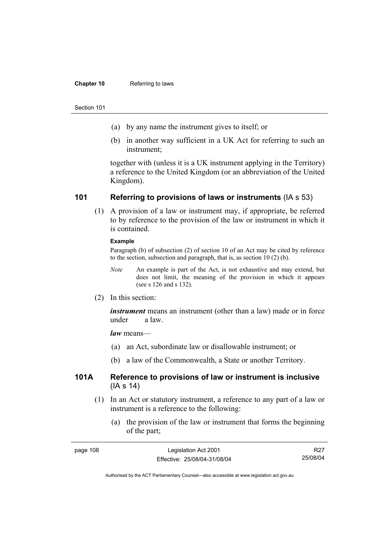#### **Chapter 10** Referring to laws

#### Section 101

- (a) by any name the instrument gives to itself; or
- (b) in another way sufficient in a UK Act for referring to such an instrument;

together with (unless it is a UK instrument applying in the Territory) a reference to the United Kingdom (or an abbreviation of the United Kingdom).

## **101 Referring to provisions of laws or instruments** (IA s 53)

 (1) A provision of a law or instrument may, if appropriate, be referred to by reference to the provision of the law or instrument in which it is contained.

### **Example**

Paragraph (b) of subsection (2) of section 10 of an Act may be cited by reference to the section, subsection and paragraph, that is, as section 10 (2) (b).

- *Note* An example is part of the Act, is not exhaustive and may extend, but does not limit, the meaning of the provision in which it appears (see s 126 and s 132).
- (2) In this section:

*instrument* means an instrument (other than a law) made or in force under a law.

*law* means—

- (a) an Act, subordinate law or disallowable instrument; or
- (b) a law of the Commonwealth, a State or another Territory.

## **101A Reference to provisions of law or instrument is inclusive**  (IA s 14)

- (1) In an Act or statutory instrument, a reference to any part of a law or instrument is a reference to the following:
	- (a) the provision of the law or instrument that forms the beginning of the part;

| page 108 | Legislation Act 2001         | R <sub>27</sub> |
|----------|------------------------------|-----------------|
|          | Effective: 25/08/04-31/08/04 | 25/08/04        |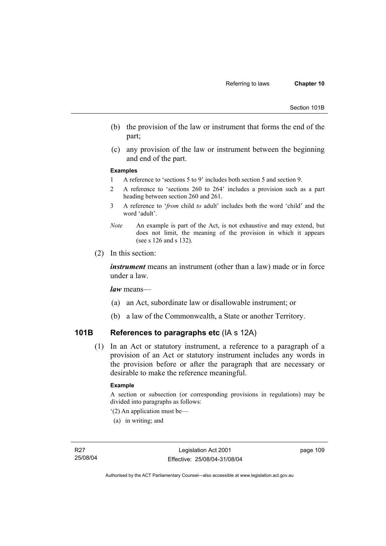Section 101B

- (b) the provision of the law or instrument that forms the end of the part;
- (c) any provision of the law or instrument between the beginning and end of the part.

#### **Examples**

- 1 A reference to 'sections 5 to 9' includes both section 5 and section 9.
- 2 A reference to 'sections 260 to 264' includes a provision such as a part heading between section 260 and 261.
- 3 A reference to '*from* child *to* adult' includes both the word 'child' and the word 'adult'.
- *Note* An example is part of the Act, is not exhaustive and may extend, but does not limit, the meaning of the provision in which it appears (see s 126 and s 132).
- (2) In this section:

*instrument* means an instrument (other than a law) made or in force under a law.

*law* means—

- (a) an Act, subordinate law or disallowable instrument; or
- (b) a law of the Commonwealth, a State or another Territory.

## **101B References to paragraphs etc** (IA s 12A)

 (1) In an Act or statutory instrument, a reference to a paragraph of a provision of an Act or statutory instrument includes any words in the provision before or after the paragraph that are necessary or desirable to make the reference meaningful.

#### **Example**

A section or subsection (or corresponding provisions in regulations) may be divided into paragraphs as follows:

- '(2) An application must be—
- (a) in writing; and

page 109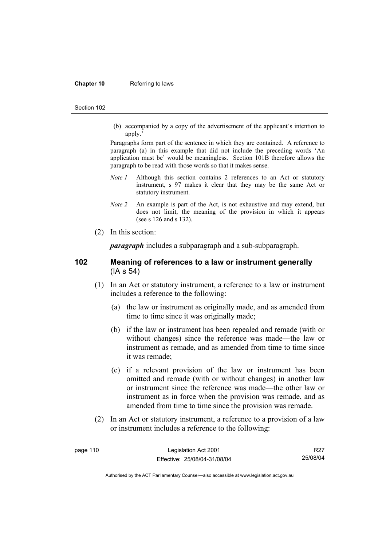#### **Chapter 10** Referring to laws

#### Section 102

 (b) accompanied by a copy of the advertisement of the applicant's intention to apply.'

Paragraphs form part of the sentence in which they are contained. A reference to paragraph (a) in this example that did not include the preceding words 'An application must be' would be meaningless. Section 101B therefore allows the paragraph to be read with those words so that it makes sense.

- *Note 1* Although this section contains 2 references to an Act or statutory instrument, s 97 makes it clear that they may be the same Act or statutory instrument.
- *Note 2* An example is part of the Act, is not exhaustive and may extend, but does not limit, the meaning of the provision in which it appears (see s 126 and s 132).
- (2) In this section:

*paragraph* includes a subparagraph and a sub-subparagraph.

## **102 Meaning of references to a law or instrument generally**  (IA s 54)

- (1) In an Act or statutory instrument, a reference to a law or instrument includes a reference to the following:
	- (a) the law or instrument as originally made, and as amended from time to time since it was originally made;
	- (b) if the law or instrument has been repealed and remade (with or without changes) since the reference was made—the law or instrument as remade, and as amended from time to time since it was remade;
	- (c) if a relevant provision of the law or instrument has been omitted and remade (with or without changes) in another law or instrument since the reference was made—the other law or instrument as in force when the provision was remade, and as amended from time to time since the provision was remade.
- (2) In an Act or statutory instrument, a reference to a provision of a law or instrument includes a reference to the following:

R27 25/08/04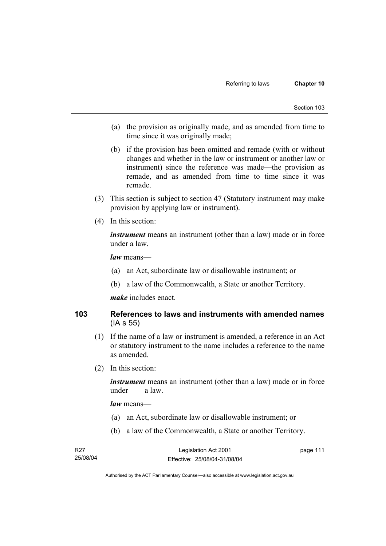- (a) the provision as originally made, and as amended from time to time since it was originally made;
- (b) if the provision has been omitted and remade (with or without changes and whether in the law or instrument or another law or instrument) since the reference was made—the provision as remade, and as amended from time to time since it was remade.
- (3) This section is subject to section 47 (Statutory instrument may make provision by applying law or instrument).
- (4) In this section:

*instrument* means an instrument (other than a law) made or in force under a law.

*law* means—

- (a) an Act, subordinate law or disallowable instrument; or
- (b) a law of the Commonwealth, a State or another Territory.

*make* includes enact.

## **103 References to laws and instruments with amended names**  (IA s 55)

- (1) If the name of a law or instrument is amended, a reference in an Act or statutory instrument to the name includes a reference to the name as amended.
- (2) In this section:

*instrument* means an instrument (other than a law) made or in force under a law.

*law* means—

- (a) an Act, subordinate law or disallowable instrument; or
- (b) a law of the Commonwealth, a State or another Territory.

| R27      | Legislation Act 2001         | page 111 |
|----------|------------------------------|----------|
| 25/08/04 | Effective: 25/08/04-31/08/04 |          |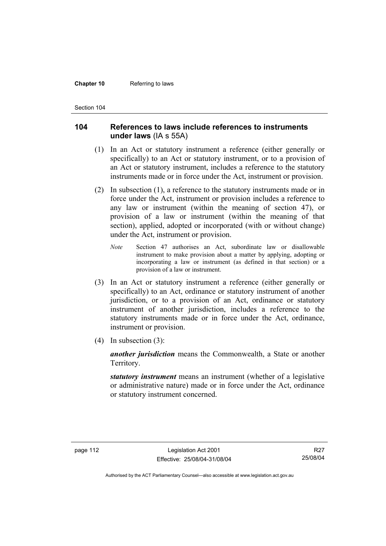#### **Chapter 10** Referring to laws

Section 104

## **104 References to laws include references to instruments under laws** (IA s 55A)

- (1) In an Act or statutory instrument a reference (either generally or specifically) to an Act or statutory instrument, or to a provision of an Act or statutory instrument, includes a reference to the statutory instruments made or in force under the Act, instrument or provision.
- (2) In subsection (1), a reference to the statutory instruments made or in force under the Act, instrument or provision includes a reference to any law or instrument (within the meaning of section 47), or provision of a law or instrument (within the meaning of that section), applied, adopted or incorporated (with or without change) under the Act, instrument or provision.
	- *Note* Section 47 authorises an Act, subordinate law or disallowable instrument to make provision about a matter by applying, adopting or incorporating a law or instrument (as defined in that section) or a provision of a law or instrument.
- (3) In an Act or statutory instrument a reference (either generally or specifically) to an Act, ordinance or statutory instrument of another jurisdiction, or to a provision of an Act, ordinance or statutory instrument of another jurisdiction, includes a reference to the statutory instruments made or in force under the Act, ordinance, instrument or provision.
- (4) In subsection (3):

*another jurisdiction* means the Commonwealth, a State or another Territory.

*statutory instrument* means an instrument (whether of a legislative or administrative nature) made or in force under the Act, ordinance or statutory instrument concerned.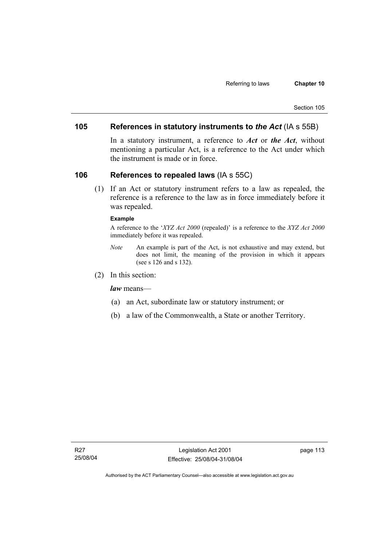## **105 References in statutory instruments to** *the Act* (IA s 55B)

In a statutory instrument, a reference to *Act* or *the Act*, without mentioning a particular Act, is a reference to the Act under which the instrument is made or in force.

## **106 References to repealed laws** (IA s 55C)

 (1) If an Act or statutory instrument refers to a law as repealed, the reference is a reference to the law as in force immediately before it was repealed.

### **Example**

A reference to the '*XYZ Act 2000* (repealed)' is a reference to the *XYZ Act 2000* immediately before it was repealed.

- *Note* An example is part of the Act, is not exhaustive and may extend, but does not limit, the meaning of the provision in which it appears (see s 126 and s 132).
- (2) In this section:

*law* means—

- (a) an Act, subordinate law or statutory instrument; or
- (b) a law of the Commonwealth, a State or another Territory.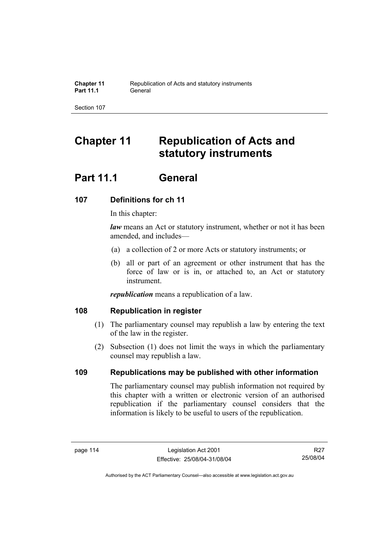# **Chapter 11 Republication of Acts and statutory instruments**

# **Part 11.1 General**

# **107 Definitions for ch 11**

In this chapter:

*law* means an Act or statutory instrument, whether or not it has been amended, and includes—

- (a) a collection of 2 or more Acts or statutory instruments; or
- (b) all or part of an agreement or other instrument that has the force of law or is in, or attached to, an Act or statutory instrument.

*republication* means a republication of a law.

## **108 Republication in register**

- (1) The parliamentary counsel may republish a law by entering the text of the law in the register.
- (2) Subsection (1) does not limit the ways in which the parliamentary counsel may republish a law.

# **109 Republications may be published with other information**

The parliamentary counsel may publish information not required by this chapter with a written or electronic version of an authorised republication if the parliamentary counsel considers that the information is likely to be useful to users of the republication.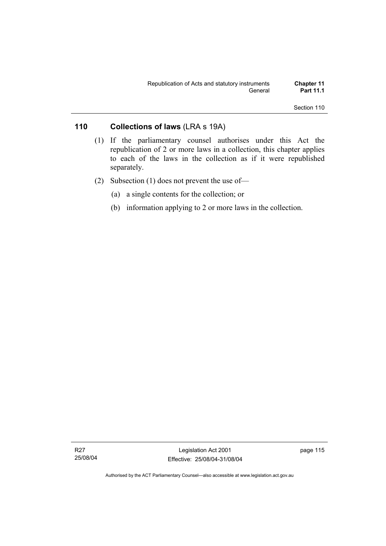## **110 Collections of laws** (LRA s 19A)

- (1) If the parliamentary counsel authorises under this Act the republication of 2 or more laws in a collection, this chapter applies to each of the laws in the collection as if it were republished separately.
- (2) Subsection (1) does not prevent the use of—
	- (a) a single contents for the collection; or
	- (b) information applying to 2 or more laws in the collection.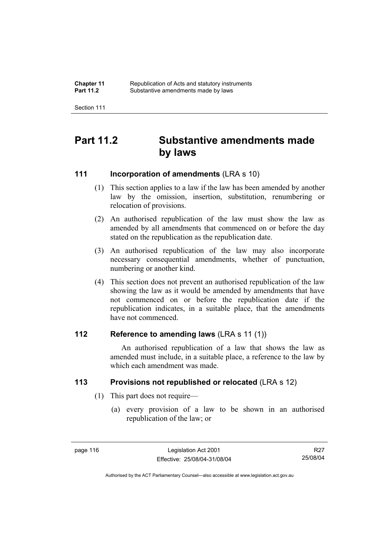| <b>Chapter 11</b> | Republication of Acts and statutory instruments |
|-------------------|-------------------------------------------------|
| <b>Part 11.2</b>  | Substantive amendments made by laws             |

# **Part 11.2 Substantive amendments made by laws**

## **111 Incorporation of amendments** (LRA s 10)

- (1) This section applies to a law if the law has been amended by another law by the omission, insertion, substitution, renumbering or relocation of provisions.
- (2) An authorised republication of the law must show the law as amended by all amendments that commenced on or before the day stated on the republication as the republication date.
- (3) An authorised republication of the law may also incorporate necessary consequential amendments, whether of punctuation, numbering or another kind.
- (4) This section does not prevent an authorised republication of the law showing the law as it would be amended by amendments that have not commenced on or before the republication date if the republication indicates, in a suitable place, that the amendments have not commenced.

## **112 Reference to amending laws** (LRA s 11 (1))

 An authorised republication of a law that shows the law as amended must include, in a suitable place, a reference to the law by which each amendment was made.

## **113 Provisions not republished or relocated** (LRA s 12)

- (1) This part does not require—
	- (a) every provision of a law to be shown in an authorised republication of the law; or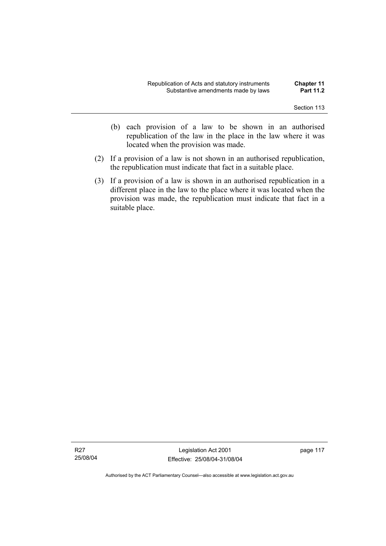- (b) each provision of a law to be shown in an authorised republication of the law in the place in the law where it was located when the provision was made.
- (2) If a provision of a law is not shown in an authorised republication, the republication must indicate that fact in a suitable place.
- (3) If a provision of a law is shown in an authorised republication in a different place in the law to the place where it was located when the provision was made, the republication must indicate that fact in a suitable place.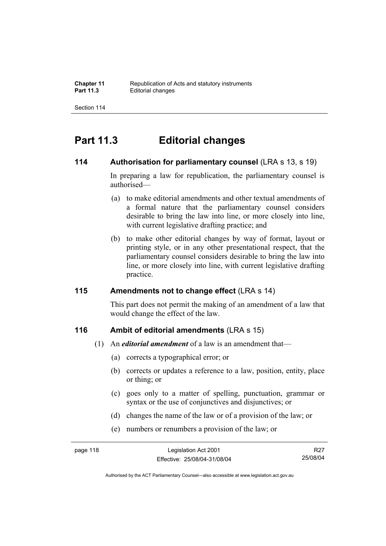# **Part 11.3 Editorial changes**

## **114** Authorisation for parliamentary counsel (LRA s 13, s 19)

In preparing a law for republication, the parliamentary counsel is authorised—

- (a) to make editorial amendments and other textual amendments of a formal nature that the parliamentary counsel considers desirable to bring the law into line, or more closely into line, with current legislative drafting practice; and
- (b) to make other editorial changes by way of format, layout or printing style, or in any other presentational respect, that the parliamentary counsel considers desirable to bring the law into line, or more closely into line, with current legislative drafting practice.

## **115 Amendments not to change effect** (LRA s 14)

This part does not permit the making of an amendment of a law that would change the effect of the law.

## **116 Ambit of editorial amendments** (LRA s 15)

- (1) An *editorial amendment* of a law is an amendment that—
	- (a) corrects a typographical error; or
	- (b) corrects or updates a reference to a law, position, entity, place or thing; or
	- (c) goes only to a matter of spelling, punctuation, grammar or syntax or the use of conjunctives and disjunctives; or
	- (d) changes the name of the law or of a provision of the law; or
	- (e) numbers or renumbers a provision of the law; or

R27 25/08/04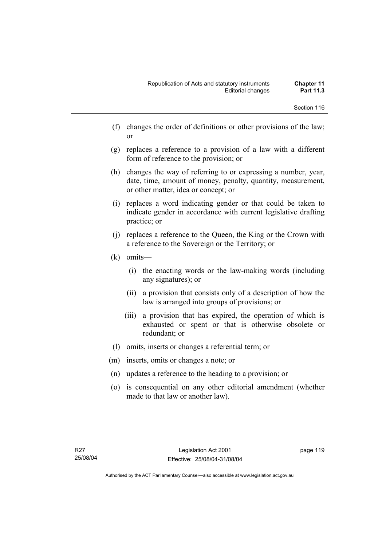- (f) changes the order of definitions or other provisions of the law; or
- (g) replaces a reference to a provision of a law with a different form of reference to the provision; or
- (h) changes the way of referring to or expressing a number, year, date, time, amount of money, penalty, quantity, measurement, or other matter, idea or concept; or
- (i) replaces a word indicating gender or that could be taken to indicate gender in accordance with current legislative drafting practice; or
- (j) replaces a reference to the Queen, the King or the Crown with a reference to the Sovereign or the Territory; or
- (k) omits—
	- (i) the enacting words or the law-making words (including any signatures); or
	- (ii) a provision that consists only of a description of how the law is arranged into groups of provisions; or
	- (iii) a provision that has expired, the operation of which is exhausted or spent or that is otherwise obsolete or redundant; or
- (l) omits, inserts or changes a referential term; or
- (m) inserts, omits or changes a note; or
- (n) updates a reference to the heading to a provision; or
- (o) is consequential on any other editorial amendment (whether made to that law or another law).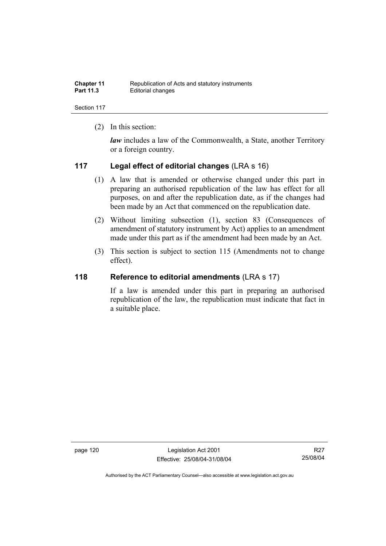| <b>Chapter 11</b> | Republication of Acts and statutory instruments |
|-------------------|-------------------------------------------------|
| <b>Part 11.3</b>  | Editorial changes                               |

(2) In this section:

*law* includes a law of the Commonwealth, a State, another Territory or a foreign country.

## **117 Legal effect of editorial changes** (LRA s 16)

- (1) A law that is amended or otherwise changed under this part in preparing an authorised republication of the law has effect for all purposes, on and after the republication date, as if the changes had been made by an Act that commenced on the republication date.
- (2) Without limiting subsection (1), section 83 (Consequences of amendment of statutory instrument by Act) applies to an amendment made under this part as if the amendment had been made by an Act.
- (3) This section is subject to section 115 (Amendments not to change effect).

## **118 Reference to editorial amendments** (LRA s 17)

If a law is amended under this part in preparing an authorised republication of the law, the republication must indicate that fact in a suitable place.

page 120 Legislation Act 2001 Effective: 25/08/04-31/08/04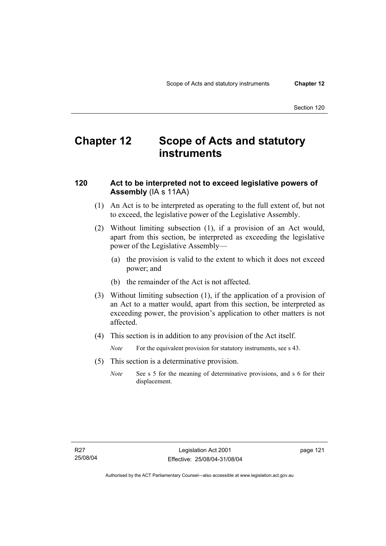# **Chapter 12 Scope of Acts and statutory instruments**

## **120 Act to be interpreted not to exceed legislative powers of Assembly** (IA s 11AA)

- (1) An Act is to be interpreted as operating to the full extent of, but not to exceed, the legislative power of the Legislative Assembly.
- (2) Without limiting subsection (1), if a provision of an Act would, apart from this section, be interpreted as exceeding the legislative power of the Legislative Assembly—
	- (a) the provision is valid to the extent to which it does not exceed power; and
	- (b) the remainder of the Act is not affected.
- (3) Without limiting subsection (1), if the application of a provision of an Act to a matter would, apart from this section, be interpreted as exceeding power, the provision's application to other matters is not affected.
- (4) This section is in addition to any provision of the Act itself.

*Note* For the equivalent provision for statutory instruments, see s 43.

- (5) This section is a determinative provision.
	- *Note* See s 5 for the meaning of determinative provisions, and s 6 for their displacement.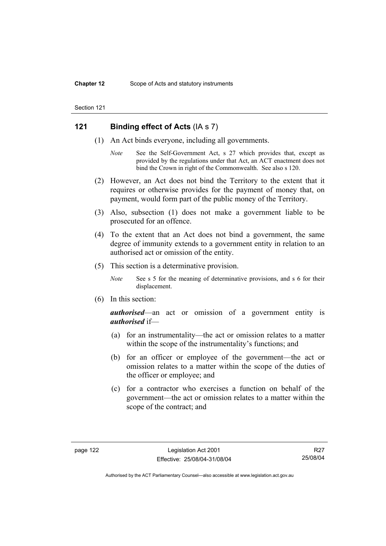## **121 Binding effect of Acts** (IA s 7)

- (1) An Act binds everyone, including all governments.
	- *Note* See the Self-Government Act, s 27 which provides that, except as provided by the regulations under that Act, an ACT enactment does not bind the Crown in right of the Commonwealth. See also s 120.
- (2) However, an Act does not bind the Territory to the extent that it requires or otherwise provides for the payment of money that, on payment, would form part of the public money of the Territory.
- (3) Also, subsection (1) does not make a government liable to be prosecuted for an offence.
- (4) To the extent that an Act does not bind a government, the same degree of immunity extends to a government entity in relation to an authorised act or omission of the entity.
- (5) This section is a determinative provision.
	- *Note* See s 5 for the meaning of determinative provisions, and s 6 for their displacement.
- (6) In this section:

*authorised*—an act or omission of a government entity is *authorised* if—

- (a) for an instrumentality—the act or omission relates to a matter within the scope of the instrumentality's functions; and
- (b) for an officer or employee of the government—the act or omission relates to a matter within the scope of the duties of the officer or employee; and
- (c) for a contractor who exercises a function on behalf of the government—the act or omission relates to a matter within the scope of the contract; and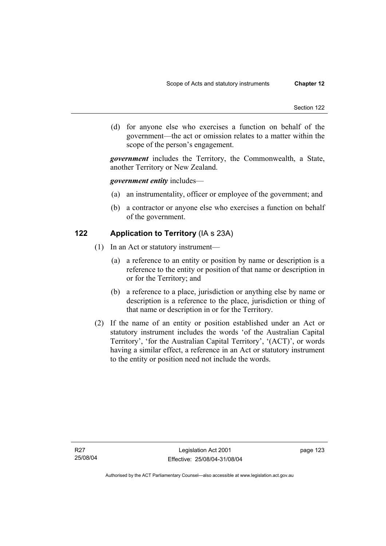(d) for anyone else who exercises a function on behalf of the government—the act or omission relates to a matter within the scope of the person's engagement.

*government* includes the Territory, the Commonwealth, a State, another Territory or New Zealand.

## *government entity* includes—

- (a) an instrumentality, officer or employee of the government; and
- (b) a contractor or anyone else who exercises a function on behalf of the government.

## **122 Application to Territory** (IA s 23A)

- (1) In an Act or statutory instrument—
	- (a) a reference to an entity or position by name or description is a reference to the entity or position of that name or description in or for the Territory; and
	- (b) a reference to a place, jurisdiction or anything else by name or description is a reference to the place, jurisdiction or thing of that name or description in or for the Territory.
- (2) If the name of an entity or position established under an Act or statutory instrument includes the words 'of the Australian Capital Territory', 'for the Australian Capital Territory', '(ACT)', or words having a similar effect, a reference in an Act or statutory instrument to the entity or position need not include the words.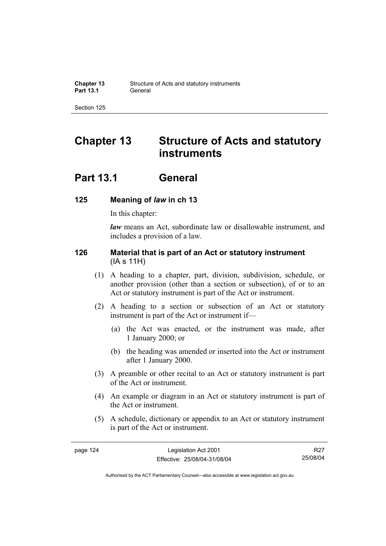# **Chapter 13 Structure of Acts and statutory instruments**

# **Part 13.1 General**

## **125 Meaning of** *law* **in ch 13**

In this chapter:

*law* means an Act, subordinate law or disallowable instrument, and includes a provision of a law.

## **126 Material that is part of an Act or statutory instrument**  (IA s 11H)

- (1) A heading to a chapter, part, division, subdivision, schedule, or another provision (other than a section or subsection), of or to an Act or statutory instrument is part of the Act or instrument.
- (2) A heading to a section or subsection of an Act or statutory instrument is part of the Act or instrument if—
	- (a) the Act was enacted, or the instrument was made, after 1 January 2000; or
	- (b) the heading was amended or inserted into the Act or instrument after 1 January 2000.
- (3) A preamble or other recital to an Act or statutory instrument is part of the Act or instrument.
- (4) An example or diagram in an Act or statutory instrument is part of the Act or instrument.
- (5) A schedule, dictionary or appendix to an Act or statutory instrument is part of the Act or instrument.

R27 25/08/04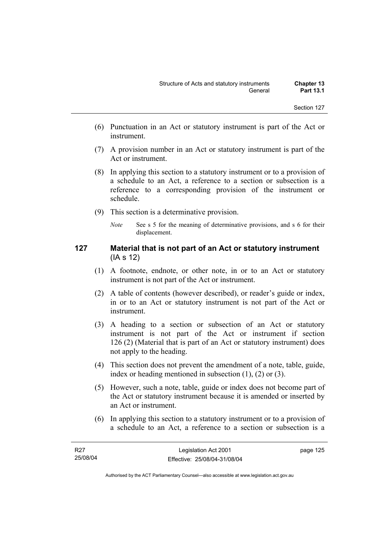- (6) Punctuation in an Act or statutory instrument is part of the Act or instrument.
- (7) A provision number in an Act or statutory instrument is part of the Act or instrument.
- (8) In applying this section to a statutory instrument or to a provision of a schedule to an Act, a reference to a section or subsection is a reference to a corresponding provision of the instrument or schedule.
- (9) This section is a determinative provision.
	- *Note* See s 5 for the meaning of determinative provisions, and s 6 for their displacement.

# **127 Material that is not part of an Act or statutory instrument**  (IA s 12)

- (1) A footnote, endnote, or other note, in or to an Act or statutory instrument is not part of the Act or instrument.
- (2) A table of contents (however described), or reader's guide or index, in or to an Act or statutory instrument is not part of the Act or instrument.
- (3) A heading to a section or subsection of an Act or statutory instrument is not part of the Act or instrument if section 126 (2) (Material that is part of an Act or statutory instrument) does not apply to the heading.
- (4) This section does not prevent the amendment of a note, table, guide, index or heading mentioned in subsection (1), (2) or (3).
- (5) However, such a note, table, guide or index does not become part of the Act or statutory instrument because it is amended or inserted by an Act or instrument.
- (6) In applying this section to a statutory instrument or to a provision of a schedule to an Act, a reference to a section or subsection is a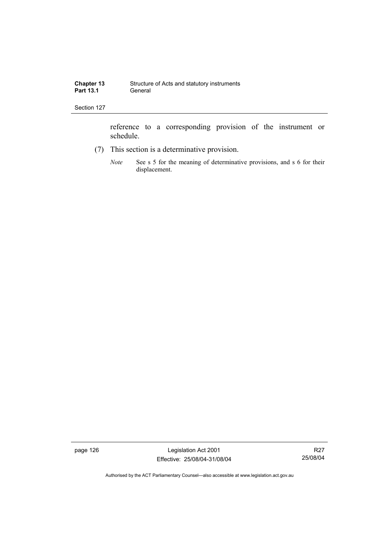reference to a corresponding provision of the instrument or schedule.

- (7) This section is a determinative provision.
	- *Note* See s 5 for the meaning of determinative provisions, and s 6 for their displacement.

page 126 Legislation Act 2001 Effective: 25/08/04-31/08/04

R27 25/08/04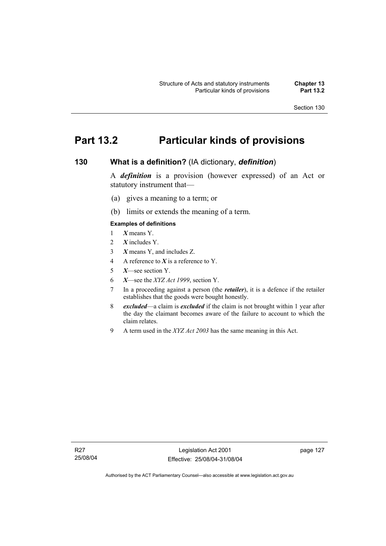# **Part 13.2 Particular kinds of provisions**

## **130 What is a definition?** (IA dictionary, *definition*)

A *definition* is a provision (however expressed) of an Act or statutory instrument that—

- (a) gives a meaning to a term; or
- (b) limits or extends the meaning of a term.

### **Examples of definitions**

- 1 *X* means Y.
- 2 *X* includes Y.
- 3 *X* means Y, and includes Z.
- 4 A reference to *X* is a reference to Y.
- 5 *X*—see section Y.
- 6 *X*—see the *XYZ Act 1999*, section Y.
- 7 In a proceeding against a person (the *retailer*), it is a defence if the retailer establishes that the goods were bought honestly.
- 8 *excluded*—a claim is *excluded* if the claim is not brought within 1 year after the day the claimant becomes aware of the failure to account to which the claim relates.
- 9 A term used in the *XYZ Act 2003* has the same meaning in this Act.

page 127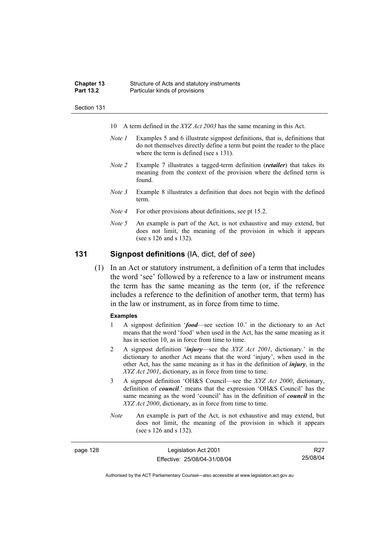| <b>Chapter 13</b> | Structure of Acts and statutory instruments |
|-------------------|---------------------------------------------|
| <b>Part 13.2</b>  | Particular kinds of provisions              |

- 10 A term defined in the *XYZ Act 2003* has the same meaning in this Act.
- *Note 1* Examples 5 and 6 illustrate signpost definitions, that is, definitions that do not themselves directly define a term but point the reader to the place where the term is defined (see s 131).
- *Note 2* Example 7 illustrates a tagged-term definition (*retailer*) that takes its meaning from the context of the provision where the defined term is found.
- *Note 3* Example 8 illustrates a definition that does not begin with the defined term.
- *Note 4* For other provisions about definitions, see pt 15.2.
- *Note 5* An example is part of the Act, is not exhaustive and may extend, but does not limit, the meaning of the provision in which it appears (see s 126 and s 132).

## **131 Signpost definitions** (IA, dict, def of *see*)

 (1) In an Act or statutory instrument, a definition of a term that includes the word 'see' followed by a reference to a law or instrument means the term has the same meaning as the term (or, if the reference includes a reference to the definition of another term, that term) has in the law or instrument, as in force from time to time.

#### **Examples**

- 1 A signpost definition '*food*—see section 10.' in the dictionary to an Act means that the word 'food' when used in the Act, has the same meaning as it has in section 10, as in force from time to time.
- 2 A signpost definition '*injury*—see the *XYZ Act 2001*, dictionary.' in the dictionary to another Act means that the word 'injury', when used in the other Act, has the same meaning as it has in the definition of *injury*, in the *XYZ Act 2001*, dictionary, as in force from time to time.
- 3 A signpost definition 'OH&S Council—see the *XYZ Act 2000*, dictionary, definition of *council*.' means that the expression 'OH&S Council' has the same meaning as the word 'council' has in the definition of *council* in the *XYZ Act 2000*, dictionary, as in force from time to time.
- *Note* An example is part of the Act, is not exhaustive and may extend, but does not limit, the meaning of the provision in which it appears (see s 126 and s 132).

| page 128 | Legislation Act 2001         | R27      |
|----------|------------------------------|----------|
|          | Effective: 25/08/04-31/08/04 | 25/08/04 |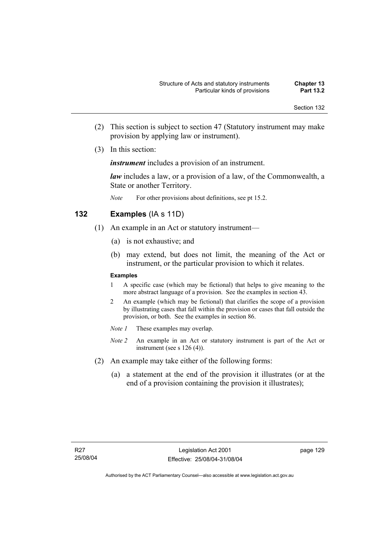- (2) This section is subject to section 47 (Statutory instrument may make provision by applying law or instrument).
- (3) In this section:

*instrument* includes a provision of an instrument.

*law* includes a law, or a provision of a law, of the Commonwealth, a State or another Territory.

*Note* For other provisions about definitions, see pt 15.2.

## **132 Examples** (IA s 11D)

- (1) An example in an Act or statutory instrument—
	- (a) is not exhaustive; and
	- (b) may extend, but does not limit, the meaning of the Act or instrument, or the particular provision to which it relates.

#### **Examples**

- 1 A specific case (which may be fictional) that helps to give meaning to the more abstract language of a provision. See the examples in section 43.
- 2 An example (which may be fictional) that clarifies the scope of a provision by illustrating cases that fall within the provision or cases that fall outside the provision, or both. See the examples in section 86.
- *Note 1* These examples may overlap.
- *Note 2* An example in an Act or statutory instrument is part of the Act or instrument (see s 126 (4)).
- (2) An example may take either of the following forms:
	- (a) a statement at the end of the provision it illustrates (or at the end of a provision containing the provision it illustrates);

page 129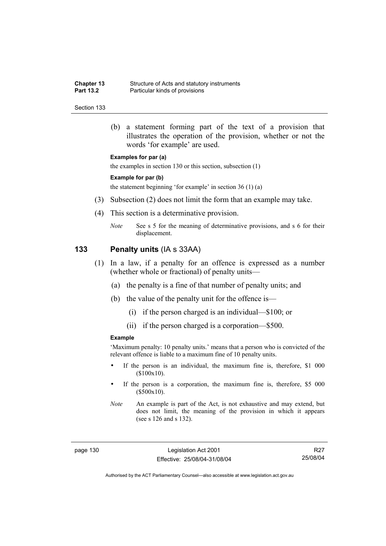| <b>Chapter 13</b> | Structure of Acts and statutory instruments |
|-------------------|---------------------------------------------|
| <b>Part 13.2</b>  | Particular kinds of provisions              |

 (b) a statement forming part of the text of a provision that illustrates the operation of the provision, whether or not the words 'for example' are used.

#### **Examples for par (a)**

the examples in section 130 or this section, subsection (1)

#### **Example for par (b)**

the statement beginning 'for example' in section 36 (1) (a)

- (3) Subsection (2) does not limit the form that an example may take.
- (4) This section is a determinative provision.
	- *Note* See s 5 for the meaning of determinative provisions, and s 6 for their displacement.

#### **133 Penalty units** (IA s 33AA)

- (1) In a law, if a penalty for an offence is expressed as a number (whether whole or fractional) of penalty units—
	- (a) the penalty is a fine of that number of penalty units; and
	- (b) the value of the penalty unit for the offence is—
		- (i) if the person charged is an individual—\$100; or
		- (ii) if the person charged is a corporation—\$500.

#### **Example**

'Maximum penalty: 10 penalty units.' means that a person who is convicted of the relevant offence is liable to a maximum fine of 10 penalty units.

- If the person is an individual, the maximum fine is, therefore, \$1 000 (\$100x10).
- If the person is a corporation, the maximum fine is, therefore, \$5 000 (\$500x10).

page 130 Legislation Act 2001 Effective: 25/08/04-31/08/04

R27 25/08/04

*Note* An example is part of the Act, is not exhaustive and may extend, but does not limit, the meaning of the provision in which it appears (see s 126 and s 132).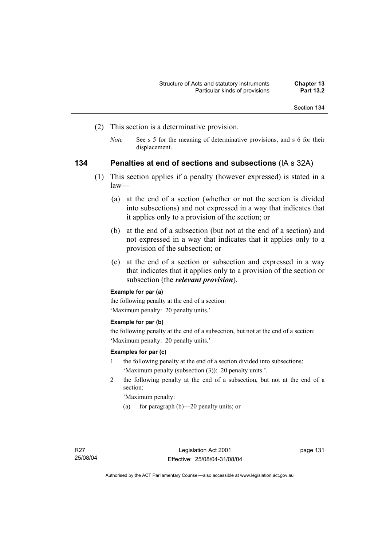- (2) This section is a determinative provision.
	- *Note* See s 5 for the meaning of determinative provisions, and s 6 for their displacement.

## **134 Penalties at end of sections and subsections** (IA s 32A)

- (1) This section applies if a penalty (however expressed) is stated in a law—
	- (a) at the end of a section (whether or not the section is divided into subsections) and not expressed in a way that indicates that it applies only to a provision of the section; or
	- (b) at the end of a subsection (but not at the end of a section) and not expressed in a way that indicates that it applies only to a provision of the subsection; or
	- (c) at the end of a section or subsection and expressed in a way that indicates that it applies only to a provision of the section or subsection (the *relevant provision*).

## **Example for par (a)**

the following penalty at the end of a section: 'Maximum penalty: 20 penalty units.'

#### **Example for par (b)**

the following penalty at the end of a subsection, but not at the end of a section: 'Maximum penalty: 20 penalty units.'

#### **Examples for par (c)**

- 1 the following penalty at the end of a section divided into subsections: 'Maximum penalty (subsection (3)): 20 penalty units.'.
- 2 the following penalty at the end of a subsection, but not at the end of a section:

'Maximum penalty:

(a) for paragraph (b)—20 penalty units; or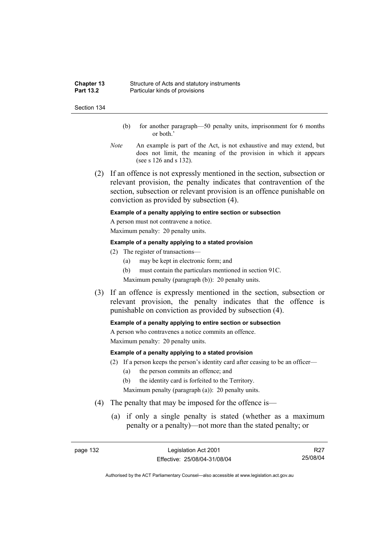| <b>Chapter 13</b> | Structure of Acts and statutory instruments |
|-------------------|---------------------------------------------|
| <b>Part 13.2</b>  | Particular kinds of provisions              |

- (b) for another paragraph—50 penalty units, imprisonment for 6 months or both.'
- *Note* An example is part of the Act, is not exhaustive and may extend, but does not limit, the meaning of the provision in which it appears (see s 126 and s 132).
- (2) If an offence is not expressly mentioned in the section, subsection or relevant provision, the penalty indicates that contravention of the section, subsection or relevant provision is an offence punishable on conviction as provided by subsection (4).

#### **Example of a penalty applying to entire section or subsection**

A person must not contravene a notice. Maximum penalty: 20 penalty units.

#### **Example of a penalty applying to a stated provision**

- (2) The register of transactions—
	- (a) may be kept in electronic form; and
	- (b) must contain the particulars mentioned in section 91C.

Maximum penalty (paragraph (b)): 20 penalty units.

 (3) If an offence is expressly mentioned in the section, subsection or relevant provision, the penalty indicates that the offence is punishable on conviction as provided by subsection (4).

#### **Example of a penalty applying to entire section or subsection**

A person who contravenes a notice commits an offence. Maximum penalty: 20 penalty units.

#### **Example of a penalty applying to a stated provision**

- (2) If a person keeps the person's identity card after ceasing to be an officer—
	- (a) the person commits an offence; and
	- (b) the identity card is forfeited to the Territory.

Maximum penalty (paragraph (a)): 20 penalty units.

- (4) The penalty that may be imposed for the offence is—
	- (a) if only a single penalty is stated (whether as a maximum penalty or a penalty)—not more than the stated penalty; or

R27 25/08/04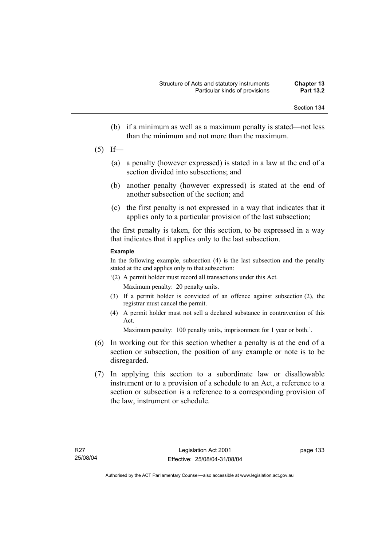- (b) if a minimum as well as a maximum penalty is stated—not less than the minimum and not more than the maximum.
- $(5)$  If—
	- (a) a penalty (however expressed) is stated in a law at the end of a section divided into subsections; and
	- (b) another penalty (however expressed) is stated at the end of another subsection of the section; and
	- (c) the first penalty is not expressed in a way that indicates that it applies only to a particular provision of the last subsection;

the first penalty is taken, for this section, to be expressed in a way that indicates that it applies only to the last subsection.

#### **Example**

In the following example, subsection (4) is the last subsection and the penalty stated at the end applies only to that subsection:

- '(2) A permit holder must record all transactions under this Act. Maximum penalty: 20 penalty units.
- (3) If a permit holder is convicted of an offence against subsection (2), the registrar must cancel the permit.
- (4) A permit holder must not sell a declared substance in contravention of this Act.

Maximum penalty: 100 penalty units, imprisonment for 1 year or both.'.

- (6) In working out for this section whether a penalty is at the end of a section or subsection, the position of any example or note is to be disregarded.
- (7) In applying this section to a subordinate law or disallowable instrument or to a provision of a schedule to an Act, a reference to a section or subsection is a reference to a corresponding provision of the law, instrument or schedule.

page 133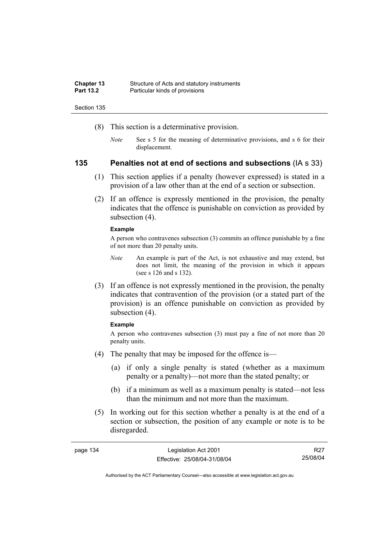| <b>Chapter 13</b> | Structure of Acts and statutory instruments |
|-------------------|---------------------------------------------|
| <b>Part 13.2</b>  | Particular kinds of provisions              |

- (8) This section is a determinative provision.
	- *Note* See s 5 for the meaning of determinative provisions, and s 6 for their displacement.

#### **135 Penalties not at end of sections and subsections** (IA s 33)

- (1) This section applies if a penalty (however expressed) is stated in a provision of a law other than at the end of a section or subsection.
- (2) If an offence is expressly mentioned in the provision, the penalty indicates that the offence is punishable on conviction as provided by subsection  $(4)$ .

#### **Example**

A person who contravenes subsection (3) commits an offence punishable by a fine of not more than 20 penalty units.

- *Note* An example is part of the Act, is not exhaustive and may extend, but does not limit, the meaning of the provision in which it appears (see s 126 and s 132).
- (3) If an offence is not expressly mentioned in the provision, the penalty indicates that contravention of the provision (or a stated part of the provision) is an offence punishable on conviction as provided by subsection (4).

#### **Example**

A person who contravenes subsection (3) must pay a fine of not more than 20 penalty units.

- (4) The penalty that may be imposed for the offence is—
	- (a) if only a single penalty is stated (whether as a maximum penalty or a penalty)—not more than the stated penalty; or
	- (b) if a minimum as well as a maximum penalty is stated—not less than the minimum and not more than the maximum.
- (5) In working out for this section whether a penalty is at the end of a section or subsection, the position of any example or note is to be disregarded.

| page 134 | Legislation Act 2001         | R <sub>27</sub> |
|----------|------------------------------|-----------------|
|          | Effective: 25/08/04-31/08/04 | 25/08/04        |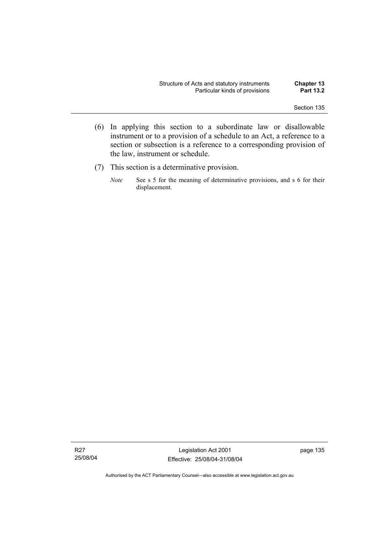- (6) In applying this section to a subordinate law or disallowable instrument or to a provision of a schedule to an Act, a reference to a section or subsection is a reference to a corresponding provision of the law, instrument or schedule.
- (7) This section is a determinative provision.
	- *Note* See s 5 for the meaning of determinative provisions, and s 6 for their displacement.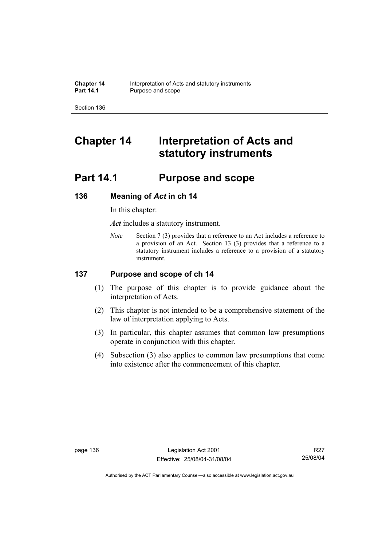# **Chapter 14 Interpretation of Acts and statutory instruments**

# **Part 14.1 Purpose and scope**

## **136 Meaning of** *Act* **in ch 14**

In this chapter:

*Act* includes a statutory instrument.

*Note* Section 7 (3) provides that a reference to an Act includes a reference to a provision of an Act. Section 13 (3) provides that a reference to a statutory instrument includes a reference to a provision of a statutory instrument.

## **137 Purpose and scope of ch 14**

- (1) The purpose of this chapter is to provide guidance about the interpretation of Acts.
- (2) This chapter is not intended to be a comprehensive statement of the law of interpretation applying to Acts.
- (3) In particular, this chapter assumes that common law presumptions operate in conjunction with this chapter.
- (4) Subsection (3) also applies to common law presumptions that come into existence after the commencement of this chapter.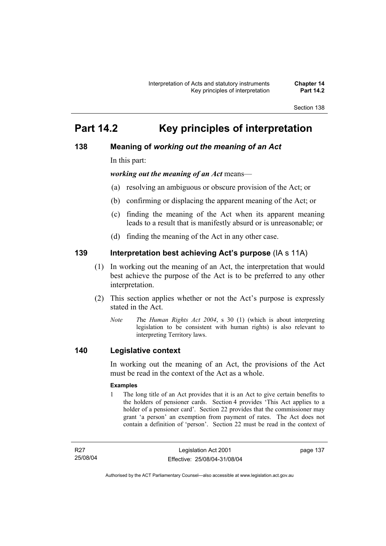# **Part 14.2 Key principles of interpretation**

## **138 Meaning of** *working out the meaning of an Act*

In this part:

*working out the meaning of an Act* means—

- (a) resolving an ambiguous or obscure provision of the Act; or
- (b) confirming or displacing the apparent meaning of the Act; or
- (c) finding the meaning of the Act when its apparent meaning leads to a result that is manifestly absurd or is unreasonable; or
- (d) finding the meaning of the Act in any other case.

## **139 Interpretation best achieving Act's purpose** (IA s 11A)

- (1) In working out the meaning of an Act, the interpretation that would best achieve the purpose of the Act is to be preferred to any other interpretation.
- (2) This section applies whether or not the Act's purpose is expressly stated in the Act.
	- *Note T*he *Human Rights Act 2004*, s 30 (1) (which is about interpreting legislation to be consistent with human rights) is also relevant to interpreting Territory laws.

## **140 Legislative context**

In working out the meaning of an Act, the provisions of the Act must be read in the context of the Act as a whole.

#### **Examples**

1 The long title of an Act provides that it is an Act to give certain benefits to the holders of pensioner cards. Section 4 provides 'This Act applies to a holder of a pensioner card'. Section 22 provides that the commissioner may grant 'a person' an exemption from payment of rates. The Act does not contain a definition of 'person'. Section 22 must be read in the context of

R27 25/08/04 page 137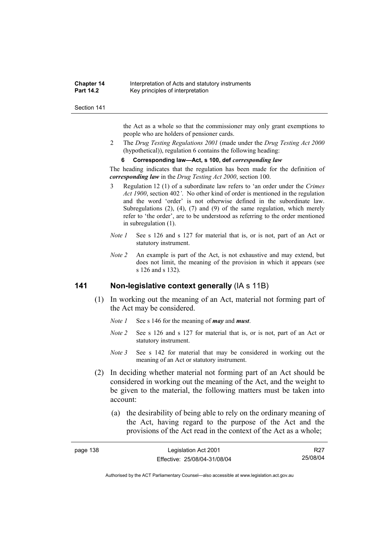#### **Chapter 14** Interpretation of Acts and statutory instruments<br>**Part 14.2** Key principles of interpretation **Key principles of interpretation**

#### Section 141

the Act as a whole so that the commissioner may only grant exemptions to people who are holders of pensioner cards.

2 The *Drug Testing Regulations 2001* (made under the *Drug Testing Act 2000* (hypothetical)), regulation 6 contains the following heading:

#### **6 Corresponding law—Act, s 100, def** *corresponding law*

The heading indicates that the regulation has been made for the definition of *corresponding law* in the *Drug Testing Act 2000*, section 100.

- 3 Regulation 12 (1) of a subordinate law refers to 'an order under the *Crimes Act 1900*, section 402*'*. No other kind of order is mentioned in the regulation and the word 'order' is not otherwise defined in the subordinate law. Subregulations (2), (4), (7) and (9) of the same regulation, which merely refer to 'the order', are to be understood as referring to the order mentioned in subregulation (1).
- *Note 1* See s 126 and s 127 for material that is, or is not, part of an Act or statutory instrument.
- *Note 2* An example is part of the Act, is not exhaustive and may extend, but does not limit, the meaning of the provision in which it appears (see s 126 and s 132).

## **141 Non-legislative context generally** (IA s 11B)

- (1) In working out the meaning of an Act, material not forming part of the Act may be considered.
	- *Note 1* See s 146 for the meaning of *may* and *must*.
	- *Note 2* See s 126 and s 127 for material that is, or is not, part of an Act or statutory instrument.
	- *Note 3* See s 142 for material that may be considered in working out the meaning of an Act or statutory instrument.
- (2) In deciding whether material not forming part of an Act should be considered in working out the meaning of the Act, and the weight to be given to the material, the following matters must be taken into account:
	- (a) the desirability of being able to rely on the ordinary meaning of the Act, having regard to the purpose of the Act and the provisions of the Act read in the context of the Act as a whole;

| page 138 | Legislation Act 2001         | R <sub>27</sub> |
|----------|------------------------------|-----------------|
|          | Effective: 25/08/04-31/08/04 | 25/08/04        |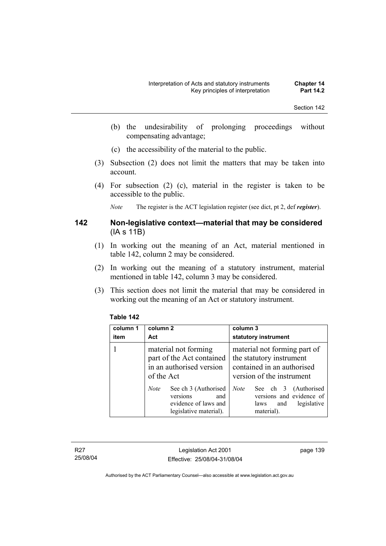- (b) the undesirability of prolonging proceedings without compensating advantage;
- (c) the accessibility of the material to the public.
- (3) Subsection (2) does not limit the matters that may be taken into account.
- (4) For subsection (2) (c), material in the register is taken to be accessible to the public.

*Note* The register is the ACT legislation register (see dict, pt 2, def *register*).

## **142 Non-legislative context—material that may be considered**  (IA s 11B)

- (1) In working out the meaning of an Act, material mentioned in table 142, column 2 may be considered.
- (2) In working out the meaning of a statutory instrument, material mentioned in table 142, column 3 may be considered.
- (3) This section does not limit the material that may be considered in working out the meaning of an Act or statutory instrument.

## **Table 142**

| column 1<br>item | column 2<br>Act                                                                                                                                                               | column 3<br>statutory instrument                                                                                                                                                                                     |
|------------------|-------------------------------------------------------------------------------------------------------------------------------------------------------------------------------|----------------------------------------------------------------------------------------------------------------------------------------------------------------------------------------------------------------------|
|                  | material not forming<br>part of the Act contained<br>in an authorised version<br>of the Act<br>See ch 3 (Authorised<br><b>Note</b><br>versions<br>and<br>evidence of laws and | material not forming part of<br>the statutory instrument<br>contained in an authorised<br>version of the instrument<br>See ch 3 (Authorised<br><b>Note</b><br>versions and evidence of<br>legislative<br>and<br>laws |
|                  | legislative material).                                                                                                                                                        | material).                                                                                                                                                                                                           |

R27 25/08/04 page 139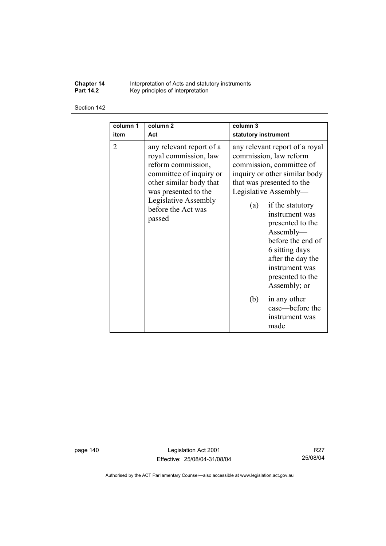**Chapter 14** Interpretation of Acts and statutory instruments **Part 14.2 Key principles of interpretation** 

#### Section 142

| column 1<br>item | column <sub>2</sub><br>Act                                                                                                                                                                                    | column 3<br>statutory instrument                                                                                                                                                                                                                                                                                                                                                                   |
|------------------|---------------------------------------------------------------------------------------------------------------------------------------------------------------------------------------------------------------|----------------------------------------------------------------------------------------------------------------------------------------------------------------------------------------------------------------------------------------------------------------------------------------------------------------------------------------------------------------------------------------------------|
| $\overline{2}$   | any relevant report of a<br>royal commission, law<br>reform commission,<br>committee of inquiry or<br>other similar body that<br>was presented to the<br>Legislative Assembly<br>before the Act was<br>passed | any relevant report of a royal<br>commission, law reform<br>commission, committee of<br>inquiry or other similar body<br>that was presented to the<br>Legislative Assembly—<br>if the statutory<br>(a)<br>instrument was<br>presented to the<br>Assently—<br>before the end of<br>6 sitting days<br>after the day the<br>instrument was<br>presented to the<br>Assembly; or<br>in any other<br>(b) |
|                  |                                                                                                                                                                                                               | case—before the<br>instrument was<br>made                                                                                                                                                                                                                                                                                                                                                          |

page 140 Legislation Act 2001 Effective: 25/08/04-31/08/04

R27 25/08/04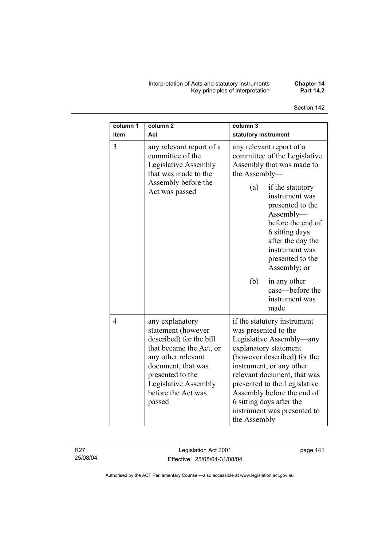Interpretation of Acts and statutory instruments **Chapter 14**  Key principles of interpretation **Part 14.2** 

| column 1<br>item | column <sub>2</sub><br>Act                                                                                                                                                                                          | column 3<br>statutory instrument                                                                                                                                                                                                                                                                                                            |  |
|------------------|---------------------------------------------------------------------------------------------------------------------------------------------------------------------------------------------------------------------|---------------------------------------------------------------------------------------------------------------------------------------------------------------------------------------------------------------------------------------------------------------------------------------------------------------------------------------------|--|
| 3                | any relevant report of a<br>committee of the<br>Legislative Assembly<br>that was made to the                                                                                                                        | any relevant report of a<br>committee of the Legislative<br>Assembly that was made to<br>the Assembly-                                                                                                                                                                                                                                      |  |
|                  | Assembly before the<br>Act was passed                                                                                                                                                                               | if the statutory<br>(a)<br>instrument was<br>presented to the<br>Assently—<br>before the end of<br>6 sitting days<br>after the day the<br>instrument was<br>presented to the<br>Assembly; or                                                                                                                                                |  |
|                  |                                                                                                                                                                                                                     | (b)<br>in any other<br>case-before the<br>instrument was<br>made                                                                                                                                                                                                                                                                            |  |
| 4                | any explanatory<br>statement (however<br>described) for the bill<br>that became the Act, or<br>any other relevant<br>document, that was<br>presented to the<br>Legislative Assembly<br>before the Act was<br>passed | if the statutory instrument<br>was presented to the<br>Legislative Assembly—any<br>explanatory statement<br>(however described) for the<br>instrument, or any other<br>relevant document, that was<br>presented to the Legislative<br>Assembly before the end of<br>6 sitting days after the<br>instrument was presented to<br>the Assembly |  |

R27 25/08/04

Legislation Act 2001 Effective: 25/08/04-31/08/04 page 141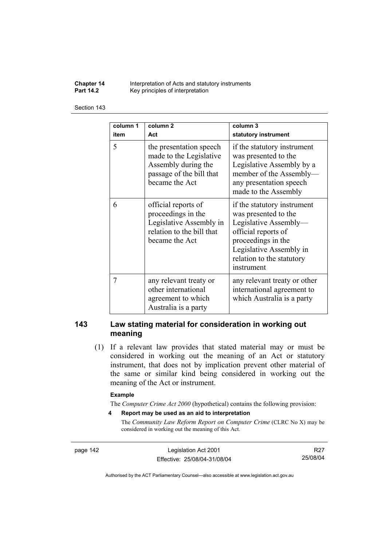**Chapter 14** Interpretation of Acts and statutory instruments<br>**Part 14.2** Key principles of interpretation Key principles of interpretation

#### Section 143

| column 1       | column <sub>2</sub>                                                                                                     | column 3                                                                                                                                                                                        |
|----------------|-------------------------------------------------------------------------------------------------------------------------|-------------------------------------------------------------------------------------------------------------------------------------------------------------------------------------------------|
| item           | Act                                                                                                                     | statutory instrument                                                                                                                                                                            |
| 5              | the presentation speech<br>made to the Legislative<br>Assembly during the<br>passage of the bill that<br>became the Act | if the statutory instrument<br>was presented to the<br>Legislative Assembly by a<br>member of the Assembly-<br>any presentation speech<br>made to the Assembly                                  |
| 6              | official reports of<br>proceedings in the<br>Legislative Assembly in<br>relation to the bill that<br>became the Act     | if the statutory instrument<br>was presented to the<br>Legislative Assembly-<br>official reports of<br>proceedings in the<br>Legislative Assembly in<br>relation to the statutory<br>instrument |
| $\overline{7}$ | any relevant treaty or<br>other international<br>agreement to which<br>Australia is a party                             | any relevant treaty or other<br>international agreement to<br>which Australia is a party                                                                                                        |

## **143 Law stating material for consideration in working out meaning**

 (1) If a relevant law provides that stated material may or must be considered in working out the meaning of an Act or statutory instrument, that does not by implication prevent other material of the same or similar kind being considered in working out the meaning of the Act or instrument.

#### **Example**

The *Computer Crime Act 2000* (hypothetical) contains the following provision:

**4 Report may be used as an aid to interpretation** 

The *Community Law Reform Report on Computer Crime* (CLRC No X) may be considered in working out the meaning of this Act.

page 142 Legislation Act 2001 Effective: 25/08/04-31/08/04

R27 25/08/04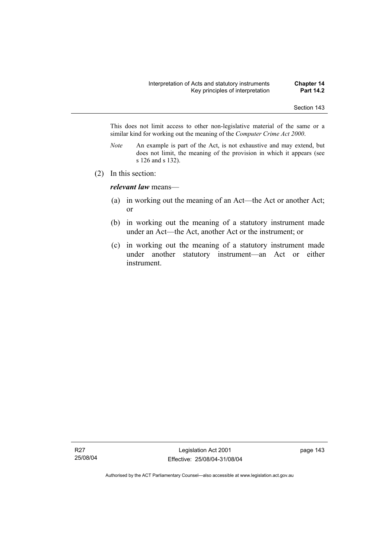This does not limit access to other non-legislative material of the same or a similar kind for working out the meaning of the *Computer Crime Act 2000*.

- *Note* An example is part of the Act, is not exhaustive and may extend, but does not limit, the meaning of the provision in which it appears (see s 126 and s 132).
- (2) In this section:

*relevant law* means—

- (a) in working out the meaning of an Act—the Act or another Act; or
- (b) in working out the meaning of a statutory instrument made under an Act—the Act, another Act or the instrument; or
- (c) in working out the meaning of a statutory instrument made under another statutory instrument—an Act or either instrument.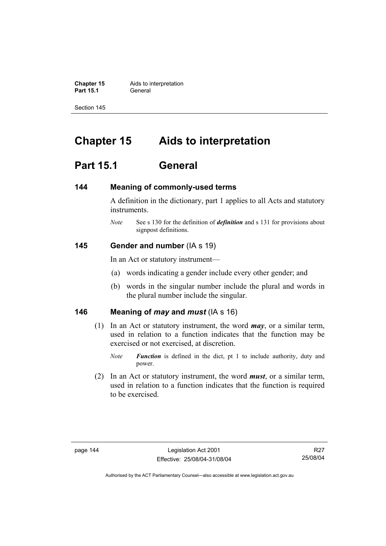**Chapter 15** Aids to interpretation **Part 15.1** General

Section 145

# **Chapter 15 Aids to interpretation**

# **Part 15.1 General**

## **144 Meaning of commonly-used terms**

A definition in the dictionary, part 1 applies to all Acts and statutory instruments.

*Note* See s 130 for the definition of *definition* and s 131 for provisions about signpost definitions.

## **145 Gender and number** (IA s 19)

In an Act or statutory instrument—

- (a) words indicating a gender include every other gender; and
- (b) words in the singular number include the plural and words in the plural number include the singular.

## **146 Meaning of** *may* **and** *must* (IA s 16)

- (1) In an Act or statutory instrument, the word *may*, or a similar term, used in relation to a function indicates that the function may be exercised or not exercised, at discretion.
	- *Note Function* is defined in the dict, pt 1 to include authority, duty and power.
- (2) In an Act or statutory instrument, the word *must*, or a similar term, used in relation to a function indicates that the function is required to be exercised.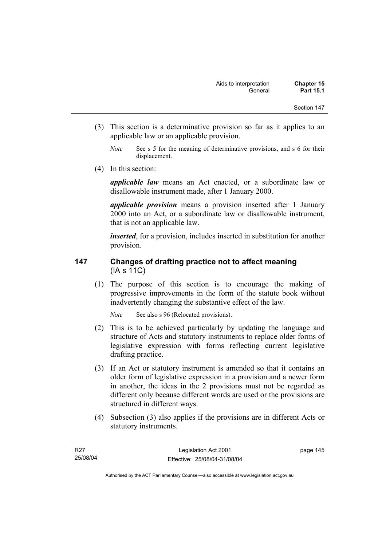- Section 147
- (3) This section is a determinative provision so far as it applies to an applicable law or an applicable provision.
	- *Note* See s 5 for the meaning of determinative provisions, and s 6 for their displacement.
- (4) In this section:

*applicable law* means an Act enacted, or a subordinate law or disallowable instrument made, after 1 January 2000.

*applicable provision* means a provision inserted after 1 January 2000 into an Act, or a subordinate law or disallowable instrument, that is not an applicable law.

*inserted*, for a provision, includes inserted in substitution for another provision.

## **147 Changes of drafting practice not to affect meaning**  (IA s 11C)

 (1) The purpose of this section is to encourage the making of progressive improvements in the form of the statute book without inadvertently changing the substantive effect of the law.

*Note* See also s 96 (Relocated provisions).

- (2) This is to be achieved particularly by updating the language and structure of Acts and statutory instruments to replace older forms of legislative expression with forms reflecting current legislative drafting practice.
- (3) If an Act or statutory instrument is amended so that it contains an older form of legislative expression in a provision and a newer form in another, the ideas in the 2 provisions must not be regarded as different only because different words are used or the provisions are structured in different ways.
- (4) Subsection (3) also applies if the provisions are in different Acts or statutory instruments.

page 145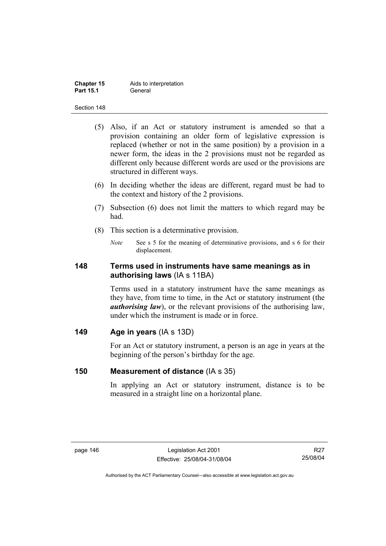| <b>Chapter 15</b> | Aids to interpretation |
|-------------------|------------------------|
| <b>Part 15.1</b>  | General                |

- (5) Also, if an Act or statutory instrument is amended so that a provision containing an older form of legislative expression is replaced (whether or not in the same position) by a provision in a newer form, the ideas in the 2 provisions must not be regarded as different only because different words are used or the provisions are structured in different ways.
- (6) In deciding whether the ideas are different, regard must be had to the context and history of the 2 provisions.
- (7) Subsection (6) does not limit the matters to which regard may be had.
- (8) This section is a determinative provision.
	- *Note* See s 5 for the meaning of determinative provisions, and s 6 for their displacement.

## **148 Terms used in instruments have same meanings as in authorising laws** (IA s 11BA)

Terms used in a statutory instrument have the same meanings as they have, from time to time, in the Act or statutory instrument (the *authorising law*), or the relevant provisions of the authorising law, under which the instrument is made or in force.

## **149 Age in years** (IA s 13D)

For an Act or statutory instrument, a person is an age in years at the beginning of the person's birthday for the age.

## **150 Measurement of distance** (IA s 35)

In applying an Act or statutory instrument, distance is to be measured in a straight line on a horizontal plane.

R27 25/08/04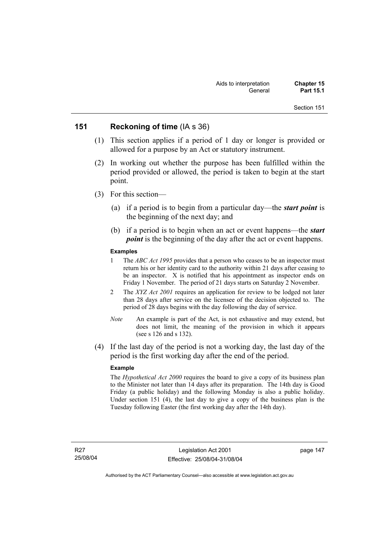## **151 Reckoning of time** (IA s 36)

- (1) This section applies if a period of 1 day or longer is provided or allowed for a purpose by an Act or statutory instrument.
- (2) In working out whether the purpose has been fulfilled within the period provided or allowed, the period is taken to begin at the start point.
- (3) For this section—
	- (a) if a period is to begin from a particular day—the *start point* is the beginning of the next day; and
	- (b) if a period is to begin when an act or event happens—the *start point* is the beginning of the day after the act or event happens.

#### **Examples**

- 1 The *ABC Act 1995* provides that a person who ceases to be an inspector must return his or her identity card to the authority within 21 days after ceasing to be an inspector. X is notified that his appointment as inspector ends on Friday 1 November. The period of 21 days starts on Saturday 2 November.
- 2 The *XYZ Act 2001* requires an application for review to be lodged not later than 28 days after service on the licensee of the decision objected to. The period of 28 days begins with the day following the day of service.
- *Note* An example is part of the Act, is not exhaustive and may extend, but does not limit, the meaning of the provision in which it appears (see s 126 and s 132).
- (4) If the last day of the period is not a working day, the last day of the period is the first working day after the end of the period.

#### **Example**

The *Hypothetical Act 2000* requires the board to give a copy of its business plan to the Minister not later than 14 days after its preparation. The 14th day is Good Friday (a public holiday) and the following Monday is also a public holiday. Under section 151 (4), the last day to give a copy of the business plan is the Tuesday following Easter (the first working day after the 14th day).

page 147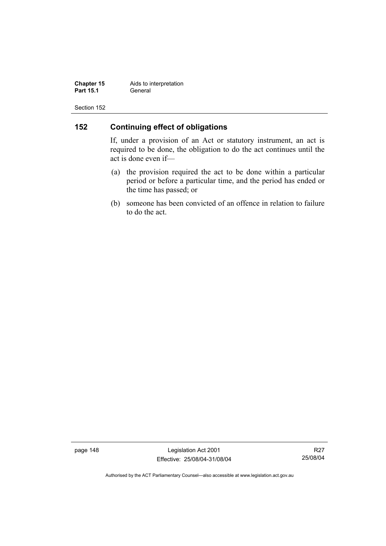**Chapter 15** Aids to interpretation<br>**Part 15.1** General **Part 15.1** 

Section 152

## **152 Continuing effect of obligations**

If, under a provision of an Act or statutory instrument, an act is required to be done, the obligation to do the act continues until the act is done even if—

- (a) the provision required the act to be done within a particular period or before a particular time, and the period has ended or the time has passed; or
- (b) someone has been convicted of an offence in relation to failure to do the act.

page 148 Legislation Act 2001 Effective: 25/08/04-31/08/04

R27 25/08/04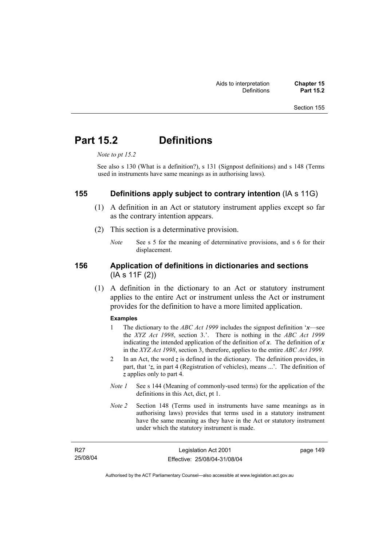# **Part 15.2 Definitions**

*Note to pt 15.2* 

See also s 130 (What is a definition?), s 131 (Signpost definitions) and s 148 (Terms used in instruments have same meanings as in authorising laws).

## **155 Definitions apply subject to contrary intention** (IA s 11G)

- (1) A definition in an Act or statutory instrument applies except so far as the contrary intention appears.
- (2) This section is a determinative provision.
	- *Note* See s 5 for the meaning of determinative provisions, and s 6 for their displacement.

## **156 Application of definitions in dictionaries and sections**  (IA s 11F (2))

 (1) A definition in the dictionary to an Act or statutory instrument applies to the entire Act or instrument unless the Act or instrument provides for the definition to have a more limited application.

#### **Examples**

- 1 The dictionary to the *ABC Act 1999* includes the signpost definition '*x*—see the *XYZ Act 1998*, section 3.'. There is nothing in the *ABC Act 1999* indicating the intended application of the definition of  $x$ . The definition of  $x$ in the *XYZ Act 1998*, section 3, therefore, applies to the entire *ABC Act 1999*.
- 2 In an Act, the word *z* is defined in the dictionary. The definition provides, in part, that '*z*, in part 4 (Registration of vehicles), means ...'. The definition of *z* applies only to part 4.
- *Note 1* See s 144 (Meaning of commonly-used terms) for the application of the definitions in this Act, dict, pt 1.
- *Note 2* Section 148 (Terms used in instruments have same meanings as in authorising laws) provides that terms used in a statutory instrument have the same meaning as they have in the Act or statutory instrument under which the statutory instrument is made.

| <b>R27</b> | Legislation Act 2001         | page 149 |
|------------|------------------------------|----------|
| 25/08/04   | Effective: 25/08/04-31/08/04 |          |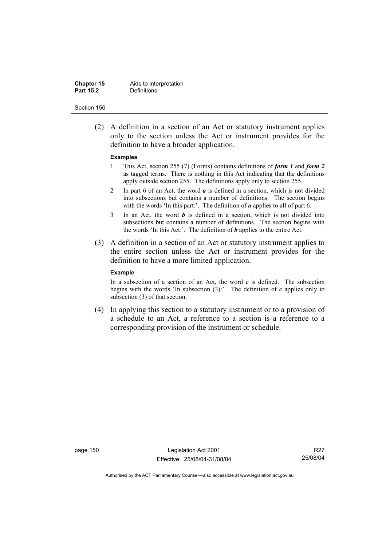#### **Chapter 15** Aids to interpretation<br>**Part 15.2** Definitions **Definitions**

#### Section 156

 (2) A definition in a section of an Act or statutory instrument applies only to the section unless the Act or instrument provides for the definition to have a broader application.

#### **Examples**

- 1 This Act, section 255 (7) (Forms) contains definitions of *form 1* and *form 2* as tagged terms. There is nothing in this Act indicating that the definitions apply outside section 255. The definitions apply only to section 255.
- 2 In part 6 of an Act, the word *a* is defined in a section, which is not divided into subsections but contains a number of definitions. The section begins with the words 'In this part:'. The definition of *a* applies to all of part 6.
- 3 In an Act, the word *b* is defined in a section, which is not divided into subsections but contains a number of definitions. The section begins with the words 'In this Act:'. The definition of *b* applies to the entire Act.
- (3) A definition in a section of an Act or statutory instrument applies to the entire section unless the Act or instrument provides for the definition to have a more limited application.

#### **Example**

In a subsection of a section of an Act, the word  $c$  is defined. The subsection begins with the words 'In subsection  $(3)$ :'. The definition of  $c$  applies only to subsection (3) of that section.

 (4) In applying this section to a statutory instrument or to a provision of a schedule to an Act, a reference to a section is a reference to a corresponding provision of the instrument or schedule.

page 150 Legislation Act 2001 Effective: 25/08/04-31/08/04

R27 25/08/04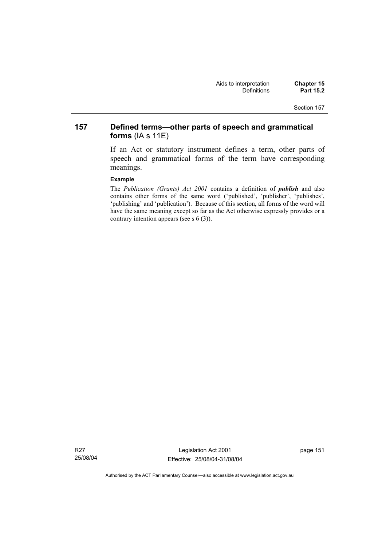## **157 Defined terms—other parts of speech and grammatical forms** (IA s 11E)

If an Act or statutory instrument defines a term, other parts of speech and grammatical forms of the term have corresponding meanings.

#### **Example**

The *Publication (Grants) Act 2001* contains a definition of *publish* and also contains other forms of the same word ('published', 'publisher', 'publishes', 'publishing' and 'publication'). Because of this section, all forms of the word will have the same meaning except so far as the Act otherwise expressly provides or a contrary intention appears (see s 6 (3)).

R27 25/08/04

Legislation Act 2001 Effective: 25/08/04-31/08/04 page 151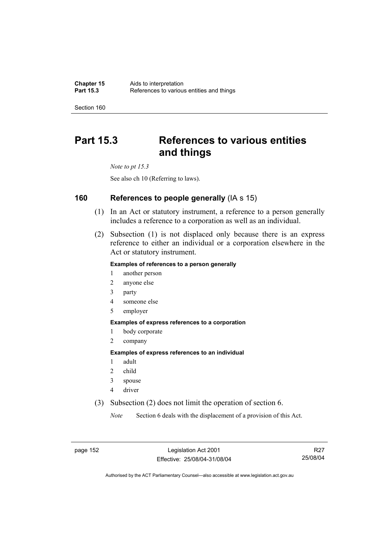# **Part 15.3 References to various entities and things**

*Note to pt 15.3* 

See also ch 10 (Referring to laws).

## **160 References to people generally** (IA s 15)

- (1) In an Act or statutory instrument, a reference to a person generally includes a reference to a corporation as well as an individual.
- (2) Subsection (1) is not displaced only because there is an express reference to either an individual or a corporation elsewhere in the Act or statutory instrument.

#### **Examples of references to a person generally**

- 1 another person
- 2 anyone else
- 3 party
- 4 someone else
- 5 employer

#### **Examples of express references to a corporation**

- 1 body corporate
- 2 company

#### **Examples of express references to an individual**

- 1 adult
- 2 child
- 3 spouse
- 4 driver
- (3) Subsection (2) does not limit the operation of section 6.

*Note* Section 6 deals with the displacement of a provision of this Act.

page 152 Legislation Act 2001 Effective: 25/08/04-31/08/04

R27 25/08/04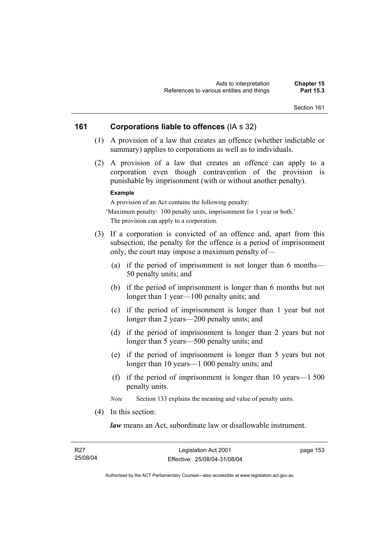## **161 Corporations liable to offences** (IA s 32)

- (1) A provision of a law that creates an offence (whether indictable or summary) applies to corporations as well as to individuals.
- (2) A provision of a law that creates an offence can apply to a corporation even though contravention of the provision is punishable by imprisonment (with or without another penalty).

#### **Example**

A provision of an Act contains the following penalty:

'Maximum penalty: 100 penalty units, imprisonment for 1 year or both.' The provision can apply to a corporation.

- (3) If a corporation is convicted of an offence and, apart from this subsection, the penalty for the offence is a period of imprisonment only, the court may impose a maximum penalty of—
	- (a) if the period of imprisonment is not longer than 6 months— 50 penalty units; and
	- (b) if the period of imprisonment is longer than 6 months but not longer than 1 year—100 penalty units; and
	- (c) if the period of imprisonment is longer than 1 year but not longer than 2 years—200 penalty units; and
	- (d) if the period of imprisonment is longer than 2 years but not longer than 5 years—500 penalty units; and
	- (e) if the period of imprisonment is longer than 5 years but not longer than 10 years—1 000 penalty units; and
	- (f) if the period of imprisonment is longer than 10 years—1 500 penalty units.

*Note* Section 133 explains the meaning and value of penalty units.

(4) In this section:

*law* means an Act, subordinate law or disallowable instrument.

page 153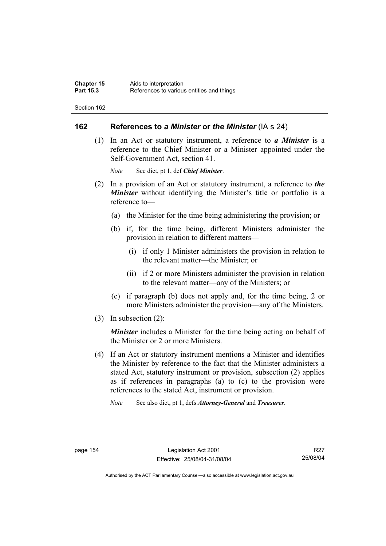## **162 References to** *a Minister* **or** *the Minister* (IA s 24)

 (1) In an Act or statutory instrument, a reference to *a Minister* is a reference to the Chief Minister or a Minister appointed under the Self-Government Act, section 41.

*Note* See dict, pt 1, def *Chief Minister*.

- (2) In a provision of an Act or statutory instrument, a reference to *the Minister* without identifying the Minister's title or portfolio is a reference to—
	- (a) the Minister for the time being administering the provision; or
	- (b) if, for the time being, different Ministers administer the provision in relation to different matters—
		- (i) if only 1 Minister administers the provision in relation to the relevant matter—the Minister; or
		- (ii) if 2 or more Ministers administer the provision in relation to the relevant matter—any of the Ministers; or
	- (c) if paragraph (b) does not apply and, for the time being, 2 or more Ministers administer the provision—any of the Ministers.
- (3) In subsection (2):

*Minister* includes a Minister for the time being acting on behalf of the Minister or 2 or more Ministers.

 (4) If an Act or statutory instrument mentions a Minister and identifies the Minister by reference to the fact that the Minister administers a stated Act, statutory instrument or provision, subsection (2) applies as if references in paragraphs (a) to (c) to the provision were references to the stated Act, instrument or provision.

*Note* See also dict, pt 1, defs *Attorney-General* and *Treasurer*.

R27 25/08/04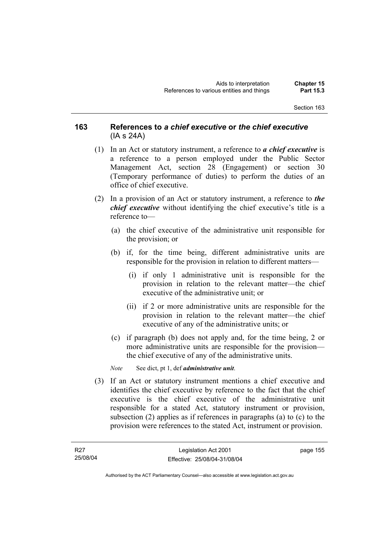## **163 References to** *a chief executive* **or** *the chief executive* (IA s 24A)

- (1) In an Act or statutory instrument, a reference to *a chief executive* is a reference to a person employed under the Public Sector Management Act, section 28 (Engagement) or section 30 (Temporary performance of duties) to perform the duties of an office of chief executive.
- (2) In a provision of an Act or statutory instrument, a reference to *the chief executive* without identifying the chief executive's title is a reference to—
	- (a) the chief executive of the administrative unit responsible for the provision; or
	- (b) if, for the time being, different administrative units are responsible for the provision in relation to different matters—
		- (i) if only 1 administrative unit is responsible for the provision in relation to the relevant matter—the chief executive of the administrative unit; or
		- (ii) if 2 or more administrative units are responsible for the provision in relation to the relevant matter—the chief executive of any of the administrative units; or
	- (c) if paragraph (b) does not apply and, for the time being, 2 or more administrative units are responsible for the provision the chief executive of any of the administrative units.

*Note* See dict, pt 1, def *administrative unit*.

 (3) If an Act or statutory instrument mentions a chief executive and identifies the chief executive by reference to the fact that the chief executive is the chief executive of the administrative unit responsible for a stated Act, statutory instrument or provision, subsection (2) applies as if references in paragraphs (a) to (c) to the provision were references to the stated Act, instrument or provision.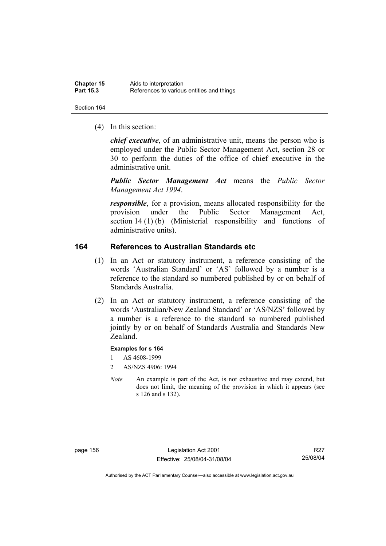(4) In this section:

*chief executive*, of an administrative unit, means the person who is employed under the Public Sector Management Act, section 28 or 30 to perform the duties of the office of chief executive in the administrative unit.

*Public Sector Management Act* means the *Public Sector Management Act 1994*.

*responsible*, for a provision, means allocated responsibility for the provision under the Public Sector Management Act, section 14 (1) (b) (Ministerial responsibility and functions of administrative units).

## **164 References to Australian Standards etc**

- (1) In an Act or statutory instrument, a reference consisting of the words 'Australian Standard' or 'AS' followed by a number is a reference to the standard so numbered published by or on behalf of Standards Australia.
- (2) In an Act or statutory instrument, a reference consisting of the words 'Australian/New Zealand Standard' or 'AS/NZS' followed by a number is a reference to the standard so numbered published jointly by or on behalf of Standards Australia and Standards New Zealand.

#### **Examples for s 164**

- 1 AS 4608-1999
- 2 AS/NZS 4906: 1994
- *Note* An example is part of the Act, is not exhaustive and may extend, but does not limit, the meaning of the provision in which it appears (see s 126 and s 132).

R27 25/08/04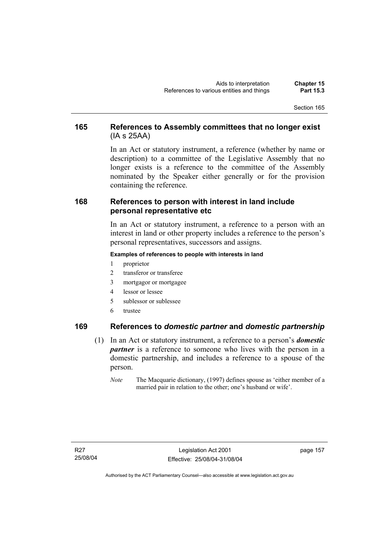## **165 References to Assembly committees that no longer exist**  (IA s 25AA)

In an Act or statutory instrument, a reference (whether by name or description) to a committee of the Legislative Assembly that no longer exists is a reference to the committee of the Assembly nominated by the Speaker either generally or for the provision containing the reference.

## **168 References to person with interest in land include personal representative etc**

In an Act or statutory instrument, a reference to a person with an interest in land or other property includes a reference to the person's personal representatives, successors and assigns.

#### **Examples of references to people with interests in land**

- 1 proprietor
- 2 transferor or transferee
- 3 mortgagor or mortgagee
- 4 lessor or lessee
- 5 sublessor or sublessee
- 6 trustee

## **169 References to** *domestic partner* **and** *domestic partnership*

- (1) In an Act or statutory instrument, a reference to a person's *domestic partner* is a reference to someone who lives with the person in a domestic partnership, and includes a reference to a spouse of the person.
	- *Note* The Macquarie dictionary, (1997) defines spouse as 'either member of a married pair in relation to the other; one's husband or wife'.

page 157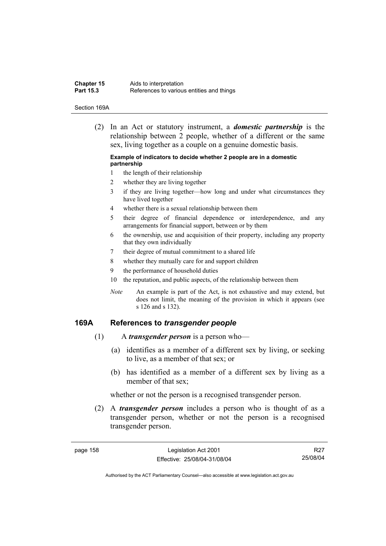| <b>Chapter 15</b> | Aids to interpretation                    |
|-------------------|-------------------------------------------|
| <b>Part 15.3</b>  | References to various entities and things |

#### Section 169A

 (2) In an Act or statutory instrument, a *domestic partnership* is the relationship between 2 people, whether of a different or the same sex, living together as a couple on a genuine domestic basis.

#### **Example of indicators to decide whether 2 people are in a domestic partnership**

- 1 the length of their relationship
- 2 whether they are living together
- 3 if they are living together—how long and under what circumstances they have lived together
- 4 whether there is a sexual relationship between them
- 5 their degree of financial dependence or interdependence, and any arrangements for financial support, between or by them
- 6 the ownership, use and acquisition of their property, including any property that they own individually
- 7 their degree of mutual commitment to a shared life
- 8 whether they mutually care for and support children
- 9 the performance of household duties
- 10 the reputation, and public aspects, of the relationship between them
- *Note* An example is part of the Act, is not exhaustive and may extend, but does not limit, the meaning of the provision in which it appears (see s 126 and s 132).

### **169A References to** *transgender people*

- (1) A *transgender person* is a person who—
	- (a) identifies as a member of a different sex by living, or seeking to live, as a member of that sex; or
	- (b) has identified as a member of a different sex by living as a member of that sex;

whether or not the person is a recognised transgender person.

 (2) A *transgender person* includes a person who is thought of as a transgender person, whether or not the person is a recognised transgender person.

R27 25/08/04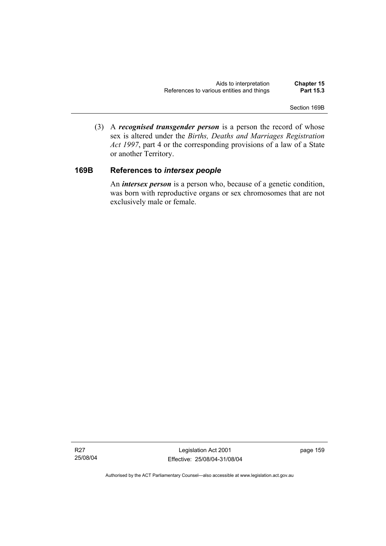(3) A *recognised transgender person* is a person the record of whose sex is altered under the *Births, Deaths and Marriages Registration Act 1997*, part 4 or the corresponding provisions of a law of a State or another Territory.

## **169B References to** *intersex people*

 An *intersex person* is a person who, because of a genetic condition, was born with reproductive organs or sex chromosomes that are not exclusively male or female.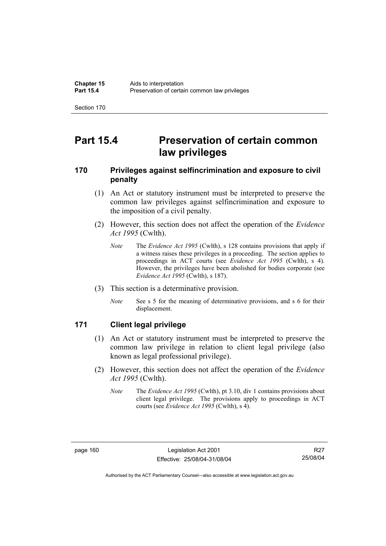# **Part 15.4 Preservation of certain common law privileges**

## **170 Privileges against selfincrimination and exposure to civil penalty**

- (1) An Act or statutory instrument must be interpreted to preserve the common law privileges against selfincrimination and exposure to the imposition of a civil penalty.
- (2) However, this section does not affect the operation of the *Evidence Act 1995* (Cwlth).
	- *Note* The *Evidence Act 1995* (Cwlth), s 128 contains provisions that apply if a witness raises these privileges in a proceeding. The section applies to proceedings in ACT courts (see *Evidence Act 1995* (Cwlth), s 4). However, the privileges have been abolished for bodies corporate (see *Evidence Act 1995* (Cwlth), s 187).
- (3) This section is a determinative provision.
	- *Note* See s 5 for the meaning of determinative provisions, and s 6 for their displacement.

## **171 Client legal privilege**

- (1) An Act or statutory instrument must be interpreted to preserve the common law privilege in relation to client legal privilege (also known as legal professional privilege).
- (2) However, this section does not affect the operation of the *Evidence Act 1995* (Cwlth).
	- *Note* The *Evidence Act 1995* (Cwlth), pt 3.10, div 1 contains provisions about client legal privilege. The provisions apply to proceedings in ACT courts (see *Evidence Act 1995* (Cwlth), s 4).

R27 25/08/04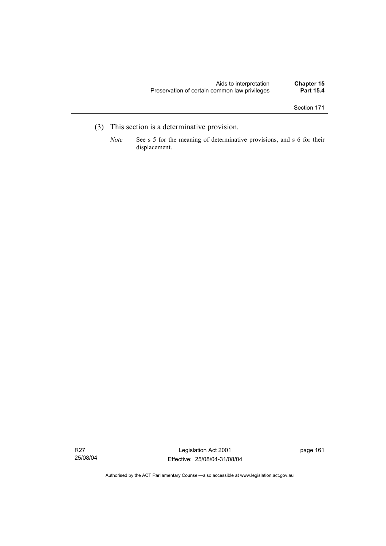- (3) This section is a determinative provision.
	- *Note* See s 5 for the meaning of determinative provisions, and s 6 for their displacement.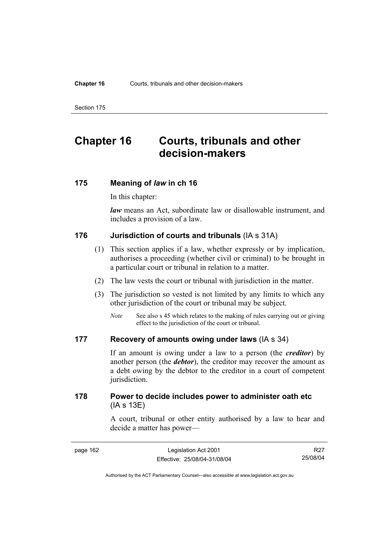# **Chapter 16 Courts, tribunals and other decision-makers**

### **175 Meaning of** *law* **in ch 16**

In this chapter:

*law* means an Act, subordinate law or disallowable instrument, and includes a provision of a law.

## **176 Jurisdiction of courts and tribunals** (IA s 31A)

- (1) This section applies if a law, whether expressly or by implication, authorises a proceeding (whether civil or criminal) to be brought in a particular court or tribunal in relation to a matter.
- (2) The law vests the court or tribunal with jurisdiction in the matter.
- (3) The jurisdiction so vested is not limited by any limits to which any other jurisdiction of the court or tribunal may be subject.
	- *Note* See also s 45 which relates to the making of rules carrying out or giving effect to the jurisdiction of the court or tribunal.

## **177 Recovery of amounts owing under laws** (IA s 34)

If an amount is owing under a law to a person (the *creditor*) by another person (the *debtor*), the creditor may recover the amount as a debt owing by the debtor to the creditor in a court of competent jurisdiction.

## **178 Power to decide includes power to administer oath etc**  (IA s 13E)

A court, tribunal or other entity authorised by a law to hear and decide a matter has power—

R27 25/08/04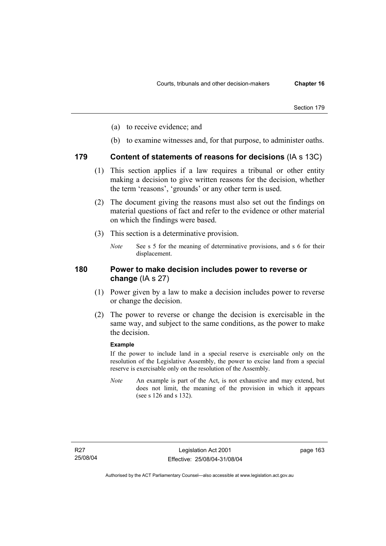- (a) to receive evidence; and
- (b) to examine witnesses and, for that purpose, to administer oaths.

## **179 Content of statements of reasons for decisions** (IA s 13C)

- (1) This section applies if a law requires a tribunal or other entity making a decision to give written reasons for the decision, whether the term 'reasons', 'grounds' or any other term is used.
- (2) The document giving the reasons must also set out the findings on material questions of fact and refer to the evidence or other material on which the findings were based.
- (3) This section is a determinative provision.
	- *Note* See s 5 for the meaning of determinative provisions, and s 6 for their displacement.

## **180 Power to make decision includes power to reverse or change** (IA s 27)

- (1) Power given by a law to make a decision includes power to reverse or change the decision.
- (2) The power to reverse or change the decision is exercisable in the same way, and subject to the same conditions, as the power to make the decision.

#### **Example**

If the power to include land in a special reserve is exercisable only on the resolution of the Legislative Assembly, the power to excise land from a special reserve is exercisable only on the resolution of the Assembly.

*Note* An example is part of the Act, is not exhaustive and may extend, but does not limit, the meaning of the provision in which it appears (see s 126 and s 132).

page 163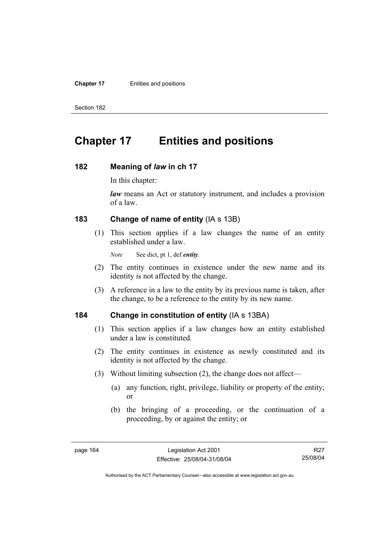#### **Chapter 17** Entities and positions

Section 182

# **Chapter 17 Entities and positions**

### **182 Meaning of** *law* **in ch 17**

In this chapter:

*law* means an Act or statutory instrument, and includes a provision of a law.

## **183 Change of name of entity** (IA s 13B)

 (1) This section applies if a law changes the name of an entity established under a law.

*Note* See dict, pt 1, def *entity*.

- (2) The entity continues in existence under the new name and its identity is not affected by the change.
- (3) A reference in a law to the entity by its previous name is taken, after the change, to be a reference to the entity by its new name.

## **184 Change in constitution of entity** (IA s 13BA)

- (1) This section applies if a law changes how an entity established under a law is constituted.
- (2) The entity continues in existence as newly constituted and its identity is not affected by the change.
- (3) Without limiting subsection (2), the change does not affect—
	- (a) any function, right, privilege, liability or property of the entity; or
	- (b) the bringing of a proceeding, or the continuation of a proceeding, by or against the entity; or

R27 25/08/04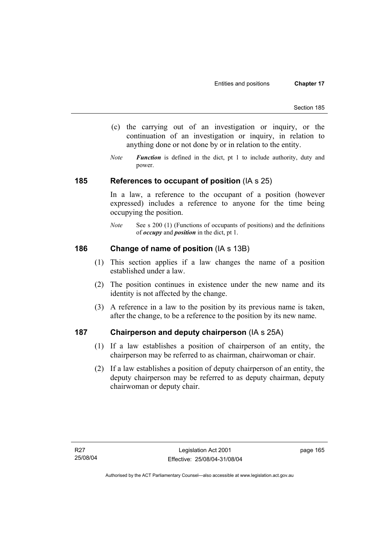- (c) the carrying out of an investigation or inquiry, or the continuation of an investigation or inquiry, in relation to anything done or not done by or in relation to the entity.
- *Note Function* is defined in the dict, pt 1 to include authority, duty and power.

### **185 References to occupant of position** (IA s 25)

In a law, a reference to the occupant of a position (however expressed) includes a reference to anyone for the time being occupying the position.

*Note* See s 200 (1) (Functions of occupants of positions) and the definitions of *occupy* and *position* in the dict, pt 1.

## **186 Change of name of position** (IA s 13B)

- (1) This section applies if a law changes the name of a position established under a law.
- (2) The position continues in existence under the new name and its identity is not affected by the change.
- (3) A reference in a law to the position by its previous name is taken, after the change, to be a reference to the position by its new name.

## **187 Chairperson and deputy chairperson** (IA s 25A)

- (1) If a law establishes a position of chairperson of an entity, the chairperson may be referred to as chairman, chairwoman or chair.
- (2) If a law establishes a position of deputy chairperson of an entity, the deputy chairperson may be referred to as deputy chairman, deputy chairwoman or deputy chair.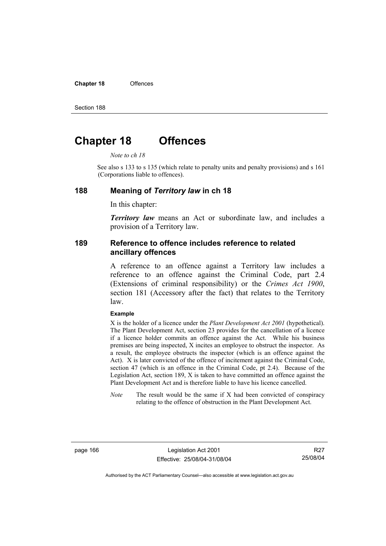**Chapter 18** Offences

Section 188

# **Chapter 18 Offences**

*Note to ch 18* 

See also s 133 to s 135 (which relate to penalty units and penalty provisions) and s 161 (Corporations liable to offences).

### **188 Meaning of** *Territory law* **in ch 18**

In this chapter:

*Territory law* means an Act or subordinate law, and includes a provision of a Territory law.

### **189 Reference to offence includes reference to related ancillary offences**

A reference to an offence against a Territory law includes a reference to an offence against the Criminal Code, part 2.4 (Extensions of criminal responsibility) or the *Crimes Act 1900*, section 181 (Accessory after the fact) that relates to the Territory law.

#### **Example**

X is the holder of a licence under the *Plant Development Act 2001* (hypothetical). The Plant Development Act, section 23 provides for the cancellation of a licence if a licence holder commits an offence against the Act. While his business premises are being inspected, X incites an employee to obstruct the inspector. As a result, the employee obstructs the inspector (which is an offence against the Act). X is later convicted of the offence of incitement against the Criminal Code, section 47 (which is an offence in the Criminal Code, pt 2.4). Because of the Legislation Act, section 189, X is taken to have committed an offence against the Plant Development Act and is therefore liable to have his licence cancelled.

*Note* The result would be the same if X had been convicted of conspiracy relating to the offence of obstruction in the Plant Development Act.

page 166 Legislation Act 2001 Effective: 25/08/04-31/08/04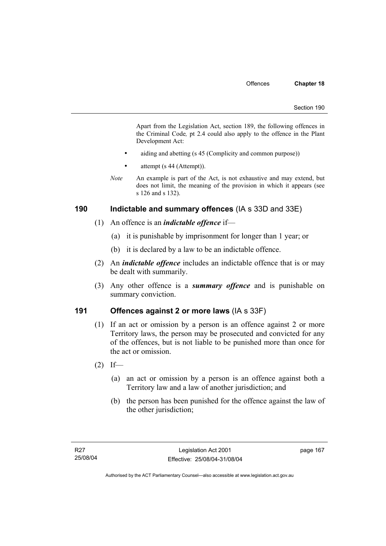Apart from the Legislation Act, section 189, the following offences in the Criminal Code*,* pt 2.4 could also apply to the offence in the Plant Development Act:

- aiding and abetting (s 45 (Complicity and common purpose))
- attempt (s 44 (Attempt)).
- *Note* An example is part of the Act, is not exhaustive and may extend, but does not limit, the meaning of the provision in which it appears (see s 126 and s 132).

### **190 Indictable and summary offences** (IA s 33D and 33E)

- (1) An offence is an *indictable offence* if—
	- (a) it is punishable by imprisonment for longer than 1 year; or
	- (b) it is declared by a law to be an indictable offence.
- (2) An *indictable offence* includes an indictable offence that is or may be dealt with summarily.
- (3) Any other offence is a *summary offence* and is punishable on summary conviction.

## **191 Offences against 2 or more laws** (IA s 33F)

- (1) If an act or omission by a person is an offence against 2 or more Territory laws, the person may be prosecuted and convicted for any of the offences, but is not liable to be punished more than once for the act or omission.
- $(2)$  If—
	- (a) an act or omission by a person is an offence against both a Territory law and a law of another jurisdiction; and
	- (b) the person has been punished for the offence against the law of the other jurisdiction;

page 167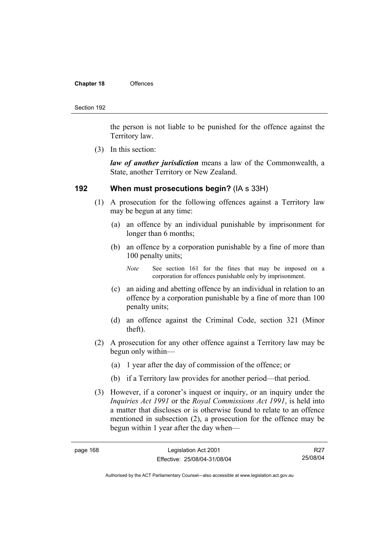### **Chapter 18** Offences

### Section 192

the person is not liable to be punished for the offence against the Territory law.

(3) In this section:

*law of another jurisdiction* means a law of the Commonwealth, a State, another Territory or New Zealand.

### **192 When must prosecutions begin?** (IA s 33H)

- (1) A prosecution for the following offences against a Territory law may be begun at any time:
	- (a) an offence by an individual punishable by imprisonment for longer than 6 months;
	- (b) an offence by a corporation punishable by a fine of more than 100 penalty units;

*Note* See section 161 for the fines that may be imposed on a corporation for offences punishable only by imprisonment.

- (c) an aiding and abetting offence by an individual in relation to an offence by a corporation punishable by a fine of more than 100 penalty units;
- (d) an offence against the Criminal Code, section 321 (Minor theft).
- (2) A prosecution for any other offence against a Territory law may be begun only within—
	- (a) 1 year after the day of commission of the offence; or
	- (b) if a Territory law provides for another period—that period.
- (3) However, if a coroner's inquest or inquiry, or an inquiry under the *Inquiries Act 1991* or the *Royal Commissions Act 1991*, is held into a matter that discloses or is otherwise found to relate to an offence mentioned in subsection (2), a prosecution for the offence may be begun within 1 year after the day when—

R27 25/08/04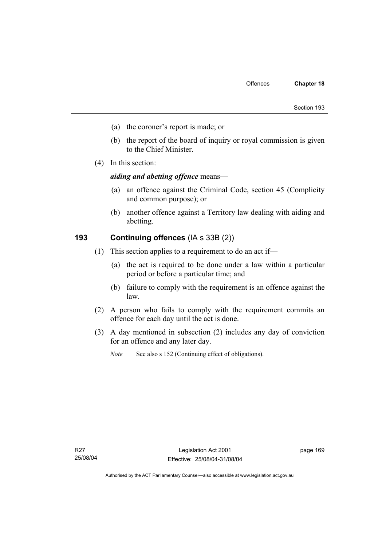- (a) the coroner's report is made; or
- (b) the report of the board of inquiry or royal commission is given to the Chief Minister.
- (4) In this section:

*aiding and abetting offence* means—

- (a) an offence against the Criminal Code, section 45 (Complicity and common purpose); or
- (b) another offence against a Territory law dealing with aiding and abetting.

### **193 Continuing offences** (IA s 33B (2))

- (1) This section applies to a requirement to do an act if—
	- (a) the act is required to be done under a law within a particular period or before a particular time; and
	- (b) failure to comply with the requirement is an offence against the law.
- (2) A person who fails to comply with the requirement commits an offence for each day until the act is done.
- (3) A day mentioned in subsection (2) includes any day of conviction for an offence and any later day.

*Note* See also s 152 (Continuing effect of obligations).

page 169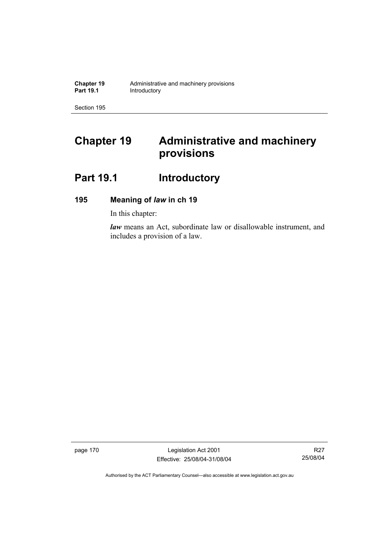# **Chapter 19 Administrative and machinery provisions**

# Part 19.1 **Introductory**

## **195 Meaning of** *law* **in ch 19**

In this chapter:

*law* means an Act, subordinate law or disallowable instrument, and includes a provision of a law.

page 170 Legislation Act 2001 Effective: 25/08/04-31/08/04

R27 25/08/04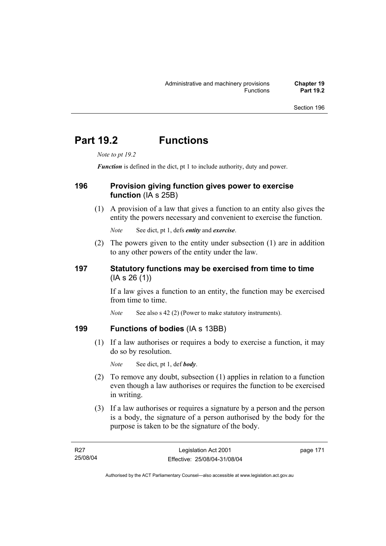# **Part 19.2 Functions**

*Note to pt 19.2* 

*Function* is defined in the dict, pt 1 to include authority, duty and power.

## **196 Provision giving function gives power to exercise function** (IA s 25B)

 (1) A provision of a law that gives a function to an entity also gives the entity the powers necessary and convenient to exercise the function.

*Note* See dict, pt 1, defs *entity* and *exercise*.

 (2) The powers given to the entity under subsection (1) are in addition to any other powers of the entity under the law.

## **197 Statutory functions may be exercised from time to time**  (IA s 26 (1))

If a law gives a function to an entity, the function may be exercised from time to time.

*Note* See also s 42 (2) (Power to make statutory instruments).

## **199 Functions of bodies** (IA s 13BB)

 (1) If a law authorises or requires a body to exercise a function, it may do so by resolution.

*Note* See dict, pt 1, def *body*.

- (2) To remove any doubt, subsection (1) applies in relation to a function even though a law authorises or requires the function to be exercised in writing.
- (3) If a law authorises or requires a signature by a person and the person is a body, the signature of a person authorised by the body for the purpose is taken to be the signature of the body.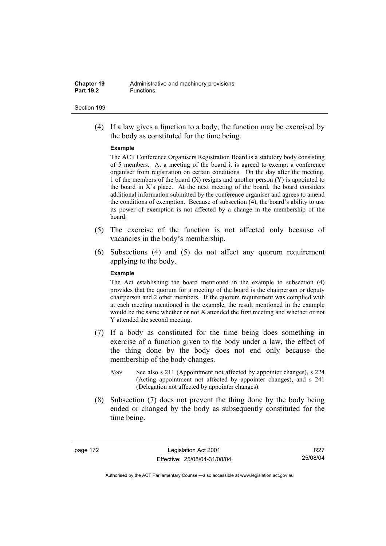(4) If a law gives a function to a body, the function may be exercised by the body as constituted for the time being.

### **Example**

The ACT Conference Organisers Registration Board is a statutory body consisting of 5 members. At a meeting of the board it is agreed to exempt a conference organiser from registration on certain conditions. On the day after the meeting, 1 of the members of the board  $(X)$  resigns and another person  $(Y)$  is appointed to the board in  $X$ 's place. At the next meeting of the board, the board considers additional information submitted by the conference organiser and agrees to amend the conditions of exemption. Because of subsection (4), the board's ability to use its power of exemption is not affected by a change in the membership of the board.

- (5) The exercise of the function is not affected only because of vacancies in the body's membership.
- (6) Subsections (4) and (5) do not affect any quorum requirement applying to the body.

### **Example**

The Act establishing the board mentioned in the example to subsection (4) provides that the quorum for a meeting of the board is the chairperson or deputy chairperson and 2 other members. If the quorum requirement was complied with at each meeting mentioned in the example, the result mentioned in the example would be the same whether or not X attended the first meeting and whether or not Y attended the second meeting.

- (7) If a body as constituted for the time being does something in exercise of a function given to the body under a law, the effect of the thing done by the body does not end only because the membership of the body changes.
	- *Note* See also s 211 (Appointment not affected by appointer changes), s 224 (Acting appointment not affected by appointer changes), and s 241 (Delegation not affected by appointer changes).
- (8) Subsection (7) does not prevent the thing done by the body being ended or changed by the body as subsequently constituted for the time being.

page 172 Legislation Act 2001 Effective: 25/08/04-31/08/04

R27 25/08/04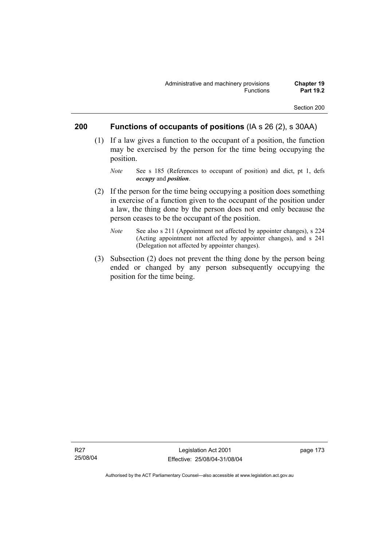### **200 Functions of occupants of positions** (IA s 26 (2), s 30AA)

- (1) If a law gives a function to the occupant of a position, the function may be exercised by the person for the time being occupying the position.
	- *Note* See s 185 (References to occupant of position) and dict, pt 1, defs *occupy* and *position*.
- (2) If the person for the time being occupying a position does something in exercise of a function given to the occupant of the position under a law, the thing done by the person does not end only because the person ceases to be the occupant of the position.
	- *Note* See also s 211 (Appointment not affected by appointer changes), s 224 (Acting appointment not affected by appointer changes), and s 241 (Delegation not affected by appointer changes).
- (3) Subsection (2) does not prevent the thing done by the person being ended or changed by any person subsequently occupying the position for the time being.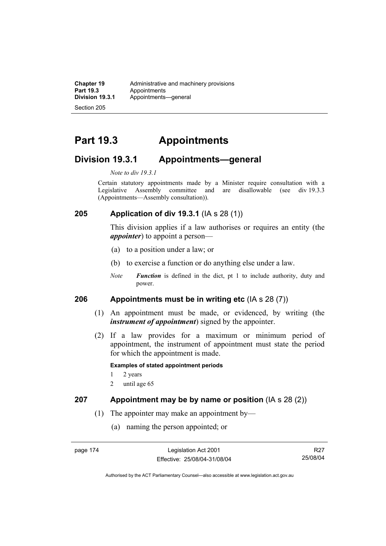**Part 19.3 Appointments** 

## **Division 19.3.1 Appointments—general**

### *Note to div 19.3.1*

Certain statutory appointments made by a Minister require consultation with a Legislative Assembly committee and are disallowable (see div 19.3.3) (Appointments—Assembly consultation)).

## **205 Application of div 19.3.1** (IA s 28 (1))

This division applies if a law authorises or requires an entity (the *appointer*) to appoint a person—

- (a) to a position under a law; or
- (b) to exercise a function or do anything else under a law.
- *Note Function* is defined in the dict, pt 1 to include authority, duty and power.

### **206 Appointments must be in writing etc** (IA s 28 (7))

- (1) An appointment must be made, or evidenced, by writing (the *instrument of appointment*) signed by the appointer.
- (2) If a law provides for a maximum or minimum period of appointment, the instrument of appointment must state the period for which the appointment is made.

### **Examples of stated appointment periods**

- 1 2 years
- 2 until age 65

### **207 Appointment may be by name or position** (IA s 28 (2))

- (1) The appointer may make an appointment by—
	- (a) naming the person appointed; or

page 174 Legislation Act 2001 Effective: 25/08/04-31/08/04

R27 25/08/04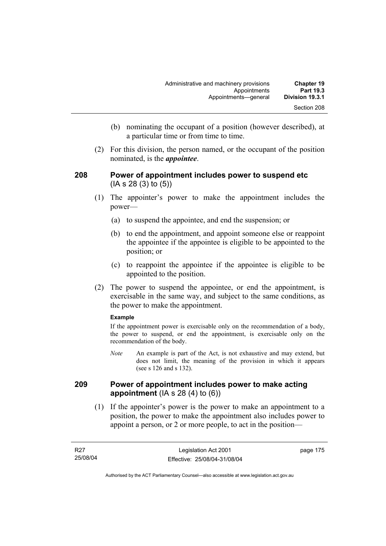- (b) nominating the occupant of a position (however described), at a particular time or from time to time.
- (2) For this division, the person named, or the occupant of the position nominated, is the *appointee*.

### **208 Power of appointment includes power to suspend etc**  (IA s 28 (3) to (5))

- (1) The appointer's power to make the appointment includes the power—
	- (a) to suspend the appointee, and end the suspension; or
	- (b) to end the appointment, and appoint someone else or reappoint the appointee if the appointee is eligible to be appointed to the position; or
	- (c) to reappoint the appointee if the appointee is eligible to be appointed to the position.
- (2) The power to suspend the appointee, or end the appointment, is exercisable in the same way, and subject to the same conditions, as the power to make the appointment.

### **Example**

If the appointment power is exercisable only on the recommendation of a body, the power to suspend, or end the appointment, is exercisable only on the recommendation of the body.

*Note* An example is part of the Act, is not exhaustive and may extend, but does not limit, the meaning of the provision in which it appears (see s 126 and s 132).

### **209 Power of appointment includes power to make acting appointment** (IA s 28 (4) to (6))

 (1) If the appointer's power is the power to make an appointment to a position, the power to make the appointment also includes power to appoint a person, or 2 or more people, to act in the position—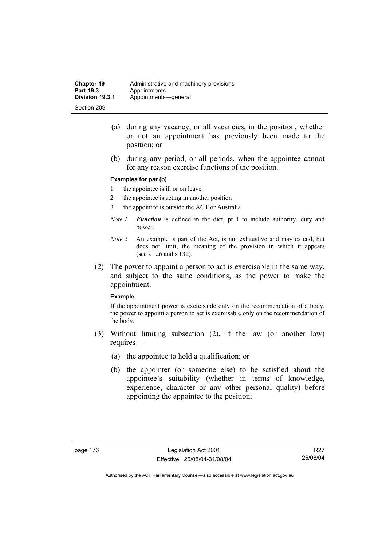- (a) during any vacancy, or all vacancies, in the position, whether or not an appointment has previously been made to the position; or
- (b) during any period, or all periods, when the appointee cannot for any reason exercise functions of the position.

### **Examples for par (b)**

- 1 the appointee is ill or on leave
- 2 the appointee is acting in another position
- 3 the appointee is outside the ACT or Australia
- *Note 1 Function* is defined in the dict, pt 1 to include authority, duty and power.
- *Note 2* An example is part of the Act, is not exhaustive and may extend, but does not limit, the meaning of the provision in which it appears (see s 126 and s 132).
- (2) The power to appoint a person to act is exercisable in the same way, and subject to the same conditions, as the power to make the appointment.

### **Example**

If the appointment power is exercisable only on the recommendation of a body, the power to appoint a person to act is exercisable only on the recommendation of the body.

- (3) Without limiting subsection (2), if the law (or another law) requires—
	- (a) the appointee to hold a qualification; or
	- (b) the appointer (or someone else) to be satisfied about the appointee's suitability (whether in terms of knowledge, experience, character or any other personal quality) before appointing the appointee to the position;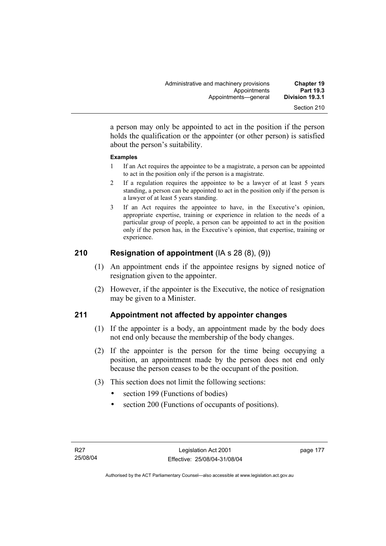a person may only be appointed to act in the position if the person holds the qualification or the appointer (or other person) is satisfied about the person's suitability.

### **Examples**

- 1 If an Act requires the appointee to be a magistrate, a person can be appointed to act in the position only if the person is a magistrate.
- 2 If a regulation requires the appointee to be a lawyer of at least 5 years standing, a person can be appointed to act in the position only if the person is a lawyer of at least 5 years standing.
- 3 If an Act requires the appointee to have, in the Executive's opinion, appropriate expertise, training or experience in relation to the needs of a particular group of people, a person can be appointed to act in the position only if the person has, in the Executive's opinion, that expertise, training or experience.

## **210 Resignation of appointment** (IA s 28 (8), (9))

- (1) An appointment ends if the appointee resigns by signed notice of resignation given to the appointer.
- (2) However, if the appointer is the Executive, the notice of resignation may be given to a Minister.

## **211 Appointment not affected by appointer changes**

- (1) If the appointer is a body, an appointment made by the body does not end only because the membership of the body changes.
- (2) If the appointer is the person for the time being occupying a position, an appointment made by the person does not end only because the person ceases to be the occupant of the position.
- (3) This section does not limit the following sections:
	- section 199 (Functions of bodies)
	- section 200 (Functions of occupants of positions).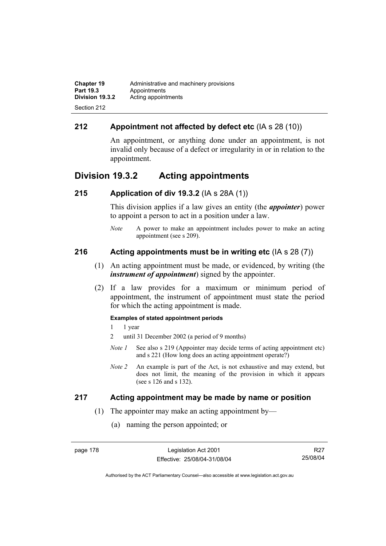| <b>Chapter 19</b> | Administrative and machinery provisions |
|-------------------|-----------------------------------------|
| <b>Part 19.3</b>  | Appointments                            |
| Division 19.3.2   | Acting appointments                     |
| Section 212       |                                         |

### **212 Appointment not affected by defect etc** (IA s 28 (10))

An appointment, or anything done under an appointment, is not invalid only because of a defect or irregularity in or in relation to the appointment.

## **Division 19.3.2 Acting appointments**

### **215 Application of div 19.3.2** (IA s 28A (1))

This division applies if a law gives an entity (the *appointer*) power to appoint a person to act in a position under a law.

*Note* A power to make an appointment includes power to make an acting appointment (see s 209).

### **216 Acting appointments must be in writing etc** (IA s 28 (7))

- (1) An acting appointment must be made, or evidenced, by writing (the *instrument of appointment*) signed by the appointer.
- (2) If a law provides for a maximum or minimum period of appointment, the instrument of appointment must state the period for which the acting appointment is made.

### **Examples of stated appointment periods**

- 1 1 year
- 2 until 31 December 2002 (a period of 9 months)
- *Note 1* See also s 219 (Appointer may decide terms of acting appointment etc) and s 221 (How long does an acting appointment operate?)
- *Note 2* An example is part of the Act, is not exhaustive and may extend, but does not limit, the meaning of the provision in which it appears (see s 126 and s 132).

### **217 Acting appointment may be made by name or position**

- (1) The appointer may make an acting appointment by—
	- (a) naming the person appointed; or

R27 25/08/04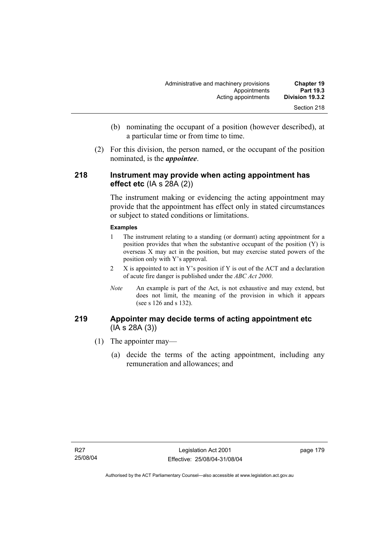- (b) nominating the occupant of a position (however described), at a particular time or from time to time.
- (2) For this division, the person named, or the occupant of the position nominated, is the *appointee*.

### **218 Instrument may provide when acting appointment has effect etc** (IA s 28A (2))

The instrument making or evidencing the acting appointment may provide that the appointment has effect only in stated circumstances or subject to stated conditions or limitations.

### **Examples**

- 1 The instrument relating to a standing (or dormant) acting appointment for a position provides that when the substantive occupant of the position (Y) is overseas X may act in the position, but may exercise stated powers of the position only with Y's approval.
- 2 X is appointed to act in Y's position if Y is out of the ACT and a declaration of acute fire danger is published under the *ABC Act 2000*.
- *Note* An example is part of the Act, is not exhaustive and may extend, but does not limit, the meaning of the provision in which it appears (see s 126 and s 132).

### **219 Appointer may decide terms of acting appointment etc**  (IA s 28A (3))

- (1) The appointer may—
	- (a) decide the terms of the acting appointment, including any remuneration and allowances; and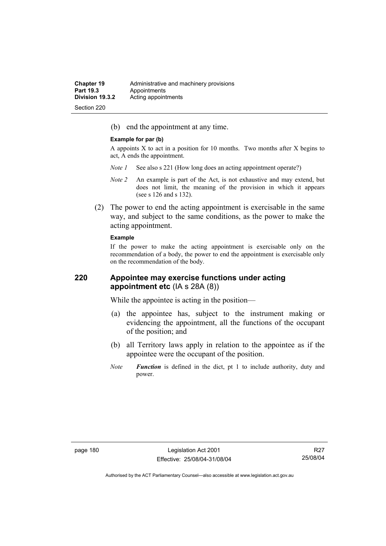(b) end the appointment at any time.

### **Example for par (b)**

A appoints X to act in a position for 10 months. Two months after X begins to act, A ends the appointment.

- *Note 1* See also s 221 (How long does an acting appointment operate?)
- *Note 2* An example is part of the Act, is not exhaustive and may extend, but does not limit, the meaning of the provision in which it appears (see s 126 and s 132).
- (2) The power to end the acting appointment is exercisable in the same way, and subject to the same conditions, as the power to make the acting appointment.

### **Example**

If the power to make the acting appointment is exercisable only on the recommendation of a body, the power to end the appointment is exercisable only on the recommendation of the body.

## **220 Appointee may exercise functions under acting appointment etc** (IA s 28A (8))

While the appointee is acting in the position—

- (a) the appointee has, subject to the instrument making or evidencing the appointment, all the functions of the occupant of the position; and
- (b) all Territory laws apply in relation to the appointee as if the appointee were the occupant of the position.
- *Note Function* is defined in the dict, pt 1 to include authority, duty and power.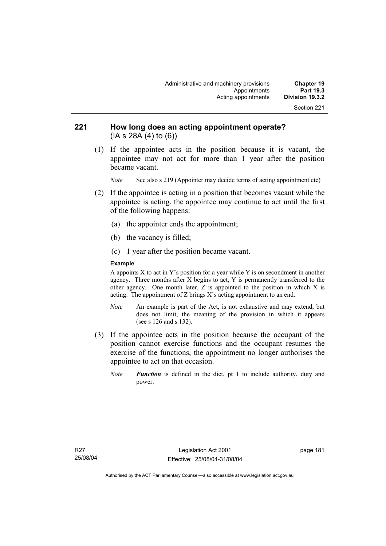### **221 How long does an acting appointment operate?**  (IA s 28A (4) to (6))

 (1) If the appointee acts in the position because it is vacant, the appointee may not act for more than 1 year after the position became vacant.

*Note* See also s 219 (Appointer may decide terms of acting appointment etc)

- (2) If the appointee is acting in a position that becomes vacant while the appointee is acting, the appointee may continue to act until the first of the following happens:
	- (a) the appointer ends the appointment;
	- (b) the vacancy is filled;
	- (c) 1 year after the position became vacant.

### **Example**

A appoints  $X$  to act in Y's position for a year while Y is on secondment in another agency. Three months after X begins to act, Y is permanently transferred to the other agency. One month later, Z is appointed to the position in which X is acting. The appointment of Z brings X's acting appointment to an end.

- *Note* An example is part of the Act, is not exhaustive and may extend, but does not limit, the meaning of the provision in which it appears (see s 126 and s 132).
- (3) If the appointee acts in the position because the occupant of the position cannot exercise functions and the occupant resumes the exercise of the functions, the appointment no longer authorises the appointee to act on that occasion.
	- *Note Function* is defined in the dict, pt 1 to include authority, duty and power.

page 181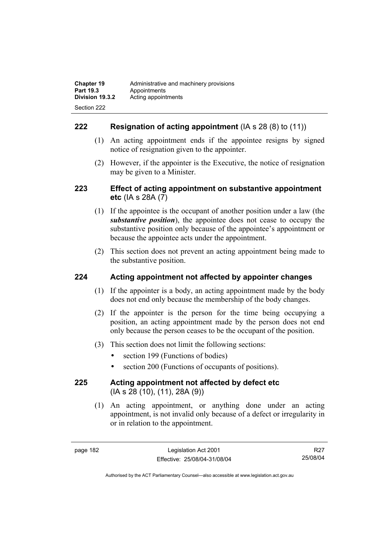## **222 Resignation of acting appointment** (IA s 28 (8) to (11))

- (1) An acting appointment ends if the appointee resigns by signed notice of resignation given to the appointer.
- (2) However, if the appointer is the Executive, the notice of resignation may be given to a Minister.

## **223 Effect of acting appointment on substantive appointment etc** (IA s 28A (7)

- (1) If the appointee is the occupant of another position under a law (the *substantive position*), the appointee does not cease to occupy the substantive position only because of the appointee's appointment or because the appointee acts under the appointment.
- (2) This section does not prevent an acting appointment being made to the substantive position.

## **224 Acting appointment not affected by appointer changes**

- (1) If the appointer is a body, an acting appointment made by the body does not end only because the membership of the body changes.
- (2) If the appointer is the person for the time being occupying a position, an acting appointment made by the person does not end only because the person ceases to be the occupant of the position.
- (3) This section does not limit the following sections:
	- section 199 (Functions of bodies)
	- section 200 (Functions of occupants of positions).

## **225 Acting appointment not affected by defect etc**  (IA s 28 (10), (11), 28A (9))

 (1) An acting appointment, or anything done under an acting appointment, is not invalid only because of a defect or irregularity in or in relation to the appointment.

R27 25/08/04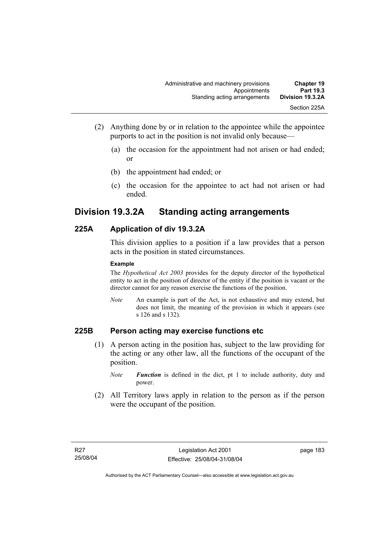- (2) Anything done by or in relation to the appointee while the appointee purports to act in the position is not invalid only because—
	- (a) the occasion for the appointment had not arisen or had ended; or
	- (b) the appointment had ended; or
	- (c) the occasion for the appointee to act had not arisen or had ended.

## **Division 19.3.2A Standing acting arrangements**

### **225A Application of div 19.3.2A**

This division applies to a position if a law provides that a person acts in the position in stated circumstances.

### **Example**

The *Hypothetical Act 2003* provides for the deputy director of the hypothetical entity to act in the position of director of the entity if the position is vacant or the director cannot for any reason exercise the functions of the position.

*Note* An example is part of the Act, is not exhaustive and may extend, but does not limit, the meaning of the provision in which it appears (see s 126 and s 132).

## **225B Person acting may exercise functions etc**

- (1) A person acting in the position has, subject to the law providing for the acting or any other law, all the functions of the occupant of the position.
	- *Note Function* is defined in the dict, pt 1 to include authority, duty and power.
- (2) All Territory laws apply in relation to the person as if the person were the occupant of the position.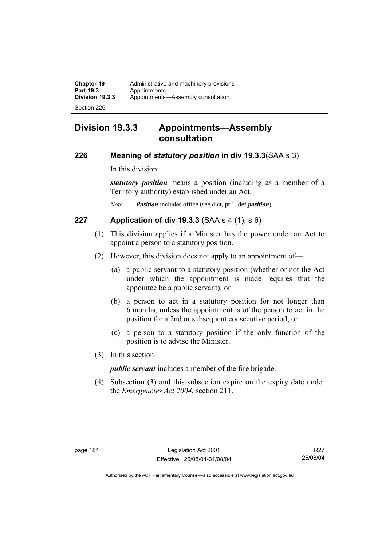## **Division 19.3.3 Appointments—Assembly consultation**

### **226 Meaning of** *statutory position* **in div 19.3.3**(SAA s 3)

In this division:

*statutory position* means a position (including as a member of a Territory authority) established under an Act.

*Note Position* includes office (see dict, pt 1, def *position*).

## **227 Application of div 19.3.3** (SAA s 4 (1), s 6)

- (1) This division applies if a Minister has the power under an Act to appoint a person to a statutory position.
- (2) However, this division does not apply to an appointment of—
	- (a) a public servant to a statutory position (whether or not the Act under which the appointment is made requires that the appointee be a public servant); or
	- (b) a person to act in a statutory position for not longer than 6 months, unless the appointment is of the person to act in the position for a 2nd or subsequent consecutive period; or
	- (c) a person to a statutory position if the only function of the position is to advise the Minister.
- (3) In this section:

*public servant* includes a member of the fire brigade.

 (4) Subsection (3) and this subsection expire on the expiry date under the *Emergencies Act 2004*, section 211.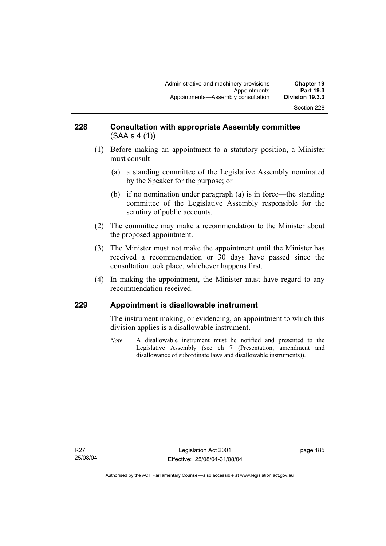### **228 Consultation with appropriate Assembly committee**  (SAA s 4 (1))

- (1) Before making an appointment to a statutory position, a Minister must consult—
	- (a) a standing committee of the Legislative Assembly nominated by the Speaker for the purpose; or
	- (b) if no nomination under paragraph (a) is in force—the standing committee of the Legislative Assembly responsible for the scrutiny of public accounts.
- (2) The committee may make a recommendation to the Minister about the proposed appointment.
- (3) The Minister must not make the appointment until the Minister has received a recommendation or 30 days have passed since the consultation took place, whichever happens first.
- (4) In making the appointment, the Minister must have regard to any recommendation received.

## **229 Appointment is disallowable instrument**

The instrument making, or evidencing, an appointment to which this division applies is a disallowable instrument.

*Note* A disallowable instrument must be notified and presented to the Legislative Assembly (see ch 7 (Presentation, amendment and disallowance of subordinate laws and disallowable instruments)).

Section 228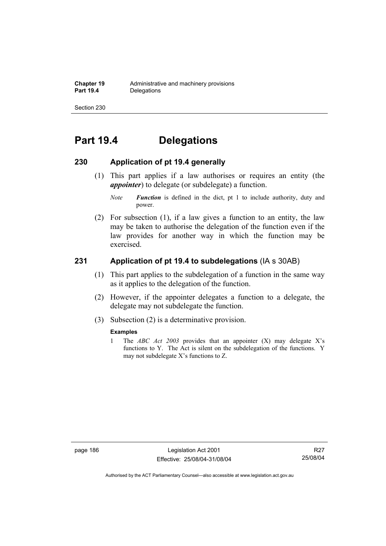# **Part 19.4 Delegations**

### **230 Application of pt 19.4 generally**

- (1) This part applies if a law authorises or requires an entity (the *appointer*) to delegate (or subdelegate) a function.
	- *Note Function* is defined in the dict, pt 1 to include authority, duty and power.
- (2) For subsection (1), if a law gives a function to an entity, the law may be taken to authorise the delegation of the function even if the law provides for another way in which the function may be exercised.

## **231 Application of pt 19.4 to subdelegations** (IA s 30AB)

- (1) This part applies to the subdelegation of a function in the same way as it applies to the delegation of the function.
- (2) However, if the appointer delegates a function to a delegate, the delegate may not subdelegate the function.
- (3) Subsection (2) is a determinative provision.

### **Examples**

1 The *ABC Act 2003* provides that an appointer (X) may delegate X's functions to Y. The Act is silent on the subdelegation of the functions. Y may not subdelegate X's functions to Z.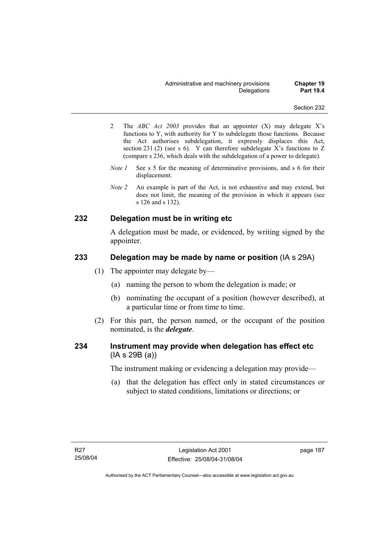- 2 The *ABC Act 2003* provides that an appointer (X) may delegate X's functions to Y, with authority for Y to subdelegate those functions. Because the Act authorises subdelegation, it expressly displaces this Act, section 231 (2) (see s 6). Y can therefore subdelegate X's functions to Z (compare s 236, which deals with the subdelegation of a power to delegate)*.*
- *Note 1* See s 5 for the meaning of determinative provisions, and s 6 for their displacement.
- *Note 2* An example is part of the Act, is not exhaustive and may extend, but does not limit, the meaning of the provision in which it appears (see s 126 and s 132).

### **232 Delegation must be in writing etc**

A delegation must be made, or evidenced, by writing signed by the appointer.

### **233 Delegation may be made by name or position** (IA s 29A)

- (1) The appointer may delegate by—
	- (a) naming the person to whom the delegation is made; or
	- (b) nominating the occupant of a position (however described), at a particular time or from time to time.
- (2) For this part, the person named, or the occupant of the position nominated, is the *delegate*.

## **234 Instrument may provide when delegation has effect etc**  (IA s 29B (a))

The instrument making or evidencing a delegation may provide—

 (a) that the delegation has effect only in stated circumstances or subject to stated conditions, limitations or directions; or

page 187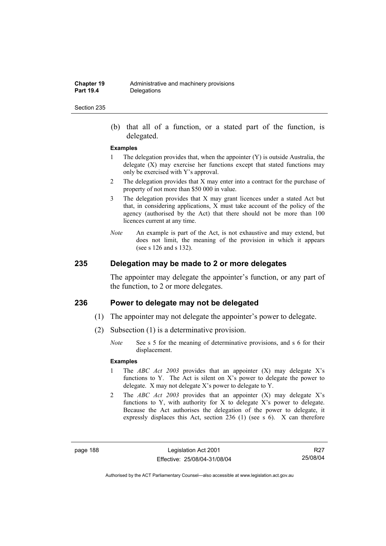(b) that all of a function, or a stated part of the function, is delegated.

#### **Examples**

- 1 The delegation provides that, when the appointer (Y) is outside Australia, the delegate  $(X)$  may exercise her functions except that stated functions may only be exercised with Y's approval.
- 2 The delegation provides that X may enter into a contract for the purchase of property of not more than \$50 000 in value.
- 3 The delegation provides that X may grant licences under a stated Act but that, in considering applications, X must take account of the policy of the agency (authorised by the Act) that there should not be more than 100 licences current at any time.
- *Note* An example is part of the Act, is not exhaustive and may extend, but does not limit, the meaning of the provision in which it appears (see s 126 and s 132).

### **235 Delegation may be made to 2 or more delegates**

The appointer may delegate the appointer's function, or any part of the function, to 2 or more delegates.

### **236 Power to delegate may not be delegated**

- (1) The appointer may not delegate the appointer's power to delegate.
- (2) Subsection (1) is a determinative provision.
	- *Note* See s 5 for the meaning of determinative provisions, and s 6 for their displacement.

### **Examples**

- 1 The *ABC Act 2003* provides that an appointer (X) may delegate X's functions to Y. The Act is silent on X's power to delegate the power to delegate. X may not delegate X's power to delegate to Y.
- 2 The *ABC Act 2003* provides that an appointer (X) may delegate X's functions to Y, with authority for X to delegate X's power to delegate. Because the Act authorises the delegation of the power to delegate, it expressly displaces this Act, section 236 (1) (see s 6). X can therefore

page 188 Legislation Act 2001 Effective: 25/08/04-31/08/04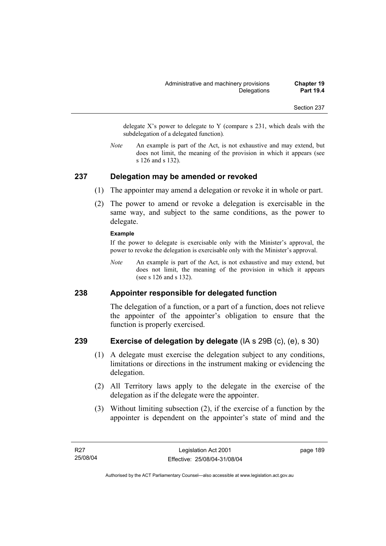delegate  $X$ 's power to delegate to Y (compare s 231, which deals with the subdelegation of a delegated function)*.* 

*Note* An example is part of the Act, is not exhaustive and may extend, but does not limit, the meaning of the provision in which it appears (see s 126 and s 132).

### **237 Delegation may be amended or revoked**

- (1) The appointer may amend a delegation or revoke it in whole or part.
- (2) The power to amend or revoke a delegation is exercisable in the same way, and subject to the same conditions, as the power to delegate.

### **Example**

If the power to delegate is exercisable only with the Minister's approval, the power to revoke the delegation is exercisable only with the Minister's approval.

*Note* An example is part of the Act, is not exhaustive and may extend, but does not limit, the meaning of the provision in which it appears (see s 126 and s 132).

### **238 Appointer responsible for delegated function**

The delegation of a function, or a part of a function, does not relieve the appointer of the appointer's obligation to ensure that the function is properly exercised.

### **239 Exercise of delegation by delegate** (IA s 29B (c), (e), s 30)

- (1) A delegate must exercise the delegation subject to any conditions, limitations or directions in the instrument making or evidencing the delegation.
- (2) All Territory laws apply to the delegate in the exercise of the delegation as if the delegate were the appointer.
- (3) Without limiting subsection (2), if the exercise of a function by the appointer is dependent on the appointer's state of mind and the

page 189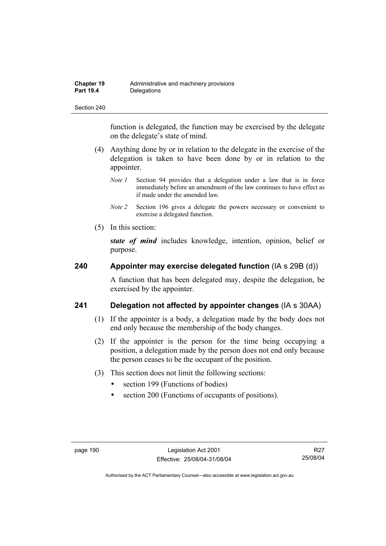function is delegated, the function may be exercised by the delegate on the delegate's state of mind.

- (4) Anything done by or in relation to the delegate in the exercise of the delegation is taken to have been done by or in relation to the appointer.
	- *Note 1* Section 94 provides that a delegation under a law that is in force immediately before an amendment of the law continues to have effect as if made under the amended law.
	- *Note 2* Section 196 gives a delegate the powers necessary or convenient to exercise a delegated function.
- (5) In this section:

*state of mind* includes knowledge, intention, opinion, belief or purpose.

## **240 Appointer may exercise delegated function** (IA s 29B (d))

A function that has been delegated may, despite the delegation, be exercised by the appointer.

## **241 Delegation not affected by appointer changes** (IA s 30AA)

- (1) If the appointer is a body, a delegation made by the body does not end only because the membership of the body changes.
- (2) If the appointer is the person for the time being occupying a position, a delegation made by the person does not end only because the person ceases to be the occupant of the position.
- (3) This section does not limit the following sections:
	- section 199 (Functions of bodies)
	- section 200 (Functions of occupants of positions).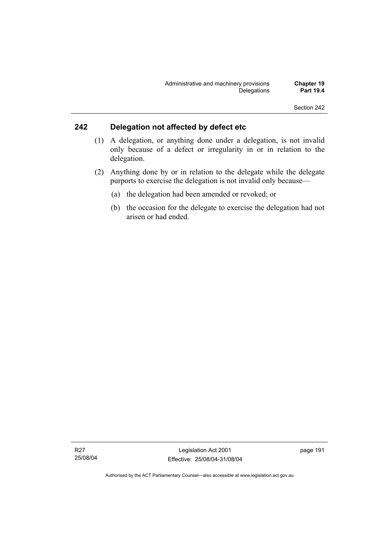## **242 Delegation not affected by defect etc**

- (1) A delegation, or anything done under a delegation, is not invalid only because of a defect or irregularity in or in relation to the delegation.
- (2) Anything done by or in relation to the delegate while the delegate purports to exercise the delegation is not invalid only because—
	- (a) the delegation had been amended or revoked; or
	- (b) the occasion for the delegate to exercise the delegation had not arisen or had ended.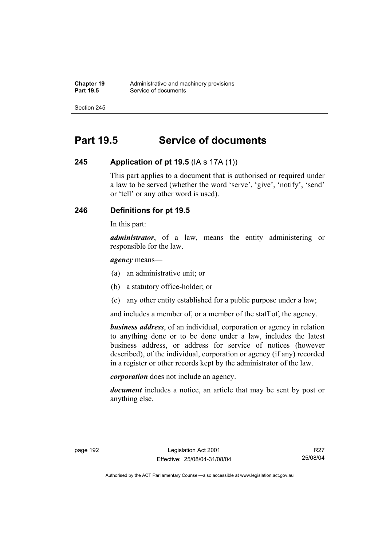# **Part 19.5 Service of documents**

## **245 Application of pt 19.5** (IA s 17A (1))

This part applies to a document that is authorised or required under a law to be served (whether the word 'serve', 'give', 'notify', 'send' or 'tell' or any other word is used).

## **246 Definitions for pt 19.5**

In this part:

*administrator*, of a law, means the entity administering or responsible for the law.

*agency* means—

- (a) an administrative unit; or
- (b) a statutory office-holder; or
- (c) any other entity established for a public purpose under a law;

and includes a member of, or a member of the staff of, the agency.

*business address*, of an individual, corporation or agency in relation to anything done or to be done under a law, includes the latest business address, or address for service of notices (however described), of the individual, corporation or agency (if any) recorded in a register or other records kept by the administrator of the law.

*corporation* does not include an agency.

*document* includes a notice, an article that may be sent by post or anything else.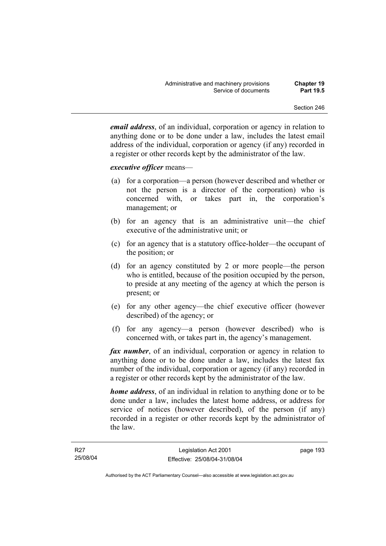*email address*, of an individual, corporation or agency in relation to anything done or to be done under a law, includes the latest email address of the individual, corporation or agency (if any) recorded in a register or other records kept by the administrator of the law.

### *executive officer* means—

- (a) for a corporation—a person (however described and whether or not the person is a director of the corporation) who is concerned with, or takes part in, the corporation's management; or
- (b) for an agency that is an administrative unit—the chief executive of the administrative unit; or
- (c) for an agency that is a statutory office-holder—the occupant of the position; or
- (d) for an agency constituted by 2 or more people—the person who is entitled, because of the position occupied by the person, to preside at any meeting of the agency at which the person is present; or
- (e) for any other agency—the chief executive officer (however described) of the agency; or
- (f) for any agency—a person (however described) who is concerned with, or takes part in, the agency's management.

*fax number*, of an individual, corporation or agency in relation to anything done or to be done under a law, includes the latest fax number of the individual, corporation or agency (if any) recorded in a register or other records kept by the administrator of the law.

*home address*, of an individual in relation to anything done or to be done under a law, includes the latest home address, or address for service of notices (however described), of the person (if any) recorded in a register or other records kept by the administrator of the law.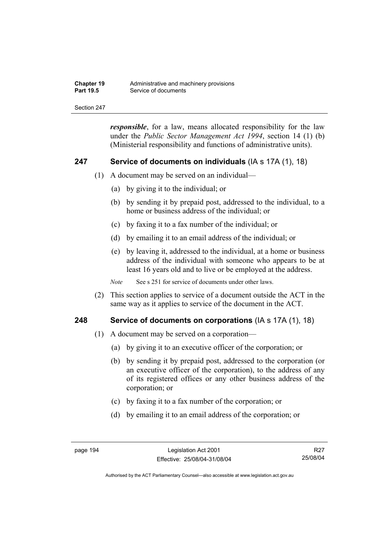| <b>Chapter 19</b> | Administrative and machinery provisions |
|-------------------|-----------------------------------------|
| <b>Part 19.5</b>  | Service of documents                    |

*responsible*, for a law, means allocated responsibility for the law under the *Public Sector Management Act 1994*, section 14 (1) (b) (Ministerial responsibility and functions of administrative units).

### **247 Service of documents on individuals** (IA s 17A (1), 18)

- (1) A document may be served on an individual—
	- (a) by giving it to the individual; or
	- (b) by sending it by prepaid post, addressed to the individual, to a home or business address of the individual; or
	- (c) by faxing it to a fax number of the individual; or
	- (d) by emailing it to an email address of the individual; or
	- (e) by leaving it, addressed to the individual, at a home or business address of the individual with someone who appears to be at least 16 years old and to live or be employed at the address.

*Note* See s 251 for service of documents under other laws.

 (2) This section applies to service of a document outside the ACT in the same way as it applies to service of the document in the ACT.

### **248 Service of documents on corporations** (IA s 17A (1), 18)

- (1) A document may be served on a corporation—
	- (a) by giving it to an executive officer of the corporation; or
	- (b) by sending it by prepaid post, addressed to the corporation (or an executive officer of the corporation), to the address of any of its registered offices or any other business address of the corporation; or
	- (c) by faxing it to a fax number of the corporation; or
	- (d) by emailing it to an email address of the corporation; or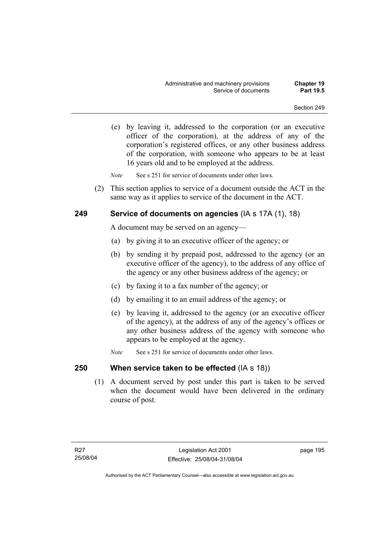(e) by leaving it, addressed to the corporation (or an executive officer of the corporation), at the address of any of the corporation's registered offices, or any other business address of the corporation, with someone who appears to be at least 16 years old and to be employed at the address.

*Note* See s 251 for service of documents under other laws.

 (2) This section applies to service of a document outside the ACT in the same way as it applies to service of the document in the ACT.

### **249 Service of documents on agencies** (IA s 17A (1), 18)

A document may be served on an agency—

- (a) by giving it to an executive officer of the agency; or
- (b) by sending it by prepaid post, addressed to the agency (or an executive officer of the agency), to the address of any office of the agency or any other business address of the agency; or
- (c) by faxing it to a fax number of the agency; or
- (d) by emailing it to an email address of the agency; or
- (e) by leaving it, addressed to the agency (or an executive officer of the agency), at the address of any of the agency's offices or any other business address of the agency with someone who appears to be employed at the agency.
- *Note* See s 251 for service of documents under other laws.

### **250 When service taken to be effected** (IA s 18))

 (1) A document served by post under this part is taken to be served when the document would have been delivered in the ordinary course of post.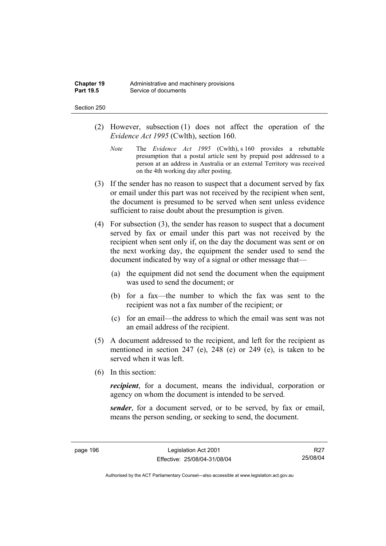- (2) However, subsection (1) does not affect the operation of the *Evidence Act 1995* (Cwlth), section 160.
	- *Note* The *Evidence Act 1995* (Cwlth), s 160 provides a rebuttable presumption that a postal article sent by prepaid post addressed to a person at an address in Australia or an external Territory was received on the 4th working day after posting.
- (3) If the sender has no reason to suspect that a document served by fax or email under this part was not received by the recipient when sent, the document is presumed to be served when sent unless evidence sufficient to raise doubt about the presumption is given.
- (4) For subsection (3), the sender has reason to suspect that a document served by fax or email under this part was not received by the recipient when sent only if, on the day the document was sent or on the next working day, the equipment the sender used to send the document indicated by way of a signal or other message that—
	- (a) the equipment did not send the document when the equipment was used to send the document; or
	- (b) for a fax—the number to which the fax was sent to the recipient was not a fax number of the recipient; or
	- (c) for an email—the address to which the email was sent was not an email address of the recipient.
- (5) A document addressed to the recipient, and left for the recipient as mentioned in section 247 (e), 248 (e) or 249 (e), is taken to be served when it was left.
- (6) In this section:

*recipient*, for a document, means the individual, corporation or agency on whom the document is intended to be served.

*sender*, for a document served, or to be served, by fax or email, means the person sending, or seeking to send, the document.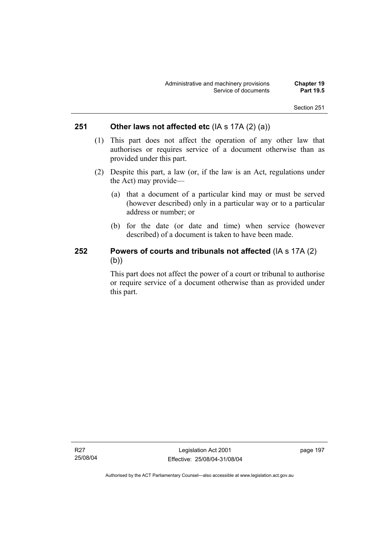### **251 Other laws not affected etc** (IA s 17A (2) (a))

- (1) This part does not affect the operation of any other law that authorises or requires service of a document otherwise than as provided under this part.
- (2) Despite this part, a law (or, if the law is an Act, regulations under the Act) may provide—
	- (a) that a document of a particular kind may or must be served (however described) only in a particular way or to a particular address or number; or
	- (b) for the date (or date and time) when service (however described) of a document is taken to have been made.

## **252 Powers of courts and tribunals not affected** (IA s 17A (2) (b))

This part does not affect the power of a court or tribunal to authorise or require service of a document otherwise than as provided under this part.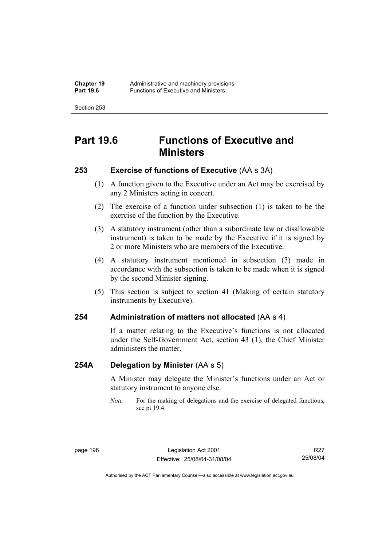# **Part 19.6 Functions of Executive and Ministers**

## **253 Exercise of functions of Executive** (AA s 3A)

- (1) A function given to the Executive under an Act may be exercised by any 2 Ministers acting in concert.
- (2) The exercise of a function under subsection (1) is taken to be the exercise of the function by the Executive.
- (3) A statutory instrument (other than a subordinate law or disallowable instrument) is taken to be made by the Executive if it is signed by 2 or more Ministers who are members of the Executive.
- (4) A statutory instrument mentioned in subsection (3) made in accordance with the subsection is taken to be made when it is signed by the second Minister signing.
- (5) This section is subject to section 41 (Making of certain statutory instruments by Executive).

### **254 Administration of matters not allocated** (AA s 4)

If a matter relating to the Executive's functions is not allocated under the Self-Government Act, section 43 (1), the Chief Minister administers the matter.

### **254A Delegation by Minister** (AA s 5)

A Minister may delegate the Minister's functions under an Act or statutory instrument to anyone else.

*Note* For the making of delegations and the exercise of delegated functions, see pt 19.4.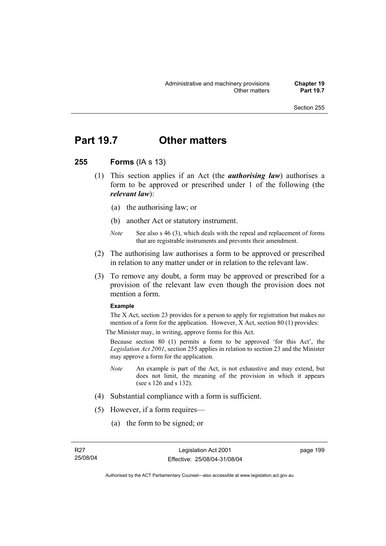## **Part 19.7 Other matters**

### **255 Forms** (IA s 13)

- (1) This section applies if an Act (the *authorising law*) authorises a form to be approved or prescribed under 1 of the following (the *relevant law*):
	- (a) the authorising law; or
	- (b) another Act or statutory instrument.
	- *Note* See also s 46 (3), which deals with the repeal and replacement of forms that are registrable instruments and prevents their amendment.
- (2) The authorising law authorises a form to be approved or prescribed in relation to any matter under or in relation to the relevant law.
- (3) To remove any doubt, a form may be approved or prescribed for a provision of the relevant law even though the provision does not mention a form.

### **Example**

The X Act, section 23 provides for a person to apply for registration but makes no mention of a form for the application. However, X Act, section 80 (1) provides:

The Minister may, in writing, approve forms for this Act.

Because section 80 (1) permits a form to be approved 'for this Act', the *Legislation Act 2001*, section 255 applies in relation to section 23 and the Minister may approve a form for the application.

- *Note* An example is part of the Act, is not exhaustive and may extend, but does not limit, the meaning of the provision in which it appears (see s 126 and s 132).
- (4) Substantial compliance with a form is sufficient.
- (5) However, if a form requires—
	- (a) the form to be signed; or

page 199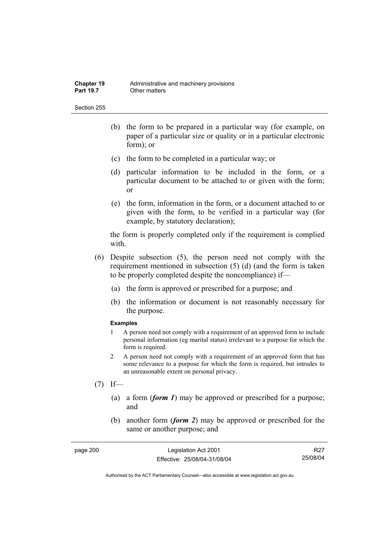- (b) the form to be prepared in a particular way (for example, on paper of a particular size or quality or in a particular electronic form); or
- (c) the form to be completed in a particular way; or
- (d) particular information to be included in the form, or a particular document to be attached to or given with the form; or
- (e) the form, information in the form, or a document attached to or given with the form, to be verified in a particular way (for example, by statutory declaration);

the form is properly completed only if the requirement is complied with.

- (6) Despite subsection (5), the person need not comply with the requirement mentioned in subsection (5) (d) (and the form is taken to be properly completed despite the noncompliance) if—
	- (a) the form is approved or prescribed for a purpose; and
	- (b) the information or document is not reasonably necessary for the purpose.

### **Examples**

- 1 A person need not comply with a requirement of an approved form to include personal information (eg marital status) irrelevant to a purpose for which the form is required.
- 2 A person need not comply with a requirement of an approved form that has some relevance to a purpose for which the form is required, but intrudes to an unreasonable extent on personal privacy.
- $(7)$  If—
	- (a) a form (*form 1*) may be approved or prescribed for a purpose; and
	- (b) another form (*form 2*) may be approved or prescribed for the same or another purpose; and

| page 200 | Legislation Act 2001         | R <sub>27</sub> |
|----------|------------------------------|-----------------|
|          | Effective: 25/08/04-31/08/04 | 25/08/04        |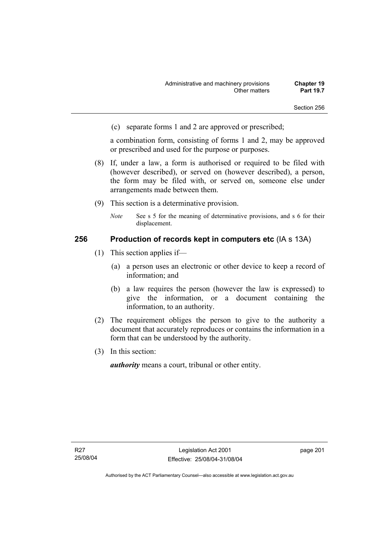(c) separate forms 1 and 2 are approved or prescribed;

a combination form, consisting of forms 1 and 2, may be approved or prescribed and used for the purpose or purposes.

- (8) If, under a law, a form is authorised or required to be filed with (however described), or served on (however described), a person, the form may be filed with, or served on, someone else under arrangements made between them.
- (9) This section is a determinative provision.
	- *Note* See s 5 for the meaning of determinative provisions, and s 6 for their displacement.

# **256 Production of records kept in computers etc** (IA s 13A)

- (1) This section applies if—
	- (a) a person uses an electronic or other device to keep a record of information; and
	- (b) a law requires the person (however the law is expressed) to give the information, or a document containing the information, to an authority.
- (2) The requirement obliges the person to give to the authority a document that accurately reproduces or contains the information in a form that can be understood by the authority.
- (3) In this section:

*authority* means a court, tribunal or other entity.

page 201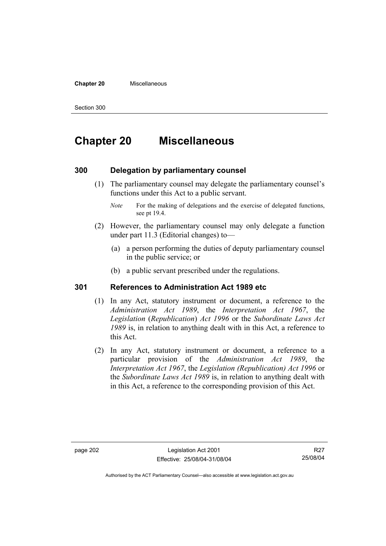#### **Chapter 20** Miscellaneous

Section 300

# **Chapter 20 Miscellaneous**

## **300 Delegation by parliamentary counsel**

 (1) The parliamentary counsel may delegate the parliamentary counsel's functions under this Act to a public servant.

- (2) However, the parliamentary counsel may only delegate a function under part 11.3 (Editorial changes) to—
	- (a) a person performing the duties of deputy parliamentary counsel in the public service; or
	- (b) a public servant prescribed under the regulations.

# **301 References to Administration Act 1989 etc**

- (1) In any Act, statutory instrument or document, a reference to the *Administration Act 1989*, the *Interpretation Act 1967*, the *Legislation* (*Republication*) *Act 1996* or the *Subordinate Laws Act 1989* is, in relation to anything dealt with in this Act, a reference to this Act.
- (2) In any Act, statutory instrument or document, a reference to a particular provision of the *Administration Act 1989*, the *Interpretation Act 1967*, the *Legislation (Republication) Act 1996* or the *Subordinate Laws Act 1989* is, in relation to anything dealt with in this Act, a reference to the corresponding provision of this Act.

R27 25/08/04

*Note* For the making of delegations and the exercise of delegated functions, see pt 19.4.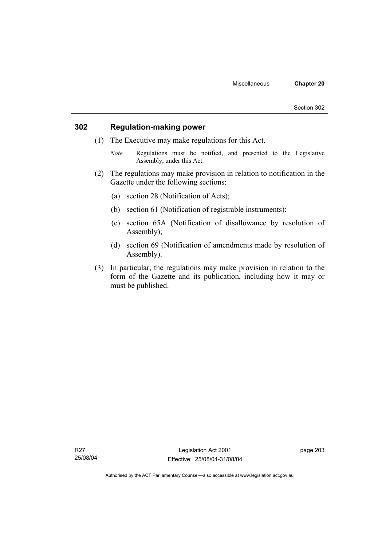# **302 Regulation-making power**

- (1) The Executive may make regulations for this Act.
	- *Note* Regulations must be notified, and presented to the Legislative Assembly, under this Act.
- (2) The regulations may make provision in relation to notification in the Gazette under the following sections:
	- (a) section 28 (Notification of Acts);
	- (b) section 61 (Notification of registrable instruments):
	- (c) section 65A (Notification of disallowance by resolution of Assembly);
	- (d) section 69 (Notification of amendments made by resolution of Assembly).
- (3) In particular, the regulations may make provision in relation to the form of the Gazette and its publication, including how it may or must be published.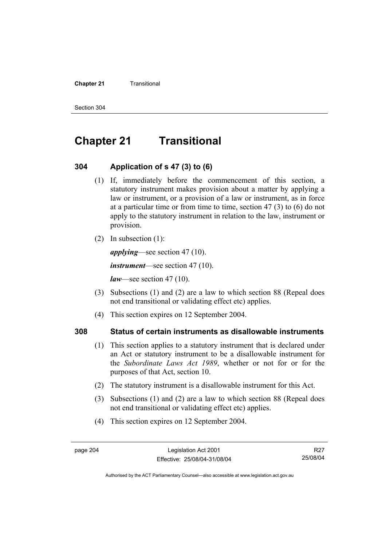#### **Chapter 21 Transitional**

Section 304

# **Chapter 21 Transitional**

## **304 Application of s 47 (3) to (6)**

- (1) If, immediately before the commencement of this section, a statutory instrument makes provision about a matter by applying a law or instrument, or a provision of a law or instrument, as in force at a particular time or from time to time, section 47 (3) to (6) do not apply to the statutory instrument in relation to the law, instrument or provision.
- (2) In subsection (1):

*applying*—see section 47 (10).

*instrument*—see section 47 (10).

*law*—see section 47 (10).

- (3) Subsections (1) and (2) are a law to which section 88 (Repeal does not end transitional or validating effect etc) applies.
- (4) This section expires on 12 September 2004.

# **308 Status of certain instruments as disallowable instruments**

- (1) This section applies to a statutory instrument that is declared under an Act or statutory instrument to be a disallowable instrument for the *Subordinate Laws Act 1989*, whether or not for or for the purposes of that Act, section 10.
- (2) The statutory instrument is a disallowable instrument for this Act.
- (3) Subsections (1) and (2) are a law to which section 88 (Repeal does not end transitional or validating effect etc) applies.
- (4) This section expires on 12 September 2004.

R27 25/08/04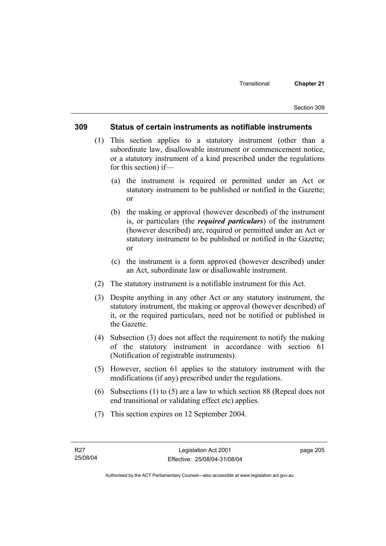# **309 Status of certain instruments as notifiable instruments**

- (1) This section applies to a statutory instrument (other than a subordinate law, disallowable instrument or commencement notice, or a statutory instrument of a kind prescribed under the regulations for this section) if—
	- (a) the instrument is required or permitted under an Act or statutory instrument to be published or notified in the Gazette; or
	- (b) the making or approval (however described) of the instrument is, or particulars (the *required particulars*) of the instrument (however described) are, required or permitted under an Act or statutory instrument to be published or notified in the Gazette; or
	- (c) the instrument is a form approved (however described) under an Act, subordinate law or disallowable instrument.
- (2) The statutory instrument is a notifiable instrument for this Act.
- (3) Despite anything in any other Act or any statutory instrument, the statutory instrument, the making or approval (however described) of it, or the required particulars, need not be notified or published in the Gazette.
- (4) Subsection (3) does not affect the requirement to notify the making of the statutory instrument in accordance with section 61 (Notification of registrable instruments).
- (5) However, section 61 applies to the statutory instrument with the modifications (if any) prescribed under the regulations.
- (6) Subsections (1) to (5) are a law to which section 88 (Repeal does not end transitional or validating effect etc) applies.
- (7) This section expires on 12 September 2004.

page 205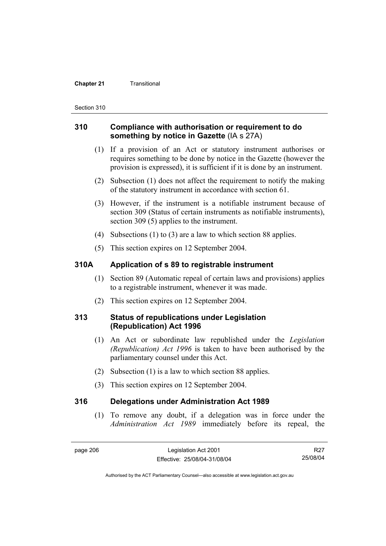### **Chapter 21 Transitional**

Section 310

# **310 Compliance with authorisation or requirement to do something by notice in Gazette** (IA s 27A)

- (1) If a provision of an Act or statutory instrument authorises or requires something to be done by notice in the Gazette (however the provision is expressed), it is sufficient if it is done by an instrument.
- (2) Subsection (1) does not affect the requirement to notify the making of the statutory instrument in accordance with section 61.
- (3) However, if the instrument is a notifiable instrument because of section 309 (Status of certain instruments as notifiable instruments), section 309 (5) applies to the instrument.
- (4) Subsections (1) to (3) are a law to which section 88 applies.
- (5) This section expires on 12 September 2004.

# **310A Application of s 89 to registrable instrument**

- (1) Section 89 (Automatic repeal of certain laws and provisions) applies to a registrable instrument, whenever it was made.
- (2) This section expires on 12 September 2004.

# **313 Status of republications under Legislation (Republication) Act 1996**

- (1) An Act or subordinate law republished under the *Legislation (Republication) Act 1996* is taken to have been authorised by the parliamentary counsel under this Act.
- (2) Subsection (1) is a law to which section 88 applies.
- (3) This section expires on 12 September 2004.

# **316 Delegations under Administration Act 1989**

 (1) To remove any doubt, if a delegation was in force under the *Administration Act 1989* immediately before its repeal, the

R27 25/08/04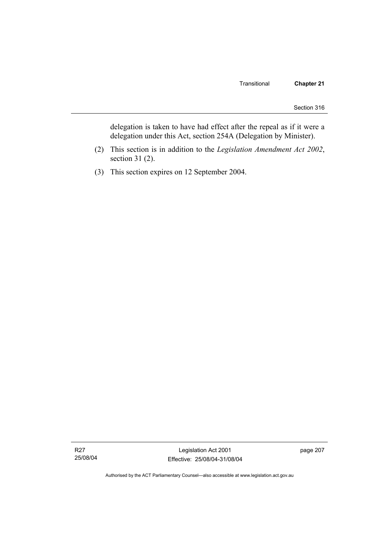delegation is taken to have had effect after the repeal as if it were a delegation under this Act, section 254A (Delegation by Minister).

- (2) This section is in addition to the *Legislation Amendment Act 2002*, section 31 (2).
- (3) This section expires on 12 September 2004.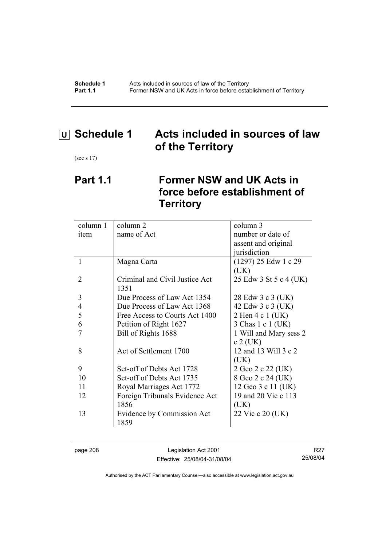**Schedule 1** Acts included in sources of law of the Territory **Part 1.1 Former NSW and UK Acts in force before establishment of Territory** 

# **U Schedule 1 Acts included in sources of law of the Territory**

(see s 17)

# **Part 1.1 Former NSW and UK Acts in force before establishment of Territory**

| column 1 | column 2                       | column 3               |
|----------|--------------------------------|------------------------|
| item     | name of Act                    | number or date of      |
|          |                                | assent and original    |
|          |                                | jurisdiction           |
| 1        | Magna Carta                    | $(1297)$ 25 Edw 1 c 29 |
|          |                                | (UK)                   |
| 2        | Criminal and Civil Justice Act | 25 Edw 3 St 5 c 4 (UK) |
|          | 1351                           |                        |
| 3        | Due Process of Law Act 1354    | 28 Edw 3 c 3 (UK)      |
| 4        | Due Process of Law Act 1368    | 42 Edw 3 c 3 (UK)      |
| 5        | Free Access to Courts Act 1400 | 2 Hen 4 c 1 (UK)       |
| 6        | Petition of Right 1627         | 3 Chas 1 c 1 (UK)      |
| 7        | Bill of Rights 1688            | 1 Will and Mary sess 2 |
|          |                                | $c 2$ (UK)             |
| 8        | Act of Settlement 1700         | 12 and 13 Will 3 c 2   |
|          |                                | (UK)                   |
| 9        | Set-off of Debts Act 1728      | 2 Geo 2 c 22 (UK)      |
| 10       | Set-off of Debts Act 1735      | 8 Geo 2 c 24 (UK)      |
| 11       | Royal Marriages Act 1772       | 12 Geo 3 c 11 (UK)     |
| 12       | Foreign Tribunals Evidence Act | 19 and 20 Vic c 113    |
|          | 1856                           | (UK)                   |
| 13       | Evidence by Commission Act     | 22 Vic c 20 (UK)       |
|          | 1859                           |                        |

page 208 Legislation Act 2001 Effective: 25/08/04-31/08/04

R27 25/08/04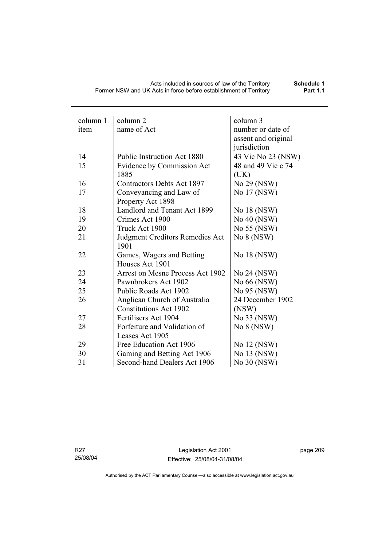| column 1<br>column 2<br>column 3<br>name of Act<br>number or date of<br>item<br>assent and original<br>jurisdiction<br>Public Instruction Act 1880<br>14<br>43 Vic No 23 (NSW)<br>15<br>48 and 49 Vic c 74<br>Evidence by Commission Act<br>1885<br>(UK)<br>16<br>Contractors Debts Act 1897<br>No 29 (NSW)<br>17<br>No 17 (NSW)<br>Conveyancing and Law of<br>Property Act 1898<br>Landlord and Tenant Act 1899<br>18<br>No 18 (NSW)<br>No 40 (NSW)<br>19<br>Crimes Act 1900<br>No 55 (NSW)<br>Truck Act 1900<br>20<br>21<br>Judgment Creditors Remedies Act<br>No 8 (NSW)<br>1901<br>22<br>No 18 (NSW)<br>Games, Wagers and Betting |
|---------------------------------------------------------------------------------------------------------------------------------------------------------------------------------------------------------------------------------------------------------------------------------------------------------------------------------------------------------------------------------------------------------------------------------------------------------------------------------------------------------------------------------------------------------------------------------------------------------------------------------------|
|                                                                                                                                                                                                                                                                                                                                                                                                                                                                                                                                                                                                                                       |
|                                                                                                                                                                                                                                                                                                                                                                                                                                                                                                                                                                                                                                       |
|                                                                                                                                                                                                                                                                                                                                                                                                                                                                                                                                                                                                                                       |
|                                                                                                                                                                                                                                                                                                                                                                                                                                                                                                                                                                                                                                       |
|                                                                                                                                                                                                                                                                                                                                                                                                                                                                                                                                                                                                                                       |
|                                                                                                                                                                                                                                                                                                                                                                                                                                                                                                                                                                                                                                       |
|                                                                                                                                                                                                                                                                                                                                                                                                                                                                                                                                                                                                                                       |
|                                                                                                                                                                                                                                                                                                                                                                                                                                                                                                                                                                                                                                       |
|                                                                                                                                                                                                                                                                                                                                                                                                                                                                                                                                                                                                                                       |
|                                                                                                                                                                                                                                                                                                                                                                                                                                                                                                                                                                                                                                       |
|                                                                                                                                                                                                                                                                                                                                                                                                                                                                                                                                                                                                                                       |
|                                                                                                                                                                                                                                                                                                                                                                                                                                                                                                                                                                                                                                       |
|                                                                                                                                                                                                                                                                                                                                                                                                                                                                                                                                                                                                                                       |
|                                                                                                                                                                                                                                                                                                                                                                                                                                                                                                                                                                                                                                       |
|                                                                                                                                                                                                                                                                                                                                                                                                                                                                                                                                                                                                                                       |
|                                                                                                                                                                                                                                                                                                                                                                                                                                                                                                                                                                                                                                       |
| Houses Act 1901                                                                                                                                                                                                                                                                                                                                                                                                                                                                                                                                                                                                                       |
| 23<br>Arrest on Mesne Process Act 1902<br>No 24 (NSW)                                                                                                                                                                                                                                                                                                                                                                                                                                                                                                                                                                                 |
| 24<br>No 66 (NSW)<br>Pawnbrokers Act 1902                                                                                                                                                                                                                                                                                                                                                                                                                                                                                                                                                                                             |
| 25<br>No 95 (NSW)<br>Public Roads Act 1902                                                                                                                                                                                                                                                                                                                                                                                                                                                                                                                                                                                            |
| 26<br>24 December 1902<br>Anglican Church of Australia                                                                                                                                                                                                                                                                                                                                                                                                                                                                                                                                                                                |
| <b>Constitutions Act 1902</b><br>(NSW)                                                                                                                                                                                                                                                                                                                                                                                                                                                                                                                                                                                                |
| Fertilisers Act 1904<br>No 33 (NSW)<br>27                                                                                                                                                                                                                                                                                                                                                                                                                                                                                                                                                                                             |
| 28<br>Forfeiture and Validation of<br>No 8 (NSW)                                                                                                                                                                                                                                                                                                                                                                                                                                                                                                                                                                                      |
| Leases Act 1905                                                                                                                                                                                                                                                                                                                                                                                                                                                                                                                                                                                                                       |
| 29<br>Free Education Act 1906<br>No 12 (NSW)                                                                                                                                                                                                                                                                                                                                                                                                                                                                                                                                                                                          |
| 30<br>Gaming and Betting Act 1906<br>No 13 (NSW)                                                                                                                                                                                                                                                                                                                                                                                                                                                                                                                                                                                      |
| Second-hand Dealers Act 1906<br>No 30 (NSW)<br>31                                                                                                                                                                                                                                                                                                                                                                                                                                                                                                                                                                                     |

R27 25/08/04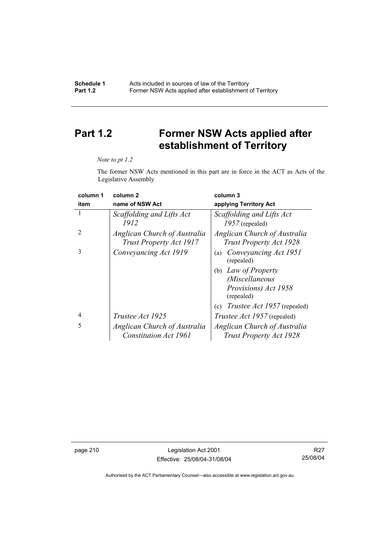# **Part 1.2 Former NSW Acts applied after establishment of Territory**

### *Note to pt 1.2*

The former NSW Acts mentioned in this part are in force in the ACT as Acts of the Legislative Assembly

| column 1       | column <sub>2</sub>                                          | column 3                                                       |
|----------------|--------------------------------------------------------------|----------------------------------------------------------------|
| item           | name of NSW Act                                              | applying Territory Act                                         |
| 1              | Scaffolding and Lifts Act<br>1912                            | Scaffolding and Lifts Act<br>$1957$ (repealed)                 |
| $\overline{2}$ | Anglican Church of Australia<br>Trust Property Act 1917      | Anglican Church of Australia<br>Trust Property Act 1928        |
| 3              | Conveyancing Act 1919                                        | Conveyancing Act 1951<br>(a)<br>(repealed)                     |
|                |                                                              | (b) Law of Property<br><i>(Miscellaneous</i>                   |
|                |                                                              | Provisions) Act 1958<br>(repealed)                             |
|                |                                                              | <i>Trustee Act 1957</i> (repealed)<br>(c)                      |
| 4              | Trustee Act 1925                                             | <i>Trustee Act 1957</i> (repealed)                             |
| 5              | Anglican Church of Australia<br><b>Constitution Act 1961</b> | Anglican Church of Australia<br><b>Trust Property Act 1928</b> |

page 210 **Legislation Act 2001** Effective: 25/08/04-31/08/04

R27 25/08/04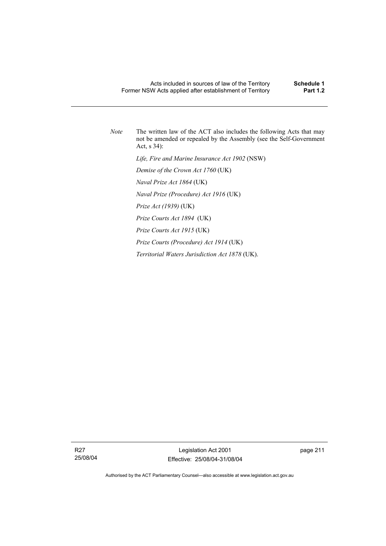*Note* The written law of the ACT also includes the following Acts that may not be amended or repealed by the Assembly (see the Self-Government Act, s 34):  *Life, Fire and Marine Insurance Act 1902* (NSW)  *Demise of the Crown Act 1760* (UK)  *Naval Prize Act 1864* (UK)  *Naval Prize (Procedure) Act 1916* (UK)  *Prize Act (1939)* (UK)  *Prize Courts Act 1894* (UK)  *Prize Courts Act 1915* (UK)  *Prize Courts (Procedure) Act 1914* (UK)  *Territorial Waters Jurisdiction Act 1878* (UK).

R27 25/08/04

Legislation Act 2001 Effective: 25/08/04-31/08/04 page 211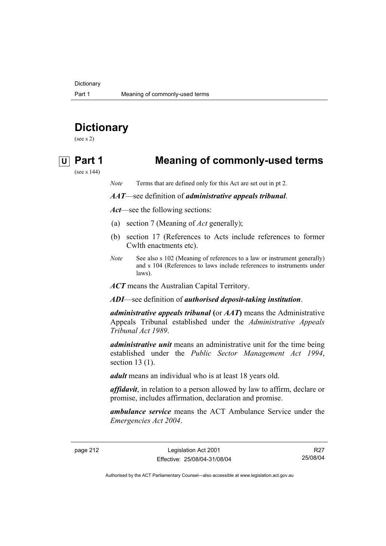**Dictionary** 

# **Dictionary**

(see s 2)

# **U Part 1 Meaning of commonly-used terms**

(see s 144)

*Note* Terms that are defined only for this Act are set out in pt 2.

*AAT*—see definition of *administrative appeals tribunal*.

*Act*—see the following sections:

- (a) section 7 (Meaning of *Act* generally);
- (b) section 17 (References to Acts include references to former Cwlth enactments etc).
- *Note* See also s 102 (Meaning of references to a law or instrument generally) and s 104 (References to laws include references to instruments under laws).

*ACT* means the Australian Capital Territory.

*ADI*—see definition of *authorised deposit-taking institution*.

*administrative appeals tribunal* **(**or *AAT***)** means the Administrative Appeals Tribunal established under the *Administrative Appeals Tribunal Act 1989*.

*administrative unit* means an administrative unit for the time being established under the *Public Sector Management Act 1994*, section 13 (1).

*adult* means an individual who is at least 18 years old.

*affidavit*, in relation to a person allowed by law to affirm, declare or promise, includes affirmation, declaration and promise.

*ambulance service* means the ACT Ambulance Service under the *Emergencies Act 2004*.

page 212 Legislation Act 2001 Effective: 25/08/04-31/08/04

R27 25/08/04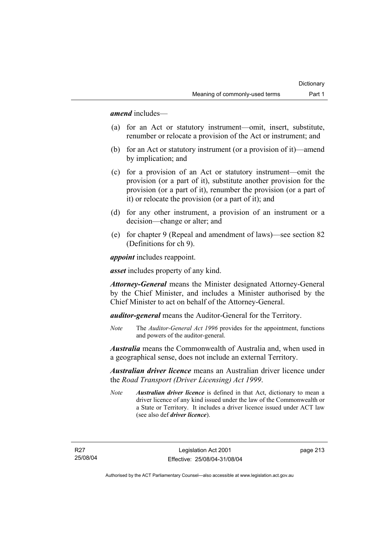*amend* includes—

- (a) for an Act or statutory instrument—omit, insert, substitute, renumber or relocate a provision of the Act or instrument; and
- (b) for an Act or statutory instrument (or a provision of it)—amend by implication; and
- (c) for a provision of an Act or statutory instrument—omit the provision (or a part of it), substitute another provision for the provision (or a part of it), renumber the provision (or a part of it) or relocate the provision (or a part of it); and
- (d) for any other instrument, a provision of an instrument or a decision—change or alter; and
- (e) for chapter 9 (Repeal and amendment of laws)—see section 82 (Definitions for ch 9).

*appoint* includes reappoint.

*asset* includes property of any kind.

*Attorney-General* means the Minister designated Attorney-General by the Chief Minister, and includes a Minister authorised by the Chief Minister to act on behalf of the Attorney-General.

*auditor-general* means the Auditor-General for the Territory.

*Note* The *Auditor-General Act 1996* provides for the appointment, functions and powers of the auditor-general.

*Australia* means the Commonwealth of Australia and, when used in a geographical sense, does not include an external Territory.

*Australian driver licence* means an Australian driver licence under the *Road Transport (Driver Licensing) Act 1999*.

*Note Australian driver licence* is defined in that Act, dictionary to mean a driver licence of any kind issued under the law of the Commonwealth or a State or Territory. It includes a driver licence issued under ACT law (see also def *driver licence*).

R27 25/08/04 page 213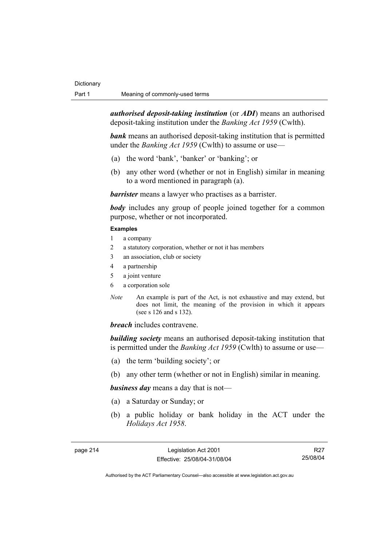*authorised deposit-taking institution* (or *ADI*) means an authorised deposit-taking institution under the *Banking Act 1959* (Cwlth).

*bank* means an authorised deposit-taking institution that is permitted under the *Banking Act 1959* (Cwlth) to assume or use—

- (a) the word 'bank', 'banker' or 'banking'; or
- (b) any other word (whether or not in English) similar in meaning to a word mentioned in paragraph (a).

*barrister* means a lawyer who practises as a barrister.

*body* includes any group of people joined together for a common purpose, whether or not incorporated.

#### **Examples**

- 1 a company
- 2 a statutory corporation, whether or not it has members
- 3 an association, club or society
- 4 a partnership
- 5 a joint venture
- 6 a corporation sole
- *Note* An example is part of the Act, is not exhaustive and may extend, but does not limit, the meaning of the provision in which it appears (see s 126 and s 132).

*breach* includes contravene.

*building society* means an authorised deposit-taking institution that is permitted under the *Banking Act 1959* (Cwlth) to assume or use—

- (a) the term 'building society'; or
- (b) any other term (whether or not in English) similar in meaning.

*business day* means a day that is not—

- (a) a Saturday or Sunday; or
- (b) a public holiday or bank holiday in the ACT under the *Holidays Act 1958*.

R27 25/08/04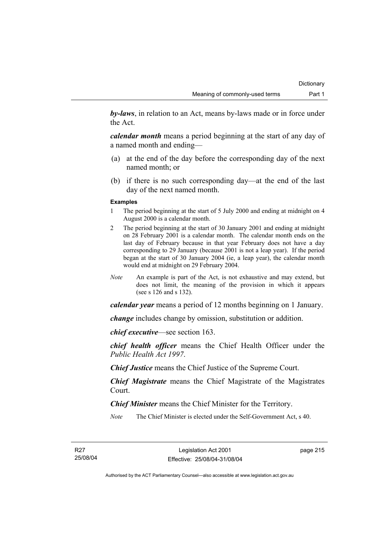*by-laws*, in relation to an Act, means by-laws made or in force under the Act.

*calendar month* means a period beginning at the start of any day of a named month and ending—

- (a) at the end of the day before the corresponding day of the next named month; or
- (b) if there is no such corresponding day—at the end of the last day of the next named month.

### **Examples**

- 1 The period beginning at the start of 5 July 2000 and ending at midnight on 4 August 2000 is a calendar month.
- 2 The period beginning at the start of 30 January 2001 and ending at midnight on 28 February 2001 is a calendar month. The calendar month ends on the last day of February because in that year February does not have a day corresponding to 29 January (because 2001 is not a leap year). If the period began at the start of 30 January 2004 (ie, a leap year), the calendar month would end at midnight on 29 February 2004.
- *Note* An example is part of the Act, is not exhaustive and may extend, but does not limit, the meaning of the provision in which it appears (see s 126 and s 132).

*calendar year* means a period of 12 months beginning on 1 January.

*change* includes change by omission, substitution or addition.

*chief executive*—see section 163.

*chief health officer* means the Chief Health Officer under the *Public Health Act 1997*.

*Chief Justice* means the Chief Justice of the Supreme Court.

*Chief Magistrate* means the Chief Magistrate of the Magistrates Court.

*Chief Minister* means the Chief Minister for the Territory.

*Note* The Chief Minister is elected under the Self-Government Act, s 40.

page 215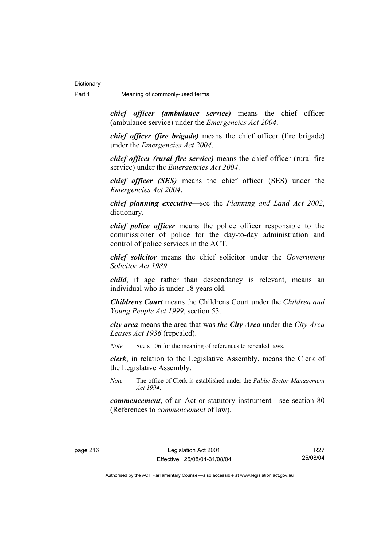*chief officer (ambulance service)* means the chief officer (ambulance service) under the *Emergencies Act 2004*.

*chief officer (fire brigade)* means the chief officer (fire brigade) under the *Emergencies Act 2004*.

*chief officer (rural fire service)* means the chief officer (rural fire service) under the *Emergencies Act 2004*.

*chief officer (SES)* means the chief officer (SES) under the *Emergencies Act 2004*.

*chief planning executive*—see the *Planning and Land Act 2002*, dictionary.

*chief police officer* means the police officer responsible to the commissioner of police for the day-to-day administration and control of police services in the ACT.

*chief solicitor* means the chief solicitor under the *Government Solicitor Act 1989*.

*child*, if age rather than descendancy is relevant, means an individual who is under 18 years old.

*Childrens Court* means the Childrens Court under the *Children and Young People Act 1999*, section 53.

*city area* means the area that was *the City Area* under the *City Area Leases Act 1936* (repealed).

*Note* See s 106 for the meaning of references to repealed laws.

*clerk*, in relation to the Legislative Assembly, means the Clerk of the Legislative Assembly.

*Note* The office of Clerk is established under the *Public Sector Management Act 1994*.

*commencement*, of an Act or statutory instrument—see section 80 (References to *commencement* of law).

R27 25/08/04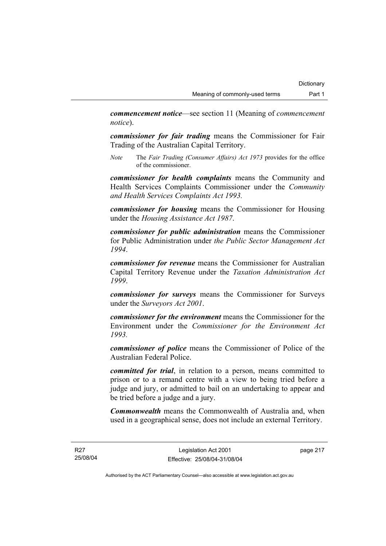*commencement notice*—see section 11 (Meaning of *commencement notice*).

*commissioner for fair trading* means the Commissioner for Fair Trading of the Australian Capital Territory.

*Note* The *Fair Trading (Consumer Affairs) Act 1973* provides for the office of the commissioner.

*commissioner for health complaints* means the Community and Health Services Complaints Commissioner under the *Community and Health Services Complaints Act 1993.* 

*commissioner for housing* means the Commissioner for Housing under the *Housing Assistance Act 1987*.

*commissioner for public administration* means the Commissioner for Public Administration under *the Public Sector Management Act 1994*.

*commissioner for revenue* means the Commissioner for Australian Capital Territory Revenue under the *Taxation Administration Act 1999*.

*commissioner for surveys* means the Commissioner for Surveys under the *Surveyors Act 2001*.

*commissioner for the environment* means the Commissioner for the Environment under the *Commissioner for the Environment Act 1993.* 

*commissioner of police* means the Commissioner of Police of the Australian Federal Police.

*committed for trial*, in relation to a person, means committed to prison or to a remand centre with a view to being tried before a judge and jury, or admitted to bail on an undertaking to appear and be tried before a judge and a jury.

*Commonwealth* means the Commonwealth of Australia and, when used in a geographical sense, does not include an external Territory.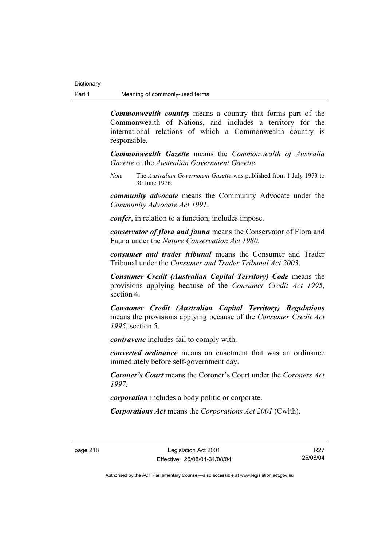*Commonwealth country* means a country that forms part of the Commonwealth of Nations, and includes a territory for the international relations of which a Commonwealth country is responsible.

*Commonwealth Gazette* means the *Commonwealth of Australia Gazette* or the *Australian Government Gazette*.

*Note* The *Australian Government Gazette* was published from 1 July 1973 to 30 June 1976.

*community advocate* means the Community Advocate under the *Community Advocate Act 1991*.

*confer*, in relation to a function, includes impose.

*conservator of flora and fauna* means the Conservator of Flora and Fauna under the *Nature Conservation Act 1980*.

*consumer and trader tribunal* means the Consumer and Trader Tribunal under the *Consumer and Trader Tribunal Act 2003*.

*Consumer Credit (Australian Capital Territory) Code* means the provisions applying because of the *Consumer Credit Act 1995*, section 4.

*Consumer Credit (Australian Capital Territory) Regulations* means the provisions applying because of the *Consumer Credit Act 1995*, section 5.

*contravene* includes fail to comply with.

*converted ordinance* means an enactment that was an ordinance immediately before self-government day.

*Coroner's Court* means the Coroner's Court under the *Coroners Act 1997*.

*corporation* includes a body politic or corporate.

*Corporations Act* means the *Corporations Act 2001* (Cwlth).

R27 25/08/04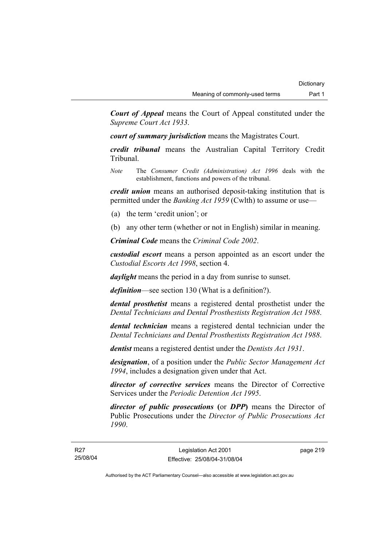*Court of Appeal* means the Court of Appeal constituted under the *Supreme Court Act 1933*.

*court of summary jurisdiction* means the Magistrates Court.

*credit tribunal* means the Australian Capital Territory Credit Tribunal.

*Note* The *Consumer Credit (Administration) Act 1996* deals with the establishment, functions and powers of the tribunal.

*credit union* means an authorised deposit-taking institution that is permitted under the *Banking Act 1959* (Cwlth) to assume or use—

- (a) the term 'credit union'; or
- (b) any other term (whether or not in English) similar in meaning.

*Criminal Code* means the *Criminal Code 2002*.

*custodial escort* means a person appointed as an escort under the *Custodial Escorts Act 1998*, section 4.

*daylight* means the period in a day from sunrise to sunset.

*definition*—see section 130 (What is a definition?).

*dental prosthetist* means a registered dental prosthetist under the *Dental Technicians and Dental Prosthestists Registration Act 1988*.

*dental technician* means a registered dental technician under the *Dental Technicians and Dental Prosthestists Registration Act 1988*.

*dentist* means a registered dentist under the *Dentists Act 1931*.

*designation*, of a position under the *Public Sector Management Act 1994*, includes a designation given under that Act.

*director of corrective services* means the Director of Corrective Services under the *Periodic Detention Act 1995*.

*director of public prosecutions* **(**or *DPP***)** means the Director of Public Prosecutions under the *Director of Public Prosecutions Act 1990*.

page 219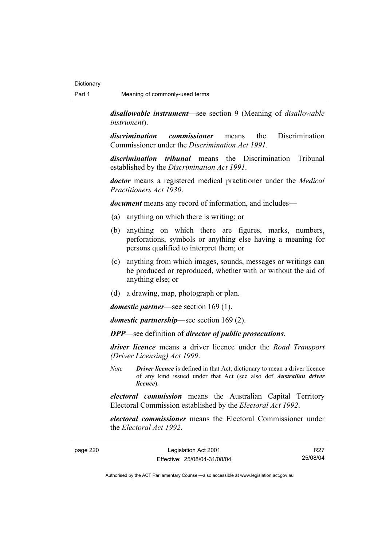*disallowable instrument*—see section 9 (Meaning of *disallowable instrument*).

*discrimination commissioner* means the Discrimination Commissioner under the *Discrimination Act 1991*.

*discrimination tribunal* means the Discrimination Tribunal established by the *Discrimination Act 1991*.

*doctor* means a registered medical practitioner under the *Medical Practitioners Act 1930*.

*document* means any record of information, and includes—

- (a) anything on which there is writing; or
- (b) anything on which there are figures, marks, numbers, perforations, symbols or anything else having a meaning for persons qualified to interpret them; or
- (c) anything from which images, sounds, messages or writings can be produced or reproduced, whether with or without the aid of anything else; or
- (d) a drawing, map, photograph or plan.

*domestic partner*—see section 169 (1).

*domestic partnership*—see section 169 (2).

*DPP*—see definition of *director of public prosecutions*.

*driver licence* means a driver licence under the *Road Transport (Driver Licensing) Act 1999*.

*Note Driver licence* is defined in that Act, dictionary to mean a driver licence of any kind issued under that Act (see also def *Australian driver licence*).

*electoral commission* means the Australian Capital Territory Electoral Commission established by the *Electoral Act 1992*.

*electoral commissioner* means the Electoral Commissioner under the *Electoral Act 1992*.

page 220 Legislation Act 2001 Effective: 25/08/04-31/08/04

R27 25/08/04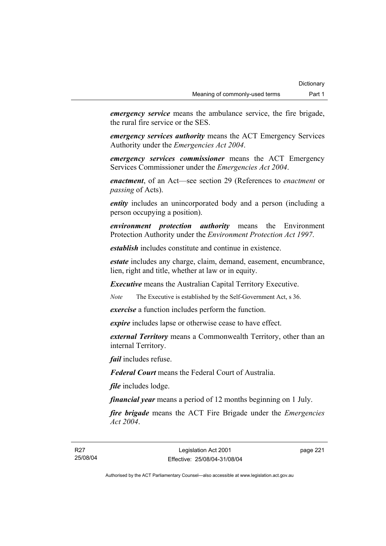*emergency service* means the ambulance service, the fire brigade, the rural fire service or the SES.

*emergency services authority* means the ACT Emergency Services Authority under the *Emergencies Act 2004*.

*emergency services commissioner* means the ACT Emergency Services Commissioner under the *Emergencies Act 2004*.

*enactment*, of an Act—see section 29 (References to *enactment* or *passing* of Acts).

*entity* includes an unincorporated body and a person (including a person occupying a position).

*environment protection authority* means the Environment Protection Authority under the *Environment Protection Act 1997*.

*establish* includes constitute and continue in existence.

*estate* includes any charge, claim, demand, easement, encumbrance, lien, right and title, whether at law or in equity.

*Executive* means the Australian Capital Territory Executive.

*Note* The Executive is established by the Self-Government Act, s 36.

*exercise* a function includes perform the function.

*expire* includes lapse or otherwise cease to have effect.

*external Territory* means a Commonwealth Territory, other than an internal Territory.

*fail* includes refuse.

*Federal Court* means the Federal Court of Australia.

*file* includes lodge.

*financial year* means a period of 12 months beginning on 1 July.

*fire brigade* means the ACT Fire Brigade under the *Emergencies Act 2004*.

page 221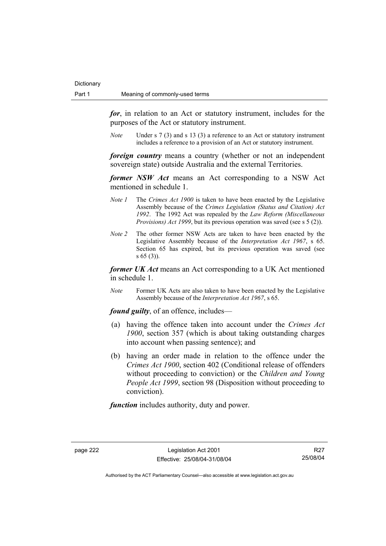*for*, in relation to an Act or statutory instrument, includes for the purposes of the Act or statutory instrument.

*Note* Under s 7 (3) and s 13 (3) a reference to an Act or statutory instrument includes a reference to a provision of an Act or statutory instrument.

*foreign country* means a country (whether or not an independent sovereign state) outside Australia and the external Territories.

*former NSW Act* means an Act corresponding to a NSW Act mentioned in schedule 1.

- *Note 1* The *Crimes Act 1900* is taken to have been enacted by the Legislative Assembly because of the *Crimes Legislation (Status and Citation) Act 1992*. The 1992 Act was repealed by the *Law Reform (Miscellaneous Provisions) Act 1999*, but its previous operation was saved (see s 5 (2)).
- *Note 2* The other former NSW Acts are taken to have been enacted by the Legislative Assembly because of the *Interpretation Act 1967*, s 65. Section 65 has expired, but its previous operation was saved (see s 65 (3)).

*former UK Act* means an Act corresponding to a UK Act mentioned in schedule 1.

*Note* Former UK Acts are also taken to have been enacted by the Legislative Assembly because of the *Interpretation Act 1967*, s 65.

*found guilty*, of an offence, includes—

- (a) having the offence taken into account under the *Crimes Act 1900*, section 357 (which is about taking outstanding charges into account when passing sentence); and
- (b) having an order made in relation to the offence under the *Crimes Act 1900*, section 402 (Conditional release of offenders without proceeding to conviction) or the *Children and Young People Act 1999*, section 98 (Disposition without proceeding to conviction).

*function* includes authority, duty and power.

R27 25/08/04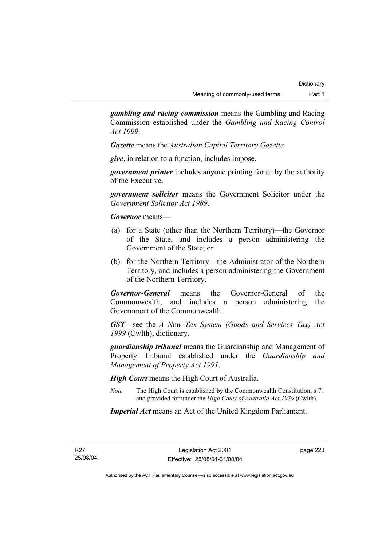*gambling and racing commission* means the Gambling and Racing Commission established under the *Gambling and Racing Control Act 1999*.

*Gazette* means the *Australian Capital Territory Gazette*.

*give*, in relation to a function, includes impose.

*government printer* includes anyone printing for or by the authority of the Executive.

*government solicitor* means the Government Solicitor under the *Government Solicitor Act 1989*.

*Governor* means—

- (a) for a State (other than the Northern Territory)—the Governor of the State, and includes a person administering the Government of the State; or
- (b) for the Northern Territory—the Administrator of the Northern Territory, and includes a person administering the Government of the Northern Territory.

*Governor-General* means the Governor-General of the Commonwealth, and includes a person administering the Government of the Commonwealth.

*GST*—see the *A New Tax System (Goods and Services Tax) Act 1999* (Cwlth), dictionary.

*guardianship tribunal* means the Guardianship and Management of Property Tribunal established under the *Guardianship and Management of Property Act 1991*.

*High Court* means the High Court of Australia.

*Note* The High Court is established by the Commonwealth Constitution, s 71 and provided for under the *High Court of Australia Act 1979* (Cwlth).

*Imperial Act* means an Act of the United Kingdom Parliament.

R27 25/08/04 page 223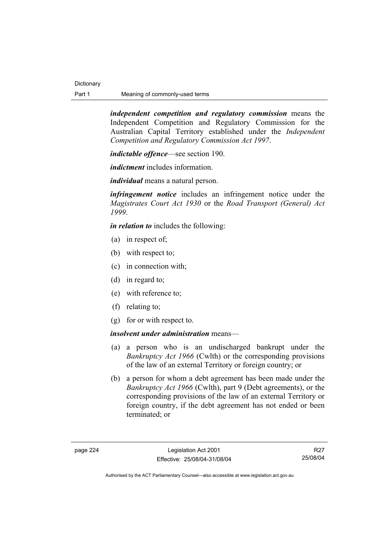*independent competition and regulatory commission* means the Independent Competition and Regulatory Commission for the Australian Capital Territory established under the *Independent Competition and Regulatory Commission Act 1997*.

*indictable offence*—see section 190.

*indictment* includes information.

*individual* means a natural person.

*infringement notice* includes an infringement notice under the *Magistrates Court Act 1930* or the *Road Transport (General) Act 1999*.

*in relation to* includes the following:

- (a) in respect of;
- (b) with respect to;
- (c) in connection with;
- (d) in regard to;
- (e) with reference to;
- (f) relating to;
- (g) for or with respect to.

## *insolvent under administration* means—

- (a) a person who is an undischarged bankrupt under the *Bankruptcy Act 1966* (Cwlth) or the corresponding provisions of the law of an external Territory or foreign country; or
- (b) a person for whom a debt agreement has been made under the *Bankruptcy Act 1966* (Cwlth), part 9 (Debt agreements), or the corresponding provisions of the law of an external Territory or foreign country, if the debt agreement has not ended or been terminated; or

R27 25/08/04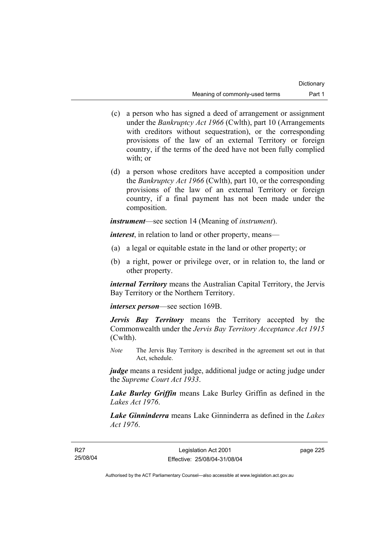- (c) a person who has signed a deed of arrangement or assignment under the *Bankruptcy Act 1966* (Cwlth), part 10 (Arrangements with creditors without sequestration), or the corresponding provisions of the law of an external Territory or foreign country, if the terms of the deed have not been fully complied with; or
- (d) a person whose creditors have accepted a composition under the *Bankruptcy Act 1966* (Cwlth), part 10, or the corresponding provisions of the law of an external Territory or foreign country, if a final payment has not been made under the composition.

*instrument*—see section 14 (Meaning of *instrument*).

*interest*, in relation to land or other property, means—

- (a) a legal or equitable estate in the land or other property; or
- (b) a right, power or privilege over, or in relation to, the land or other property.

*internal Territory* means the Australian Capital Territory, the Jervis Bay Territory or the Northern Territory.

*intersex person*—see section 169B.

*Jervis Bay Territory* means the Territory accepted by the Commonwealth under the *Jervis Bay Territory Acceptance Act 1915* (Cwlth).

*Note* The Jervis Bay Territory is described in the agreement set out in that Act, schedule.

*judge* means a resident judge, additional judge or acting judge under the *Supreme Court Act 1933*.

*Lake Burley Griffin* means Lake Burley Griffin as defined in the *Lakes Act 1976*.

*Lake Ginninderra* means Lake Ginninderra as defined in the *Lakes Act 1976*.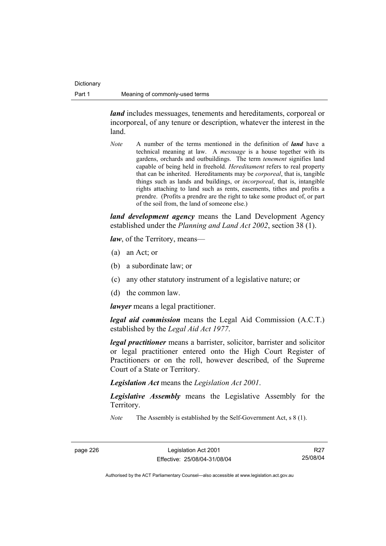**Dictionary** 

*land* includes messuages, tenements and hereditaments, corporeal or incorporeal, of any tenure or description, whatever the interest in the land.

*Note* A number of the terms mentioned in the definition of *land* have a technical meaning at law. A *messuage* is a house together with its gardens, orchards and outbuildings. The term *tenement* signifies land capable of being held in freehold. *Hereditament* refers to real property that can be inherited. Hereditaments may be *corporeal*, that is, tangible things such as lands and buildings, or *incorporeal*, that is, intangible rights attaching to land such as rents, easements, tithes and profits a prendre. (Profits a prendre are the right to take some product of, or part of the soil from, the land of someone else.)

*land development agency* means the Land Development Agency established under the *Planning and Land Act 2002*, section 38 (1).

*law*, of the Territory, means—

- (a) an Act; or
- (b) a subordinate law; or
- (c) any other statutory instrument of a legislative nature; or
- (d) the common law.

*lawyer* means a legal practitioner.

*legal aid commission* means the Legal Aid Commission (A.C.T.) established by the *Legal Aid Act 1977*.

*legal practitioner* means a barrister, solicitor, barrister and solicitor or legal practitioner entered onto the High Court Register of Practitioners or on the roll, however described, of the Supreme Court of a State or Territory.

*Legislation Act* means the *Legislation Act 2001*.

*Legislative Assembly* means the Legislative Assembly for the Territory.

*Note* The Assembly is established by the Self-Government Act, s 8 (1).

R27 25/08/04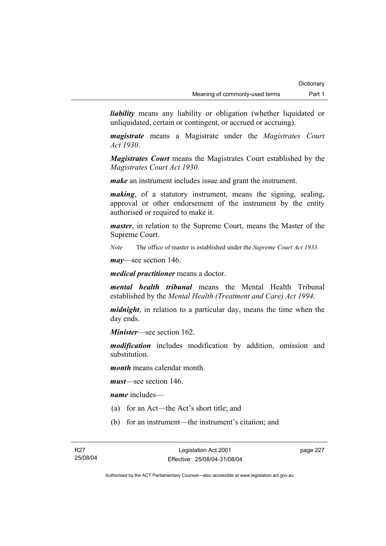*liability* means any liability or obligation (whether liquidated or unliquidated, certain or contingent, or accrued or accruing).

*magistrate* means a Magistrate under the *Magistrates Court Act 1930*.

*Magistrates Court* means the Magistrates Court established by the *Magistrates Court Act 1930*.

*make* an instrument includes issue and grant the instrument.

*making*, of a statutory instrument, means the signing, sealing, approval or other endorsement of the instrument by the entity authorised or required to make it.

*master*, in relation to the Supreme Court, means the Master of the Supreme Court.

*Note* The office of master is established under the *Supreme Court Act 1933*.

*may*—see section 146.

*medical practitioner* means a doctor.

*mental health tribunal* means the Mental Health Tribunal established by the *Mental Health (Treatment and Care) Act 1994*.

*midnight*, in relation to a particular day, means the time when the day ends.

*Minister*—see section 162.

*modification* includes modification by addition, omission and substitution.

*month* means calendar month.

*must*—see section 146.

*name* includes—

- (a) for an Act—the Act's short title; and
- (b) for an instrument—the instrument's citation; and

page 227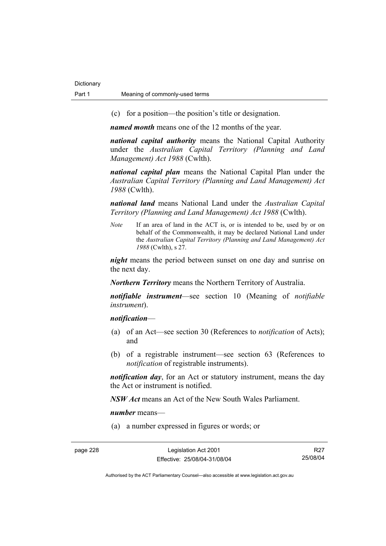(c) for a position—the position's title or designation.

*named month* means one of the 12 months of the year.

*national capital authority* means the National Capital Authority under the *Australian Capital Territory (Planning and Land Management) Act 1988* (Cwlth).

*national capital plan* means the National Capital Plan under the *Australian Capital Territory (Planning and Land Management) Act 1988* (Cwlth).

*national land* means National Land under the *Australian Capital Territory (Planning and Land Management) Act 1988* (Cwlth).

*Note* If an area of land in the ACT is, or is intended to be, used by or on behalf of the Commonwealth, it may be declared National Land under the *Australian Capital Territory (Planning and Land Management) Act 1988* (Cwlth), s 27.

*night* means the period between sunset on one day and sunrise on the next day.

*Northern Territory* means the Northern Territory of Australia.

*notifiable instrument*—see section 10 (Meaning of *notifiable instrument*).

#### *notification*—

- (a) of an Act—see section 30 (References to *notification* of Acts); and
- (b) of a registrable instrument—see section 63 (References to *notification* of registrable instruments).

*notification day*, for an Act or statutory instrument, means the day the Act or instrument is notified.

*NSW Act* means an Act of the New South Wales Parliament.

*number* means—

(a) a number expressed in figures or words; or

R27 25/08/04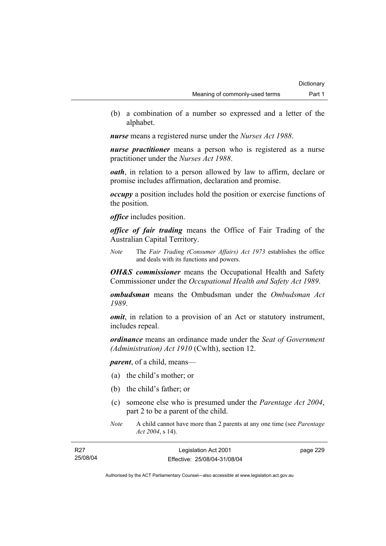(b) a combination of a number so expressed and a letter of the alphabet.

*nurse* means a registered nurse under the *Nurses Act 1988*.

*nurse practitioner* means a person who is registered as a nurse practitioner under the *Nurses Act 1988*.

*oath*, in relation to a person allowed by law to affirm, declare or promise includes affirmation, declaration and promise.

*occupy* a position includes hold the position or exercise functions of the position.

*office* includes position.

*office of fair trading* means the Office of Fair Trading of the Australian Capital Territory.

*Note* The *Fair Trading (Consumer Affairs) Act 1973* establishes the office and deals with its functions and powers.

*OH&S commissioner* means the Occupational Health and Safety Commissioner under the *Occupational Health and Safety Act 1989*.

*ombudsman* means the Ombudsman under the *Ombudsman Act 1989*.

*omit*, in relation to a provision of an Act or statutory instrument, includes repeal.

*ordinance* means an ordinance made under the *Seat of Government (Administration) Act 1910* (Cwlth), section 12.

*parent*, of a child, means—

- (a) the child's mother; or
- (b) the child's father; or
- (c) someone else who is presumed under the *Parentage Act 2004*, part 2 to be a parent of the child.
- *Note* A child cannot have more than 2 parents at any one time (see *Parentage Act 2004*, s 14).

| R27      | Legislation Act 2001         | page 229 |
|----------|------------------------------|----------|
| 25/08/04 | Effective: 25/08/04-31/08/04 |          |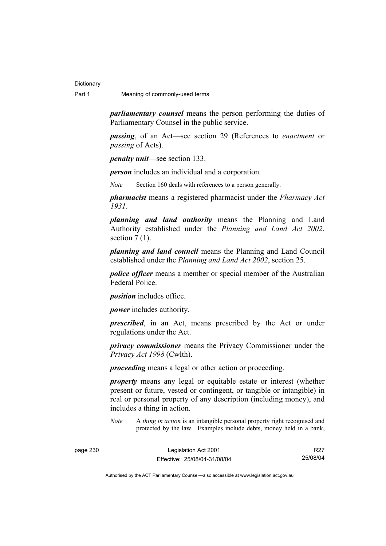*parliamentary counsel* means the person performing the duties of Parliamentary Counsel in the public service.

*passing*, of an Act—see section 29 (References to *enactment* or *passing* of Acts).

*penalty unit*—see section 133.

*person* includes an individual and a corporation.

*Note* Section 160 deals with references to a person generally.

*pharmacist* means a registered pharmacist under the *Pharmacy Act 1931*.

*planning and land authority* means the Planning and Land Authority established under the *Planning and Land Act 2002*, section  $7(1)$ .

*planning and land council* means the Planning and Land Council established under the *Planning and Land Act 2002*, section 25.

*police officer* means a member or special member of the Australian Federal Police.

*position* includes office.

*power* includes authority.

*prescribed*, in an Act, means prescribed by the Act or under regulations under the Act.

*privacy commissioner* means the Privacy Commissioner under the *Privacy Act 1998* (Cwlth).

*proceeding* means a legal or other action or proceeding.

*property* means any legal or equitable estate or interest (whether present or future, vested or contingent, or tangible or intangible) in real or personal property of any description (including money), and includes a thing in action.

*Note* A *thing in action* is an intangible personal property right recognised and protected by the law. Examples include debts, money held in a bank,

R27 25/08/04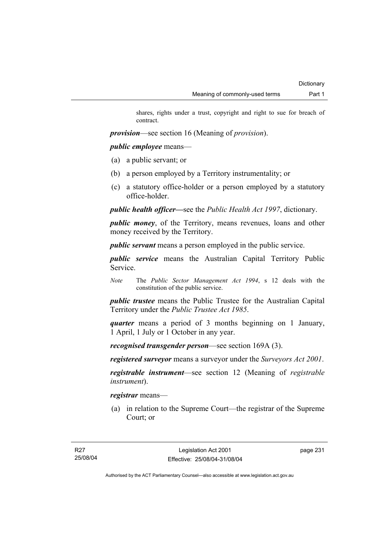shares, rights under a trust, copyright and right to sue for breach of contract.

*provision*—see section 16 (Meaning of *provision*).

## *public employee* means—

- (a) a public servant; or
- (b) a person employed by a Territory instrumentality; or
- (c) a statutory office-holder or a person employed by a statutory office-holder.

*public health officer—*see the *Public Health Act 1997*, dictionary.

*public money*, of the Territory, means revenues, loans and other money received by the Territory.

*public servant* means a person employed in the public service.

*public service* means the Australian Capital Territory Public Service.

*Note* The *Public Sector Management Act 1994*, s 12 deals with the constitution of the public service.

*public trustee* means the Public Trustee for the Australian Capital Territory under the *Public Trustee Act 1985*.

*quarter* means a period of 3 months beginning on 1 January, 1 April, 1 July or 1 October in any year.

*recognised transgender person*—see section 169A (3).

*registered surveyor* means a surveyor under the *Surveyors Act 2001*.

*registrable instrument*—see section 12 (Meaning of *registrable instrument*).

*registrar* means—

 (a) in relation to the Supreme Court—the registrar of the Supreme Court; or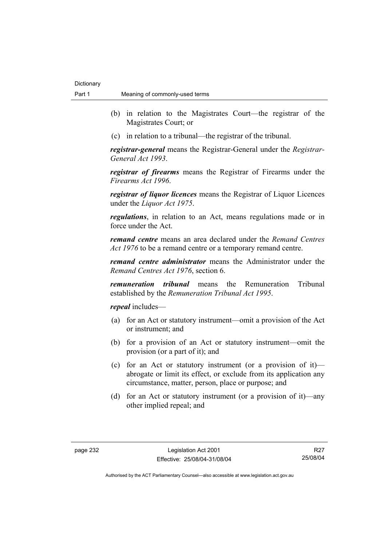- (b) in relation to the Magistrates Court—the registrar of the Magistrates Court; or
- (c) in relation to a tribunal—the registrar of the tribunal.

*registrar-general* means the Registrar-General under the *Registrar-General Act 1993*.

*registrar of firearms* means the Registrar of Firearms under the *Firearms Act 1996*.

*registrar of liquor licences* means the Registrar of Liquor Licences under the *Liquor Act 1975*.

*regulations*, in relation to an Act, means regulations made or in force under the Act.

*remand centre* means an area declared under the *Remand Centres Act 1976* to be a remand centre or a temporary remand centre.

*remand centre administrator* means the Administrator under the *Remand Centres Act 1976*, section 6.

*remuneration tribunal* means the Remuneration Tribunal established by the *Remuneration Tribunal Act 1995*.

*repeal* includes—

- (a) for an Act or statutory instrument—omit a provision of the Act or instrument; and
- (b) for a provision of an Act or statutory instrument—omit the provision (or a part of it); and
- (c) for an Act or statutory instrument (or a provision of it) abrogate or limit its effect, or exclude from its application any circumstance, matter, person, place or purpose; and
- (d) for an Act or statutory instrument (or a provision of it)—any other implied repeal; and

R27 25/08/04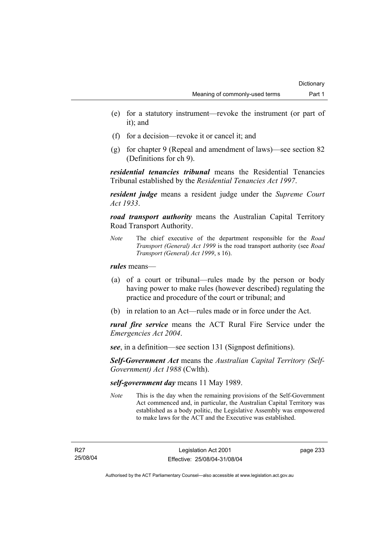- (e) for a statutory instrument—revoke the instrument (or part of it); and
- (f) for a decision—revoke it or cancel it; and
- (g) for chapter 9 (Repeal and amendment of laws)—see section 82 (Definitions for ch 9).

*residential tenancies tribunal* means the Residential Tenancies Tribunal established by the *Residential Tenancies Act 1997*.

*resident judge* means a resident judge under the *Supreme Court Act 1933*.

*road transport authority* means the Australian Capital Territory Road Transport Authority.

*Note* The chief executive of the department responsible for the *Road Transport (General) Act 1999* is the road transport authority (see *Road Transport (General) Act 1999*, s 16).

*rules* means—

- (a) of a court or tribunal—rules made by the person or body having power to make rules (however described) regulating the practice and procedure of the court or tribunal; and
- (b) in relation to an Act—rules made or in force under the Act.

*rural fire service* means the ACT Rural Fire Service under the *Emergencies Act 2004*.

*see*, in a definition—see section 131 (Signpost definitions).

*Self-Government Act* means the *Australian Capital Territory (Self-Government) Act 1988* (Cwlth).

*self-government day* means 11 May 1989.

*Note* This is the day when the remaining provisions of the Self-Government Act commenced and, in particular, the Australian Capital Territory was established as a body politic, the Legislative Assembly was empowered to make laws for the ACT and the Executive was established.

R27 25/08/04 page 233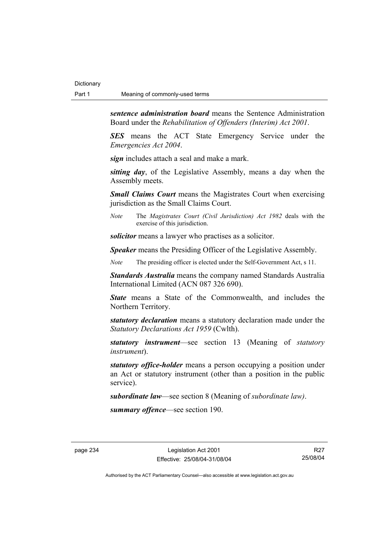*sentence administration board* means the Sentence Administration Board under the *Rehabilitation of Offenders (Interim) Act 2001*.

*SES* means the ACT State Emergency Service under the *Emergencies Act 2004*.

*sign* includes attach a seal and make a mark.

*sitting day*, of the Legislative Assembly, means a day when the Assembly meets.

*Small Claims Court* means the Magistrates Court when exercising jurisdiction as the Small Claims Court.

*Note* The *Magistrates Court (Civil Jurisdiction) Act 1982* deals with the exercise of this jurisdiction.

*solicitor* means a lawyer who practises as a solicitor.

*Speaker* means the Presiding Officer of the Legislative Assembly.

*Note* The presiding officer is elected under the Self-Government Act, s 11.

*Standards Australia* means the company named Standards Australia International Limited (ACN 087 326 690).

*State* means a State of the Commonwealth, and includes the Northern Territory.

*statutory declaration* means a statutory declaration made under the *Statutory Declarations Act 1959* (Cwlth).

*statutory instrument*—see section 13 (Meaning of *statutory instrument*).

*statutory office-holder* means a person occupying a position under an Act or statutory instrument (other than a position in the public service).

*subordinate law*—see section 8 (Meaning of *subordinate law)*.

*summary offence*—see section 190.

R27 25/08/04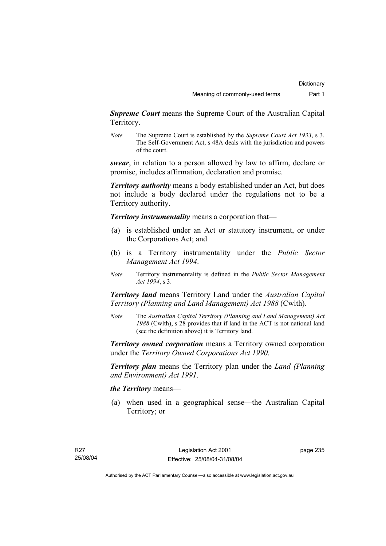*Supreme Court* means the Supreme Court of the Australian Capital Territory.

*Note* The Supreme Court is established by the *Supreme Court Act 1933*, s 3. The Self-Government Act, s 48A deals with the jurisdiction and powers of the court.

*swear*, in relation to a person allowed by law to affirm, declare or promise, includes affirmation, declaration and promise.

*Territory authority* means a body established under an Act, but does not include a body declared under the regulations not to be a Territory authority.

*Territory instrumentality* means a corporation that—

- (a) is established under an Act or statutory instrument, or under the Corporations Act; and
- (b) is a Territory instrumentality under the *Public Sector Management Act 1994*.
- *Note* Territory instrumentality is defined in the *Public Sector Management Act 1994*, s 3.

*Territory land* means Territory Land under the *Australian Capital Territory (Planning and Land Management) Act 1988* (Cwlth).

*Note* The *Australian Capital Territory (Planning and Land Management) Act 1988* (Cwlth), s 28 provides that if land in the ACT is not national land (see the definition above) it is Territory land.

*Territory owned corporation* means a Territory owned corporation under the *Territory Owned Corporations Act 1990*.

*Territory plan* means the Territory plan under the *Land (Planning and Environment) Act 1991*.

# *the Territory* means—

 (a) when used in a geographical sense—the Australian Capital Territory; or

page 235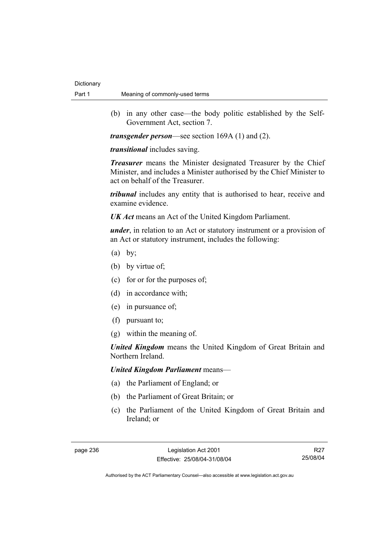(b) in any other case—the body politic established by the Self-Government Act, section 7.

*transgender person*—see section 169A (1) and (2).

*transitional* includes saving.

*Treasurer* means the Minister designated Treasurer by the Chief Minister, and includes a Minister authorised by the Chief Minister to act on behalf of the Treasurer.

*tribunal* includes any entity that is authorised to hear, receive and examine evidence.

*UK Act* means an Act of the United Kingdom Parliament.

*under*, in relation to an Act or statutory instrument or a provision of an Act or statutory instrument, includes the following:

- $(a)$  by;
- (b) by virtue of;
- (c) for or for the purposes of;
- (d) in accordance with;
- (e) in pursuance of;
- (f) pursuant to;
- (g) within the meaning of.

*United Kingdom* means the United Kingdom of Great Britain and Northern Ireland.

## *United Kingdom Parliament* means—

- (a) the Parliament of England; or
- (b) the Parliament of Great Britain; or
- (c) the Parliament of the United Kingdom of Great Britain and Ireland; or

R27 25/08/04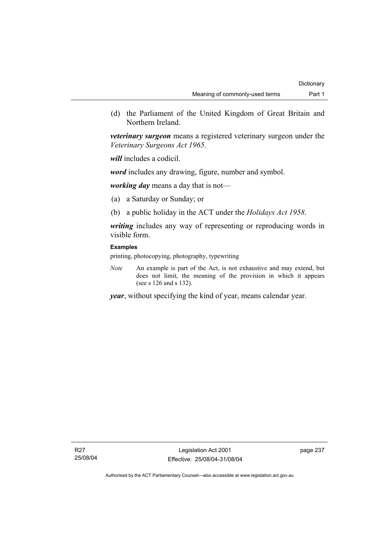(d) the Parliament of the United Kingdom of Great Britain and Northern Ireland.

*veterinary surgeon* means a registered veterinary surgeon under the *Veterinary Surgeons Act 1965*.

*will* includes a codicil.

*word* includes any drawing, figure, number and symbol.

*working day* means a day that is not—

- (a) a Saturday or Sunday; or
- (b) a public holiday in the ACT under the *Holidays Act 1958*.

*writing* includes any way of representing or reproducing words in visible form.

## **Examples**

printing, photocopying, photography, typewriting

*Note* An example is part of the Act, is not exhaustive and may extend, but does not limit, the meaning of the provision in which it appears (see s 126 and s 132).

*year*, without specifying the kind of year, means calendar year.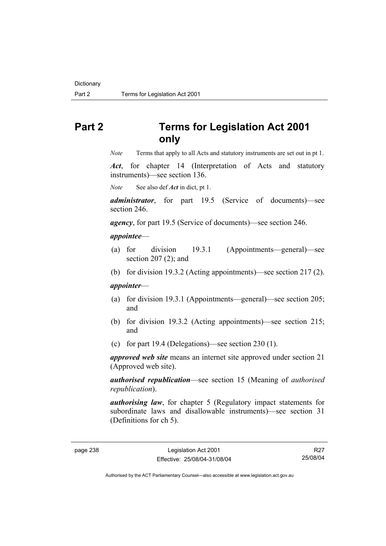# **Part 2 Terms for Legislation Act 2001 only**

*Note* Terms that apply to all Acts and statutory instruments are set out in pt 1.

*Act*, for chapter 14 (Interpretation of Acts and statutory instruments)—see section 136.

*Note* See also def *Act* in dict, pt 1.

*administrator*, for part 19.5 (Service of documents)—see section 246.

*agency*, for part 19.5 (Service of documents)—see section 246.

#### *appointee*—

- (a) for division 19.3.1 (Appointments—general)—see section 207 (2); and
- (b) for division 19.3.2 (Acting appointments)—see section 217 (2).

## *appointer*—

- (a) for division 19.3.1 (Appointments—general)—see section 205; and
- (b) for division 19.3.2 (Acting appointments)—see section 215; and
- (c) for part 19.4 (Delegations)—see section 230 (1).

*approved web site* means an internet site approved under section 21 (Approved web site).

*authorised republication*—see section 15 (Meaning of *authorised republication*).

*authorising law*, for chapter 5 (Regulatory impact statements for subordinate laws and disallowable instruments)—see section 31 (Definitions for ch 5).

R27 25/08/04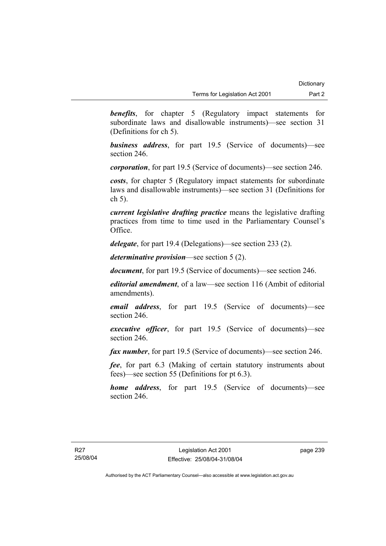**benefits**, for chapter 5 (Regulatory impact statements for subordinate laws and disallowable instruments)—see section 31 (Definitions for ch 5).

*business address*, for part 19.5 (Service of documents)—see section 246.

*corporation*, for part 19.5 (Service of documents)—see section 246.

*costs*, for chapter 5 (Regulatory impact statements for subordinate laws and disallowable instruments)—see section 31 (Definitions for ch 5).

*current legislative drafting practice* means the legislative drafting practices from time to time used in the Parliamentary Counsel's Office.

*delegate*, for part 19.4 (Delegations)—see section 233 (2).

*determinative provision*—see section 5 (2).

*document*, for part 19.5 (Service of documents)—see section 246.

*editorial amendment*, of a law—see section 116 (Ambit of editorial amendments).

*email address*, for part 19.5 (Service of documents)—see section 246.

*executive officer*, for part 19.5 (Service of documents)—see section 246.

*fax number*, for part 19.5 (Service of documents)—see section 246.

*fee*, for part 6.3 (Making of certain statutory instruments about fees)—see section 55 (Definitions for pt 6.3).

*home address*, for part 19.5 (Service of documents)—see section 246.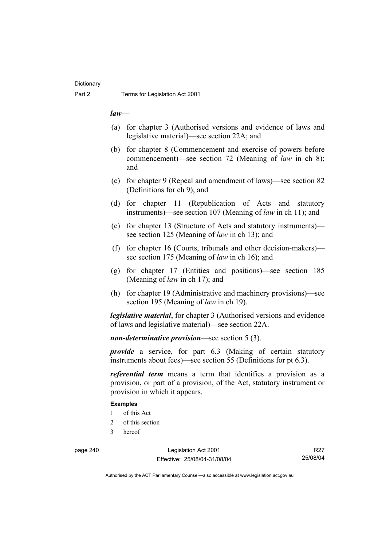#### *law*—

- (a) for chapter 3 (Authorised versions and evidence of laws and legislative material)—see section 22A; and
- (b) for chapter 8 (Commencement and exercise of powers before commencement)—see section 72 (Meaning of *law* in ch 8); and
- (c) for chapter 9 (Repeal and amendment of laws)—see section 82 (Definitions for ch 9); and
- (d) for chapter 11 (Republication of Acts and statutory instruments)—see section 107 (Meaning of *law* in ch 11); and
- (e) for chapter 13 (Structure of Acts and statutory instruments) see section 125 (Meaning of *law* in ch 13); and
- (f) for chapter 16 (Courts, tribunals and other decision-makers) see section 175 (Meaning of *law* in ch 16); and
- (g) for chapter 17 (Entities and positions)—see section 185 (Meaning of *law* in ch 17); and
- (h) for chapter 19 (Administrative and machinery provisions)—see section 195 (Meaning of *law* in ch 19).

*legislative material*, for chapter 3 (Authorised versions and evidence of laws and legislative material)—see section 22A.

*non-determinative provision*—see section 5 (3).

*provide* a service, for part 6.3 (Making of certain statutory instruments about fees)—see section 55 (Definitions for pt 6.3).

*referential term* means a term that identifies a provision as a provision, or part of a provision, of the Act, statutory instrument or provision in which it appears.

#### **Examples**

- 1 of this Act
- 2 of this section
- 3 hereof

page 240 Legislation Act 2001 Effective: 25/08/04-31/08/04

R27 25/08/04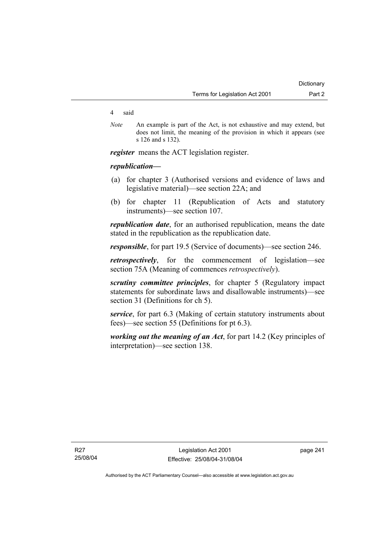#### 4 said

*Note* An example is part of the Act, is not exhaustive and may extend, but does not limit, the meaning of the provision in which it appears (see s 126 and s 132).

*register* means the ACT legislation register.

## *republication—*

- (a) for chapter 3 (Authorised versions and evidence of laws and legislative material)—see section 22A; and
- (b) for chapter 11 (Republication of Acts and statutory instruments)—see section 107.

*republication date*, for an authorised republication, means the date stated in the republication as the republication date.

*responsible*, for part 19.5 (Service of documents)—see section 246.

*retrospectively*, for the commencement of legislation—see section 75A (Meaning of commences *retrospectively*).

*scrutiny committee principles*, for chapter 5 (Regulatory impact statements for subordinate laws and disallowable instruments)—see section 31 (Definitions for ch 5).

*service*, for part 6.3 (Making of certain statutory instruments about fees)—see section 55 (Definitions for pt 6.3).

*working out the meaning of an Act*, for part 14.2 (Key principles of interpretation)—see section 138.

page 241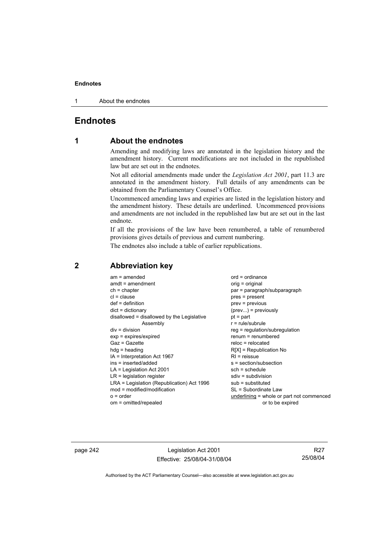1 About the endnotes

# **Endnotes**

# **1 About the endnotes**

Amending and modifying laws are annotated in the legislation history and the amendment history. Current modifications are not included in the republished law but are set out in the endnotes.

Not all editorial amendments made under the *Legislation Act 2001*, part 11.3 are annotated in the amendment history. Full details of any amendments can be obtained from the Parliamentary Counsel's Office.

Uncommenced amending laws and expiries are listed in the legislation history and the amendment history. These details are underlined. Uncommenced provisions and amendments are not included in the republished law but are set out in the last endnote.

If all the provisions of the law have been renumbered, a table of renumbered provisions gives details of previous and current numbering.

The endnotes also include a table of earlier republications.

| $am = amended$<br>$amdt = amendment$<br>$ch = chapter$<br>$cl = clause$<br>$def = definition$<br>$dict = dictionary$<br>disallowed = disallowed by the Legislative<br>Assembly<br>$div = division$<br>$exp = expires/expired$<br>$Gaz = Gazette$<br>$hda =$ heading<br>IA = Interpretation Act 1967<br>ins = inserted/added<br>$LA =$ Legislation Act 2001<br>$LR =$ legislation register<br>LRA = Legislation (Republication) Act 1996<br>mod = modified/modification<br>$o = order$ | $ord = ordinance$<br>orig = original<br>par = paragraph/subparagraph<br>$pres = present$<br>prev = previous<br>$(\text{prev})$ = previously<br>$pt = part$<br>$r = rule/subrule$<br>reg = regulation/subregulation<br>$renum = renumbered$<br>$reloc = relocated$<br>$R[X]$ = Republication No<br>$R1$ = reissue<br>$s = section/subsection$<br>$sch = schedule$<br>$sdiv = subdivision$<br>$sub =$ substituted<br>SL = Subordinate Law<br>underlining = whole or part not commenced |
|---------------------------------------------------------------------------------------------------------------------------------------------------------------------------------------------------------------------------------------------------------------------------------------------------------------------------------------------------------------------------------------------------------------------------------------------------------------------------------------|--------------------------------------------------------------------------------------------------------------------------------------------------------------------------------------------------------------------------------------------------------------------------------------------------------------------------------------------------------------------------------------------------------------------------------------------------------------------------------------|
| om = omitted/repealed                                                                                                                                                                                                                                                                                                                                                                                                                                                                 | or to be expired                                                                                                                                                                                                                                                                                                                                                                                                                                                                     |
|                                                                                                                                                                                                                                                                                                                                                                                                                                                                                       |                                                                                                                                                                                                                                                                                                                                                                                                                                                                                      |

# **2 Abbreviation key**

page 242 Legislation Act 2001 Effective: 25/08/04-31/08/04

R27 25/08/04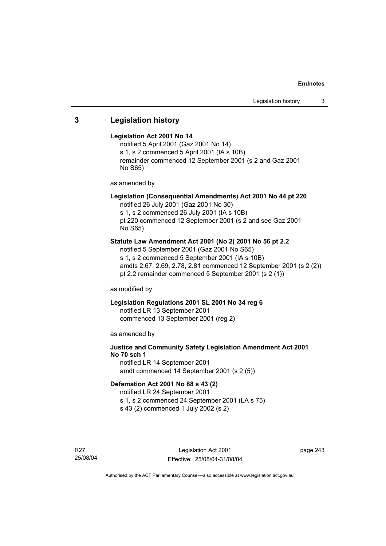# **3 Legislation history**

## **Legislation Act 2001 No 14**

notified 5 April 2001 (Gaz 2001 No 14) s 1, s 2 commenced 5 April 2001 (IA s 10B) remainder commenced 12 September 2001 (s 2 and Gaz 2001 No S65)

as amended by

# **Legislation (Consequential Amendments) Act 2001 No 44 pt 220**

notified 26 July 2001 (Gaz 2001 No 30) s 1, s 2 commenced 26 July 2001 (IA s 10B)

pt 220 commenced 12 September 2001 (s 2 and see Gaz 2001 No S65)

## **Statute Law Amendment Act 2001 (No 2) 2001 No 56 pt 2.2**

notified 5 September 2001 (Gaz 2001 No S65) s 1, s 2 commenced 5 September 2001 (IA s 10B) amdts 2.67, 2.69, 2.78, 2.81 commenced 12 September 2001 (s 2 (2)) pt 2.2 remainder commenced 5 September 2001 (s 2 (1))

as modified by

# **Legislation Regulations 2001 SL 2001 No 34 reg 6**

notified LR 13 September 2001 commenced 13 September 2001 (reg 2)

as amended by

# **Justice and Community Safety Legislation Amendment Act 2001 No 70 sch 1**

notified LR 14 September 2001 amdt commenced 14 September 2001 (s 2 (5))

## **Defamation Act 2001 No 88 s 43 (2)**

notified LR 24 September 2001 s 1, s 2 commenced 24 September 2001 (LA s 75)

s 43 (2) commenced 1 July 2002 (s 2)

R27 25/08/04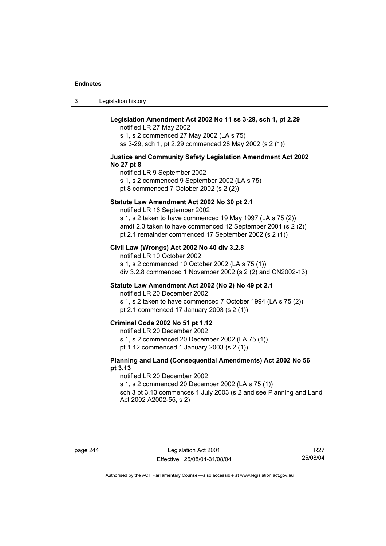3 Legislation history

## **Legislation Amendment Act 2002 No 11 ss 3-29, sch 1, pt 2.29**

notified LR 27 May 2002 s 1, s 2 commenced 27 May 2002 (LA s 75) ss 3-29, sch 1, pt 2.29 commenced 28 May 2002 (s 2 (1))

#### **Justice and Community Safety Legislation Amendment Act 2002 No 27 pt 8**

notified LR 9 September 2002 s 1, s 2 commenced 9 September 2002 (LA s 75) pt 8 commenced 7 October 2002 (s 2 (2))

#### **Statute Law Amendment Act 2002 No 30 pt 2.1**

notified LR 16 September 2002

s 1, s 2 taken to have commenced 19 May 1997 (LA s 75 (2)) amdt 2.3 taken to have commenced 12 September 2001 (s 2 (2)) pt 2.1 remainder commenced 17 September 2002 (s 2 (1))

## **Civil Law (Wrongs) Act 2002 No 40 div 3.2.8**

notified LR 10 October 2002 s 1, s 2 commenced 10 October 2002 (LA s 75 (1)) div 3.2.8 commenced 1 November 2002 (s 2 (2) and CN2002-13)

#### **Statute Law Amendment Act 2002 (No 2) No 49 pt 2.1**

notified LR 20 December 2002

s 1, s 2 taken to have commenced 7 October 1994 (LA s 75 (2)) pt 2.1 commenced 17 January 2003 (s 2 (1))

## **Criminal Code 2002 No 51 pt 1.12**

notified LR 20 December 2002

s 1, s 2 commenced 20 December 2002 (LA 75 (1))

pt 1.12 commenced 1 January 2003 (s 2 (1))

## **Planning and Land (Consequential Amendments) Act 2002 No 56 pt 3.13**

#### notified LR 20 December 2002

s 1, s 2 commenced 20 December 2002 (LA s 75 (1))

sch 3 pt 3.13 commences 1 July 2003 (s 2 and see Planning and Land Act 2002 A2002-55, s 2)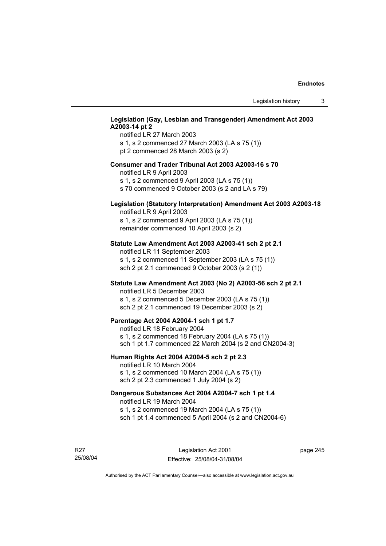## **Legislation (Gay, Lesbian and Transgender) Amendment Act 2003 A2003-14 pt 2**

notified LR 27 March 2003 s 1, s 2 commenced 27 March 2003 (LA s 75 (1)) pt 2 commenced 28 March 2003 (s 2)

## **Consumer and Trader Tribunal Act 2003 A2003-16 s 70**

notified LR 9 April 2003

s 1, s 2 commenced 9 April 2003 (LA s 75 (1))

s 70 commenced 9 October 2003 (s 2 and LA s 79)

# **Legislation (Statutory Interpretation) Amendment Act 2003 A2003-18**

notified LR 9 April 2003 s 1, s 2 commenced 9 April 2003 (LA s 75 (1)) remainder commenced 10 April 2003 (s 2)

#### **Statute Law Amendment Act 2003 A2003-41 sch 2 pt 2.1**

notified LR 11 September 2003 s 1, s 2 commenced 11 September 2003 (LA s 75 (1)) sch 2 pt 2.1 commenced 9 October 2003 (s 2 (1))

# **Statute Law Amendment Act 2003 (No 2) A2003-56 sch 2 pt 2.1**

notified LR 5 December 2003 s 1, s 2 commenced 5 December 2003 (LA s 75 (1)) sch 2 pt 2.1 commenced 19 December 2003 (s 2)

#### **Parentage Act 2004 A2004-1 sch 1 pt 1.7**

notified LR 18 February 2004 s 1, s 2 commenced 18 February 2004 (LA s 75 (1)) sch 1 pt 1.7 commenced 22 March 2004 (s 2 and CN2004-3)

#### **Human Rights Act 2004 A2004-5 sch 2 pt 2.3**

notified LR 10 March 2004 s 1, s 2 commenced 10 March 2004 (LA s 75 (1)) sch 2 pt 2.3 commenced 1 July 2004 (s 2)

#### **Dangerous Substances Act 2004 A2004-7 sch 1 pt 1.4**

notified LR 19 March 2004 s 1, s 2 commenced 19 March 2004 (LA s 75 (1)) sch 1 pt 1.4 commenced 5 April 2004 (s 2 and CN2004-6)

R27 25/08/04

Legislation Act 2001 Effective: 25/08/04-31/08/04 page 245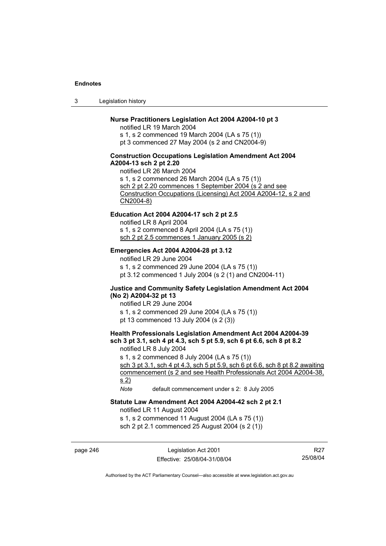3 Legislation history

## **Nurse Practitioners Legislation Act 2004 A2004-10 pt 3**

notified LR 19 March 2004 s 1, s 2 commenced 19 March 2004 (LA s 75 (1)) pt 3 commenced 27 May 2004 (s 2 and CN2004-9)

## **Construction Occupations Legislation Amendment Act 2004 A2004-13 sch 2 pt 2.20**

notified LR 26 March 2004 s 1, s 2 commenced 26 March 2004 (LA s 75 (1)) sch 2 pt 2.20 commences 1 September 2004 (s 2 and see Construction Occupations (Licensing) Act 2004 A2004-12, s 2 and CN2004-8)

#### **Education Act 2004 A2004-17 sch 2 pt 2.5**

notified LR 8 April 2004 s 1, s 2 commenced 8 April 2004 (LA s 75 (1)) sch 2 pt 2.5 commences 1 January 2005 (s 2)

### **Emergencies Act 2004 A2004-28 pt 3.12**

notified LR 29 June 2004

s 1, s 2 commenced 29 June 2004 (LA s 75 (1)) pt 3.12 commenced 1 July 2004 (s 2 (1) and CN2004-11)

## **Justice and Community Safety Legislation Amendment Act 2004 (No 2) A2004-32 pt 13**

notified LR 29 June 2004 s 1, s 2 commenced 29 June 2004 (LA s 75 (1)) pt 13 commenced 13 July 2004 (s 2 (3))

# **Health Professionals Legislation Amendment Act 2004 A2004-39 sch 3 pt 3.1, sch 4 pt 4.3, sch 5 pt 5.9, sch 6 pt 6.6, sch 8 pt 8.2**

notified LR 8 July 2004

s 1, s 2 commenced 8 July 2004 (LA s 75 (1))

sch 3 pt 3.1, sch 4 pt 4.3, sch 5 pt 5.9, sch 6 pt 6.6, sch 8 pt 8.2 awaiting commencement (s 2 and see Health Professionals Act 2004 A2004-38, s 2)

*Note* default commencement under s 2: 8 July 2005

## **Statute Law Amendment Act 2004 A2004-42 sch 2 pt 2.1**

notified LR 11 August 2004

s 1, s 2 commenced 11 August 2004 (LA s 75 (1))

sch 2 pt 2.1 commenced 25 August 2004 (s 2 (1))

page 246 Legislation Act 2001 Effective: 25/08/04-31/08/04

R27 25/08/04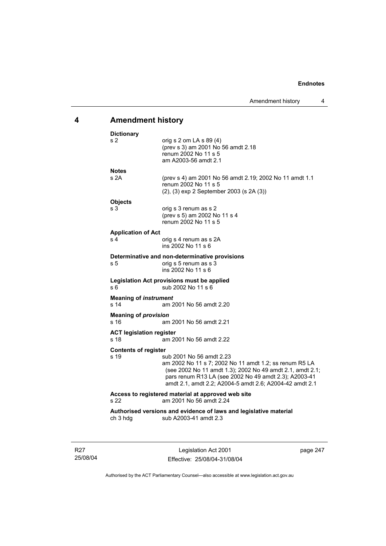# **4 Amendment history**

| <b>Dictionary</b>                    |                                                                                                                                                                                                                                                                     |
|--------------------------------------|---------------------------------------------------------------------------------------------------------------------------------------------------------------------------------------------------------------------------------------------------------------------|
| s <sub>2</sub>                       | orig s 2 om LA s 89 (4)<br>(prev s 3) am 2001 No 56 amdt 2.18<br>renum 2002 No 11 s 5<br>am A2003-56 amdt 2.1                                                                                                                                                       |
| <b>Notes</b>                         |                                                                                                                                                                                                                                                                     |
| s 2A                                 | (prev s 4) am 2001 No 56 amdt 2.19; 2002 No 11 amdt 1.1<br>renum 2002 No 11 s 5<br>(2), (3) exp 2 September 2003 (s 2A (3))                                                                                                                                         |
| <b>Objects</b>                       |                                                                                                                                                                                                                                                                     |
| s <sub>3</sub>                       | orig s 3 renum as s 2<br>(prev s 5) am 2002 No 11 s 4<br>renum 2002 No 11 s 5                                                                                                                                                                                       |
| <b>Application of Act</b>            |                                                                                                                                                                                                                                                                     |
| s <sub>4</sub>                       | orig s 4 renum as s 2A<br>ins 2002 No 11 s 6                                                                                                                                                                                                                        |
|                                      | Determinative and non-determinative provisions                                                                                                                                                                                                                      |
| s 5                                  | orig s 5 renum as s 3<br>ins 2002 No 11 s 6                                                                                                                                                                                                                         |
| s 6                                  | Legislation Act provisions must be applied<br>sub 2002 No 11 s 6                                                                                                                                                                                                    |
| <b>Meaning of instrument</b><br>s 14 | am 2001 No 56 amdt 2.20                                                                                                                                                                                                                                             |
| <b>Meaning of provision</b>          |                                                                                                                                                                                                                                                                     |
| s 16                                 | am 2001 No 56 amdt 2.21                                                                                                                                                                                                                                             |
| <b>ACT legislation register</b>      |                                                                                                                                                                                                                                                                     |
| s <sub>18</sub>                      | am 2001 No 56 amdt 2.22                                                                                                                                                                                                                                             |
| <b>Contents of register</b><br>s 19  | sub 2001 No 56 amdt 2.23<br>am 2002 No 11 s 7; 2002 No 11 amdt 1.2; ss renum R5 LA<br>(see 2002 No 11 amdt 1.3); 2002 No 49 amdt 2.1, amdt 2.1;<br>pars renum R13 LA (see 2002 No 49 amdt 2.3); A2003-41<br>amdt 2.1, amdt 2.2; A2004-5 amdt 2.6; A2004-42 amdt 2.1 |
| s 22                                 | Access to registered material at approved web site<br>am 2001 No 56 amdt 2.24                                                                                                                                                                                       |
| ch 3 hdg                             | Authorised versions and evidence of laws and legislative material<br>sub A2003-41 amdt 2.3                                                                                                                                                                          |
|                                      |                                                                                                                                                                                                                                                                     |

R27 25/08/04

Legislation Act 2001 Effective: 25/08/04-31/08/04 page 247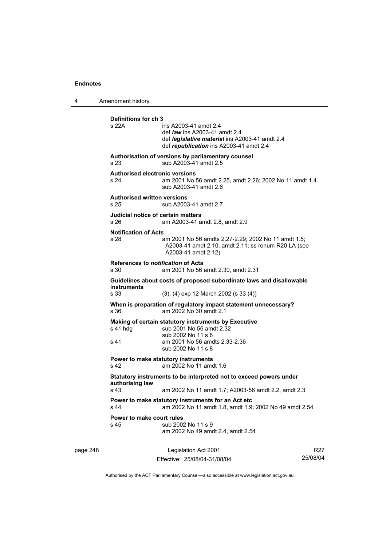4 Amendment history page 248 Legislation Act 2001 Effective: 25/08/04-31/08/04 R27 25/08/04 **Definitions for ch 3**  ins A2003-41 amdt 2.4 def *law* ins A2003-41 amdt 2.4 def *legislative material* ins A2003-41 amdt 2.4 def *republication* ins A2003-41 amdt 2.4 **Authorisation of versions by parliamentary counsel**  s 23 sub A2003-41 amdt 2.5 **Authorised electronic versions**  s 24 am 2001 No 56 amdt 2.25, amdt 2.26; 2002 No 11 amdt 1.4 sub A2003-41 amdt 2.6 **Authorised written versions**  s 25 sub A2003-41 amdt 2.7 **Judicial notice of certain matters**  s 26 am A2003-41 amdt 2.8, amdt 2.9 **Notification of Acts**  s 28 am 2001 No 56 amdts 2.27-2.29; 2002 No 11 amdt 1.5; A2003-41 amdt 2.10, amdt 2.11; ss renum R20 LA (see A2003-41 amdt 2.12) **References to** *notification* **of Acts**  s 30 am 2001 No 56 amdt 2.30, amdt 2.31 **Guidelines about costs of proposed subordinate laws and disallowable instruments**  s 33 (3), (4) exp 12 March 2002 (s 33 (4)) **When is preparation of regulatory impact statement unnecessary?**  s 36 am 2002 No 30 amdt 2.1 **Making of certain statutory instruments by Executive**  s 41 hdg sub 2001 No 56 amdt 2.32 sub 2002 No 11 s 8 s 41 am 2001 No 56 amdts 2.33-2.36 sub 2002 No 11 s 8 **Power to make statutory instruments**<br>
s 42 am 2002 No 11 amo am 2002 No 11 amdt 1.6 **Statutory instruments to be interpreted not to exceed powers under authorising law**  s 43 am 2002 No 11 amdt 1.7; A2003-56 amdt 2.2, amdt 2.3 **Power to make statutory instruments for an Act etc**  s 44 am 2002 No 11 amdt 1.8, amdt 1.9; 2002 No 49 amdt 2.54 **Power to make court rules**  s 45 sub 2002 No 11 s 9 am 2002 No 49 amdt 2.4, amdt 2.54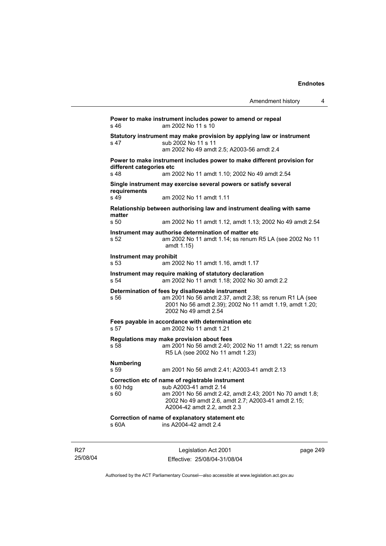|                                  | Amendment history                                                                                                                                                                                 | 4 |
|----------------------------------|---------------------------------------------------------------------------------------------------------------------------------------------------------------------------------------------------|---|
| s 46                             | Power to make instrument includes power to amend or repeal<br>am 2002 No 11 s 10                                                                                                                  |   |
| s 47                             | Statutory instrument may make provision by applying law or instrument<br>sub 2002 No 11 s 11<br>am 2002 No 49 amdt 2.5; A2003-56 amdt 2.4                                                         |   |
| different categories etc<br>s 48 | Power to make instrument includes power to make different provision for<br>am 2002 No 11 amdt 1.10; 2002 No 49 amdt 2.54                                                                          |   |
| requirements                     | Single instrument may exercise several powers or satisfy several                                                                                                                                  |   |
| s 49                             | am 2002 No 11 amdt 1.11                                                                                                                                                                           |   |
| matter                           | Relationship between authorising law and instrument dealing with same                                                                                                                             |   |
| s 50                             | am 2002 No 11 amdt 1.12, amdt 1.13; 2002 No 49 amdt 2.54                                                                                                                                          |   |
| s 52                             | Instrument may authorise determination of matter etc<br>am 2002 No 11 amdt 1.14; ss renum R5 LA (see 2002 No 11<br>amdt 1.15)                                                                     |   |
| Instrument may prohibit<br>s 53  | am 2002 No 11 amdt 1.16, amdt 1.17                                                                                                                                                                |   |
| s 54                             | Instrument may require making of statutory declaration<br>am 2002 No 11 amdt 1.18; 2002 No 30 amdt 2.2                                                                                            |   |
| s 56                             | Determination of fees by disallowable instrument<br>am 2001 No 56 amdt 2.37, amdt 2.38; ss renum R1 LA (see<br>2001 No 56 amdt 2.39); 2002 No 11 amdt 1.19, amdt 1.20;<br>2002 No 49 amdt 2.54    |   |
| s 57                             | Fees payable in accordance with determination etc<br>am 2002 No 11 amdt 1.21                                                                                                                      |   |
| s 58                             | Regulations may make provision about fees<br>am 2001 No 56 amdt 2.40; 2002 No 11 amdt 1.22; ss renum<br>R5 LA (see 2002 No 11 amdt 1.23)                                                          |   |
| Numbering<br>s 59                | am 2001 No 56 amdt 2.41; A2003-41 amdt 2.13                                                                                                                                                       |   |
| s 60                             | Correction etc of name of registrable instrument<br>am 2001 No 56 amdt 2.42, amdt 2.43; 2001 No 70 amdt 1.8;<br>2002 No 49 amdt 2.6, amdt 2.7; A2003-41 amdt 2.15;<br>A2004-42 amdt 2.2, amdt 2.3 |   |
| s 60A                            | Correction of name of explanatory statement etc<br>ins A2004-42 amdt 2.4                                                                                                                          |   |

R27 25/08/04

Legislation Act 2001 Effective: 25/08/04-31/08/04 page 249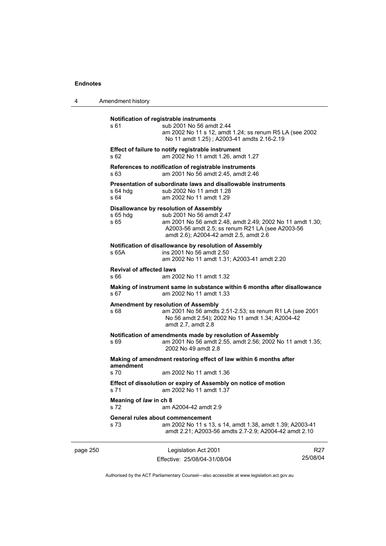| 4 | Amendment history                                                                                                                                                                                                                                   |
|---|-----------------------------------------------------------------------------------------------------------------------------------------------------------------------------------------------------------------------------------------------------|
|   | Notification of registrable instruments<br>sub 2001 No 56 amdt 2.44<br>s 61<br>am 2002 No 11 s 12, amdt 1.24; ss renum R5 LA (see 2002<br>No 11 amdt 1.25); A2003-41 amdts 2.16-2.19                                                                |
|   | Effect of failure to notify registrable instrument<br>am 2002 No 11 amdt 1.26, amdt 1.27<br>s 62                                                                                                                                                    |
|   | References to notification of registrable instruments<br>s 63<br>am 2001 No 56 amdt 2.45, amdt 2.46                                                                                                                                                 |
|   | Presentation of subordinate laws and disallowable instruments<br>sub 2002 No 11 amdt 1.28<br>s 64 hdq<br>s 64<br>am 2002 No 11 amdt 1.29                                                                                                            |
|   | Disallowance by resolution of Assembly<br>$s$ 65 hdg<br>sub 2001 No 56 amdt 2.47<br>s 65<br>am 2001 No 56 amdt 2.48, amdt 2.49; 2002 No 11 amdt 1.30;<br>A2003-56 amdt 2.5; ss renum R21 LA (see A2003-56<br>amdt 2.6); A2004-42 amdt 2.5, amdt 2.6 |
|   | Notification of disallowance by resolution of Assembly<br>s 65A<br>ins 2001 No 56 amdt 2.50<br>am 2002 No 11 amdt 1.31; A2003-41 amdt 2.20                                                                                                          |
|   | <b>Revival of affected laws</b><br>s 66<br>am 2002 No 11 amdt 1.32                                                                                                                                                                                  |
|   | Making of instrument same in substance within 6 months after disallowance<br>s 67<br>am 2002 No 11 amdt 1.33                                                                                                                                        |
|   | <b>Amendment by resolution of Assembly</b><br>am 2001 No 56 amdts 2.51-2.53; ss renum R1 LA (see 2001<br>s 68<br>No 56 amdt 2.54); 2002 No 11 amdt 1.34; A2004-42<br>amdt 2.7, amdt 2.8                                                             |
|   | Notification of amendments made by resolution of Assembly<br>am 2001 No 56 amdt 2.55, amdt 2.56; 2002 No 11 amdt 1.35;<br>s 69<br>2002 No 49 amdt 2.8                                                                                               |
|   | Making of amendment restoring effect of law within 6 months after<br>amendment<br>s 70<br>am 2002 No 11 amdt 1.36                                                                                                                                   |
|   | Effect of dissolution or expiry of Assembly on notice of motion<br>s 71<br>am 2002 No 11 amdt 1.37                                                                                                                                                  |
|   | Meaning of law in ch 8<br>s 72<br>am A2004-42 amdt 2.9                                                                                                                                                                                              |
|   | General rules about commencement<br>am 2002 No 11 s 13, s 14, amdt 1.38, amdt 1.39; A2003-41<br>s 73<br>amdt 2.21; A2003-56 amdts 2.7-2.9; A2004-42 amdt 2.10                                                                                       |

page 250 Legislation Act 2001 Effective: 25/08/04-31/08/04

R27 25/08/04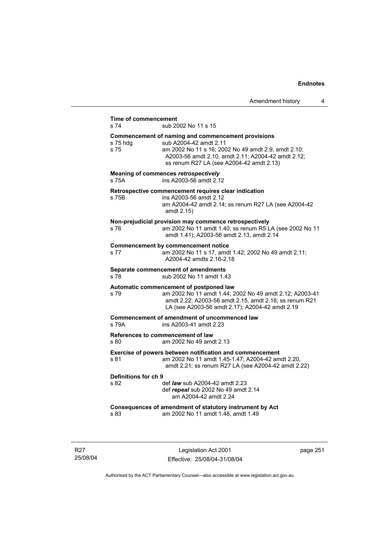| Time of commencement         |                                                                                                                                                                                                                                       |
|------------------------------|---------------------------------------------------------------------------------------------------------------------------------------------------------------------------------------------------------------------------------------|
| s 74                         | sub 2002 No 11 s 15                                                                                                                                                                                                                   |
| s 75 hdg<br>s 75             | Commencement of naming and commencement provisions<br>sub A2004-42 amdt 2.11<br>am 2002 No 11 s 16; 2002 No 49 amdt 2.9, amdt 2.10;<br>A2003-56 amdt 2.10, amdt 2.11; A2004-42 amdt 2.12;<br>ss renum R27 LA (see A2004-42 amdt 2.13) |
| s 75A                        | Meaning of commences retrospectively<br>ins A2003-56 amdt 2.12                                                                                                                                                                        |
| s 75B                        | Retrospective commencement requires clear indication<br>ins A2003-56 amdt 2.12<br>am A2004-42 amdt 2.14; ss renum R27 LA (see A2004-42<br>amdt 2.15)                                                                                  |
| s 76                         | Non-prejudicial provision may commence retrospectively<br>am 2002 No 11 amdt 1.40; ss renum R5 LA (see 2002 No 11<br>amdt 1.41); A2003-56 amdt 2.13, amdt 2.14                                                                        |
| s 77                         | <b>Commencement by commencement notice</b><br>am 2002 No 11 s 17, amdt 1.42; 2002 No 49 amdt 2.11;<br>A2004-42 amdts 2.16-2.18                                                                                                        |
| s 78                         | Separate commencement of amendments<br>sub 2002 No 11 amdt 1.43                                                                                                                                                                       |
| s 79                         | Automatic commencement of postponed law<br>am 2002 No 11 amdt 1.44; 2002 No 49 amdt 2.12; A2003-41<br>amdt 2.22; A2003-56 amdt 2.15, amdt 2.16; ss renum R21<br>LA (see A2003-56 amdt 2.17); A2004-42 amdt 2.19                       |
| s 79A                        | Commencement of amendment of uncommenced law<br>ins A2003-41 amdt 2.23                                                                                                                                                                |
| s 80                         | References to commencement of law<br>am 2002 No 49 amdt 2.13                                                                                                                                                                          |
| s 81                         | Exercise of powers between notification and commencement<br>am 2002 No 11 amdt 1.45-1.47; A2004-42 amdt 2.20,<br>amdt 2.21; ss renum R27 LA (see A2004-42 amdt 2.22)                                                                  |
| Definitions for ch 9<br>s 82 | def <i>law</i> sub A2004-42 amdt 2.23<br>def repeal sub 2002 No 49 amdt 2.14<br>am A2004-42 amdt 2.24                                                                                                                                 |
| s 83                         | Consequences of amendment of statutory instrument by Act<br>am 2002 No 11 amdt 1.48, amdt 1.49                                                                                                                                        |

R27 25/08/04

Legislation Act 2001 Effective: 25/08/04-31/08/04 page 251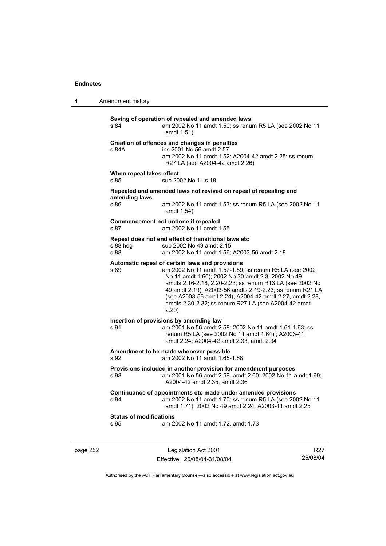4 Amendment history **Saving of operation of repealed and amended laws**  s 84 am 2002 No 11 amdt 1.50; ss renum R5 LA (see 2002 No 11 amdt 1.51) **Creation of offences and changes in penalties**  s 84A ins 2001 No 56 amdt 2.57 am 2002 No 11 amdt 1.52; A2004-42 amdt 2.25; ss renum R27 LA (see A2004-42 amdt 2.26) **When repeal takes effect**  s 85 sub 2002 No 11 s 18 **Repealed and amended laws not revived on repeal of repealing and amending laws**  am 2002 No 11 amdt 1.53; ss renum R5 LA (see 2002 No 11 amdt 1.54) **Commencement not undone if repealed**  s 87 am 2002 No 11 amdt 1.55 **Repeal does not end effect of transitional laws etc**  s 88 hdg sub 2002 No 49 amdt 2.15<br>s 88 sam 2002 No 11 amdt 1.56; am 2002 No 11 amdt 1.56; A2003-56 amdt 2.18 **Automatic repeal of certain laws and provisions**  s 89 am 2002 No 11 amdt 1.57-1.59; ss renum R5 LA (see 2002 No 11 amdt 1.60); 2002 No 30 amdt 2.3; 2002 No 49 amdts 2.16-2.18, 2.20-2.23; ss renum R13 LA (see 2002 No 49 amdt 2.19); A2003-56 amdts 2.19-2.23; ss renum R21 LA (see A2003-56 amdt 2.24); A2004-42 amdt 2.27, amdt 2.28, amdts 2.30-2.32; ss renum R27 LA (see A2004-42 amdt 2.29) **Insertion of provisions by amending law**  s 91 am 2001 No 56 amdt 2.58; 2002 No 11 amdt 1.61-1.63; ss renum R5 LA (see 2002 No 11 amdt 1.64) ; A2003-41 amdt 2.24; A2004-42 amdt 2.33, amdt 2.34 **Amendment to be made whenever possible**  s 92 am 2002 No 11 amdt 1.65-1.68 **Provisions included in another provision for amendment purposes**  s 93 am 2001 No 56 amdt 2.59, amdt 2.60; 2002 No 11 amdt 1.69; A2004-42 amdt 2.35, amdt 2.36 **Continuance of appointments etc made under amended provisions**  s 94 am 2002 No 11 amdt 1.70; ss renum R5 LA (see 2002 No 11 amdt 1.71); 2002 No 49 amdt 2.24; A2003-41 amdt 2.25 **Status of modifications**  s 95 am 2002 No 11 amdt 1.72, amdt 1.73

page 252 Legislation Act 2001 Effective: 25/08/04-31/08/04

R27 25/08/04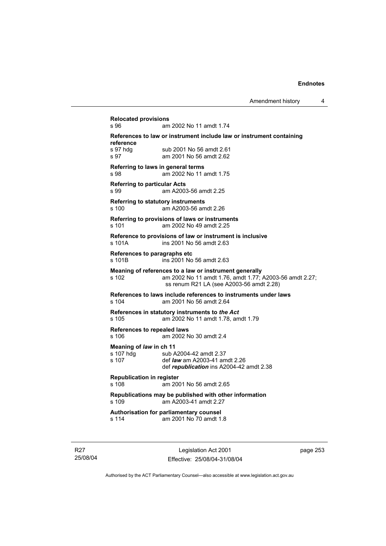| s 96                                          | am 2002 No 11 amdt 1.74                                                                                                                                       |
|-----------------------------------------------|---------------------------------------------------------------------------------------------------------------------------------------------------------------|
| reference                                     | References to law or instrument include law or instrument containing                                                                                          |
| s 97 hdg<br>s 97                              | sub 2001 No 56 amdt 2.61<br>am 2001 No 56 amdt 2.62                                                                                                           |
| s 98                                          | Referring to laws in general terms<br>am 2002 No 11 amdt 1.75                                                                                                 |
| <b>Referring to particular Acts</b><br>s.99   | am A2003-56 amdt 2.25                                                                                                                                         |
| s 100                                         | <b>Referring to statutory instruments</b><br>am A2003-56 amdt 2.26                                                                                            |
| s 101                                         | Referring to provisions of laws or instruments<br>am 2002 No 49 amdt 2.25                                                                                     |
| s 101A                                        | Reference to provisions of law or instrument is inclusive<br>ins 2001 No 56 amdt 2.63                                                                         |
| References to paragraphs etc.<br>s 101B       | ins 2001 No 56 amdt 2.63                                                                                                                                      |
| s 102                                         | Meaning of references to a law or instrument generally<br>am 2002 No 11 amdt 1.76, amdt 1.77; A2003-56 amdt 2.27;<br>ss renum R21 LA (see A2003-56 amdt 2.28) |
| s 104                                         | References to laws include references to instruments under laws<br>am 2001 No 56 amdt 2.64                                                                    |
| s 105                                         | References in statutory instruments to the Act<br>am 2002 No 11 amdt 1.78, amdt 1.79                                                                          |
| References to repealed laws<br>s 106          | am 2002 No 30 amdt 2.4                                                                                                                                        |
| Meaning of law in ch 11<br>s 107 hdq<br>s 107 | sub A2004-42 amdt 2.37<br>def <i>law</i> am A2003-41 amdt 2.26<br>def republication ins A2004-42 amdt 2.38                                                    |
| <b>Republication in register</b><br>s 108     | am 2001 No 56 amdt 2.65                                                                                                                                       |
| s 109                                         | Republications may be published with other information<br>am A2003-41 amdt 2.27                                                                               |
| s 114                                         | Authorisation for parliamentary counsel<br>am 2001 No 70 amdt 1.8                                                                                             |

R27 25/08/04

Legislation Act 2001 Effective: 25/08/04-31/08/04 page 253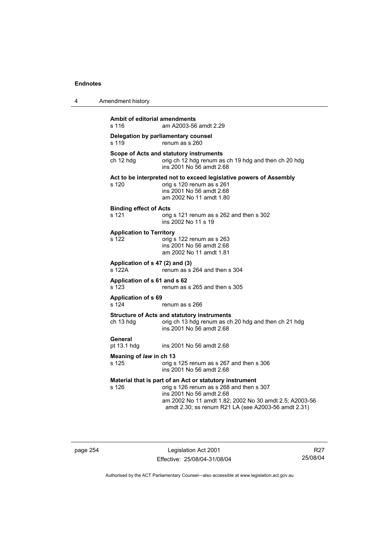| <b>Ambit of editorial amendments</b><br>s 116 | am A2003-56 amdt 2.29                                                                                                                                                                                                                            |
|-----------------------------------------------|--------------------------------------------------------------------------------------------------------------------------------------------------------------------------------------------------------------------------------------------------|
| s 119                                         | Delegation by parliamentary counsel<br>renum as s 260                                                                                                                                                                                            |
| ch 12 hdg                                     | Scope of Acts and statutory instruments<br>orig ch 12 hdg renum as ch 19 hdg and then ch 20 hdg<br>ins 2001 No 56 amdt 2.68                                                                                                                      |
| s 120                                         | Act to be interpreted not to exceed legislative powers of Assembly<br>orig s 120 renum as s 261<br>ins 2001 No 56 amdt 2.68<br>am 2002 No 11 amdt 1.80                                                                                           |
| <b>Binding effect of Acts</b><br>s 121        | orig s 121 renum as s 262 and then s 302<br>ins 2002 No 11 s 19                                                                                                                                                                                  |
| <b>Application to Territory</b><br>s 122      | orig s 122 renum as s 263<br>ins 2001 No 56 amdt 2.68<br>am 2002 No 11 amdt 1.81                                                                                                                                                                 |
| Application of s 47 (2) and (3)<br>s 122A     | renum as s 264 and then s 304                                                                                                                                                                                                                    |
| Application of s 61 and s 62<br>s 123         | renum as s 265 and then s 305                                                                                                                                                                                                                    |
| <b>Application of s 69</b><br>s 124           | renum as s 266                                                                                                                                                                                                                                   |
| ch 13 hdg                                     | <b>Structure of Acts and statutory instruments</b><br>orig ch 13 hdg renum as ch 20 hdg and then ch 21 hdg<br>ins 2001 No 56 amdt 2.68                                                                                                           |
| General<br>pt 13.1 hdg                        | ins 2001 No 56 amdt 2.68                                                                                                                                                                                                                         |
| Meaning of law in ch 13<br>s 125              | orig s 125 renum as s 267 and then s 306<br>ins 2001 No 56 amdt 2.68                                                                                                                                                                             |
| s 126                                         | Material that is part of an Act or statutory instrument<br>orig s 126 renum as s 268 and then s 307<br>ins 2001 No 56 amdt 2.68<br>am 2002 No 11 amdt 1.82; 2002 No 30 amdt 2.5; A2003-56<br>amdt 2.30; ss renum R21 LA (see A2003-56 amdt 2.31) |

page 254 Legislation Act 2001 Effective: 25/08/04-31/08/04

R27 25/08/04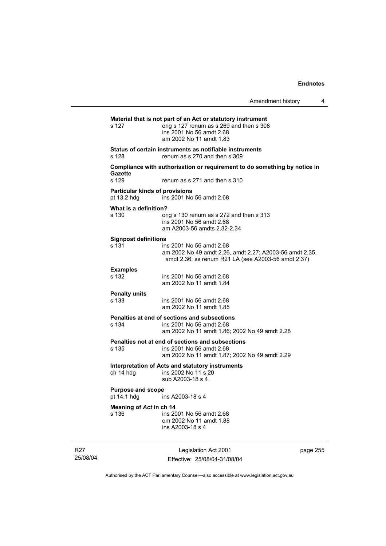|                                                      |                                                                                                                                                                | Amendment history | 4 |
|------------------------------------------------------|----------------------------------------------------------------------------------------------------------------------------------------------------------------|-------------------|---|
| s 127                                                | Material that is not part of an Act or statutory instrument<br>orig s 127 renum as s 269 and then s 308<br>ins 2001 No 56 amdt 2.68<br>am 2002 No 11 amdt 1.83 |                   |   |
| s 128                                                | Status of certain instruments as notifiable instruments<br>renum as s 270 and then s 309                                                                       |                   |   |
| Gazette                                              | Compliance with authorisation or requirement to do something by notice in                                                                                      |                   |   |
| s 129                                                | renum as s 271 and then s 310                                                                                                                                  |                   |   |
| <b>Particular kinds of provisions</b><br>pt 13.2 hdg | ins 2001 No 56 amdt 2.68                                                                                                                                       |                   |   |
| What is a definition?<br>s 130                       | orig s 130 renum as s 272 and then s 313<br>ins 2001 No 56 amdt 2.68<br>am A2003-56 amdts 2.32-2.34                                                            |                   |   |
| <b>Signpost definitions</b><br>s 131                 | ins 2001 No 56 amdt 2.68<br>am 2002 No 49 amdt 2.26, amdt 2.27; A2003-56 amdt 2.35,<br>amdt 2.36; ss renum R21 LA (see A2003-56 amdt 2.37)                     |                   |   |
| <b>Examples</b><br>s 132                             | ins 2001 No 56 amdt 2.68<br>am 2002 No 11 amdt 1.84                                                                                                            |                   |   |
| <b>Penalty units</b><br>s 133                        | ins 2001 No 56 amdt 2.68<br>am 2002 No 11 amdt 1.85                                                                                                            |                   |   |
| s 134                                                | <b>Penalties at end of sections and subsections</b><br>ins 2001 No 56 amdt 2.68<br>am 2002 No 11 amdt 1.86; 2002 No 49 amdt 2.28                               |                   |   |
| s 135                                                | Penalties not at end of sections and subsections<br>ins 2001 No 56 amdt 2.68<br>am 2002 No 11 amdt 1.87; 2002 No 49 amdt 2.29                                  |                   |   |
| ch 14 hdg                                            | Interpretation of Acts and statutory instruments<br>ins 2002 No 11 s 20<br>sub A2003-18 s 4                                                                    |                   |   |
| <b>Purpose and scope</b><br>pt 14.1 hdg              | ins A2003-18 s 4                                                                                                                                               |                   |   |
| Meaning of Act in ch 14<br>s 136                     | ins 2001 No 56 amdt 2.68<br>om 2002 No 11 amdt 1.88<br>ins A2003-18 s 4                                                                                        |                   |   |
|                                                      |                                                                                                                                                                |                   |   |

R27 25/08/04

Legislation Act 2001 Effective: 25/08/04-31/08/04 page 255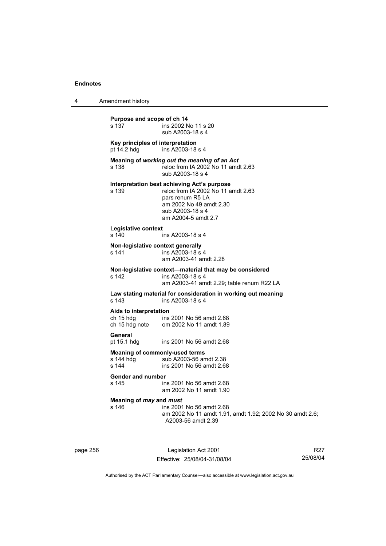| Amendment history |
|-------------------|
|                   |

**Purpose and scope of ch 14**<br>s 137 **ins 2002** N ins 2002 No 11 s 20 sub A2003-18 s 4 **Key principles of interpretation**  pt 14.2 hdg ins A2003-18 s 4 **Meaning of** *working out the meaning of an Act* s 138 reloc from IA 2002 No 11 amdt 2.63 sub A2003-18 s 4 **Interpretation best achieving Act's purpose**  s 139 reloc from IA 2002 No 11 amdt 2.63 pars renum R5 LA am 2002 No 49 amdt 2.30 sub A2003-18 s 4 am A2004-5 amdt 2.7 **Legislative context**  s 140 ins A2003-18 s 4 **Non-legislative context generally**  s 141 ins A2003-18 s 4 am A2003-41 amdt 2.28 **Non-legislative context—material that may be considered**  s 142 ins A2003-18 s 4 am A2003-41 amdt 2.29; table renum R22 LA **Law stating material for consideration in working out meaning**  s 143 ins A2003-18 s 4 **Aids to interpretation**  ch 15 hdg ins 2001 No 56 amdt 2.68<br>ch 15 hdg note om 2002 No 11 amdt 1.89 om 2002 No 11 amdt 1.89 **General**  pt 15.1 hdg ins 2001 No 56 amdt 2.68 **Meaning of commonly-used terms**<br>s 144 hdg sub A2003-56 an s 144 hdg sub A2003-56 amdt 2.38<br>s 144 s ins 2001 No 56 amdt 2.68 ins 2001 No 56 amdt 2.68 **Gender and number**  ins 2001 No 56 amdt 2.68 am 2002 No 11 amdt 1.90 **Meaning of** *may* **and** *must* s 146 ins 2001 No 56 amdt 2.68 am 2002 No 11 amdt 1.91, amdt 1.92; 2002 No 30 amdt 2.6; A2003-56 amdt 2.39

page 256 **Legislation Act 2001** Effective: 25/08/04-31/08/04

R27 25/08/04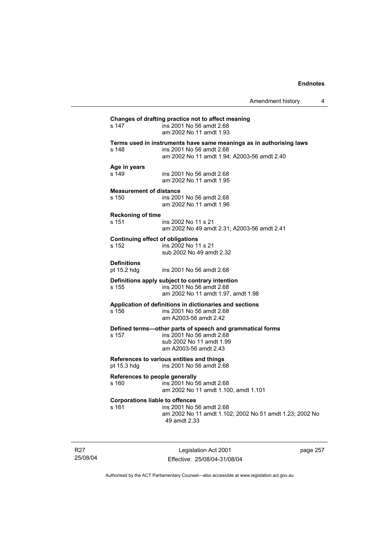Amendment history 4

| s 147                                  | ins 2001 No 56 amdt 2.68<br>am 2002 No 11 amdt 1.93                                   |
|----------------------------------------|---------------------------------------------------------------------------------------|
|                                        | Terms used in instruments have same meanings as in authorising laws                   |
| s 148                                  | ins 2001 No 56 amdt 2.68                                                              |
|                                        | am 2002 No 11 amdt 1.94; A2003-56 amdt 2.40                                           |
| Age in years                           |                                                                                       |
| s 149                                  | ins 2001 No 56 amdt 2.68                                                              |
|                                        | am 2002 No 11 amdt 1.95                                                               |
| <b>Measurement of distance</b>         |                                                                                       |
| s 150                                  | ins 2001 No 56 amdt 2.68                                                              |
|                                        | am 2002 No 11 amdt 1.96                                                               |
| <b>Reckoning of time</b>               |                                                                                       |
| s 151                                  | ins 2002 No 11 s 21                                                                   |
|                                        | am 2002 No 49 amdt 2.31; A2003-56 amdt 2.41                                           |
|                                        | <b>Continuing effect of obligations</b>                                               |
| s 152                                  | ins 2002 No 11 s 21                                                                   |
|                                        | sub 2002 No 49 amdt 2.32                                                              |
| <b>Definitions</b>                     |                                                                                       |
| pt 15.2 hdg                            | ins 2001 No 56 amdt 2.68                                                              |
|                                        |                                                                                       |
| s 155                                  | Definitions apply subject to contrary intention<br>ins 2001 No 56 amdt 2.68           |
|                                        | am 2002 No 11 amdt 1.97, amdt 1.98                                                    |
|                                        |                                                                                       |
| s 156                                  | Application of definitions in dictionaries and sections<br>ins 2001 No 56 amdt 2.68   |
|                                        | am A2003-56 amdt 2.42                                                                 |
|                                        |                                                                                       |
| s 157                                  | Defined terms-other parts of speech and grammatical forms<br>ins 2001 No 56 amdt 2.68 |
|                                        | sub 2002 No 11 amdt 1.99                                                              |
|                                        | am A2003-56 amdt 2.43                                                                 |
|                                        |                                                                                       |
| pt 15.3 hdg                            | References to various entities and things<br>ins 2001 No 56 amdt 2.68                 |
|                                        |                                                                                       |
| References to people generally         |                                                                                       |
| s 160                                  | ins 2001 No 56 amdt 2.68                                                              |
|                                        | am 2002 No 11 amdt 1.100, amdt 1.101                                                  |
| <b>Corporations liable to offences</b> |                                                                                       |
| s 161                                  | ins 2001 No 56 amdt 2.68                                                              |
|                                        | am 2002 No 11 amdt 1.102; 2002 No 51 amdt 1.23; 2002 No                               |

R27 25/08/04

Legislation Act 2001 Effective: 25/08/04-31/08/04 page 257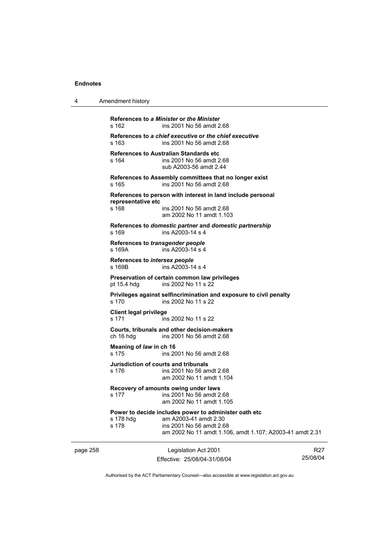| Amendment history<br>4 |  |
|------------------------|--|
|------------------------|--|

**References to** *a Minister* **or** *the Minister* s 162 ins 2001 No 56 amdt 2.68 **References to** *a chief executive* **or** *the chief executive* s 163 ins 2001 No 56 amdt 2.68 **References to Australian Standards etc**  s 164 ins 2001 No 56 amdt 2.68 sub A2003-56 amdt 2.44 **References to Assembly committees that no longer exist**  s 165 ins 2001 No 56 amdt 2.68 **References to person with interest in land include personal representative etc**  ins 2001 No 56 amdt 2.68 am 2002 No 11 amdt 1.103 **References to** *domestic partner* **and** *domestic partnership*  s 169 ins A2003-14 s 4 **References to** *transgender people*  s 169A **ins A2003-14** s 4 **References to** *intersex people*  s 169B ins A2003-14 s 4 **Preservation of certain common law privileges**  pt 15.4 hdg ins 2002 No 11 s 22 **Privileges against selfincrimination and exposure to civil penalty**  s 170 ins 2002 No 11 s 22 **Client legal privilege**  s 171 ins 2002 No 11 s 22 **Courts, tribunals and other decision-makers**  ch 16 hdg ins 2001 No 56 amdt 2.68 **Meaning of** *law* **in ch 16**  s 175 ins 2001 No 56 amdt 2.68 **Jurisdiction of courts and tribunals**  s 176 ins 2001 No 56 amdt 2.68 am 2002 No 11 amdt 1.104 **Recovery of amounts owing under laws**  s 177 ins 2001 No 56 amdt 2.68 am 2002 No 11 amdt 1.105 **Power to decide includes power to administer oath etc**  s 178 hdg am A2003-41 amdt 2.30 s 178 ins 2001 No 56 amdt 2.68 am 2002 No 11 amdt 1.106, amdt 1.107; A2003-41 amdt 2.31

page 258 Legislation Act 2001 Effective: 25/08/04-31/08/04

R27 25/08/04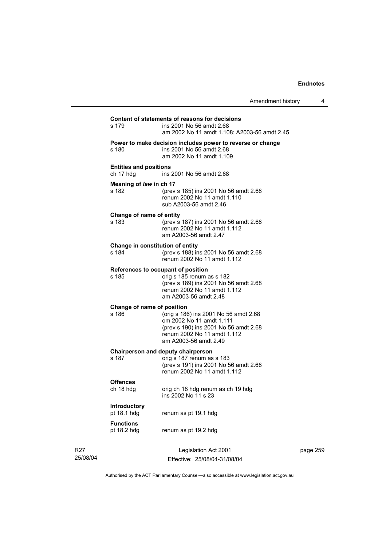| Amendment history |  |
|-------------------|--|
|-------------------|--|

# Legislation Act 2001 Effective: 25/08/04-31/08/04 **Content of statements of reasons for decisions**  ins 2001 No 56 amdt 2.68 am 2002 No 11 amdt 1.108; A2003-56 amdt 2.45 **Power to make decision includes power to reverse or change**  s 180 ins 2001 No 56 amdt 2.68 am 2002 No 11 amdt 1.109 **Entities and positions**  ch 17 hdg ins 2001 No 56 amdt 2.68 **Meaning of** *law* **in ch 17**  s 182 (prev s 185) ins 2001 No 56 amdt 2.68 renum 2002 No 11 amdt 1.110 sub A2003-56 amdt 2.46 **Change of name of entity**  s 183 (prev s 187) ins 2001 No 56 amdt 2.68 renum 2002 No 11 amdt 1.112 am A2003-56 amdt 2.47 **Change in constitution of entity**  s 184 (prev s 188) ins 2001 No 56 amdt 2.68 renum 2002 No 11 amdt 1.112 **References to occupant of position**  s 185 orig s 185 renum as s 182 (prev s 189) ins 2001 No 56 amdt 2.68 renum 2002 No 11 amdt 1.112 am A2003-56 amdt 2.48 **Change of name of position**  s 186 (orig s 186) ins 2001 No 56 amdt 2.68 om 2002 No 11 amdt 1.111 (prev s 190) ins 2001 No 56 amdt 2.68 renum 2002 No 11 amdt 1.112 am A2003-56 amdt 2.49 **Chairperson and deputy chairperson**<br>s 187 cenum as orig s 187 renum as s 183 (prev s 191) ins 2001 No 56 amdt 2.68 renum 2002 No 11 amdt 1.112 **Offences**  ch 18 hdg orig ch 18 hdg renum as ch 19 hdg ins 2002 No 11 s 23 **Introductory**  pt 18.1 hdg renum as pt 19.1 hdg **Functions**  renum as pt 19.2 hdg

page 259

Authorised by the ACT Parliamentary Counsel—also accessible at www.legislation.act.gov.au

R27 25/08/04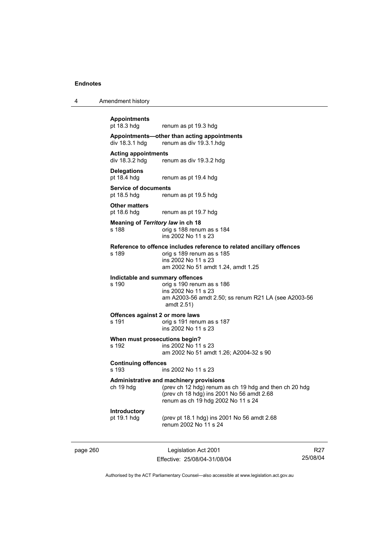|  | Amendment history |
|--|-------------------|
|--|-------------------|

# **Appointments**

renum as pt 19.3 hdg

**Appointments—other than acting appointments**  div 18.3.1 hdg renum as div 19.3.1.hdg

# **Acting appointments**

renum as div 19.3.2 hdg

**Delegations** 

pt 18.4 hdg renum as pt 19.4 hdg

**Service of documents**<br>pt 18.5 hdg renu renum as pt 19.5 hdg

**Other matters**  pt 18.6 hdg renum as pt 19.7 hdg

**Meaning of** *Territory law* **in ch 18**  s 188 orig s 188 renum as s 184 ins 2002 No 11 s 23

**Reference to offence includes reference to related ancillary offences** 

s 189 orig s 189 renum as s 185 ins 2002 No 11 s 23 am 2002 No 51 amdt 1.24, amdt 1.25

**Indictable and summary offences** 

s 190 orig s 190 renum as s 186 ins 2002 No 11 s 23 am A2003-56 amdt 2.50; ss renum R21 LA (see A2003-56 amdt 2.51)

#### **Offences against 2 or more laws**  s 191 orig s 191 renum as s 187 ins 2002 No 11 s 23

**When must prosecutions begin?** 

s 192 ins 2002 No 11 s 23

am 2002 No 51 amdt 1.26; A2004-32 s 90

## **Continuing offences**

s 193 ins 2002 No 11 s 23

## **Administrative and machinery provisions**

ch 19 hdg (prev ch 12 hdg) renum as ch 19 hdg and then ch 20 hdg (prev ch 18 hdg) ins 2001 No 56 amdt 2.68 renum as ch 19 hdg 2002 No 11 s 24

## **Introductory**

pt 19.1 hdg (prev pt 18.1 hdg) ins 2001 No 56 amdt 2.68 renum 2002 No 11 s 24

page 260 Legislation Act 2001 Effective: 25/08/04-31/08/04

R27 25/08/04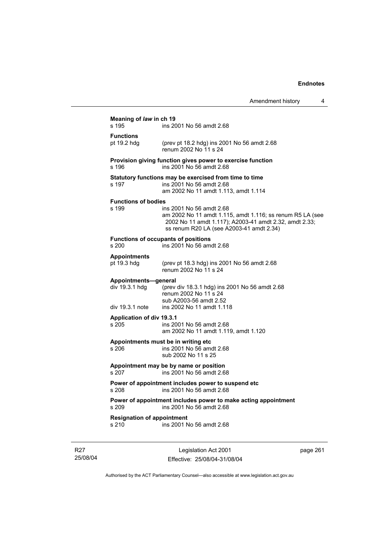|                                                           |                                                                                                                                                                                             | Amendment history | 4 |
|-----------------------------------------------------------|---------------------------------------------------------------------------------------------------------------------------------------------------------------------------------------------|-------------------|---|
| Meaning of law in ch 19<br>s 195                          | ins 2001 No 56 amdt 2.68                                                                                                                                                                    |                   |   |
| <b>Functions</b><br>pt 19.2 hdg                           | (prev pt 18.2 hdg) ins 2001 No 56 amdt 2.68<br>renum 2002 No 11 s 24                                                                                                                        |                   |   |
| s 196                                                     | Provision giving function gives power to exercise function<br>ins 2001 No 56 amdt 2.68                                                                                                      |                   |   |
| s 197                                                     | Statutory functions may be exercised from time to time<br>ins 2001 No 56 amdt 2.68<br>am 2002 No 11 amdt 1.113, amdt 1.114                                                                  |                   |   |
| <b>Functions of bodies</b><br>s 199                       | ins 2001 No 56 amdt 2.68<br>am 2002 No 11 amdt 1.115, amdt 1.116; ss renum R5 LA (see<br>2002 No 11 amdt 1.117); A2003-41 amdt 2.32, amdt 2.33;<br>ss renum R20 LA (see A2003-41 amdt 2.34) |                   |   |
| s 200                                                     | <b>Functions of occupants of positions</b><br>ins 2001 No 56 amdt 2.68                                                                                                                      |                   |   |
| <b>Appointments</b><br>pt 19.3 hdg                        | (prev pt 18.3 hdg) ins 2001 No 56 amdt 2.68<br>renum 2002 No 11 s 24                                                                                                                        |                   |   |
| Appointments-general<br>div 19.3.1 hdg<br>div 19.3.1 note | (prev div 18.3.1 hdg) ins 2001 No 56 amdt 2.68<br>renum 2002 No 11 s 24<br>sub A2003-56 amdt 2.52<br>ins 2002 No 11 amdt 1.118                                                              |                   |   |
| Application of div 19.3.1<br>s 205                        | ins 2001 No 56 amdt 2.68<br>am 2002 No 11 amdt 1.119, amdt 1.120                                                                                                                            |                   |   |
| s 206                                                     | Appointments must be in writing etc<br>ins 2001 No 56 amdt 2.68<br>sub 2002 No 11 s 25                                                                                                      |                   |   |
| s 207                                                     | Appointment may be by name or position<br>ins 2001 No 56 amdt 2.68                                                                                                                          |                   |   |
| s 208                                                     | Power of appointment includes power to suspend etc<br>ins 2001 No 56 amdt 2.68                                                                                                              |                   |   |
| s 209                                                     | Power of appointment includes power to make acting appointment<br>ins 2001 No 56 amdt 2.68                                                                                                  |                   |   |
| <b>Resignation of appointment</b><br>s 210                | ins 2001 No 56 amdt 2.68                                                                                                                                                                    |                   |   |
|                                                           |                                                                                                                                                                                             |                   |   |

R27 25/08/04

Legislation Act 2001 Effective: 25/08/04-31/08/04 page 261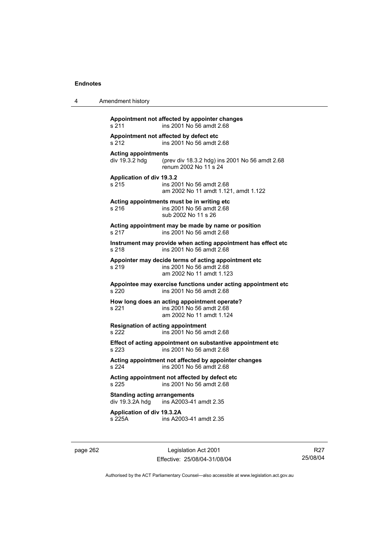| 4 | Amendment history                                                                                                       |
|---|-------------------------------------------------------------------------------------------------------------------------|
|   | Appointment not affected by appointer changes<br>ins 2001 No 56 amdt 2.68<br>s 211                                      |
|   | Appointment not affected by defect etc<br>s 212<br>ins 2001 No 56 amdt 2.68                                             |
|   | <b>Acting appointments</b><br>div 19.3.2 hdg<br>(prev div 18.3.2 hdg) ins 2001 No 56 amdt 2.68<br>renum 2002 No 11 s 24 |
|   | Application of div 19.3.2<br>s 215<br>ins 2001 No 56 amdt 2.68<br>am 2002 No 11 amdt 1.121, amdt 1.122                  |
|   | Acting appointments must be in writing etc<br>ins 2001 No 56 amdt 2.68<br>s 216<br>sub 2002 No 11 s 26                  |
|   | Acting appointment may be made by name or position<br>s 217<br>ins 2001 No 56 amdt 2.68                                 |
|   | Instrument may provide when acting appointment has effect etc<br>ins 2001 No 56 amdt 2.68<br>s 218                      |
|   | Appointer may decide terms of acting appointment etc<br>ins 2001 No 56 amdt 2.68<br>s 219<br>am 2002 No 11 amdt 1.123   |
|   | Appointee may exercise functions under acting appointment etc<br>ins 2001 No 56 amdt 2.68<br>s 220                      |
|   | How long does an acting appointment operate?<br>s 221<br>ins 2001 No 56 amdt 2.68<br>am 2002 No 11 amdt 1.124           |
|   | <b>Resignation of acting appointment</b><br>s 222<br>ins 2001 No 56 amdt 2.68                                           |
|   | Effect of acting appointment on substantive appointment etc<br>s 223<br>ins 2001 No 56 amdt 2.68                        |
|   | Acting appointment not affected by appointer changes<br>ins 2001 No 56 amdt 2.68<br>s 224                               |
|   | Acting appointment not affected by defect etc<br>s 225<br>ins 2001 No 56 amdt 2.68                                      |
|   | <b>Standing acting arrangements</b><br>div 19.3.2A hdg<br>ins A2003-41 amdt 2.35                                        |
|   | Application of div 19.3.2A<br>s 225A<br>ins A2003-41 amdt 2.35                                                          |
|   |                                                                                                                         |

page 262 Legislation Act 2001 Effective: 25/08/04-31/08/04

R27 25/08/04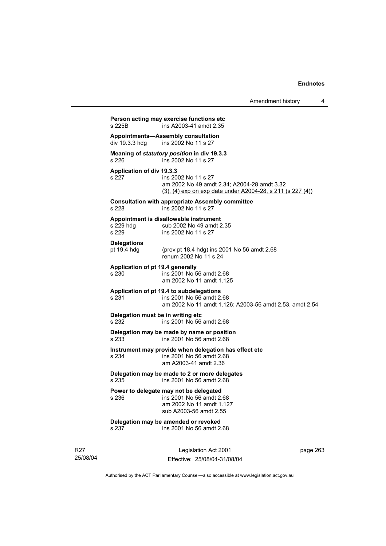# 25/08/04 Legislation Act 2001 Effective: 25/08/04-31/08/04 page 263 **Person acting may exercise functions etc**  s 225B ins A2003-41 amdt 2.35 **Appointments—Assembly consultation**  ins 2002 No 11 s 27 **Meaning of** *statutory position* **in div 19.3.3**  s 226 ins 2002 No 11 s 27 **Application of div 19.3.3**  s 227 ins 2002 No 11 s 27 am 2002 No 49 amdt 2.34; A2004-28 amdt 3.32 (3), (4) exp on exp date under A2004-28, s 211 (s 227 (4)) **Consultation with appropriate Assembly committee**  ins 2002 No 11 s 27 **Appointment is disallowable instrument**  s 229 hdg sub 2002 No 49 amdt 2.35 s 229 ins 2002 No 11 s 27 **Delegations**  pt 19.4 hdg (prev pt 18.4 hdg) ins 2001 No 56 amdt 2.68 renum 2002 No 11 s 24 **Application of pt 19.4 generally**  s 230 ins 2001 No 56 amdt 2.68 am 2002 No 11 amdt 1.125 **Application of pt 19.4 to subdelegations**  s 231 ins 2001 No 56 amdt 2.68 am 2002 No 11 amdt 1.126; A2003-56 amdt 2.53, amdt 2.54 **Delegation must be in writing etc**  s 232 ins 2001 No 56 amdt 2.68 **Delegation may be made by name or position**  s 233 ins 2001 No 56 amdt 2.68 **Instrument may provide when delegation has effect etc**  s 234 ins 2001 No 56 amdt 2.68 am A2003-41 amdt 2.36 **Delegation may be made to 2 or more delegates**  ins 2001 No 56 amdt 2.68 **Power to delegate may not be delegated**  s 236 ins 2001 No 56 amdt 2.68 am 2002 No 11 amdt 1.127 sub A2003-56 amdt 2.55 **Delegation may be amended or revoked**  s 237 ins 2001 No 56 amdt 2.68

Authorised by the ACT Parliamentary Counsel—also accessible at www.legislation.act.gov.au

R27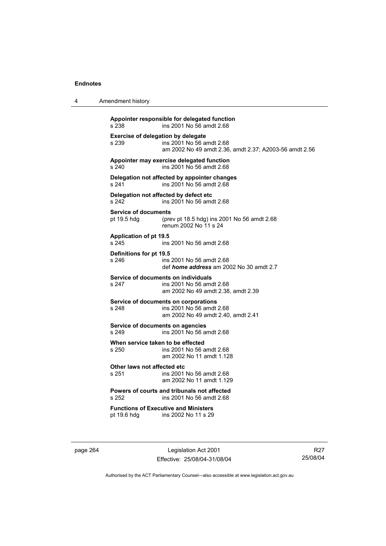4 Amendment history

| s 238                                              | Appointer responsible for delegated function<br>ins 2001 No 56 amdt 2.68                               |
|----------------------------------------------------|--------------------------------------------------------------------------------------------------------|
| <b>Exercise of delegation by delegate</b><br>s 239 | ins 2001 No 56 amdt 2.68<br>am 2002 No 49 amdt 2.36, amdt 2.37; A2003-56 amdt 2.56                     |
| s 240                                              | Appointer may exercise delegated function<br>ins 2001 No 56 amdt 2.68                                  |
| s 241                                              | Delegation not affected by appointer changes<br>ins 2001 No 56 amdt 2.68                               |
| s 242                                              | Delegation not affected by defect etc<br>ins 2001 No 56 amdt 2.68                                      |
| <b>Service of documents</b><br>pt 19.5 hdg         | (prev pt 18.5 hdg) ins 2001 No 56 amdt 2.68<br>renum 2002 No 11 s 24                                   |
| <b>Application of pt 19.5</b><br>s 245             | ins 2001 No 56 amdt 2.68                                                                               |
| Definitions for pt 19.5<br>s 246                   | ins 2001 No 56 amdt 2.68<br>def <i>home address</i> am 2002 No 30 amdt 2.7                             |
| s 247                                              | Service of documents on individuals<br>ins 2001 No 56 amdt 2.68<br>am 2002 No 49 amdt 2.38, amdt 2.39  |
| s 248                                              | Service of documents on corporations<br>ins 2001 No 56 amdt 2.68<br>am 2002 No 49 amdt 2.40, amdt 2.41 |
| Service of documents on agencies<br>s 249          | ins 2001 No 56 amdt 2.68                                                                               |
| When service taken to be effected<br>s 250         | ins 2001 No 56 amdt 2.68<br>am 2002 No 11 amdt 1.128                                                   |
| Other laws not affected etc<br>s 251               | ins 2001 No 56 amdt 2.68<br>am 2002 No 11 amdt 1.129                                                   |
| s 252                                              | Powers of courts and tribunals not affected<br>ins 2001 No 56 amdt 2.68                                |
| pt 19.6 hdg                                        | <b>Functions of Executive and Ministers</b><br>ins 2002 No 11 s 29                                     |

page 264 Legislation Act 2001 Effective: 25/08/04-31/08/04

R27 25/08/04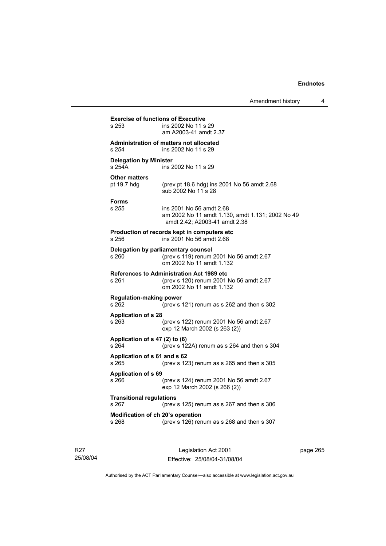| s 253                                    | ins 2002 No 11 s 29<br>am A2003-41 amdt 2.37                                                                     |
|------------------------------------------|------------------------------------------------------------------------------------------------------------------|
| s 254                                    | <b>Administration of matters not allocated</b><br>ins 2002 No 11 s 29                                            |
| <b>Delegation by Minister</b><br>s 254A  | ins 2002 No 11 s 29                                                                                              |
| <b>Other matters</b><br>pt 19.7 hdg      | (prev pt 18.6 hdg) ins 2001 No 56 amdt 2.68<br>sub 2002 No 11 s 28                                               |
| <b>Forms</b><br>s 255                    | ins 2001 No 56 amdt 2.68<br>am 2002 No 11 amdt 1.130, amdt 1.131; 2002 No 49<br>amdt 2.42; A2003-41 amdt 2.38    |
| s 256                                    | Production of records kept in computers etc<br>ins 2001 No 56 amdt 2.68                                          |
| s 260                                    | Delegation by parliamentary counsel<br>(prev s 119) renum 2001 No 56 amdt 2.67<br>om 2002 No 11 amdt 1.132       |
| s 261                                    | References to Administration Act 1989 etc<br>(prev s 120) renum 2001 No 56 amdt 2.67<br>om 2002 No 11 amdt 1.132 |
| <b>Regulation-making power</b><br>s 262  | (prev s 121) renum as s 262 and then s 302                                                                       |
| <b>Application of s 28</b><br>s 263      | (prev s 122) renum 2001 No 56 amdt 2.67<br>exp 12 March 2002 (s 263 (2))                                         |
| Application of s 47 (2) to (6)<br>s264   | (prev s 122A) renum as s 264 and then s 304                                                                      |
| Application of s 61 and s 62<br>s 265    | (prev s 123) renum as s 265 and then s 305                                                                       |
| <b>Application of s 69</b><br>s 266      | (prev s 124) renum 2001 No 56 amdt 2.67<br>exp 12 March 2002 (s 266 (2))                                         |
| <b>Transitional regulations</b><br>s 267 | (prev s 125) renum as s 267 and then s 306                                                                       |
| s 268                                    | Modification of ch 20's operation<br>(prev s 126) renum as s 268 and then s 307                                  |

R27 25/08/04

Legislation Act 2001 Effective: 25/08/04-31/08/04 page 265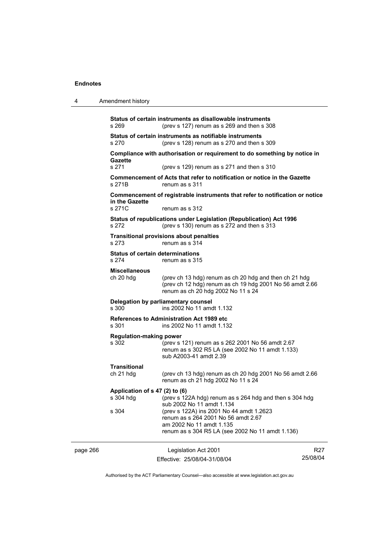| 4        | Amendment history                       |                                                                                                                                                                 |                             |  |
|----------|-----------------------------------------|-----------------------------------------------------------------------------------------------------------------------------------------------------------------|-----------------------------|--|
|          | s 269                                   | Status of certain instruments as disallowable instruments<br>(prev s 127) renum as s 269 and then s 308                                                         |                             |  |
|          | s 270                                   | Status of certain instruments as notifiable instruments<br>(prev s 128) renum as s 270 and then s 309                                                           |                             |  |
|          | Gazette                                 | Compliance with authorisation or requirement to do something by notice in                                                                                       |                             |  |
|          | s.271                                   | (prev s 129) renum as s 271 and then s 310                                                                                                                      |                             |  |
|          | s 271B                                  | Commencement of Acts that refer to notification or notice in the Gazette<br>renum as s 311                                                                      |                             |  |
|          | in the Gazette                          | Commencement of registrable instruments that refer to notification or notice                                                                                    |                             |  |
|          | s271C                                   | renum as s 312                                                                                                                                                  |                             |  |
|          | s 272                                   | Status of republications under Legislation (Republication) Act 1996<br>(prev s 130) renum as s 272 and then s 313                                               |                             |  |
|          | s 273                                   | <b>Transitional provisions about penalties</b><br>renum as s 314                                                                                                |                             |  |
|          | s 274                                   | <b>Status of certain determinations</b><br>renum as s 315                                                                                                       |                             |  |
|          | <b>Miscellaneous</b><br>ch 20 hdg       | (prev ch 13 hdg) renum as ch 20 hdg and then ch 21 hdg<br>(prev ch 12 hdg) renum as ch 19 hdg 2001 No 56 amdt 2.66<br>renum as ch 20 hdg 2002 No 11 s 24        |                             |  |
|          | s 300                                   | Delegation by parliamentary counsel<br>ins 2002 No 11 amdt 1.132                                                                                                |                             |  |
|          | s 301                                   | <b>References to Administration Act 1989 etc.</b><br>ins 2002 No 11 amdt 1.132                                                                                  |                             |  |
|          | <b>Regulation-making power</b><br>s 302 | (prev s 121) renum as s 262 2001 No 56 amdt 2.67<br>renum as s 302 R5 LA (see 2002 No 11 amdt 1.133)<br>sub A2003-41 amdt 2.39                                  |                             |  |
|          | <b>Transitional</b><br>ch 21 hdg        | (prev ch 13 hdg) renum as ch 20 hdg 2001 No 56 amdt 2.66<br>renum as ch 21 hdg 2002 No 11 s 24                                                                  |                             |  |
|          | Application of s 47 (2) to (6)          |                                                                                                                                                                 |                             |  |
|          | s 304 hdg                               | (prev s 122A hdg) renum as s 264 hdg and then s 304 hdg<br>sub 2002 No 11 amdt 1.134                                                                            |                             |  |
|          | s 304                                   | (prev s 122A) ins 2001 No 44 amdt 1.2623<br>renum as s 264 2001 No 56 amdt 2.67<br>am 2002 No 11 amdt 1.135<br>renum as s 304 R5 LA (see 2002 No 11 amdt 1.136) |                             |  |
|          |                                         |                                                                                                                                                                 |                             |  |
| page 266 |                                         | Legislation Act 2001<br>Effective: 25/08/04-31/08/04                                                                                                            | R <sub>27</sub><br>25/08/04 |  |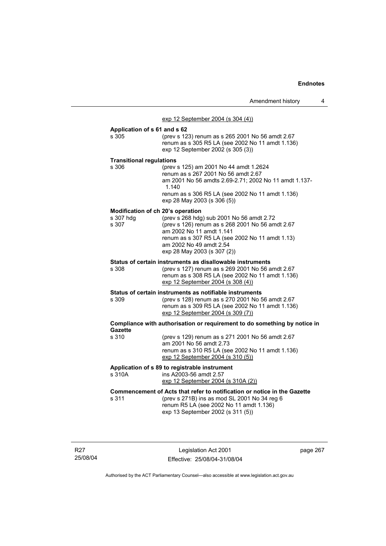| Amendment history |  |
|-------------------|--|
|-------------------|--|

| exp 12 September 2004 (s 304 (4))                                                                                                                                         |
|---------------------------------------------------------------------------------------------------------------------------------------------------------------------------|
|                                                                                                                                                                           |
| Application of s 61 and s 62<br>(prev s 123) renum as s 265 2001 No 56 amdt 2.67<br>renum as s 305 R5 LA (see 2002 No 11 amdt 1.136)<br>exp 12 September 2002 (s 305 (3)) |
| <b>Transitional regulations</b>                                                                                                                                           |
| (prev s 125) am 2001 No 44 amdt 1.2624<br>renum as s 267 2001 No 56 amdt 2.67<br>am 2001 No 56 amdts 2.69-2.71; 2002 No 11 amdt 1.137-<br>1.140                           |
| renum as s 306 R5 LA (see 2002 No 11 amdt 1.136)<br>exp 28 May 2003 (s 306 (5))                                                                                           |
| Modification of ch 20's operation                                                                                                                                         |
| (prev s 268 hdg) sub 2001 No 56 amdt 2.72<br>(prev s 126) renum as s 268 2001 No 56 amdt 2.67<br>am 2002 No 11 amdt 1.141                                                 |
| renum as s 307 R5 LA (see 2002 No 11 amdt 1.13)<br>am 2002 No 49 amdt 2.54<br>exp 28 May 2003 (s 307 (2))                                                                 |
| Status of certain instruments as disallowable instruments                                                                                                                 |
| (prev s 127) renum as s 269 2001 No 56 amdt 2.67<br>renum as s 308 R5 LA (see 2002 No 11 amdt 1.136)<br>exp 12 September 2004 (s 308 (4))                                 |
| Status of certain instruments as notifiable instruments                                                                                                                   |
| (prev s 128) renum as s 270 2001 No 56 amdt 2.67<br>renum as s 309 R5 LA (see 2002 No 11 amdt 1.136)<br>exp 12 September 2004 (s 309 (7))                                 |
| Compliance with authorisation or requirement to do something by notice in                                                                                                 |
| (prev s 129) renum as s 271 2001 No 56 amdt 2.67<br>am 2001 No 56 amdt 2.73<br>renum as s 310 R5 LA (see 2002 No 11 amdt 1.136)                                           |
| exp 12 September 2004 (s 310 (5))                                                                                                                                         |
| Application of s 89 to registrable instrument                                                                                                                             |
| ins A2003-56 amdt 2.57<br>exp 12 September 2004 (s 310A (2))                                                                                                              |
| Commencement of Acts that refer to notification or notice in the Gazette<br>(prev s 271B) ins as mod SL 2001 No 34 reg 6                                                  |
|                                                                                                                                                                           |

R27 25/08/04

Legislation Act 2001 Effective: 25/08/04-31/08/04 page 267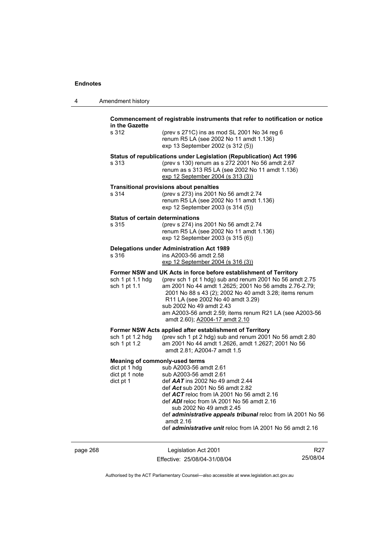| 4 | Amendment history |
|---|-------------------|
|---|-------------------|

| Commencement of registrable instruments that refer to notification or notice                                                                                                                                                                                                                                                                                                                                                                |
|---------------------------------------------------------------------------------------------------------------------------------------------------------------------------------------------------------------------------------------------------------------------------------------------------------------------------------------------------------------------------------------------------------------------------------------------|
| (prev s 271C) ins as mod SL 2001 No 34 reg 6<br>renum R5 LA (see 2002 No 11 amdt 1.136)<br>exp 13 September 2002 (s 312 (5))                                                                                                                                                                                                                                                                                                                |
| Status of republications under Legislation (Republication) Act 1996<br>(prev s 130) renum as s 272 2001 No 56 amdt 2.67<br>renum as s 313 R5 LA (see 2002 No 11 amdt 1.136)<br>exp 12 September 2004 (s 313 (3))                                                                                                                                                                                                                            |
| <b>Transitional provisions about penalties</b><br>(prev s 273) ins 2001 No 56 amdt 2.74<br>renum R5 LA (see 2002 No 11 amdt 1.136)<br>exp 12 September 2003 (s 314 (5))                                                                                                                                                                                                                                                                     |
| <b>Status of certain determinations</b><br>(prev s 274) ins 2001 No 56 amdt 2.74<br>renum R5 LA (see 2002 No 11 amdt 1.136)<br>exp 12 September 2003 (s 315 (6))                                                                                                                                                                                                                                                                            |
| <b>Delegations under Administration Act 1989</b><br>ins A2003-56 amdt 2.58<br>exp 12 September 2004 (s 316 (3))                                                                                                                                                                                                                                                                                                                             |
| Former NSW and UK Acts in force before establishment of Territory<br>(prev sch 1 pt 1 hdg) sub and renum 2001 No 56 amdt 2.75<br>am 2001 No 44 amdt 1.2625; 2001 No 56 amdts 2.76-2.79;<br>2001 No 88 s 43 (2); 2002 No 40 amdt 3.28; items renum<br>R11 LA (see 2002 No 40 amdt 3.29)<br>sub 2002 No 49 amdt 2.43<br>am A2003-56 amdt 2.59; items renum R21 LA (see A2003-56<br>amdt 2.60); A2004-17 amdt 2.10                             |
| Former NSW Acts applied after establishment of Territory<br>(prev sch 1 pt 2 hdg) sub and renum 2001 No 56 amdt 2.80<br>am 2001 No 44 amdt 1.2626, amdt 1.2627; 2001 No 56<br>amdt 2.81; A2004-7 amdt 1.5                                                                                                                                                                                                                                   |
| <b>Meaning of commonly-used terms</b><br>sub A2003-56 amdt 2.61<br>sub A2003-56 amdt 2.61<br>def AAT ins 2002 No 49 amdt 2.44<br>def Act sub 2001 No 56 amdt 2.82<br>def ACT reloc from IA 2001 No 56 amdt 2.16<br>def ADI reloc from IA 2001 No 56 amdt 2.16<br>sub 2002 No 49 amdt 2.45<br>def administrative appeals tribunal reloc from IA 2001 No 56<br>amdt 2.16<br>def <i>administrative unit</i> reloc from IA 2001 No 56 amdt 2.16 |
|                                                                                                                                                                                                                                                                                                                                                                                                                                             |

page 268 Legislation Act 2001 Effective: 25/08/04-31/08/04

R27 25/08/04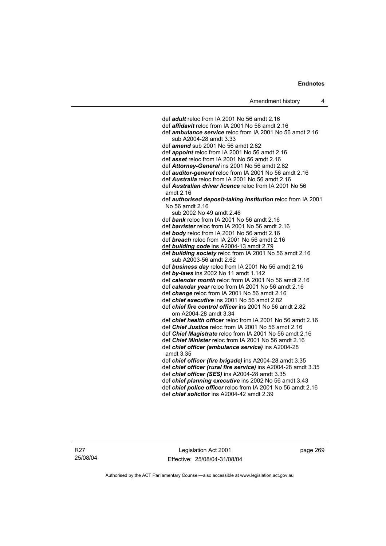def *adult* reloc from IA 2001 No 56 amdt 2.16 def *affidavit* reloc from IA 2001 No 56 amdt 2.16 def *ambulance service* reloc from IA 2001 No 56 amdt 2.16 sub A2004-28 amdt 3.33 def *amend* sub 2001 No 56 amdt 2.82 def *appoint* reloc from IA 2001 No 56 amdt 2.16 def *asset* reloc from IA 2001 No 56 amdt 2.16 def *Attorney-General* ins 2001 No 56 amdt 2.82 def *auditor-general* reloc from IA 2001 No 56 amdt 2.16 def *Australia* reloc from IA 2001 No 56 amdt 2.16 def *Australian driver licence* reloc from IA 2001 No 56 amdt 2.16 def *authorised deposit-taking institution* reloc from IA 2001 No 56 amdt 2.16 sub 2002 No 49 amdt 2.46 def *bank* reloc from IA 2001 No 56 amdt 2.16 def *barrister* reloc from IA 2001 No 56 amdt 2.16 def *body* reloc from IA 2001 No 56 amdt 2.16 def *breach* reloc from IA 2001 No 56 amdt 2.16 def *building code* ins A2004-13 amdt 2.79 def *building society* reloc from IA 2001 No 56 amdt 2.16 sub A2003-56 amdt 2.62 def *business day* reloc from IA 2001 No 56 amdt 2.16 def *by-laws* ins 2002 No 11 amdt 1.142 def *calendar month* reloc from IA 2001 No 56 amdt 2.16 def *calendar year* reloc from IA 2001 No 56 amdt 2.16 def *change* reloc from IA 2001 No 56 amdt 2.16 def *chief executive* ins 2001 No 56 amdt 2.82 def *chief fire control officer* ins 2001 No 56 amdt 2.82 om A2004-28 amdt 3.34 def *chief health officer* reloc from IA 2001 No 56 amdt 2.16 def *Chief Justice* reloc from IA 2001 No 56 amdt 2.16 def *Chief Magistrate* reloc from IA 2001 No 56 amdt 2.16 def *Chief Minister* reloc from IA 2001 No 56 amdt 2.16 def *chief officer (ambulance service)* ins A2004-28 amdt 3.35 def *chief officer (fire brigade)* ins A2004-28 amdt 3.35 def *chief officer (rural fire service)* ins A2004-28 amdt 3.35 def *chief officer (SES)* ins A2004-28 amdt 3.35 def *chief planning executive* ins 2002 No 56 amdt 3.43 def *chief police officer* reloc from IA 2001 No 56 amdt 2.16 def *chief solicitor* ins A2004-42 amdt 2.39

R27 25/08/04

Legislation Act 2001 Effective: 25/08/04-31/08/04 page 269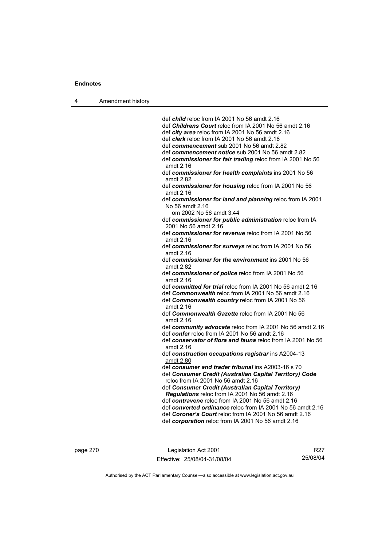4 Amendment history

 def *child* reloc from IA 2001 No 56 amdt 2.16 def *Childrens Court* reloc from IA 2001 No 56 amdt 2.16 def *city area* reloc from IA 2001 No 56 amdt 2.16 def *clerk* reloc from IA 2001 No 56 amdt 2.16 def *commencement* sub 2001 No 56 amdt 2.82 def *commencement notice* sub 2001 No 56 amdt 2.82 def *commissioner for fair trading* reloc from IA 2001 No 56 amdt 2.16 def *commissioner for health complaints* ins 2001 No 56 amdt 2.82 def *commissioner for housing* reloc from IA 2001 No 56 amdt 2.16 def *commissioner for land and planning* reloc from IA 2001 No 56 amdt 2.16 om 2002 No 56 amdt 3.44 def *commissioner for public administration* reloc from IA 2001 No 56 amdt 2.16 def *commissioner for revenue* reloc from IA 2001 No 56 amdt 2.16 def *commissioner for surveys* reloc from IA 2001 No 56 amdt 2.16 def *commissioner for the environment* ins 2001 No 56 amdt 2.82 def *commissioner of police* reloc from IA 2001 No 56 amdt 2.16 def *committed for trial* reloc from IA 2001 No 56 amdt 2.16 def *Commonwealth* reloc from IA 2001 No 56 amdt 2.16 def *Commonwealth country* reloc from IA 2001 No 56 amdt 2.16 def *Commonwealth Gazette* reloc from IA 2001 No 56 amdt 2.16 def *community advocate* reloc from IA 2001 No 56 amdt 2.16 def *confer* reloc from IA 2001 No 56 amdt 2.16 def *conservator of flora and fauna* reloc from IA 2001 No 56 amdt 2.16 def *construction occupations registrar* ins A2004-13 amdt 2.80 def *consumer and trader tribunal* ins A2003-16 s 70 def *Consumer Credit (Australian Capital Territory) Code* reloc from IA 2001 No 56 amdt 2.16 def *Consumer Credit (Australian Capital Territory) Regulations* reloc from IA 2001 No 56 amdt 2.16 def *contravene* reloc from IA 2001 No 56 amdt 2.16 def *converted ordinance* reloc from IA 2001 No 56 amdt 2.16 def *Coroner's Court* reloc from IA 2001 No 56 amdt 2.16 def *corporation* reloc from IA 2001 No 56 amdt 2.16

page 270 Legislation Act 2001 Effective: 25/08/04-31/08/04

R27 25/08/04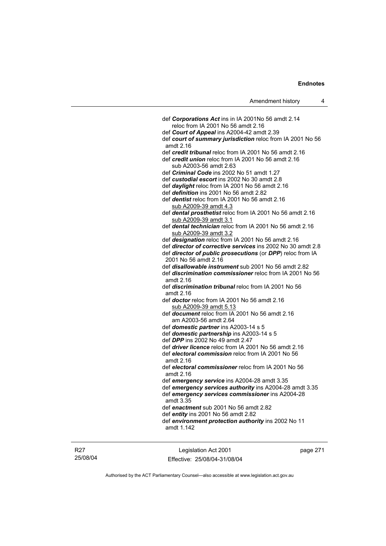| Amendment history |  |
|-------------------|--|
|                   |  |

| def <b>Corporations Act</b> ins in IA 2001No 56 amdt 2.14                          |
|------------------------------------------------------------------------------------|
| reloc from IA 2001 No 56 amdt 2.16                                                 |
| def Court of Appeal ins A2004-42 amdt 2.39                                         |
| def court of summary jurisdiction reloc from IA 2001 No 56<br>amdt 2.16            |
| def <i>credit tribunal</i> reloc from IA 2001 No 56 amdt 2.16                      |
| def credit union reloc from IA 2001 No 56 amdt 2.16<br>sub A2003-56 amdt 2.63      |
| def Criminal Code ins 2002 No 51 amdt 1.27                                         |
| def custodial escort ins 2002 No 30 amdt 2.8                                       |
| def daylight reloc from IA 2001 No 56 amdt 2.16                                    |
| def definition ins 2001 No 56 amdt 2.82                                            |
| def <i>dentist</i> reloc from IA 2001 No 56 amdt 2.16                              |
| sub A2009-39 amdt 4.3                                                              |
| def dental prosthetist reloc from IA 2001 No 56 amdt 2.16<br>sub A2009-39 amdt 3.1 |
| def dental technician reloc from IA 2001 No 56 amdt 2.16<br>sub A2009-39 amdt 3.2  |
| def designation reloc from IA 2001 No 56 amdt 2.16                                 |
| def director of corrective services ins 2002 No 30 amdt 2.8                        |
| def director of public prosecutions (or DPP) reloc from IA<br>2001 No 56 amdt 2.16 |
| def <i>disallowable instrument</i> sub 2001 No 56 amdt 2.82                        |
| def <i>discrimination commissioner</i> reloc from IA 2001 No 56<br>amdt $2.16$     |
| def <i>discrimination tribunal</i> reloc from IA 2001 No 56<br>amdt 2.16           |
| def <b>doctor</b> reloc from IA 2001 No 56 amdt 2.16                               |
| sub A2009-39 amdt 5.13                                                             |
| def document reloc from IA 2001 No 56 amdt 2.16<br>am A2003-56 amdt 2.64           |
| def domestic partner ins A2003-14 s 5                                              |
| def domestic partnership ins A2003-14 s 5                                          |
| def <b>DPP</b> ins 2002 No 49 amdt 2.47                                            |
| def <i>driver licence</i> reloc from IA 2001 No 56 amdt 2.16                       |
| def electoral commission reloc from IA 2001 No 56<br>amdt 2.16                     |
| def electoral commissioner reloc from IA 2001 No 56<br>amdt 2.16                   |
| def emergency service ins A2004-28 amdt 3.35                                       |
| def emergency services authority ins A2004-28 amdt 3.35                            |
| def emergency services commissioner ins A2004-28<br>amdt 3.35                      |
| def enactment sub 2001 No 56 amdt 2.82                                             |
| def entity ins 2001 No 56 amdt 2.82                                                |
| def environment protection authority ins 2002 No 11<br>amdt 1.142                  |

R27 25/08/04

Legislation Act 2001 Effective: 25/08/04-31/08/04 page 271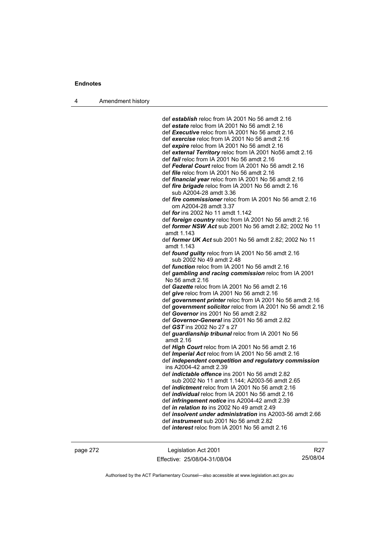4 Amendment history

 def *establish* reloc from IA 2001 No 56 amdt 2.16 def *estate* reloc from IA 2001 No 56 amdt 2.16 def *Executive* reloc from IA 2001 No 56 amdt 2.16 def *exercise* reloc from IA 2001 No 56 amdt 2.16 def *expire* reloc from IA 2001 No 56 amdt 2.16 def *external Territory* reloc from IA 2001 No56 amdt 2.16 def *fail* reloc from IA 2001 No 56 amdt 2.16 def *Federal Court* reloc from IA 2001 No 56 amdt 2.16 def *file* reloc from IA 2001 No 56 amdt 2.16 def *financial year* reloc from IA 2001 No 56 amdt 2.16 def *fire brigade* reloc from IA 2001 No 56 amdt 2.16 sub A2004-28 amdt 3.36 def *fire commissioner* reloc from IA 2001 No 56 amdt 2.16 om A2004-28 amdt 3.37 def *for* ins 2002 No 11 amdt 1.142 def *foreign country* reloc from IA 2001 No 56 amdt 2.16 def *former NSW Act* sub 2001 No 56 amdt 2.82; 2002 No 11 amdt 1.143 def *former UK Act* sub 2001 No 56 amdt 2.82; 2002 No 11 amdt 1.143 def *found guilty* reloc from IA 2001 No 56 amdt 2.16 sub 2002 No 49 amdt 2.48 def *function* reloc from IA 2001 No 56 amdt 2.16 def *gambling and racing commission* reloc from IA 2001 No 56 amdt 2.16 def *Gazette* reloc from IA 2001 No 56 amdt 2.16 def *give* reloc from IA 2001 No 56 amdt 2.16 def *government printer* reloc from IA 2001 No 56 amdt 2.16 def *government solicitor* reloc from IA 2001 No 56 amdt 2.16 def *Governor* ins 2001 No 56 amdt 2.82 def *Governor-General* ins 2001 No 56 amdt 2.82 def *GST* ins 2002 No 27 s 27 def *guardianship tribunal* reloc from IA 2001 No 56 amdt 2.16 def *High Court* reloc from IA 2001 No 56 amdt 2.16 def *Imperial Act* reloc from IA 2001 No 56 amdt 2.16 def *independent competition and regulatory commission*  ins A2004-42 amdt 2.39 def *indictable offence* ins 2001 No 56 amdt 2.82 sub 2002 No 11 amdt 1.144; A2003-56 amdt 2.65 def *indictment* reloc from IA 2001 No 56 amdt 2.16 def *individual* reloc from IA 2001 No 56 amdt 2.16 def *infringement notice* ins A2004-42 amdt 2.39 def *in relation to* ins 2002 No 49 amdt 2.49 def *insolvent under administration* ins A2003-56 amdt 2.66 def *instrument* sub 2001 No 56 amdt 2.82 def *interest* reloc from IA 2001 No 56 amdt 2.16

page 272 Legislation Act 2001 Effective: 25/08/04-31/08/04

R27 25/08/04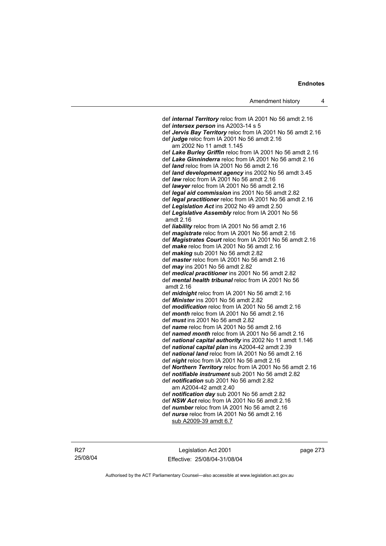def *internal Territory* reloc from IA 2001 No 56 amdt 2.16 def *intersex person* ins A2003-14 s 5 def *Jervis Bay Territory* reloc from IA 2001 No 56 amdt 2.16 def *judge* reloc from IA 2001 No 56 amdt 2.16 am 2002 No 11 amdt 1.145 def *Lake Burley Griffin* reloc from IA 2001 No 56 amdt 2.16 def *Lake Ginninderra* reloc from IA 2001 No 56 amdt 2.16 def *land* reloc from IA 2001 No 56 amdt 2.16 def *land development agency* ins 2002 No 56 amdt 3.45 def *law* reloc from IA 2001 No 56 amdt 2.16 def *lawyer* reloc from IA 2001 No 56 amdt 2.16 def *legal aid commission* ins 2001 No 56 amdt 2.82 def *legal practitioner* reloc from IA 2001 No 56 amdt 2.16 def *Legislation Act* ins 2002 No 49 amdt 2.50 def *Legislative Assembly* reloc from IA 2001 No 56 amdt 2.16 def *liability* reloc from IA 2001 No 56 amdt 2.16 def *magistrate* reloc from IA 2001 No 56 amdt 2.16 def *Magistrates Court* reloc from IA 2001 No 56 amdt 2.16 def *make* reloc from IA 2001 No 56 amdt 2.16 def *making* sub 2001 No 56 amdt 2.82 def *master* reloc from IA 2001 No 56 amdt 2.16 def *may* ins 2001 No 56 amdt 2.82 def *medical practitioner* ins 2001 No 56 amdt 2.82 def *mental health tribunal* reloc from IA 2001 No 56 amdt 2.16 def *midnight* reloc from IA 2001 No 56 amdt 2.16 def *Minister* ins 2001 No 56 amdt 2.82 def *modification* reloc from IA 2001 No 56 amdt 2.16 def *month* reloc from IA 2001 No 56 amdt 2.16 def *must* ins 2001 No 56 amdt 2.82 def *name* reloc from IA 2001 No 56 amdt 2.16 def *named month* reloc from IA 2001 No 56 amdt 2.16 def *national capital authority* ins 2002 No 11 amdt 1.146 def *national capital plan* ins A2004-42 amdt 2.39 def *national land* reloc from IA 2001 No 56 amdt 2.16 def *night* reloc from IA 2001 No 56 amdt 2.16 def *Northern Territory* reloc from IA 2001 No 56 amdt 2.16 def *notifiable instrument* sub 2001 No 56 amdt 2.82 def *notification* sub 2001 No 56 amdt 2.82 am A2004-42 amdt 2.40 def *notification day* sub 2001 No 56 amdt 2.82 def *NSW Act* reloc from IA 2001 No 56 amdt 2.16 def *number* reloc from IA 2001 No 56 amdt 2.16 def *nurse* reloc from IA 2001 No 56 amdt 2.16

sub A2009-39 amdt 6.7

Legislation Act 2001 Effective: 25/08/04-31/08/04 page 273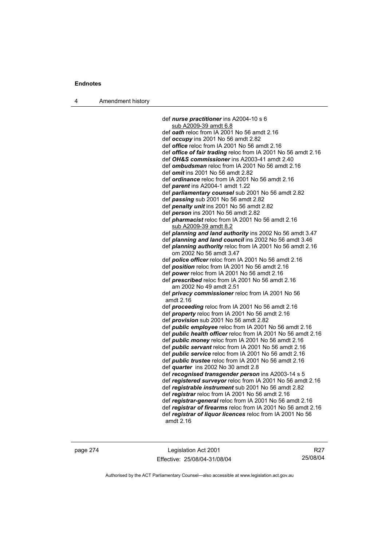4 Amendment history

 def *nurse practitioner* ins A2004-10 s 6 sub A2009-39 amdt 6.8 def *oath* reloc from IA 2001 No 56 amdt 2.16 def *occupy* ins 2001 No 56 amdt 2.82 def *office* reloc from IA 2001 No 56 amdt 2.16 def *office of fair trading* reloc from IA 2001 No 56 amdt 2.16 def *OH&S commissioner* ins A2003-41 amdt 2.40 def *ombudsman* reloc from IA 2001 No 56 amdt 2.16 def *omit* ins 2001 No 56 amdt 2.82 def *ordinance* reloc from IA 2001 No 56 amdt 2.16 def *parent* ins A2004-1 amdt 1.22 def *parliamentary counsel* sub 2001 No 56 amdt 2.82 def *passing* sub 2001 No 56 amdt 2.82 def *penalty unit* ins 2001 No 56 amdt 2.82 def *person* ins 2001 No 56 amdt 2.82 def *pharmacist* reloc from IA 2001 No 56 amdt 2.16 sub A2009-39 amdt 8.2 def *planning and land authority* ins 2002 No 56 amdt 3.47 def *planning and land council* ins 2002 No 56 amdt 3.46 def *planning authority* reloc from IA 2001 No 56 amdt 2.16 om 2002 No 56 amdt 3.47 def *police officer* reloc from IA 2001 No 56 amdt 2.16 def *position* reloc from IA 2001 No 56 amdt 2.16 def *power* reloc from IA 2001 No 56 amdt 2.16 def *prescribed* reloc from IA 2001 No 56 amdt 2.16 am 2002 No 49 amdt 2.51 def *privacy commissioner* reloc from IA 2001 No 56 amdt 2.16 def *proceeding* reloc from IA 2001 No 56 amdt 2.16 def *property* reloc from IA 2001 No 56 amdt 2.16 def *provision* sub 2001 No 56 amdt 2.82 def *public employee* reloc from IA 2001 No 56 amdt 2.16 def *public health officer* reloc from IA 2001 No 56 amdt 2.16 def *public money* reloc from IA 2001 No 56 amdt 2.16 def *public servant* reloc from IA 2001 No 56 amdt 2.16 def *public service* reloc from IA 2001 No 56 amdt 2.16 def *public trustee* reloc from IA 2001 No 56 amdt 2.16 def *quarter* ins 2002 No 30 amdt 2.8 def *recognised transgender person* ins A2003-14 s 5 def *registered surveyor* reloc from IA 2001 No 56 amdt 2.16 def *registrable instrument* sub 2001 No 56 amdt 2.82 def *registrar* reloc from IA 2001 No 56 amdt 2.16 def *registrar-general* reloc from IA 2001 No 56 amdt 2.16 def *registrar of firearms* reloc from IA 2001 No 56 amdt 2.16 def *registrar of liquor licences* reloc from IA 2001 No 56 amdt 2.16

page 274 Legislation Act 2001 Effective: 25/08/04-31/08/04

R27 25/08/04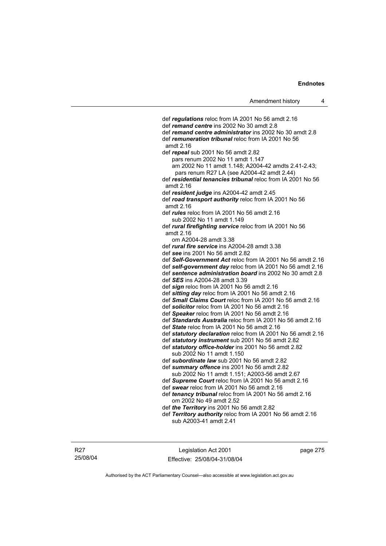def *regulations* reloc from IA 2001 No 56 amdt 2.16 def *remand centre* ins 2002 No 30 amdt 2.8 def *remand centre administrator* ins 2002 No 30 amdt 2.8 def *remuneration tribunal* reloc from IA 2001 No 56 amdt 2.16 def *repeal* sub 2001 No 56 amdt 2.82 pars renum 2002 No 11 amdt 1.147 am 2002 No 11 amdt 1.148; A2004-42 amdts 2.41-2.43; pars renum R27 LA (see A2004-42 amdt 2.44) def *residential tenancies tribunal* reloc from IA 2001 No 56 amdt 2.16 def *resident judge* ins A2004-42 amdt 2.45 def *road transport authority* reloc from IA 2001 No 56 amdt 2.16 def *rules* reloc from IA 2001 No 56 amdt 2.16 sub 2002 No 11 amdt 1.149 def *rural firefighting service* reloc from IA 2001 No 56 amdt 2.16 om A2004-28 amdt 3.38 def *rural fire service* ins A2004-28 amdt 3.38 def *see* ins 2001 No 56 amdt 2.82 def *Self-Government Act* reloc from IA 2001 No 56 amdt 2.16 def *self-government day* reloc from IA 2001 No 56 amdt 2.16 def *sentence administration board* ins 2002 No 30 amdt 2.8 def *SES* ins A2004-28 amdt 3.39 def *sign* reloc from IA 2001 No 56 amdt 2.16 def *sitting day* reloc from IA 2001 No 56 amdt 2.16 def *Small Claims Court* reloc from IA 2001 No 56 amdt 2.16 def *solicitor* reloc from IA 2001 No 56 amdt 2.16 def *Speaker* reloc from IA 2001 No 56 amdt 2.16 def *Standards Australia* reloc from IA 2001 No 56 amdt 2.16 def *State* reloc from IA 2001 No 56 amdt 2.16 def *statutory declaration* reloc from IA 2001 No 56 amdt 2.16 def *statutory instrument* sub 2001 No 56 amdt 2.82 def *statutory office-holder* ins 2001 No 56 amdt 2.82 sub 2002 No 11 amdt 1.150 def *subordinate law* sub 2001 No 56 amdt 2.82 def *summary offence* ins 2001 No 56 amdt 2.82 sub 2002 No 11 amdt 1.151; A2003-56 amdt 2.67 def *Supreme Court* reloc from IA 2001 No 56 amdt 2.16 def *swear* reloc from IA 2001 No 56 amdt 2.16 def *tenancy tribunal* reloc from IA 2001 No 56 amdt 2.16 om 2002 No 49 amdt 2.52 def *the Territory* ins 2001 No 56 amdt 2.82 def *Territory authority* reloc from IA 2001 No 56 amdt 2.16 sub A2003-41 amdt 2.41

Legislation Act 2001 Effective: 25/08/04-31/08/04 page 275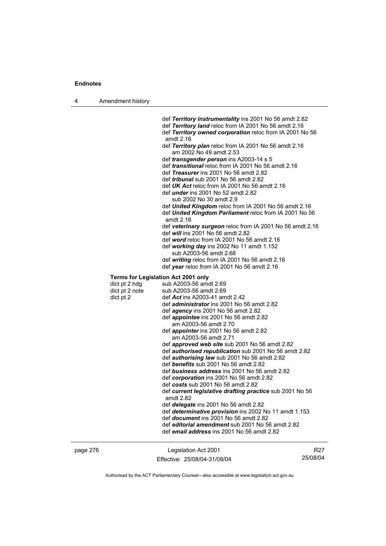4 Amendment history

- def *Territory plan* reloc from IA 2001 No 56 amdt 2.16 am 2002 No 49 amdt 2.53
- def *transgender person* ins A2003-14 s 5
- def *transitional* reloc from IA 2001 No 56 amdt 2.16
- def *Treasurer* ins 2001 No 56 amdt 2.82
- def *tribunal* sub 2001 No 56 amdt 2.82
- def *UK Act* reloc from IA 2001 No 56 amdt 2.16
- def *under* ins 2001 No 52 amdt 2.82 sub 2002 No 30 amdt 2.9
- def *United Kingdom* reloc from IA 2001 No 56 amdt 2.16
- def *United Kingdom Parliament* reloc from IA 2001 No 56
- amdt 2.16
- def *veterinary surgeon* reloc from IA 2001 No 56 amdt 2.16
- def *will* ins 2001 No 56 amdt 2.82
- def *word* reloc from IA 2001 No 56 amdt 2.16 def *working day* ins 2002 No 11 amdt 1.152
	- sub A2003-56 amdt 2.68
- def *writing* reloc from IA 2001 No 56 amdt 2.16 def *year* reloc from IA 2001 No 56 amdt 2.16
- 

### **Terms for Legislation Act 2001 only**

| dict pt 2 hdg  | sub A2003-56 amdt 2.69                                       |  |  |  |
|----------------|--------------------------------------------------------------|--|--|--|
| dict pt 2 note | sub A2003-56 amdt 2.69                                       |  |  |  |
| dict pt 2      | def Act ins A2003-41 amdt 2.42                               |  |  |  |
|                | def <i>administrator</i> ins 2001 No 56 amdt 2.82            |  |  |  |
|                | def <i>agency</i> ins 2001 No 56 amdt 2.82                   |  |  |  |
|                | def <i>appointee</i> ins 2001 No 56 amdt 2.82                |  |  |  |
|                | am A2003-56 amdt 2.70                                        |  |  |  |
|                | def <i>appointer</i> ins 2001 No 56 amdt 2.82                |  |  |  |
|                | am A2003-56 amdt 2.71                                        |  |  |  |
|                | def approved web site sub 2001 No 56 amdt 2.82               |  |  |  |
|                | def <b>authorised republication</b> sub 2001 No 56 amdt 2.82 |  |  |  |
|                | def <b>authorising law</b> sub 2001 No 56 amdt 2.82          |  |  |  |
|                | def benefits sub 2001 No 56 amdt 2.82                        |  |  |  |
|                | def business address ins 2001 No 56 amdt 2.82                |  |  |  |
|                | def corporation ins 2001 No 56 amdt 2.82                     |  |  |  |
|                | def costs sub 2001 No 56 amdt 2.82                           |  |  |  |
|                | def current legislative drafting practice sub 2001 No 56     |  |  |  |
|                | amdt 2.82                                                    |  |  |  |
|                | def <i>delegate</i> ins 2001 No 56 amdt 2.82                 |  |  |  |
|                | def <i>determinative provision</i> ins 2002 No 11 amdt 1.153 |  |  |  |
|                | def <i>document</i> ins 2001 No 56 amdt 2.82                 |  |  |  |
|                | def editorial amendment sub 2001 No 56 amdt 2.82             |  |  |  |
|                | def email address ins 2001 No 56 amdt 2.82                   |  |  |  |
|                |                                                              |  |  |  |

page 276 Legislation Act 2001 Effective: 25/08/04-31/08/04

R27 25/08/04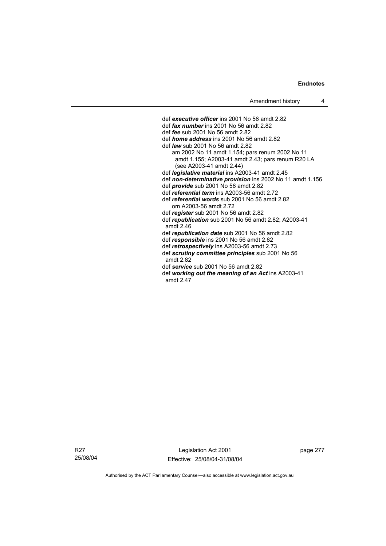def *executive officer* ins 2001 No 56 amdt 2.82 def *fax number* ins 2001 No 56 amdt 2.82 def *fee* sub 2001 No 56 amdt 2.82 def *home address* ins 2001 No 56 amdt 2.82 def *law* sub 2001 No 56 amdt 2.82 am 2002 No 11 amdt 1.154; pars renum 2002 No 11 amdt 1.155; A2003-41 amdt 2.43; pars renum R20 LA (see A2003-41 amdt 2.44) def *legislative material* ins A2003-41 amdt 2.45 def *non-determinative provision* ins 2002 No 11 amdt 1.156 def *provide* sub 2001 No 56 amdt 2.82 def *referential term* ins A2003-56 amdt 2.72 def *referential words* sub 2001 No 56 amdt 2.82 om A2003-56 amdt 2.72 def *register* sub 2001 No 56 amdt 2.82 def *republication* sub 2001 No 56 amdt 2.82; A2003-41 amdt 2.46 def *republication date* sub 2001 No 56 amdt 2.82 def *responsible* ins 2001 No 56 amdt 2.82 def *retrospectively* ins A2003-56 amdt 2.73 def *scrutiny committee principles* sub 2001 No 56 amdt 2.82 def *service* sub 2001 No 56 amdt 2.82 def *working out the meaning of an Act* ins A2003-41 amdt 2.47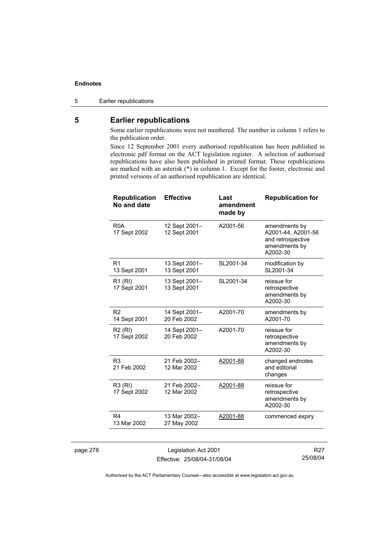#### 5 Earlier republications

## **5 Earlier republications**

Some earlier republications were not numbered. The number in column 1 refers to the publication order.

Since 12 September 2001 every authorised republication has been published in electronic pdf format on the ACT legislation register. A selection of authorised republications have also been published in printed format. These republications are marked with an asterisk (\*) in column 1. Except for the footer, electronic and printed versions of an authorised republication are identical.

| <b>Republication</b><br>No and date | <b>Effective</b>              | Last<br>amendment<br>made by | <b>Republication for</b>                                                              |
|-------------------------------------|-------------------------------|------------------------------|---------------------------------------------------------------------------------------|
| R <sub>0</sub> A<br>17 Sept 2002    | 12 Sept 2001-<br>12 Sept 2001 | A2001-56                     | amendments by<br>A2001-44, A2001-56<br>and retrospective<br>amendments by<br>A2002-30 |
| R <sub>1</sub><br>13 Sept 2001      | 13 Sept 2001-<br>13 Sept 2001 | SL2001-34                    | modification by<br>SL2001-34                                                          |
| R <sub>1</sub> (RI)<br>17 Sept 2001 | 13 Sept 2001-<br>13 Sept 2001 | SL2001-34                    | reissue for<br>retrospective<br>amendments by<br>A2002-30                             |
| R <sub>2</sub><br>14 Sept 2001      | 14 Sept 2001-<br>20 Feb 2002  | A2001-70                     | amendments by<br>A2001-70                                                             |
| <b>R2 (RI)</b><br>17 Sept 2002      | 14 Sept 2001-<br>20 Feb 2002  | A2001-70                     | reissue for<br>retrospective<br>amendments by<br>A2002-30                             |
| R <sub>3</sub><br>21 Feb 2002       | 21 Feb 2002-<br>12 Mar 2002   | A2001-88                     | changed endnotes<br>and editorial<br>changes                                          |
| R3 (RI)<br>17 Sept 2002             | 21 Feb 2002-<br>12 Mar 2002   | A2001-88                     | reissue for<br>retrospective<br>amendments by<br>A2002-30                             |
| R4<br>13 Mar 2002                   | 13 Mar 2002-<br>27 May 2002   | A2001-88                     | commenced expiry                                                                      |

page 278 Legislation Act 2001 Effective: 25/08/04-31/08/04

R27 25/08/04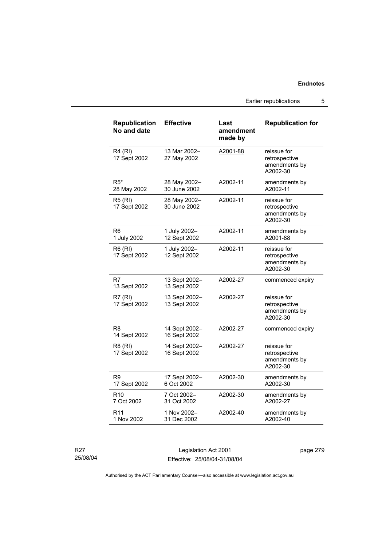Earlier republications 5

| <b>Republication</b><br>No and date | <b>Effective</b>              | Last<br>amendment<br>made by | <b>Republication for</b>                                  |
|-------------------------------------|-------------------------------|------------------------------|-----------------------------------------------------------|
| <b>R4 (RI)</b><br>17 Sept 2002      | 13 Mar 2002-<br>27 May 2002   | A2001-88                     | reissue for<br>retrospective<br>amendments by<br>A2002-30 |
| $R5*$<br>28 May 2002                | 28 May 2002-<br>30 June 2002  | A2002-11                     | amendments by<br>A2002-11                                 |
| <b>R5 (RI)</b><br>17 Sept 2002      | 28 May 2002-<br>30 June 2002  | A2002-11                     | reissue for<br>retrospective<br>amendments by<br>A2002-30 |
| R6<br>1 July 2002                   | 1 July 2002-<br>12 Sept 2002  | A2002-11                     | amendments by<br>A2001-88                                 |
| <b>R6 (RI)</b><br>17 Sept 2002      | 1 July 2002-<br>12 Sept 2002  | A2002-11                     | reissue for<br>retrospective<br>amendments by<br>A2002-30 |
| R7<br>13 Sept 2002                  | 13 Sept 2002-<br>13 Sept 2002 | A2002-27                     | commenced expiry                                          |
| R7 (RI)<br>17 Sept 2002             | 13 Sept 2002-<br>13 Sept 2002 | A2002-27                     | reissue for<br>retrospective<br>amendments by<br>A2002-30 |
| R8<br>14 Sept 2002                  | 14 Sept 2002-<br>16 Sept 2002 | A2002-27                     | commenced expiry                                          |
| R8 (RI)<br>17 Sept 2002             | 14 Sept 2002-<br>16 Sept 2002 | A2002-27                     | reissue for<br>retrospective<br>amendments by<br>A2002-30 |
| R9<br>17 Sept 2002                  | 17 Sept 2002-<br>6 Oct 2002   | A2002-30                     | amendments by<br>A2002-30                                 |
| R <sub>10</sub><br>7 Oct 2002       | 7 Oct 2002-<br>31 Oct 2002    | A2002-30                     | amendments by<br>A2002-27                                 |
| R <sub>11</sub><br>1 Nov 2002       | 1 Nov 2002-<br>31 Dec 2002    | A2002-40                     | amendments by<br>A2002-40                                 |

R27 25/08/04

Legislation Act 2001 Effective: 25/08/04-31/08/04 page 279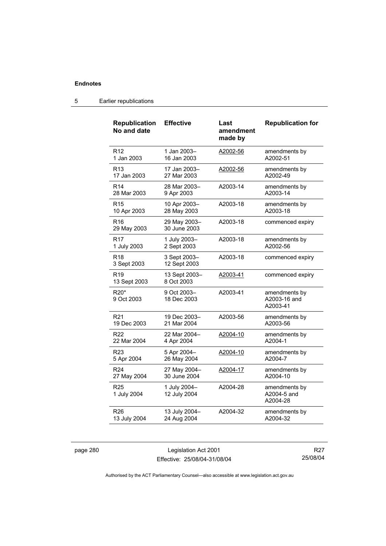#### **Republication No and date Effective Last amendment made by Republication for**  R12 1 Jan 2003 1 Jan 2003– 16 Jan 2003 A2002-56 amendments by A2002-51 R13 17 Jan 2003 17 Jan 2003– 27 Mar 2003 A2002-56 amendments by A2002-49 R14 28 Mar 2003 28 Mar 2003– 9 Apr 2003 A2003-14 amendments by A2003-14 R15 10 Apr 2003 10 Apr 2003– 28 May 2003 A2003-18 amendments by A2003-18 R16 29 May 2003 29 May 2003– 30 June 2003 A2003-18 commenced expiry R17 1 July 2003 1 July 2003– 2 Sept 2003 A2003-18 amendments by A2002-56 R18 3 Sept 2003 3 Sept 2003– 12 Sept 2003 A2003-18 commenced expiry R19 13 Sept 2003 13 Sept 2003– 8 Oct 2003 A2003-41 commenced expiry R20\* 9 Oct 2003 9 Oct 2003– 18 Dec 2003 A2003-41 amendments by A2003-16 and A2003-41 R21 19 Dec 2003 19 Dec 2003– 21 Mar 2004 A2003-56 amendments by A2003-56 R22 22 Mar 2004 22 Mar 2004– 4 Apr 2004 A2004-10 amendments by A2004-1 R23 5 Apr 2004 5 Apr 2004– 26 May 2004 A2004-10 amendments by A2004-7 R24 27 May 2004 27 May 2004– 30 June 2004 A2004-17 amendments by A2004-10 R25 1 July 2004 1 July 2004– 12 July 2004 A2004-28 amendments by A2004-5 and A2004-28 R26 13 July 2004 13 July 2004– 24 Aug 2004 A2004-32 amendments by A2004-32

#### 5 Earlier republications

page 280 Legislation Act 2001 Effective: 25/08/04-31/08/04

R27 25/08/04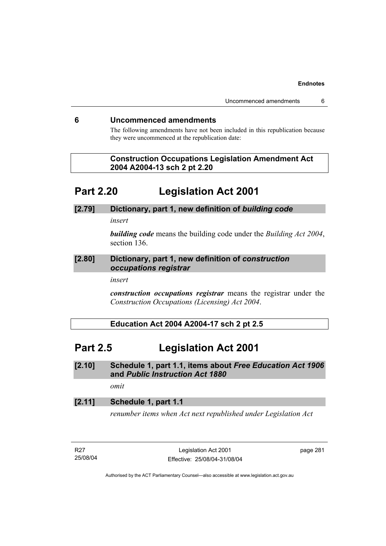## **6 Uncommenced amendments**

The following amendments have not been included in this republication because they were uncommenced at the republication date:

## **Construction Occupations Legislation Amendment Act 2004 A2004-13 sch 2 pt 2.20**

# **Part 2.20 Legislation Act 2001**

## **[2.79] Dictionary, part 1, new definition of** *building code*

*insert* 

*building code* means the building code under the *Building Act 2004*, section 136.

## **[2.80] Dictionary, part 1, new definition of** *construction occupations registrar*

*insert* 

*construction occupations registrar* means the registrar under the *Construction Occupations (Licensing) Act 2004*.

### **Education Act 2004 A2004-17 sch 2 pt 2.5**

# **Part 2.5 Legislation Act 2001**

**[2.10] Schedule 1, part 1.1, items about** *Free Education Act 1906* **and** *Public Instruction Act 1880*

*omit* 

## **[2.11] Schedule 1, part 1.1**

*renumber items when Act next republished under Legislation Act* 

R27 25/08/04

Legislation Act 2001 Effective: 25/08/04-31/08/04 page 281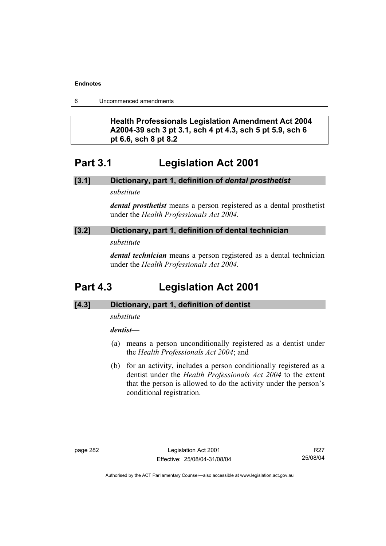6 Uncommenced amendments

## **Health Professionals Legislation Amendment Act 2004 A2004-39 sch 3 pt 3.1, sch 4 pt 4.3, sch 5 pt 5.9, sch 6 pt 6.6, sch 8 pt 8.2**

# **Part 3.1 Legislation Act 2001**

## **[3.1] Dictionary, part 1, definition of** *dental prosthetist*

*substitute* 

*dental prosthetist* means a person registered as a dental prosthetist under the *Health Professionals Act 2004*.

## **[3.2] Dictionary, part 1, definition of dental technician**

*substitute* 

*dental technician* means a person registered as a dental technician under the *Health Professionals Act 2004*.

# **Part 4.3 Legislation Act 2001**

## **[4.3] Dictionary, part 1, definition of dentist**

*substitute* 

### *dentist***—**

- (a) means a person unconditionally registered as a dentist under the *Health Professionals Act 2004*; and
- (b) for an activity, includes a person conditionally registered as a dentist under the *Health Professionals Act 2004* to the extent that the person is allowed to do the activity under the person's conditional registration.

R27 25/08/04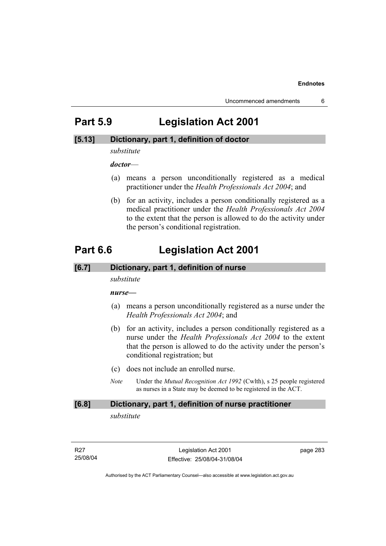# **Part 5.9 Legislation Act 2001**

## **[5.13] Dictionary, part 1, definition of doctor**

*substitute* 

*doctor*—

- (a) means a person unconditionally registered as a medical practitioner under the *Health Professionals Act 2004*; and
- (b) for an activity, includes a person conditionally registered as a medical practitioner under the *Health Professionals Act 2004*  to the extent that the person is allowed to do the activity under the person's conditional registration.

# **Part 6.6 Legislation Act 2001**

### **[6.7] Dictionary, part 1, definition of nurse**

*substitute* 

*nurse***—**

- (a) means a person unconditionally registered as a nurse under the *Health Professionals Act 2004*; and
- (b) for an activity, includes a person conditionally registered as a nurse under the *Health Professionals Act 2004* to the extent that the person is allowed to do the activity under the person's conditional registration; but
- (c) does not include an enrolled nurse.
- *Note* Under the *Mutual Recognition Act 1992* (Cwlth), s 25 people registered as nurses in a State may be deemed to be registered in the ACT.

#### **[6.8] Dictionary, part 1, definition of nurse practitioner**

*substitute* 

R27 25/08/04

Legislation Act 2001 Effective: 25/08/04-31/08/04 page 283